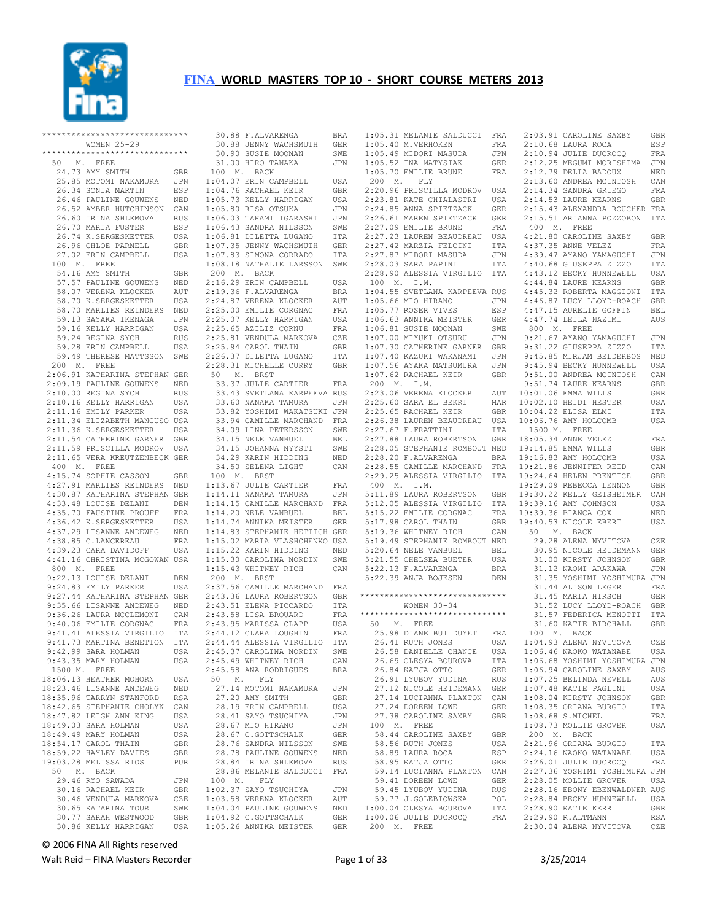

| ******************************                    |            |                |
|---------------------------------------------------|------------|----------------|
| WOMEN 25-29                                       |            |                |
| ******************************                    |            |                |
| 50 M. FREE                                        |            |                |
| 24.73 AMY SMITH                                   | GBR        | 1              |
| 25.85 MOTOMI NAKAMURA                             | JPN        | 1:             |
| 26.34 SONIA MARTIN                                | ESP        | 1:             |
| 26.46 PAULINE GOUWENS                             | NED        | 1:             |
| 26.52 AMBER HUTCHINSON                            | CAN        | 1:             |
| 26.60 IRINA SHLEMOVA                              | <b>RUS</b> | 1:             |
| 26.70 MARIA FUSTER                                | ESP        | 1:             |
| 26.74 K.SERGESKETTER                              | USA        | 1:             |
| 26.96 CHLOE PARNELL                               | GBR        | 1:             |
| 27.02 ERIN CAMPBELL                               | USA        | 1:             |
| 100 M. FREE                                       |            | 1:             |
| 54.16 AMY SMITH                                   | GBR        | 2              |
| 57.57 PAULINE GOUWENS                             | NED        | 2:             |
| 58.07 VERENA KLOCKER                              | AUT        | 2:             |
| 58.70 K.SERGESKETTER                              | USA        | 2:             |
| 58.70 MARLIES REINDERS                            | NED        | 2:             |
| 59.13 SAYAKA IKENAGA                              | JPN        | 2:             |
| 59.16 KELLY HARRIGAN                              | USA        | 2:             |
| 59.24 REGINA SYCH                                 | RUS        | 2:             |
| 59.28 ERIN CAMPBELL                               | USA        | 2:             |
| 59.49 THERESE MATTSSON SWE                        |            | 2:             |
| 200 M. FREE                                       |            | 2:             |
| 2:06.91 KATHARINA STEPHAN GER                     |            | 5              |
| 2:09.19 PAULINE GOUWENS NED                       |            |                |
| 2:10.00 REGINA SYCH                               | <b>RUS</b> |                |
| 2:10.16 KELLY HARRIGAN                            | USA        |                |
| 2:11.16 EMILY PARKER                              | USA        |                |
| 2:11.34 ELIZABETH MANCUSO USA                     |            |                |
| 2:11.36 K.SERGESKETTER                            | USA        |                |
| 2:11.54 CATHERINE GARNER                          | GBR        |                |
| 2:11.59 PRISCILLA MODROV USA                      |            |                |
| 2:11.65 VERA KREUTZENBECK GER                     |            |                |
| 400 M. FREE                                       |            |                |
| 4:15.74 SOPHIE CASSON                             | GBR        | $\mathbf{1}$   |
| 4:27.91 MARLIES REINDERS NED                      |            | $1:$           |
| 4:30.87 KATHARINA STEPHAN GER                     |            | 1:             |
| 4:33.48 LOUISE DELANI<br>4:35.70 FAUSTINE PROUFF  | DEN<br>FRA | 1:             |
|                                                   |            | 1:             |
| 4:36.42 K.SERGESKETTER<br>4:37.29 LISANNE ANDEWEG | USA        | 1:             |
| 4:38.85 C.LANCEREAU                               | NED<br>FRA | 1:<br>1:       |
| $4:39.23$ CARA DAVIDOFF                           | USA        | 1:             |
| 4:41.16 CHRISTINA MCGOWAN USA                     |            | 1:             |
| 800 M. FREE                                       |            | 1:             |
| 9:22.13 LOUISE DELANI                             | DEN        | $\overline{c}$ |
| 9:24.83 EMILY PARKER                              | USA        | 2:             |
| 9:27.44 KATHARINA STEPHAN GER                     |            | 2:             |
| 9:35.66 LISANNE ANDEWEG                           | NED        | 2:             |
| 9:36.26 LAURA MCCLEMONT                           | CAN        | 2:             |
| 9:40.06 EMILIE CORGNAC                            | FRA        | 2:             |
| 9:41.41 ALESSIA VIRGILIO                          | ITA        | 2:             |
| 9:41.73 MARTINA BENETTON                          | ITA        | 2:             |
| 9:42.99 SARA HOLMAN                               | USA        | 2:             |
| 9:43.35 MARY HOLMAN                               | USA        | 2:             |
| 1500 M. FREE                                      |            | 2:             |
| 18:06.13 HEATHER MOHORN                           | USA        | 5              |
| 18:23.46 LISANNE ANDEWEG                          | NED        |                |
| 18:35.96 TARRYN STANFORD                          | <b>RSA</b> |                |
| 18:42.65 STEPHANIE CHOLYK                         | CAN        |                |
| 18:47.82 LEIGH ANN KING                           | USA        |                |
| 18:49.03 SARA HOLMAN                              | USA        |                |
| 18:49.49 MARY HOLMAN                              | USA        |                |
| 18:54.17 CAROL THAIN                              | <b>GBR</b> |                |
| 18:59.22 HAYLEY DAVIES                            | GBR        |                |
| 19:03.28 MELISSA RIOS                             | <b>PUR</b> |                |
| 50 M. BACK                                        |            |                |
| 29.46 RYO SAWADA                                  | JPN        | 1              |
| 30.16 RACHAEL KEIR                                | GBR        | 1:             |
| 30.46 VENDULA MARKOVA<br>30.65 KATARINA TOUR      | CZE<br>SWE | 1:             |
| 30.77 SARAH WESTWOOD                              | GBR        | 1:<br>1:       |
| 30.86 KELLY HARRIGAN                              | USA        | $1:$           |
|                                                   |            |                |

|             | 30.88 F.ALVARENGA                                                                                                                                                                                                                                                                                             | BRA            |
|-------------|---------------------------------------------------------------------------------------------------------------------------------------------------------------------------------------------------------------------------------------------------------------------------------------------------------------|----------------|
|             | 30.00 F.ALVARENGA<br>30.88 JENNY WACHSMUTH GER<br>30.90 SUSIE MOONAN SWE<br>31.00 HIRO TANAKA JPN                                                                                                                                                                                                             |                |
|             |                                                                                                                                                                                                                                                                                                               |                |
|             |                                                                                                                                                                                                                                                                                                               |                |
|             |                                                                                                                                                                                                                                                                                                               |                |
| 100 M. BACK |                                                                                                                                                                                                                                                                                                               |                |
|             | $1:04.07$ ERIN CAMPBELL                                                                                                                                                                                                                                                                                       | USA            |
|             | 1:04.07 ENR CAMPEBELL<br>1:05.73 KELLY HARRIGAN<br>1:05.73 KELLY HARRIGAN<br>1:05.80 RISA OTSUKA<br>1:06.03 TAKAMI IGARASHI<br>1:06.43 SANDRA NILSSON<br>1:07.35 JENNY WACHSMUTH<br>1:07.35 JENNY WACHSMUTH<br>1:07.83 SIMONA CORRADO                                                                         | $\mathsf{GBR}$ |
|             |                                                                                                                                                                                                                                                                                                               | USA            |
|             |                                                                                                                                                                                                                                                                                                               | $_{\rm JPN}$   |
|             |                                                                                                                                                                                                                                                                                                               | $_{\rm JPN}$   |
|             |                                                                                                                                                                                                                                                                                                               |                |
|             |                                                                                                                                                                                                                                                                                                               | SWE            |
|             |                                                                                                                                                                                                                                                                                                               | ITA            |
|             |                                                                                                                                                                                                                                                                                                               | <b>GER</b>     |
|             |                                                                                                                                                                                                                                                                                                               | ITA            |
|             | 1:08.18 NATHALIE LARSSON SWE                                                                                                                                                                                                                                                                                  |                |
| 200 M. BACK |                                                                                                                                                                                                                                                                                                               |                |
|             |                                                                                                                                                                                                                                                                                                               |                |
|             | 2:16.29 ERIN CAMPBELL<br>2:19.36 F.ALVARENGA<br>2:24.87 VERENA KLOCKER                                                                                                                                                                                                                                        | USA            |
|             |                                                                                                                                                                                                                                                                                                               | BRA            |
|             |                                                                                                                                                                                                                                                                                                               | AUT            |
|             |                                                                                                                                                                                                                                                                                                               | FRA            |
|             |                                                                                                                                                                                                                                                                                                               |                |
|             |                                                                                                                                                                                                                                                                                                               |                |
|             |                                                                                                                                                                                                                                                                                                               |                |
|             | $\begin{tabular}{lllllllll} 2:24.87 & {\tt VEKENA\texttt{A}}\\ 2:25.00 & {\tt EMLIE\texttt{CORGNA}} & {\tt FRA}\\ 2:25.07 & {\tt KELLY\texttt{A}} & {\tt USA} & {\tt USA}\\ 2:25.65 & {\tt AZILIZ\texttt{C}CRNU} & {\tt FRA}\\ 2:25.81 & {\tt VENDOL\texttt{A}} & {\tt MARKOVA} & {\tt CZE} \\ \end{tabular}$ |                |
|             | -.---.<br>2:25.94 CAROL THAIN<br>2:26.37 DILETTA LUGANO                                                                                                                                                                                                                                                       | GBR            |
|             |                                                                                                                                                                                                                                                                                                               | ITA            |
|             | 2:28.31 MICHELLE CURRY                                                                                                                                                                                                                                                                                        | GBR            |
| 50 M. BRST  |                                                                                                                                                                                                                                                                                                               |                |
|             | 33.37 JULIE CARTIER                                                                                                                                                                                                                                                                                           | FRA            |
|             |                                                                                                                                                                                                                                                                                                               |                |
|             | 33.43 SVETLANA KARPEEVA RUS                                                                                                                                                                                                                                                                                   |                |
|             |                                                                                                                                                                                                                                                                                                               |                |
|             | 33.60 NANAKA TAMURA JPN<br>33.82 YOSHIMI WAKATSUKI JPN                                                                                                                                                                                                                                                        |                |
|             |                                                                                                                                                                                                                                                                                                               |                |
|             |                                                                                                                                                                                                                                                                                                               |                |
|             | 33.94 CAMILLE MARCHAND FRA<br>33.94 CAMILLE MARCHAND FRA<br>34.09 LINA PETERSSON SWE<br>34.15 JOHANNA NYYSTI SWE<br>34.29 KARIN HIDDING NED<br>34.50 SELENA LIGHT CAN<br>34.50 SELENA LIGHT CAN                                                                                                               |                |
|             |                                                                                                                                                                                                                                                                                                               |                |
|             |                                                                                                                                                                                                                                                                                                               |                |
|             |                                                                                                                                                                                                                                                                                                               |                |
|             |                                                                                                                                                                                                                                                                                                               |                |
|             |                                                                                                                                                                                                                                                                                                               |                |
|             |                                                                                                                                                                                                                                                                                                               | FRA            |
|             |                                                                                                                                                                                                                                                                                                               |                |
|             |                                                                                                                                                                                                                                                                                                               |                |
|             | 100 M. BRST<br>1:13.67 JULIE CARTIER<br>1:14.11 NANAKA TAMURA                                                                                                                                                                                                                                                 |                |
|             |                                                                                                                                                                                                                                                                                                               | JPN<br>FRA     |
|             | 1:14.15 CAMILLE MARCHAND<br>1:14.20 NELE VANBUEL<br>$1:14.20$ NELE VANBUEL                                                                                                                                                                                                                                    | BEL            |
|             | 1:14.74 ANNIKA MEISTER GER                                                                                                                                                                                                                                                                                    |                |
|             | 1:14.83 STEPHANIE HETTICH GER                                                                                                                                                                                                                                                                                 |                |
|             | 1:15.02 MARIA VLASHCHENKO USA                                                                                                                                                                                                                                                                                 |                |
|             |                                                                                                                                                                                                                                                                                                               |                |
|             |                                                                                                                                                                                                                                                                                                               |                |
|             | 1:15.22 KARIN HIDDING<br>1:15.30 CAROLINA NORDIN                                                                                                                                                                                                                                                              | NED<br>SWE     |
|             | 1:15.43 WHITNEY RICH                                                                                                                                                                                                                                                                                          | CAN            |
| 200 M. BRST |                                                                                                                                                                                                                                                                                                               |                |
|             | 2:37.56 CAMILLE MARCHAND FRA                                                                                                                                                                                                                                                                                  |                |
|             |                                                                                                                                                                                                                                                                                                               | GBR            |
|             |                                                                                                                                                                                                                                                                                                               |                |
|             |                                                                                                                                                                                                                                                                                                               |                |
|             | -<br>2:43.36 LAURA ROBERTSON<br>2:43.51 ELENA PICCARDO<br>2:43.58 LISA BROUARD                                                                                                                                                                                                                                |                |
|             |                                                                                                                                                                                                                                                                                                               |                |
|             |                                                                                                                                                                                                                                                                                                               |                |
|             |                                                                                                                                                                                                                                                                                                               |                |
|             | 2:43.51 ELENA PICCARDO ITA<br>2:43.58 LISA BROUARD FRA<br>2:43.95 MARISSA CLAPP USA<br>2:44.12 CLARA LOUGHIN FRA<br>2:44.44 ALESSIA VIRGILIO ITA<br>2:45.37 CAROLINA MORDIN                                                                                                                                   | ${\tt SWE}$    |
|             | 2:45.37 CAROLINA NORDIN                                                                                                                                                                                                                                                                                       | CAN            |
|             |                                                                                                                                                                                                                                                                                                               | <b>BRA</b>     |
|             | 2:45.49 WHITNEY RICH<br>2:45.58 ANA RODRIGUES                                                                                                                                                                                                                                                                 |                |
| 50 M. FLY   |                                                                                                                                                                                                                                                                                                               |                |
|             | 27.14 MOTOMI NAKAMURA                                                                                                                                                                                                                                                                                         | JPN            |
|             | 27.20 AMY SMITH                                                                                                                                                                                                                                                                                               | GBR            |
|             |                                                                                                                                                                                                                                                                                                               | USA            |
|             |                                                                                                                                                                                                                                                                                                               | JPN            |
|             |                                                                                                                                                                                                                                                                                                               | JPN            |
|             | 28.19 ERIN CAMPBELL<br>28.41 SAYO TSUCHIYA<br>28.67 MIO HIRANO<br>28.67 MIO HIRANO                                                                                                                                                                                                                            | GER            |
|             | 28.67 C.GOTTSCHALK                                                                                                                                                                                                                                                                                            |                |
|             |                                                                                                                                                                                                                                                                                                               |                |
|             | 28.76 SANDRA NILSSON SWE<br>28.78 PAULINE GOUWENS NED                                                                                                                                                                                                                                                         |                |
|             | 28.84 IRINA SHLEMOVA                                                                                                                                                                                                                                                                                          | RUS            |
|             | 28.86 MELANIE SALDUCCI FRA                                                                                                                                                                                                                                                                                    |                |
| 100 M. FLY  |                                                                                                                                                                                                                                                                                                               |                |
|             | $1:02.37$ SAYO TSUCHIYA                                                                                                                                                                                                                                                                                       | JPN            |
|             | 1:03.58 VERENA KLOCKER                                                                                                                                                                                                                                                                                        | AUT            |
|             |                                                                                                                                                                                                                                                                                                               |                |
|             | 1:04.04 PAULINE GOUWENS<br>1:04.92 C.GOTTSCHALK GER<br>1:05.26 ANNIKA MEISTER GER                                                                                                                                                                                                                             | NED            |

 1:05.31 MELANIE SALDUCCI FRA 1:05.40 M.VERHOKEN FRA 2:03.91 CAROLINE SAXBY GBR 2:10.68 LAURA ROCA ESP  $1:05.49$  MIDORI MASUDA 1:05.52 INA MATYSIAK GER 1:05.70 EMILIE BRUNE FRA 200 M. FLY 2:24.85 ANNA SPIETZACK GER 100 M. I.M. 1:06.63 ANNIKA MEISTER GER 1:06.81 SUSIE MOONAN SWE 1:07.00 MIYUKI OTSURU JPN 200 M. I.M. 2:23.06 VERENA KLOCKER AUT 2:25.60 SARA EL BEKRI MAR 2:25.65 RACHAEL KEIR GBR 2:26.38 LAUREN BEAUDREAU USA 2:27.67 F.FRATTINI ITA 2:27.88 LAURA ROBERTSON GBR 2:28.05 STEPHANIE ROMBOUT NED 2:28.20 F.ALVARENGA BRA 2:28.55 CAMILLE MARCHAND FRA 2:29.25 ALESSIA VIRGILIO ITA 400 M. I.M. 5:17.98 CAROL THAIN GBR 5:19.36 WHITNEY RICH CAN 5:19.49 STEPHANIE ROMBOUT NED 5:20.64 NELE VANBUEL BEL<br>5:21.55 CHELSEA BUETER USA 5:21.55 CHELSEA BUETER 5:22.13 F.ALVARENGA BRA 5:22.39 ANJA BOJESEN DEN \*\*\*\*\*\*\*\*\*\*\*\*\*\*\*\*\*\*\*\*\*\*\*\*\*\*\*\*\*\* WOMEN 30-34 \*\*\*\*\*\*\*\*\*\*\*\*\*\*\*\*\*\*\*\*\*\*\*\*\*\*\*\*\*\* 50 M. FREE 25.98 DIANE BUI DUYET FRA 26.41 RUTH JONES 26.84 KATJA OTTO GER 26.91 LYUBOV YUDINA RUS 27.12 NICOLE HEIDEMANN GER 27.14 LUCIANNA PLAXTON CAN 27.24 DOREEN LOWE GER 27.38 CAROLINE SAXBY GBR 100 M. FREE 58.44 CAROLINE SAXBY GBR 59.41 DOREEN LOWE<br>59.41 DOREEN LOWE<br>59.45 LYUBOV YUDINA 59.45 LYUBOV YUDINA RUS<br>
59.77 J.GOLEBIOWSKA POL<br>
1:00.04 OLESYA BOUROVA ITA<br>
200 M. FREE

 2:20.96 PRISCILLA MODROV USA 2:14.34 SANDRA GRIEGO FRA 2:23.81 KATE CHIALASTRI USA 2:14.53 LAURE KEARNS GBR 2:26.61 MAREN SPIETZACK GER 2:15.51 ARIANNA POZZOBON ITA 2:27.09 EMILIE BRUNE FRA 2:27.23 LAUREN BEAUDREAU USA 400 M. FREE 4:21.80 CAROLINE SAXBY GBR 2:27.42 MARZIA FELCINI ITA 2:27.87 MIDORI MASUDA JPN 4:37.35 ANNE VELEZ FRA 4:39.47 AYANO YAMAGUCHI JPN 2:28.03 SARA PAPINI ITA 2:28.90 ALESSIA VIRGILIO ITA 4:40.68 GIUSEPPA ZIZZO ITA 4:43.12 BECKY HUNNEWELL USA 1:04.55 SVETLANA KARPEEVA RUS 4:45.32 ROBERTA MAGGIONI ITA 1:05.66 MIO HIRANO JPN 1:05.77 ROSER VIVES ESP 4:46.87 LUCY LLOYD-ROACH GBR 4:47.15 AURELIE GOFFIN BEL 1:07.30 CATHERINE GARNER GBR 9:31.22 GIUSEPPA ZIZZO ITA 1:07.40 KAZUKI WAKANAMI JPN 1:07.56 AYAKA MATSUMURA JPN 9:45.94 BECKY HUNNEWELL USA 1:07.62 RACHAEL KEIR GBR 9:51.00 ANDREA MCINTOSH CAN 5:11.89 LAURA ROBERTSON GBR 19:30.22 KELLY GEISHEIMER CAN 5:12.05 ALESSIA VIRGILIO ITA 5:15.22 EMILIE CORGNAC FRA 19:39.16 AMY JOHNSON USA 19:39.36 BIANCA COX NED 26.58 DANIELLE CHANCE USA 26.69 OLESYA BOUROVA ITA 1:06.46 NAOKO WATANABE USA 1:06.68 YOSHIMI YOSHIMURA JPN 58.56 RUTH JONES USA 58.89 LAURA ROCA ESP 2:21.96 ORIANA BURGIO ITA 2:24.16 NAOKO WATANABE USA 58.95 KATJA OTTO GER 59.14 LUCIANNA PLAXTON CAN 2:26.01 JULIE DUCROCQ FRA 2:27.36 YOSHIMI YOSHIMURA JPN 2:10.94 JULIE DUCROCQ FRA 2:12.25 MEGUMI MORISHIMA JPN 2:12.79 DELIA BADOUX NED 2:13.60 ANDREA MCINTOSH CAN<br>2:14.34 SANDRA GRIEGO FRA 2:15.43 ALEXANDRA ROUCHER FRA 4:44.84 LAURE KEARNS GBR 4:47.74 LEILA NAZIMI AUS 800 M. FREE 9:21.67 AYANO YAMAGUCHI JPN 9:45.85 MIRJAM BELDERBOS NED<br>9:45.94 BECKY HUNNEWELL USA 9:51.74 LAURE KEARNS GBR 10:01.06 EMMA WILLS GBR 10:02.10 HEIDI HESTER USA 10:04.22 ELISA ELMI ITA 10:06.76 AMY HOLCOMB USA 1500 M. FREE 18:05.34 ANNE VELEZ FRA 19:14.85 EMMA WILLS GBR 19:16.83 AMY HOLCOMB USA 19:21.86 JENNIFER REID CAN 19:24.64 HELEN PRENTICE GBR 19:29.09 REBECCA LENNON GBR 19:40.53 NICOLE EBERT USA 50 M. BACK 29.28 ALENA NYVITOVA CZE 30.95 NICOLE HEIDEMANN GER 31.00 KIRSTY JOHNSON GBR 31.12 NAOMI ARAKAWA JPN 31.35 YOSHIMI YOSHIMURA JPN eder in the same of the search of the search of the search of the search of the search of the search of the se<br>Same search of the search of the search of the search of the search of the search of the search of the search 31.45 MARIA HIRSCH GER 31.52 LUCY LLOYD-ROACH GBR 31.57 FEDERICA MENOTTI ITA 31.60 KATIE BIRCHALL GBR 100 M. BACK USA 1:04.93 ALENA NYVITOVA CZE 1:06.94 CAROLINE SAXBY AUS 1:07.25 BELINDA NEVELL AUS 1:07.48 KATIE PAGLINI USA 1:08.04 KIRSTY JOHNSON GBR 1:08.35 ORIANA BURGIO ITA 1:08.68 S.MICHEL FRA 1:08.73 MOLLIE GROVER USA 200 M. BACK 2:28.05 MOLLIE GROVER USA 2:28.16 EBONY EBENWALDNER AUS 2:28.84 BECKY HUNNEWELL USA 2:28.90 KATIE KERR GBR 2:29.90 R.ALTMANN RSA 2:30.04 ALENA NYVITOVA CZE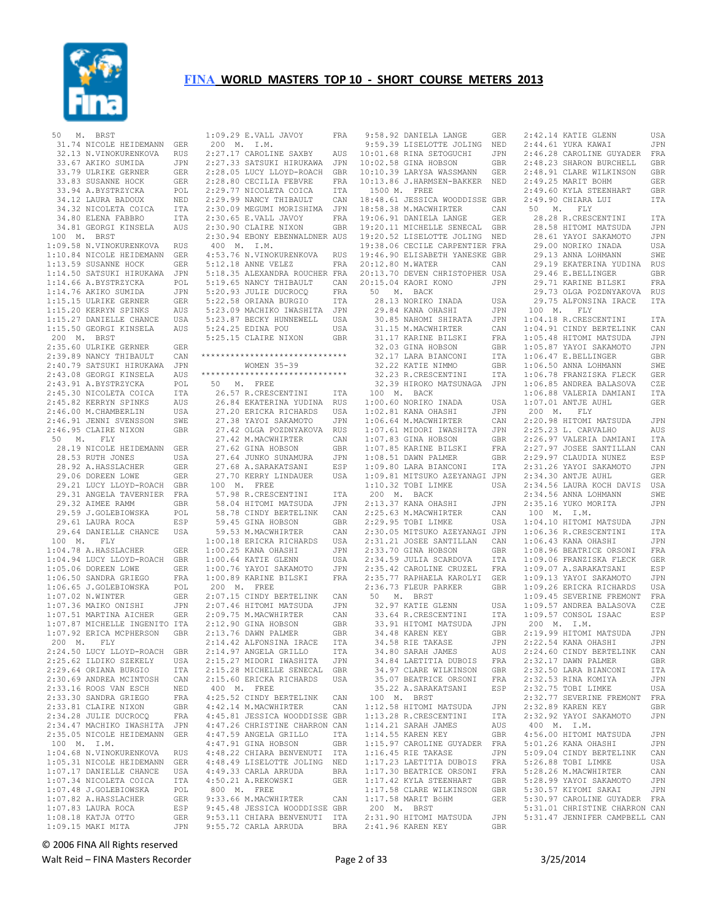

|             | 50 M. BRST                                                                                     |                    | 1                       |
|-------------|------------------------------------------------------------------------------------------------|--------------------|-------------------------|
|             | 31.74 NICOLE HEIDEMANN GER<br>32.13 N.VINOKURENKOVA RUS                                        |                    | J.                      |
|             |                                                                                                | RUS                | 2                       |
|             |                                                                                                | JPN                | 2                       |
|             |                                                                                                | GER                | $\mathbf{2}$            |
|             | 33.67 AKIKO SUMIDA<br>33.79 ULRIKE GERNER<br>33.83 SUSANNE HOCK<br>53.83 SUSANNE HOCK          | ${\tt GER}$        | $\sqrt{2}$              |
|             | 33.94 A.BYSTRZYCKA                                                                             | $\mathtt{POL}$     | $\overline{\mathbf{c}}$ |
|             |                                                                                                |                    | $\overline{c}$          |
|             | 33.94 A.BYSTRZYCKA<br>34.12 LAURA BADOUX<br>34.32 NICOLETA COICA                               | NED<br>ITA<br>ITA  | $\sqrt{2}$              |
|             | 34.80 ELENA FABBRO                                                                             |                    | $\mathbf{2}$            |
|             | 34.81 GEORGI KINSELA AUS                                                                       |                    | $\mathbf{2}$            |
|             | 100 M. BRST                                                                                    |                    | 2                       |
|             | 1:09.58 N.VINOKURENKOVA RUS                                                                    |                    | $\sim$                  |
|             | 1:10.84 NICOLE HEIDEMANN<br>1:13.59 SUSANNE HOCK                                               | GER                | $\overline{4}$          |
|             |                                                                                                | GER                | $\mathsf S$             |
|             | 1:14.50 SATSUKI HIRUKAWA JPN                                                                   |                    | 5                       |
|             |                                                                                                | POL                | 5<br>$\overline{5}$     |
|             |                                                                                                | $\mathtt{JPN}$     | 5                       |
|             | 1:14.66 A.BYSTRZYCKA<br>1:14.76 AKIKO SUMIDA<br>1:15.15 ULRIKE GERNER<br>1:15.20 KERRYN SPINKS | GER<br>AUS         | 5                       |
|             |                                                                                                |                    | $\overline{5}$          |
|             | 1:15.27 DANIELLE CHANCE USA<br>1:15.50 GEORGI KINSELA AUS                                      |                    | 5                       |
|             | 200 M. BRST                                                                                    |                    | 5                       |
|             |                                                                                                | GER                |                         |
|             | 2:35.60 ULRIKE GERNER<br>2:39.89 NANCY THIBAULT                                                | $\mathtt{CAN}$     | $\star \star \cdot$     |
|             |                                                                                                |                    |                         |
|             | 2:40.79 SATSUKI HIRUKAWA JPN<br>2:43.08 GEORGI KINSELA AUS<br>2:43.01.1 BYSTREYCK1 DOL         |                    | $\star \star$           |
|             | 2:43.91 A.BYSTRZYCKA                                                                           | POL                | ļ                       |
|             | 2:45.30 NICOLETA COICA<br>2:45.82 KERRYN SPINKS<br>2:46.00 M.CHAMBERLIN                        | ITA                |                         |
|             |                                                                                                | AUS                |                         |
|             |                                                                                                | USA                |                         |
|             | 2:46.91 JENNI SVENSSON                                                                         | SWE                |                         |
|             | 2:46.95 CLAIRE NIXON                                                                           | GBR                |                         |
|             | 50 M. FLY                                                                                      |                    |                         |
|             | 28.19 NICOLE HEIDEMANN GER                                                                     |                    |                         |
|             |                                                                                                | USA                |                         |
|             |                                                                                                | <b>GER</b>         |                         |
|             | 28.53 RUTH JONES<br>28.92 A.HASSLACHER<br>29.06 DOREEN LOWE                                    | GER                |                         |
|             | 29.21 LUCY LLOYD-ROACH GBR<br>29.31 ANGELA TAVERNIER FRA                                       |                    |                         |
|             |                                                                                                |                    |                         |
|             | 29.32 AIMEE RAMM                                                                               | GBR                |                         |
|             | 29.59 J.GOLEBIOWSKA<br>29.61 LAURA ROCA                                                        | POL                |                         |
|             |                                                                                                | ESP                |                         |
|             | 29.64 DANIELLE CHANCE USA                                                                      |                    |                         |
|             | 100 M. FLY<br>$1:04.78$ A.HASSLACHER                                                           |                    | 1                       |
|             | 1:04.94 LUCY LLOYD-ROACH GBR                                                                   | ${\tt GER}$        | $\mathbf{1}$            |
|             | 1:05.06 DOREEN LOWE                                                                            |                    | $1\,$<br>1              |
|             |                                                                                                | GER<br>${\tt FRA}$ | 1                       |
|             | 1:06.50 SANDRA GRIEGO<br>1:06.65 J.GOLEBIOWSKA                                                 | POL                | $\ddot{\phantom{a}}$    |
|             | 1:07.02 N.WINTER                                                                               | GER                | $\overline{\mathbf{c}}$ |
|             |                                                                                                |                    | 2                       |
|             | 1:07.36 MAIKO ONISHI JPN<br>1:07.36 MAIKO ONISHI JPN<br>1:07.51 MARTINA AICHER GER             | JPN<br>CEP         | $\overline{c}$          |
|             |                                                                                                |                    | $\mathbf{2}$            |
|             |                                                                                                |                    | $\sqrt{2}$              |
|             | 1:07.51 MARTINA ALUBER<br>1:07.87 MICHELLE INGENITO ITA<br>1:07.92 ERICA MCPHERSON GBR         |                    | $\overline{c}$          |
|             | 2:24.50 LUCY LLOYD-ROACH GBR                                                                   |                    | $\overline{c}$          |
|             | 2:25.62 ILDIKO SZEKELY                                                                         | USA                | 2                       |
|             | 2:29.64 ORIANA BURGIO                                                                          | ITA                | 2                       |
|             | 2:30.69 ANDREA MCINTOSH                                                                        | CAN                | 2                       |
|             | 2:33.16 ROOS VAN ESCH                                                                          | NED                |                         |
|             | 2:33.30 SANDRA GRIEGO                                                                          | FRA                | 4                       |
|             | 2:33.81 CLAIRE NIXON                                                                           | GBR                | 4                       |
|             | 2:34.28 JULIE DUCROCQ                                                                          | FRA                | 4                       |
|             | 2:34.47 MACHIKO IWASHITA                                                                       | JPN                | $\overline{4}$          |
|             | 2:35.05 NICOLE HEIDEMANN                                                                       | GER                | $\sqrt{4}$              |
| 100 M. I.M. |                                                                                                |                    | 4                       |
|             | 1:04.68 N.VINOKURENKOVA                                                                        | RUS                | $\overline{4}$          |
|             | 1:05.31 NICOLE HEIDEMANN<br>1:07.17 DANIELLE CHANCE                                            | GER                | $\overline{4}$          |
|             |                                                                                                | USA                | 4                       |
|             | 1:07.34 NICOLETA COICA                                                                         | ITA                | 4<br>J,                 |
|             | 1:07.48 J.GOLEBIOWSKA<br>1:07.82 A.HASSLACHER                                                  | POL<br><b>GER</b>  | 9                       |
|             | $1:07.83$ LAURA ROCA                                                                           | ESP                | 9                       |
|             | 1:08.18 KATJA OTTO                                                                             | <b>GER</b>         | 9                       |
|             | 1:09.15 MAKI MITA                                                                              | JPN                | 9                       |
|             |                                                                                                |                    |                         |

| 1:09.29 E.VALL JAVOY                                                                                                                                                                                                                     | FRA            |
|------------------------------------------------------------------------------------------------------------------------------------------------------------------------------------------------------------------------------------------|----------------|
|                                                                                                                                                                                                                                          |                |
| $200$ M. I.M.                                                                                                                                                                                                                            |                |
| 2.07.17 CAROLINE SAXBY<br>2:27.33 SATSUKI HIRUKAWA                                                                                                                                                                                       | AUS            |
|                                                                                                                                                                                                                                          | JPN            |
|                                                                                                                                                                                                                                          |                |
|                                                                                                                                                                                                                                          |                |
| 2.28.05 LUCY LLOYD-ROACH GER<br>2.28.05 LUCY LLOYD-ROACH GER<br>2.29.77 NICOLETA COICA ITA<br>2.29.99 NANCY THIBAULT CAN<br>2.30.09 MEGUMI MORISHIMA JPN<br>2:29.77 NICOLETA COICA<br>2:29.99 NANCY THIBAULT<br>2:30.09 MEGUMI MORISHIMA |                |
|                                                                                                                                                                                                                                          |                |
|                                                                                                                                                                                                                                          |                |
|                                                                                                                                                                                                                                          | FRA            |
| 2:30.65 E.VALL JAVOY<br>2:30.90 CLAIRE NIXON                                                                                                                                                                                             | GBR            |
| 2:30.94 EBONY EBENWALDNER AUS                                                                                                                                                                                                            |                |
|                                                                                                                                                                                                                                          |                |
| 400 M. I.M.                                                                                                                                                                                                                              |                |
| 4:53.76 N.VINOKURENKOVA RUS                                                                                                                                                                                                              |                |
| 5:12.18 ANNE VELEZ                                                                                                                                                                                                                       | FRA            |
| 5:18.35 ALEXANDRA ROUCHER FRA                                                                                                                                                                                                            |                |
|                                                                                                                                                                                                                                          |                |
| 5:19.65 NANCY THEAULT<br>5:19.65 NANCY THEAULT<br>5:20.93 JULIE DUCROCO FRA<br>5:22.58 ORIANA BURGIO ITA<br>5:23.87 BECKY HUNNEWELL USA<br>5:23.87 BECKY HUNNEWELL USA                                                                   |                |
|                                                                                                                                                                                                                                          |                |
|                                                                                                                                                                                                                                          |                |
|                                                                                                                                                                                                                                          |                |
|                                                                                                                                                                                                                                          | USA            |
| 5:24.25 EDINA POU<br>5:25.15 CLAIRE NIXON                                                                                                                                                                                                | GBR            |
|                                                                                                                                                                                                                                          |                |
| ******************************                                                                                                                                                                                                           |                |
|                                                                                                                                                                                                                                          |                |
| WOMEN 35-39<br>*******************************                                                                                                                                                                                           |                |
|                                                                                                                                                                                                                                          |                |
| 50 M. FREE                                                                                                                                                                                                                               |                |
| 26.57 R.CRESCENTINI                                                                                                                                                                                                                      | ITA            |
| 26.84 EKATERINA YUDINA RUS                                                                                                                                                                                                               |                |
|                                                                                                                                                                                                                                          |                |
|                                                                                                                                                                                                                                          |                |
| 27.20 ERICKA RICHARDS USA<br>27.38 YAYOI SAKAMOTO JPN<br>27.42 OLGA POZDNYAKOVA RUS<br>27.42 M.MACWHIRTER CAN<br>27.62 GINA HOBSON GER<br>27.62 GINA HOBSON GER                                                                          |                |
|                                                                                                                                                                                                                                          |                |
|                                                                                                                                                                                                                                          |                |
| 27.62 GINA HUDDUN<br>27.64 JUNKO SUNAMURA<br>------------------                                                                                                                                                                          | $\mathtt{JPN}$ |
| 27.68 A.SARAKATSANI                                                                                                                                                                                                                      | ESP            |
|                                                                                                                                                                                                                                          |                |
| 27.70 KERRY LINDAUER                                                                                                                                                                                                                     | USA            |
|                                                                                                                                                                                                                                          |                |
|                                                                                                                                                                                                                                          | ITA            |
| 100 M. FREE<br>57.98 R.CRESCENTINI<br>58.04 HITOMI MATSUDA<br>58.78 CINDY BERTELINK<br>TREET MARTS                                                                                                                                       | JPN            |
|                                                                                                                                                                                                                                          | CAN            |
| 59.45 GINA HOBSON<br>59.53 M.MACWHIRTER                                                                                                                                                                                                  | GBR            |
| 59.53 M.MACWHIRTER<br>1:00.18 ERICKA RICHARDS USA<br>- ------ OHASHI JPN                                                                                                                                                                 |                |
|                                                                                                                                                                                                                                          |                |
|                                                                                                                                                                                                                                          |                |
| 1:00.25 KANA OHASHI<br>1:00.64 KATIE GLENN                                                                                                                                                                                               | USA            |
| 1:00.76 YAYOI SAKAMOTO<br>1:00.89 KARINE BILSKI                                                                                                                                                                                          | JPN            |
|                                                                                                                                                                                                                                          | FRA            |
| 200 M. FREE                                                                                                                                                                                                                              |                |
|                                                                                                                                                                                                                                          |                |
| 2:07.15 CINDY BERTELINK<br>2:07.46 HITOMI MATSUDA                                                                                                                                                                                        | CAN<br>JPN     |
|                                                                                                                                                                                                                                          | CAN            |
|                                                                                                                                                                                                                                          |                |
| 2:09.75 M.MACWHIRTER<br>2:12.90 GINA HOBSON<br>2:13.76 DAWN PALMER                                                                                                                                                                       | GBR            |
|                                                                                                                                                                                                                                          | GBR            |
| 2:14.42 ALFONSINA IRACE                                                                                                                                                                                                                  | ITA            |
| 2:14.97 ANGELA GRILLO                                                                                                                                                                                                                    | ITA            |
| 2:15.27 MIDORI IWASHITA                                                                                                                                                                                                                  | JPN            |
| 2:15.28 MICHELLE SENECAL                                                                                                                                                                                                                 | GBR            |
| 2:15.60 ERICKA RICHARDS                                                                                                                                                                                                                  | USA            |
| $400$ M. FREE                                                                                                                                                                                                                            |                |
| 4:25.52 CINDY BERTELINK<br>4:42.14 M.MACWHIRTER                                                                                                                                                                                          | CAN            |
|                                                                                                                                                                                                                                          | CAN            |
| 4:45.81 JESSICA WOODDISSE GBR                                                                                                                                                                                                            |                |
| 4:47.26 CHRISTINE CHARRON CAN                                                                                                                                                                                                            |                |
| 4:47.59 ANGELA GRILLO<br>4:47.59 ANGELA GRILLO                                                                                                                                                                                           |                |
|                                                                                                                                                                                                                                          | ITA            |
| 4:47.91 GINA HOBSON<br>4:48.22 CHIARA BENVENUTI                                                                                                                                                                                          | <b>GBR</b>     |
|                                                                                                                                                                                                                                          | ITA            |
| 4:48.49 LISELOTTE JOLING                                                                                                                                                                                                                 | $_{\rm NED}$   |
| 4:49.33 CARLA ARRUDA                                                                                                                                                                                                                     | BRA            |
| 4:50.21 A.REKOWSKI                                                                                                                                                                                                                       | GER            |
| 800 M. FREE                                                                                                                                                                                                                              |                |
| 9:33.66 M.MACWHIRTER                                                                                                                                                                                                                     | CAN            |
| 9:45.48 JESSICA WOODDISSE GBR                                                                                                                                                                                                            |                |
|                                                                                                                                                                                                                                          |                |
| 9:53.11 CHIARA BENVENUTI ITA<br>9:55.72 CARLA ARRUDA BRA                                                                                                                                                                                 |                |
|                                                                                                                                                                                                                                          |                |

|                  | 9:58.92 DANIELA LANGE                         | GER          | 2:               |
|------------------|-----------------------------------------------|--------------|------------------|
|                  | 9:59.39 LISELOTTE JOLING                      | NED          | 2:               |
|                  | 10:01.68 RINA SETOGUCHI                       | JPN          | 2:               |
|                  | 10:02.58 GINA HOBSON                          | GBR          | 2:               |
|                  | 10:10.39 LARYSA WASSMANN                      | GER          | 2:               |
|                  |                                               |              |                  |
|                  | 10:13.86 J.HARMSEN-BAKKER NED<br>1500 M. FREE |              | 2:<br>2:         |
|                  | 18:48.61 JESSICA WOODDISSE GBR                |              | 2:               |
|                  | 18:58.38 M.MACWHIRTER                         |              | 5                |
|                  |                                               | CAN          |                  |
|                  | 19:06.91 DANIELA LANGE                        | GER          |                  |
|                  | 19:20.11 MICHELLE SENECAL                     | GBR          |                  |
|                  | 19:20.52 LISELOTTE JOLING                     | NED          |                  |
|                  | 19:38.06 CECILE CARPENTIER FRA                |              |                  |
|                  | 19:46.90 ELISABETH YANESKE GBR                |              |                  |
| 20:12.80 M.WATER |                                               | CAN          |                  |
|                  | 20:13.70 DEVEN CHRISTOPHER USA                |              |                  |
|                  | 20:15.04 KAORI KONO                           | JPN          |                  |
|                  | 50 M. BACK                                    |              |                  |
|                  | 28.13 NORIKO INADA                            | USA          |                  |
|                  | 29.84 KANA OHASHI                             | JPN          | 1                |
|                  | 30.85 NAHOMI SHIRATA                          | JPN          | 1:               |
|                  | 31.15 M.MACWHIRTER                            | CAN          | 1:               |
|                  | 31.17 KARINE BILSKI                           | FRA          | 1:               |
|                  | 32.03 GINA HOBSON                             | GBR          | 1:               |
|                  | 32.17 LARA BIANCONI                           | ITA          | 1:               |
|                  | 32.22 KATIE NIMMO                             |              | 1:               |
|                  |                                               | GBR          |                  |
|                  | 32.23 R.CRESCENTINI                           | ITA          | 1:               |
|                  | 32.39 HIROKO MATSUNAGA JPN                    |              | 1:               |
|                  | 100 M. BACK                                   |              | $1:$             |
|                  | 1:00.60 NORIKO INADA                          | USA          | 1:               |
|                  | 1:02.81 KANA OHASHI                           | JPN          | $\overline{2}$   |
|                  | 1:06.64 M.MACWHIRTER                          | CAN          | 2:               |
|                  | 1:07.61 MIDORI IWASHITA                       | JPN          | 2:               |
|                  | $1:07.83$ GINA HOBSON                         | GBR          | 2:               |
|                  | 1:07.85 KARINE BILSKI                         | FRA          | 2:               |
|                  | 1:08.51 DAWN PALMER                           | GBR          | 2:               |
|                  | 1:09.80 LARA BIANCONI                         | ITA          | 2:               |
|                  | 1:09.81 MITSUKO AZEYANAGI JPN                 |              | 2:               |
|                  | 1:10.32 TOBI LIMKE                            | USA          | 2:               |
| 200 M. BACK      |                                               |              | 2:               |
|                  | 2:13.37 KANA OHASHI                           | JPN          | $\overline{2}$ : |
|                  | 2:25.63 M.MACWHIRTER                          |              | $\overline{1}$   |
|                  |                                               | CAN          |                  |
|                  | 2:29.95 TOBI LIMKE                            | USA          | $1:$             |
|                  | 2:30.05 MITSUKO AZEYANAGI JPN                 |              | $1:$             |
|                  | 2:31.21 JOSEE SANTILLAN CAN                   |              | 1:               |
|                  | 2:33.70 GINA HOBSON                           | GBR          | $1:$             |
|                  | 2:34.59 JULIA SCARDOVA                        | ITA          | $1:$             |
|                  | 2:35.42 CAROLINE CRUZEL                       | $_{\rm FRA}$ | $1:$             |
|                  | 2:35.77 RAPHAELA KAROLYI                      | GER          | 1:               |
|                  | 2:36.73 FLEUR PARKER                          | <b>GBR</b>   | $1:$             |
| 50               | M. BRST                                       |              | $1:$             |
|                  | 32.97 KATIE GLENN                             | USA          | 1:               |
|                  | 33.64 R.CRESCENTINI                           | ITA          | 1:               |
|                  | 33.91 HITOMI MATSUDA                          | JPN          | $\overline{c}$   |
|                  | 34.48 KAREN KEY                               | GBR          | 2:               |
|                  | 34.58 RIE TAKASE                              | JPN          | 2:               |
|                  | 34.80 SARAH JAMES                             |              |                  |
|                  |                                               | AUS          | 2:               |
|                  | 34.84 LAETITIA DUBOIS                         | FRA          | 2:               |
|                  | 34.97 CLARE WILKINSON                         | GBR          | 2:               |
|                  | 35.07 BEATRICE ORSONI                         | FRA          | 2:               |
|                  | 35.22 A. SARAKATSANI                          | ESP          | $\overline{2}$ : |
| 100<br>М.        | <b>BRST</b>                                   |              | 2:               |
| 1:12.58          | HITOMI MATSUDA                                | JPN          | 2:               |
|                  | 1:13.28 R.CRESCENTINI                         | ITA          | $\overline{2}$ : |
|                  | 1:14.21 SARAH JAMES                           | AUS          | $\overline{4}$   |
|                  | 1:14.55 KAREN KEY                             | GBR          | 4 :              |
|                  | 1:15.97 CAROLINE GUYADER                      | FRA          | 5:               |
|                  | 1:16.45 RIE TAKASE                            | JPN          | 5:               |
| 1:17.23          | LAETITIA DUBOIS                               | FRA          | 5:               |
| 1:17.30          | BEATRICE ORSONI                               | FRA          | 5:               |
|                  |                                               |              |                  |
|                  | 1:17.42 KYLA STEENHART                        | GBR          | 5:               |
|                  | 1:17.58 CLARE WILKINSON                       | GBR          | 5:               |
|                  | 1:17.58 MARIT BÖHM                            | GER          | 5:               |
| 200<br>М.        | BRST                                          |              | 5:               |
| 2:31.90          | HITOMI MATSUDA                                | JPN          | 5:               |
|                  | 2:41.96 KAREN KEY                             | GBR          |                  |

|    |             | 2:42.14 KATIE GLENN                                                | USA            |
|----|-------------|--------------------------------------------------------------------|----------------|
|    |             | 2:44.61 YUKA KAWAI                                                 | JPN            |
|    |             | 2:46.28 CAROLINE GUYADER                                           | FRA            |
|    |             | 2:48.23 SHARON BURCHELL                                            | GBR            |
|    |             | 2:48.91 CLARE WILKINSON                                            | GBR            |
|    |             | 2:49.25 MARIT BOHM                                                 | GER            |
|    |             | 2:49.60 KYLA STEENHART                                             | GBR            |
|    |             | 2:49.90 CHIARA LUI                                                 | ITA            |
|    |             | 50 M. FLY                                                          |                |
|    |             | 28.28 R.CRESCENTINI                                                | ITA            |
|    |             | 28.58 HITOMI MATSUDA                                               | JPN            |
|    |             | 28.61 YAYOI SAKAMOTO                                               | JPN            |
|    |             | 29.00 NORIKO INADA                                                 | USA            |
|    |             |                                                                    |                |
|    |             | 29.13 ANNA LOHMANN                                                 | SWE            |
|    |             | 29.19 EKATERINA YUDINA                                             | <b>RUS</b>     |
|    |             | 29.46 E.BELLINGER                                                  | GBR            |
|    |             | 29.71 KARINE BILSKI                                                | FRA            |
|    |             | 29.73 OLGA POZDNYAKOVA                                             | RUS            |
|    |             | 29.75 ALFONSINA IRACE                                              | ITA            |
|    | 100 M. FLY  |                                                                    |                |
|    |             | 1:04.18 R.CRESCENTINI                                              | ITA            |
|    |             | 1:04.91 CINDY BERTELINK                                            | CAN            |
|    |             | 1:05.48 HITOMI MATSUDA                                             | JPN            |
|    |             | $1:05.87$ YAYOI SAKAMOTO                                           | JPN            |
|    |             | $1:06.47$ E.BELLINGER<br>$1:06.50$ ANNA LOHMANN                    | GBR            |
|    |             |                                                                    | SWE            |
|    |             |                                                                    | GER            |
|    |             | 1:06.78 FRANZISKA FLECK<br>1:06.85 ANDREA BALASOVA                 | CZE            |
|    |             | 1:06.88 VALERIA DAMIANI                                            | ITA            |
|    |             | $1:07.01$ ANTJE AUHL                                               | <b>GER</b>     |
|    | 200 M. FLY  |                                                                    |                |
|    |             | 2:20.98 HITOMI MATSUDA                                             | JPN            |
|    |             | 2:25.23 L. CARVALHO                                                | AUS            |
|    |             | 2:26.97 VALERIA DAMIANI                                            | ITA            |
|    |             | 2:27.97 JOSEE SANTILLAN                                            | CAN            |
|    |             | 2:29.97 CLAUDIA NUNEZ                                              | ESP            |
|    |             | 2:31.26 YAYOI SAKAMOTO                                             | JPN            |
|    |             | 2:34.30 ANTJE AUHL                                                 | <b>GER</b>     |
|    |             | 2:34.56 LAURA KOCH DAVIS                                           | USA            |
|    |             |                                                                    | SWE            |
|    |             | 2:34.56 ANNA LOHMANN<br>2:35.16 YUKO MORITA<br>2:35.16 YUKO MORITA | JPN            |
|    | 100 M. I.M. |                                                                    |                |
|    |             |                                                                    | JPN            |
|    |             | 1:04.10 HITOMI MATSUDA<br>1:06.36 R.CRESCENTINI                    | ITA            |
|    |             | 1:06.43 KANA OHASHI                                                | JPN            |
|    |             | 1:08.96 BEATRICE ORSONI                                            | FRA            |
|    |             |                                                                    |                |
|    |             | 1:09.06 FRANZISKA FLECK                                            | GER            |
|    |             | 1:09.07 A.SARAKATSANI                                              |                |
|    |             |                                                                    | ESP            |
|    |             | 1:09.13 YAYOI SAKAMOTO                                             | JPN            |
|    |             | 1:09.26 ERICKA RICHARDS                                            | USA            |
|    |             | 1:09.45 SEVERINE FREMONT                                           | FRA            |
|    |             | 1:09.57 ANDREA BALASOVA                                            | CZE            |
|    |             | 1:09.57 CONSOL ISAAC                                               | ESP            |
|    | 200 M. I.M. |                                                                    |                |
|    |             | 2:19.99 HITOMI MATSUDA                                             | JPN            |
|    |             | 2:22.54 KANA OHASHI                                                | JPN            |
|    |             | 2:24.60 CINDY BERTELINK                                            | CAN            |
|    |             | 2:32.17 DAWN PALMER                                                | GBR            |
|    |             | 2:32.50 LARA BIANCONI                                              | ITA            |
|    |             | 2:32.53 RINA KOMIYA                                                | JPN            |
|    |             |                                                                    |                |
|    |             | 2:32.75 TOBI LIMKE USA<br>2:32.77 SEVERINE FREMONT FRA             |                |
|    |             | 2:32.89 KAREN KEY                                                  | GBR            |
| i, |             | 2:32.92 YAYOI SAKAMOTO                                             | JPN            |
|    | 400 M. I.M. |                                                                    |                |
| í  |             | 4:56.00 HITOMI MATSUDA                                             | JPN            |
| ł, |             | 5:01.26 KANA OHASHI                                                | $\mathtt{JPN}$ |
|    |             | 5:09.04 CINDY BERTELINK                                            | CAN            |
|    |             | 5:26.88 TOBI LIMKE                                                 | USA            |
|    |             | 5:28.26 M.MACWHIRTER                                               | CAN            |
|    |             | 5:28.99 YAYOI SAKAMOTO                                             | JPN            |
|    |             | 5:30.57 KIYOMI SAKAI                                               | JPN            |
|    |             | 5:30.97 CAROLINE GUYADER FRA                                       |                |
|    |             | 5:31.01 CHRISTINE CHARRON CAN                                      |                |
|    |             | 5:31.47 JENNIFER CAMPBELL CAN                                      |                |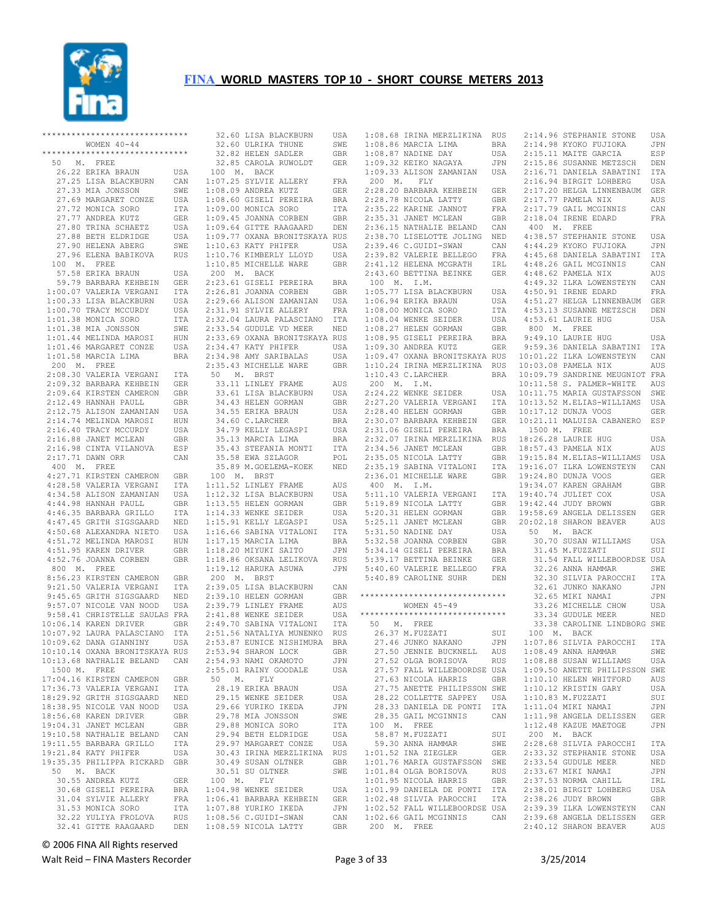

| ******************************               |            |    |                                              |            |                                      |            |                 |                                                  |            |
|----------------------------------------------|------------|----|----------------------------------------------|------------|--------------------------------------|------------|-----------------|--------------------------------------------------|------------|
|                                              |            |    | 32.60 LISA BLACKBURN                         | USA        | 1:08.68 IRINA MERZLIKINA             | <b>RUS</b> |                 | 2:14.96 STEPHANIE STONE                          | USA        |
| WOMEN $40 - 44$                              |            |    | 32.60 ULRIKA THUNE                           | SWE        | 1:08.86 MARCIA LIMA                  | <b>BRA</b> |                 | 2:14.98 KYOKO FUJIOKA                            | JPN        |
| ******************************               |            |    | 32.82 HELEN SADLER                           | GBR        | 1:08.87 NADINE DAY                   | USA        |                 | 2:15.11 MAITE GARCIA                             | ESP        |
| M. FREE<br>50                                |            |    | 32.85 CAROLA RUWOLDT                         | <b>GER</b> | 1:09.32 KEIKO NAGAYA                 | JPN        |                 | 2:15.86 SUSANNE METZSCH                          | DEN        |
| 26.22 ERIKA BRAUN                            | USA        |    | 100 M. BACK                                  |            | 1:09.33 ALISON ZAMANIAN              | USA        |                 | 2:16.71 DANIELA SABATINI                         | ITA        |
|                                              |            |    |                                              |            |                                      |            |                 |                                                  |            |
| 27.25 LISA BLACKBURN                         | CAN        |    | 1:07.25 SYLVIE ALLERY                        | FRA        | 200 M.<br>${\rm FLY}$                |            |                 | 2:16.94 BIRGIT LOHBERG                           | USA        |
| 27.33 MIA JONSSON                            | SWE        |    | 1:08.09 ANDREA KUTZ                          | <b>GER</b> | 2:28.20 BARBARA KEHBEIN              | <b>GER</b> |                 | 2:17.20 HELGA LINNENBAUM                         | <b>GER</b> |
| 27.69 MARGARET CONZE                         | USA        |    | 1:08.60 GISELI PEREIRA                       | <b>BRA</b> | 2:28.78 NICOLA LATTY                 | GBR        |                 | 2:17.77 PAMELA NIX                               | AUS        |
| 27.72 MONICA SORO                            | ITA        |    | 1:09.00 MONICA SORO                          | ITA        | 2:35.22 KARINE JANNOT                | FRA        |                 | 2:17.79 GAIL MCGINNIS                            | CAN        |
| 27.77 ANDREA KUTZ                            | <b>GER</b> |    | 1:09.45 JOANNA CORBEN                        | <b>GBR</b> | 2:35.31 JANET MCLEAN                 | <b>GBR</b> |                 | 2:18.04 IRENE EDARD                              | FRA        |
| 27.80 TRINA SCHAETZ                          |            |    |                                              |            |                                      |            |                 |                                                  |            |
|                                              | USA        |    | 1:09.64 GITTE RAAGAARD                       | DEN        | 2:36.15 NATHALIE BELAND              | CAN        |                 | 400 M. FREE                                      |            |
| 27.88 BETH ELDRIDGE                          | USA        |    | 1:09.77 OXANA BRONITSKAYA RUS                |            | 2:38.70 LISELOTTE JOLING             | NED        |                 | 4:38.57 STEPHANIE STONE                          | USA        |
| 27.90 HELENA ABERG                           | SWE        |    | 1:10.63 KATY PHIFER                          | USA        | 2:39.46 C.GUIDI-SWAN                 | CAN        |                 | 4:44.29 KYOKO FUJIOKA                            | JPN        |
| 27.96 ELENA BABIKOVA                         | <b>RUS</b> |    | 1:10.76 KIMBERLY LLOYD                       | USA        | 2:39.82 VALERIE BELLEGO              | FRA        |                 | 4:45.68 DANIELA SABATINI                         | ITA        |
| 100 M. FREE                                  |            |    | 1:10.85 MICHELLE WARE                        | GBR        | 2:41.12 HELENA MCGRATH               | IRL        |                 | 4:48.26 GAIL MCGINNIS                            | CAN        |
| 57.58 ERIKA BRAUN                            | USA        |    | 200 M. BACK                                  |            | 2:43.60 BETTINA BEINKE               | <b>GER</b> |                 | 4:48.62 PAMELA NIX                               | AUS        |
|                                              |            |    |                                              |            |                                      |            |                 |                                                  |            |
| 59.79 BARBARA KEHBEIN                        | <b>GER</b> |    | 2:23.61 GISELI PEREIRA                       | BRA        | 100 M. I.M.                          |            |                 | 4:49.32 ILKA LOWENSTEYN                          | CAN        |
| 1:00.07 VALERIA VERGANI                      | <b>ITA</b> |    | 2:26.81 JOANNA CORBEN                        | GBR        | 1:05.77 LISA BLACKBURN               | USA        |                 | 4:50.91 IRENE EDARD                              | FRA        |
| 1:00.33 LISA BLACKBURN                       | USA        |    | 2:29.66 ALISON ZAMANIAN                      | USA        | 1:06.94 ERIKA BRAUN                  | USA        |                 | 4:51.27 HELGA LINNENBAUM                         | <b>GER</b> |
| 1:00.70 TRACY MCCURDY                        | USA        |    | 2:31.91 SYLVIE ALLERY                        | FRA        | 1:08.00 MONICA SORO                  | ITA        |                 | 4:53.13 SUSANNE METZSCH                          | DEN        |
| 1:01.38 MONICA SORO                          | ITA        |    | 2:32.04 LAURA PALASCIANO                     | ITA        | 1:08.04 WENKE SEIDER                 | USA        |                 | 4:53.61 LAURIE HUG                               | USA        |
|                                              |            |    |                                              |            |                                      |            |                 |                                                  |            |
| 1:01.38 MIA JONSSON                          | SWE        |    | 2:33.54 GUDULE VD MEER                       | NED        | 1:08.27 HELEN GORMAN                 | GBR        |                 | 800 M. FREE                                      |            |
| 1:01.44 MELINDA MAROSI                       | HUN        |    | 2:33.69 OXANA BRONITSKAYA RUS                |            | 1:08.95 GISELI PEREIRA               | <b>BRA</b> |                 | 9:49.10 LAURIE HUG                               | USA        |
| 1:01.46 MARGARET CONZE                       | USA        |    | 2:34.47 KATY PHIFER                          | USA        | 1:09.30 ANDREA KUTZ                  | <b>GER</b> |                 | 9:59.36 DANIELA SABATINI                         | ITA        |
| 1:01.58 MARCIA LIMA                          | <b>BRA</b> |    | 2:34.98 AMY SARIBALAS                        | USA        | 1:09.47 OXANA BRONITSKAYA RUS        |            |                 | 10:01.22 ILKA LOWENSTEYN                         | CAN        |
| 200 M. FREE                                  |            |    | 2:35.43 MICHELLE WARE                        | GBR        | 1:10.24 IRINA MERZLIKINA             | RUS        |                 | 10:03.08 PAMELA NIX                              | AUS        |
|                                              |            |    | M. BRST                                      |            |                                      |            |                 |                                                  |            |
| 2:08.30 VALERIA VERGANI                      | ITA        | 50 |                                              |            | 1:10.43 C.LARCHER                    | <b>BRA</b> |                 | 10:09.79 SANDRINE MEUGNIOT FRA                   |            |
| 2:09.32 BARBARA KEHBEIN                      | <b>GER</b> |    | 33.11 LINLEY FRAME                           | AUS        | 200 M. I.M.                          |            |                 | 10:11.58 S. PALMER-WHITE                         | AUS        |
| 2:09.64 KIRSTEN CAMERON                      | <b>GBR</b> |    | 33.61 LISA BLACKBURN                         | USA        | 2:24.22 WENKE SEIDER                 | USA        |                 | 10:11.75 MARIA GUSTAFSSON                        | SWE        |
| 2:12.49 HANNAH PAULL                         | <b>GBR</b> |    | 34.43 HELEN GORMAN                           | <b>GBR</b> | 2:27.20 VALERIA VERGANI              | ITA        |                 | 10:13.52 M.ELIAS-WILLIAMS                        | USA        |
| 2:12.75 ALISON ZAMANIAN                      | USA        |    | 34.55 ERIKA BRAUN                            | USA        | 2:28.40 HELEN GORMAN                 | <b>GBR</b> |                 | 10:17.12 DUNJA VOOS                              | <b>GER</b> |
|                                              |            |    |                                              |            |                                      |            |                 |                                                  |            |
| 2:14.74 MELINDA MAROSI                       | HUN        |    | 34.60 C.LARCHER                              | <b>BRA</b> | 2:30.07 BARBARA KEHBEIN              | <b>GER</b> |                 | 10:21.11 MALUISA CABANERO                        | ESP        |
| 2:16.40 TRACY MCCURDY                        | USA        |    | 34.79 KELLY LEGASPI                          | USA        | 2:31.06 GISELI PEREIRA               | <b>BRA</b> |                 | 1500 M. FREE                                     |            |
| 2:16.88 JANET MCLEAN                         | GBR        |    | 35.13 MARCIA LIMA                            | BRA        | 2:32.07 IRINA MERZLIKINA             | <b>RUS</b> |                 | 18:26.28 LAURIE HUG                              | USA        |
| 2:16.98 CINTA VILANOVA                       | ESP        |    | 35.43 STEFANIA MONTI                         | ITA        | 2:34.56 JANET MCLEAN                 | <b>GBR</b> |                 | 18:57.43 PAMELA NIX                              | AUS        |
| 2:17.71 DAWN ORR                             | CAN        |    | 35.58 EWA SZLAGOR                            | POL        | 2:35.05 NICOLA LATTY                 | GBR        |                 | 19:15.84 M.ELIAS-WILLIAMS                        | USA        |
| 400 M. FREE                                  |            |    |                                              |            |                                      |            |                 |                                                  |            |
|                                              |            |    | 35.89 M.GOELEMA-KOEK                         | NED        | 2:35.19 SABINA VITALONI              | ITA        |                 | 19:16.07 ILKA LOWENSTEYN                         | CAN        |
| 4:27.71 KIRSTEN CAMERON                      | GBR        |    | 100 M. BRST                                  |            | 2:36.01 MICHELLE WARE                | GBR        |                 | 19:24.80 DUNJA VOOS                              | <b>GER</b> |
| 4:28.58 VALERIA VERGANI                      | ITA        |    | 1:11.52 LINLEY FRAME                         | AUS        | 400 M. I.M.                          |            |                 | 19:34.07 KAREN GRAHAM                            | <b>GBR</b> |
| 4:34.58 ALISON ZAMANIAN                      | USA        |    | 1:12.32 LISA BLACKBURN                       | USA        | 5:11.10 VALERIA VERGANI              | ITA        |                 | 19:40.74 JULIET COX                              | USA        |
| 4:44.98 HANNAH PAULL                         | <b>GBR</b> |    | 1:13.55 HELEN GORMAN                         | GBR        | 5:19.89 NICOLA LATTY                 | <b>GBR</b> |                 | 19:42.44 JUDY BROWN                              | <b>GBR</b> |
| 4:46.35 BARBARA GRILLO                       | ITA        |    | 1:14.33 WENKE SEIDER                         | USA        | 5:20.31 HELEN GORMAN                 | GBR        |                 | 19:58.69 ANGELA DELISSEN                         | GER        |
|                                              |            |    |                                              |            |                                      |            |                 |                                                  |            |
| 4:47.45 GRITH SIGSGAARD                      | NED        |    | 1:15.91 KELLY LEGASPI                        | USA        | 5:25.11 JANET MCLEAN                 | GBR        |                 | 20:02.18 SHARON BEAVER                           | AUS        |
| 4:50.68 ALEXANDRA NIETO                      | USA        |    | 1:16.66 SABINA VITALONI                      | <b>ITA</b> | 5:31.50 NADINE DAY                   | USA        | 50              | M. BACK                                          |            |
|                                              |            |    | 1:17.15 MARCIA LIMA                          | <b>BRA</b> | 5:32.58 JOANNA CORBEN                | GBR        |                 | 30.70 SUSAN WILLIAMS                             | USA        |
| 4:51.72 MELINDA MAROSI                       | HUN        |    |                                              |            |                                      |            |                 |                                                  | SUI        |
|                                              |            |    |                                              |            |                                      |            |                 |                                                  |            |
| 4:51.95 KAREN DRIVER                         | <b>GBR</b> |    | 1:18.20 MIYUKI SAITO                         | JPN        | 5:34.14 GISELI PEREIRA               | <b>BRA</b> | 31.45 M.FUZZATI |                                                  |            |
| 4:52.76 JOANNA CORBEN                        | <b>GBR</b> |    | 1:18.86 OKSANA LELIKOVA                      | <b>RUS</b> | 5:39.17 BETTINA BEINKE               | GER        |                 | 31.54 FALL WILLEBOORDSE USA                      |            |
| 800 M. FREE                                  |            |    | 1:19.12 HARUKA ASUWA                         | JPN        | 5:40.60 VALERIE BELLEGO              | FRA        |                 | 32.26 ANNA HAMMAR                                | SWE        |
| 8:56.23 KIRSTEN CAMERON                      | <b>GBR</b> |    | 200 M. BRST                                  |            | 5:40.89 CAROLINE SUHR                | DEN        |                 | 32.30 SILVIA PAROCCHI                            | ITA        |
| 9:21.50 VALERIA VERGANI                      | ITA        |    | 2:39.05 LISA BLACKBURN                       | CAN        |                                      |            |                 | 32.61 JUNKO NAKANO                               | JPN        |
|                                              |            |    |                                              |            | ******************************       |            |                 |                                                  |            |
| 9:45.65 GRITH SIGSGAARD                      | NED        |    | 2:39.10 HELEN GORMAN                         | GBR        |                                      |            |                 | 32.65 MIKI NAMAI                                 | JPN        |
| 9:57.07 NICOLE VAN NOOD                      | USA        |    | 2:39.79 LINLEY FRAME                         | AUS        | WOMEN $45 - 49$                      |            |                 | 33.26 MICHELLE CHOW                              | USA        |
| 9:58.41 CHRISTELLE SAULAS                    | FRA        |    | 2:41.88 WENKE SEIDER                         | USA        | ******************************       |            |                 | 33.34 GUDULE MEER                                | NED        |
| 10:06.14 KAREN DRIVER                        | GBR        |    | 2:49.70 SABINA VITALONI                      | ITA        | 50<br>M. FREE                        |            |                 | 33.38 CAROLINE LINDBORG SWE                      |            |
| 10:07.92 LAURA PALASCIANO                    | ITA        |    | 2:51.56 NATALIYA MUNENKO                     | <b>RUS</b> | 26.37 M.FUZZATI                      | SUI        |                 | 100 M. BACK                                      |            |
| 10:09.62 DANA GIANNINY                       | USA        |    | 2:53.87 EUNICE NISHIMURA                     | <b>BRA</b> | 27.46 JUNKO NAKANO                   | JPN        |                 | 1:07.86 SILVIA PAROCCHI                          | ITA        |
|                                              |            |    |                                              |            |                                      |            |                 |                                                  |            |
| 10:10.14 OXANA BRONITSKAYA RUS               |            |    | 2:53.94 SHARON LOCK                          | GBR        | 27.50 JENNIE BUCKNELL                | AUS        |                 | $1:08.49$ ANNA HAMMAR                            | SWE        |
| 10:13.68 NATHALIE BELAND                     | CAN        |    | 2:54.93 NAMI OKAMOTO                         | JPN        | 27.52 OLGA BORISOVA                  | <b>RUS</b> |                 | 1:08.88 SUSAN WILLIAMS                           | USA        |
| 1500 M. FREE                                 |            |    | 2:55.01 RAINY GOODALE                        | USA        | 27.57 FALL WILLEBOORDSE USA          |            |                 | 1:09.50 ANETTE PHILIPSSON SWE                    |            |
| 17:04.16 KIRSTEN CAMERON                     | GBR        |    | 50 M. FLY                                    |            | 27.63 NICOLA HARRIS                  | GBR        |                 | 1:10.10 HELEN WHITFORD                           | AUS        |
| 17:36.73 VALERIA VERGANI                     | ITA        |    | 28.19 ERIKA BRAUN                            | USA        | 27.75 ANETTE PHILIPSSON SWE          |            |                 | 1:10.12 KRISTIN GARY                             | USA        |
|                                              |            |    |                                              |            |                                      |            |                 |                                                  |            |
| 18:29.92 GRITH SIGSGAARD                     | NED        |    | 29.15 WENKE SEIDER                           | USA        | 28.22 COLLETTE SAPPEY                | USA        |                 | 1:10.83 M.FUZZATI                                | SUI        |
| 18:38.95 NICOLE VAN NOOD                     | USA        |    | 29.66 YURIKO IKEDA                           | JPN        | 28.33 DANIELA DE PONTI ITA           |            |                 | 1:11.04 MIKI NAMAI                               | JPN        |
| 18:56.68 KAREN DRIVER                        | GBR        |    | 29.78 MIA JONSSON                            | SWE        | 28.35 GAIL MCGINNIS                  | CAN        |                 | 1:11.98 ANGELA DELISSEN                          | GER        |
| 19:04.31 JANET MCLEAN                        | <b>GBR</b> |    | 29.88 MONICA SORO                            | ITA        | 100 M. FREE                          |            |                 | 1:12.48 KAZUE MAETOGE                            | JPN        |
| 19:10.58 NATHALIE BELAND                     | CAN        |    | 29.94 BETH ELDRIDGE                          | USA        | 58.87 M.FUZZATI                      | SUI        |                 | 200 M. BACK                                      |            |
| 19:11.55 BARBARA GRILLO                      | ITA        |    | 29.97 MARGARET CONZE                         | USA        | 59.30 ANNA HAMMAR                    | SWE        |                 | 2:28.68 SILVIA PAROCCHI                          | ITA        |
|                                              |            |    |                                              |            |                                      |            |                 |                                                  |            |
| 19:21.84 KATY PHIFER                         | USA        |    | 30.43 IRINA MERZLIKINA RUS                   |            | 1:01.52 INA ZIEGLER                  | GER        |                 | 2:33.32 STEPHANIE STONE                          | USA        |
| 19:35.35 PHILIPPA RICKARD                    | <b>GBR</b> |    | 30.49 SUSAN OLTNER                           | <b>GBR</b> | 1:01.76 MARIA GUSTAFSSON             | SWE        |                 | 2:33.54 GUDULE MEER                              | NED        |
| 50 M. BACK                                   |            |    | 30.51 SU OLTNER                              | SWE        | 1:01.84 OLGA BORISOVA                | <b>RUS</b> |                 | 2:33.67 MIKI NAMAI                               | JPN        |
| 30.55 ANDREA KUTZ                            | GER        |    | 100 M. FLY                                   |            | 1:01.95 NICOLA HARRIS                | GBR        |                 | 2:37.53 NORMA CAHILL                             | IRL        |
| 30.68 GISELI PEREIRA                         | BRA        |    | 1:04.98 WENKE SEIDER                         | USA        | 1:01.99 DANIELA DE PONTI ITA         |            |                 | 2:38.01 BIRGIT LOHBERG                           | USA        |
|                                              | FRA        |    | 1:06.41 BARBARA KEHBEIN                      |            | 1:02.48 SILVIA PAROCCHI              | ITA        |                 |                                                  |            |
| 31.04 SYLVIE ALLERY                          |            |    |                                              | GER        |                                      |            |                 | 2:38.26 JUDY BROWN                               | GBR        |
| 31.53 MONICA SORO                            | ITA        |    | 1:07.88 YURIKO IKEDA                         | JPN        | 1:02.52 FALL WILLEBOORDSE USA        |            |                 | 2:39.39 ILKA LOWENSTEYN                          | CAN        |
| 32.22 YULIYA FROLOVA<br>32.41 GITTE RAAGAARD | RUS<br>DEN |    | 1:08.56 C.GUIDI-SWAN<br>1:08.59 NICOLA LATTY | CAN<br>GBR | 1:02.66 GAIL MCGINNIS<br>200 M. FREE | CAN        |                 | 2:39.68 ANGELA DELISSEN<br>2:40.12 SHARON BEAVER | GER<br>AUS |

© 2006 FINA All Rights reserved

Walt Reid – FINA Masters Recorder **Page 3 of 33** Page 3 of 33 3/25/2014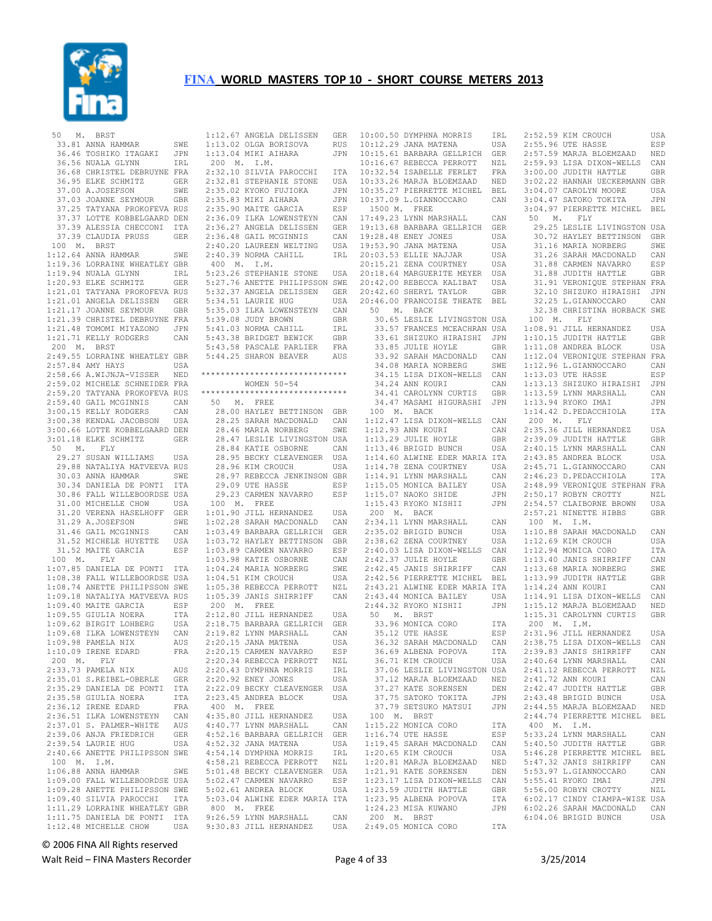

 <sup>50</sup> M. BRST

| 50 M.<br>BRST                                                                                                                                                                                |            |
|----------------------------------------------------------------------------------------------------------------------------------------------------------------------------------------------|------------|
| 33.81 ANNA HAMMAR                                                                                                                                                                            | SWE        |
| 36.46 TOSHIKO ITAGAKI                                                                                                                                                                        | JPN        |
|                                                                                                                                                                                              |            |
| 36.56 NUALA GLYNN                                                                                                                                                                            | IRL        |
| 36.68 CHRISTEL DEBRUYNE FRA                                                                                                                                                                  |            |
| 36.95 ELKE SCHMITZ                                                                                                                                                                           | GER        |
| 37.00 A.JOSEFSON SWE<br>37.03 JOANNE SEYMOUR GBR<br>37.25 TATYANA PROKOFEVA RUS<br>37.37 LOTTE KOBBELGAARD DEN                                                                               |            |
|                                                                                                                                                                                              |            |
|                                                                                                                                                                                              |            |
|                                                                                                                                                                                              |            |
|                                                                                                                                                                                              |            |
|                                                                                                                                                                                              |            |
| 37.39 ALESSIA CHECCONI ITA                                                                                                                                                                   |            |
| 37.39 CLAUDIA PRUSS                                                                                                                                                                          | GER        |
| 100 M. BRST                                                                                                                                                                                  |            |
| $1:12.64$ ANNA HAMMAR                                                                                                                                                                        | SWE        |
|                                                                                                                                                                                              |            |
| 1:19.36 LORRAINE WHEATLEY GBR                                                                                                                                                                |            |
| 1:19.94 NUALA GLYNN<br>1:20.93 ELKE SCHMITZ GER<br>1:21.01 TATYANA PROKOFEVA RUS<br>1:21.01 TATYANA PROKOFEVA RUS                                                                            |            |
|                                                                                                                                                                                              |            |
|                                                                                                                                                                                              |            |
|                                                                                                                                                                                              |            |
|                                                                                                                                                                                              |            |
|                                                                                                                                                                                              |            |
| 1:21.01 ANGELA DELISSEN GER<br>1:21.17 JOANNE SEYMOUR GBR<br>1:21.39 CHRISTEL DEBRUYNE FRA                                                                                                   |            |
|                                                                                                                                                                                              |            |
| 1:21.48 TOMOMI MIYAZONO<br>1:21.71 KELLY RODGERS                                                                                                                                             | JPN        |
|                                                                                                                                                                                              | CAN        |
| 200 M. BRST                                                                                                                                                                                  |            |
| 2:49.55 LORRAINE WHEATLEY GBR                                                                                                                                                                |            |
|                                                                                                                                                                                              |            |
| $2:57.84$ AMY HAYS                                                                                                                                                                           | USA        |
| 2:58.66 A.WIJNJA-VISSER NED                                                                                                                                                                  |            |
| 2:59.02 MICHELE SCHNEIDER FRA                                                                                                                                                                |            |
|                                                                                                                                                                                              |            |
|                                                                                                                                                                                              |            |
|                                                                                                                                                                                              |            |
|                                                                                                                                                                                              |            |
| 2:59.20 TATYANA PROKOFEVA RUS<br>2:59.20 TATYANA PROKOFEVA RUS<br>3:00.15 KELLY RODGERS CAN<br>3:00.38 KENDAL JACOBSON USA<br>3:00.66 LOTTE KOBBELGAARD DEN<br>3:00.66 LOTTE KOBBELGAARD DEN |            |
|                                                                                                                                                                                              |            |
|                                                                                                                                                                                              |            |
| 3:01.18 ELKE SCHMITZ                                                                                                                                                                         | <b>GER</b> |
| 50 M. FLY                                                                                                                                                                                    |            |
|                                                                                                                                                                                              | USA        |
|                                                                                                                                                                                              |            |
| 29.27 SUSAN WILLIAMS USA<br>29.88 NATALIYA MATVEEVA RUS                                                                                                                                      |            |
| 30.03 ANNA HAMMAR                                                                                                                                                                            | SWE        |
|                                                                                                                                                                                              |            |
|                                                                                                                                                                                              |            |
|                                                                                                                                                                                              |            |
| 30.34 DANIELA DE PONTI ITA<br>30.86 FALL WILLEBOORDSE USA                                                                                                                                    |            |
| 31.00 MICHELLE CHOW                                                                                                                                                                          | USA        |
|                                                                                                                                                                                              |            |
| 31.20 VERENA HASELHOFF GER                                                                                                                                                                   |            |
| 31.29 A.JOSEFSON                                                                                                                                                                             | SWE        |
| 31.46 GAIL MCGINNIS                                                                                                                                                                          | CAN        |
|                                                                                                                                                                                              | USA        |
| 31.52 MICHELE HUYETTE                                                                                                                                                                        |            |
| 31.52 MAITE GARCIA                                                                                                                                                                           | ESP        |
| 100 M. FLY                                                                                                                                                                                   |            |
|                                                                                                                                                                                              |            |
|                                                                                                                                                                                              |            |
| 1:07.85 DANIELA DE PONTI ITA<br>1:08.38 FALL WILLEBOORDSE USA                                                                                                                                |            |
| 1:08.74 ANETTE PHILIPSSON SWE                                                                                                                                                                |            |
|                                                                                                                                                                                              |            |
| 1:09.18 NATALIYA MATVEEVA RUS<br>1:09.40 MAITE GARCIA ESP                                                                                                                                    |            |
|                                                                                                                                                                                              |            |
|                                                                                                                                                                                              |            |
|                                                                                                                                                                                              |            |
|                                                                                                                                                                                              |            |
|                                                                                                                                                                                              |            |
|                                                                                                                                                                                              |            |
| 1:09.55 GIULIA NOERA ITA<br>1:09.55 GIULIA NOERA ITA<br>1:09.62 BIRGIT LOHBERG USA<br>1:09.98 PAMELA NIX AUS<br>1:10.09 IRENE EDARD FRA                                                      |            |
| 200 M. FLY                                                                                                                                                                                   |            |
|                                                                                                                                                                                              | AUS        |
| 2:33.73 PAMELA NIX<br>2:35.01 S.REIBEL-OBERLE                                                                                                                                                | <b>GER</b> |
| 2:35.29 DANIELA DE PONTI                                                                                                                                                                     | ITA        |
|                                                                                                                                                                                              |            |
| 2:35.58 GIULIA NOERA                                                                                                                                                                         | ITA        |
|                                                                                                                                                                                              | FRA        |
| 2:36.12 IRENE EDARD<br>2:36.51 ILKA LOWENSTEYN                                                                                                                                               | CAN        |
|                                                                                                                                                                                              |            |
|                                                                                                                                                                                              | AUS        |
| 2:37.01 S. PALMER-WHITE<br>2:39.06 ANJA FRIEDRICH                                                                                                                                            | GER        |
| 2:39.54 LAURIE HUG                                                                                                                                                                           | USA        |
| 2:40.66 ANETTE PHILIPSSON SWE                                                                                                                                                                |            |
|                                                                                                                                                                                              |            |
| 100 M. I.M.                                                                                                                                                                                  |            |
| $1:06.88$ ANNA HAMMAR                                                                                                                                                                        | SWE        |
| 1:09.00 FALL WILLEBOORDSE USA                                                                                                                                                                |            |
| 1:09.28 ANETTE PHILIPSSON SWE                                                                                                                                                                |            |
|                                                                                                                                                                                              |            |
|                                                                                                                                                                                              |            |
| 1:09.40 SILVIA PAROCCHI ITA<br>1:11.29 LORRAINE WHEATLEY GBR                                                                                                                                 |            |
| 1:11.75 DANIELA DE PONTI                                                                                                                                                                     | ITA        |
| 1:12.48 MICHELLE CHOW                                                                                                                                                                        | USA        |

 1:12.67 ANGELA DELISSEN GER 1:13.02 OLGA BORISOVA RUS 1:13.04 MIKI AIHARA JPN 200 M. I.M. 2:32.10 SILVIA PAROCCHI ITA 2:32.81 STEPHANIE STONE USA<br>2:35.02 KYOKO FUJIOKA JPN 2:32.81 STEFRANIE 6.000<br>2:35.02 KYOKO FUJIOKA eras.<br>2:35.83 MIKI AIHARA JPN<br>2:35.90 MAITE GARCIA ESP 2:35.90 MAITE GARCIA 2:36.09 ILKA LOWENSTEYN CAN 2:36.27 ANGELA DELISSEN GER<br>2:36.48 GAIL MCGINNIS CAN 2:36.48 GAIL MCGINNIS 2:40.20 LAUREEN WELTING USA 2:40.39 NORMA CAHILL IRL 400 M. I.M. 5:23.26 STEPHANIE STONE USA 5:27.76 ANETTE PHILIPSSON SWE 5:32.37 ANGELA DELISSEN GER 5:34.51 LAURIE HUG USA 5:35.03 ILKA LOWENSTEYN CAN<br>5:39.08 JUDY BROWN GBR 5:39.08 JUDY BROWN GBR 5:41.03 NORMA CAHILL IRL 5:43.38 BRIDGET BEWICK GBR 5:43.58 PASCALE PARLIER FRA<br>5:44.25 SHARON BEAVER AUS 5:44.25 SHARON BEAVER \*\*\*\*\*\*\*\*\*\*\*\*\*\*\*\*\*\*\*\*\*\*\*\*\*\*\*\*\*\* WOMEN 50-54 \*\*\*\*\*\*\*\*\*\*\*\*\*\*\*\*\*\*\*\*\*\*\*\*\*\*\*\*\*\* 50 M. FREE 28.00 HAYLEY BETTINSON GBR 28.25 SARAH MACDONALD CAN<br>28.46 MARIA NORBERG SWE 28.46 MARIA NORBERG 28.47 LESLIE LIVINGSTON USA<br>28.84 KATIE OSBORNE CAN 28.84 KATIE OSBORNE 28.95 BECKY CLEAVENGER USA<br>28.96 KIM CROUCH USA 28.96 KIM CROUCH 28.97 REBECCA JENKINSON GBR 29.09 UTE HASSE ESP 29.23 CARMEN NAVARRO ESP 100 M. FREE 1:01.90 JILL HERNANDEZ USA 1:02.28 SARAH MACDONALD CAN 1:03.49 BARBARA GELLRICH GER 1:03.72 HAYLEY BETTINSON GBR 1:03.89 CARMEN NAVARRO ESP<br>1:03.98 KATIE OSBORNE CAN 1:03.98 KATIE OSBORNE CAN<br>1:04.24 MARIA NORBERG SWE 1:04.24 MARIA NORBERG SWE<br>1:04.51 KIM CROUCH USA  $1:04.51$  KIM CROUCH 1:05.38 REBECCA PERROTT NZL<br>1:05.39 JANIS SHIRRIFF CAN  $1:05.39$  JANIS SHIRRIFF 200 M. FREE 2:12.80 JILL HERNANDEZ USA ---------<br>2:18.75 BARBARA GELLRICH GER<br>2:19.82 LYNN MARSHALL CAN 2:19.82 LYNN MARSHALL CAN<br>2:20.15 JANA MATENA USA  $2:20.15$  JANA MATENA USA<br> $2:20.15$  CARMEN NAVARRO ESP 2:20.15 CARMEN NAVARRO 2:20.34 REBECCA PERROTT NZL<br>2:20.43 DYMPHNA MORRIS TRL  $2:20.43$  DYMPHNA MORRIS 2:20.92 ENEY JONES USA 2:22.09 BECKY CLEAVENGER USA 2:23.45 ANDREA BLOCK USA 400 M. FREE ersed<br>4:35.80 JILL HERNANDEZ USA<br>4:40.77 LYNN MARSHALL CAN 4:40.77 LYNN MARSHALL CAN 4:52.16 BARBARA GELLRICH GER<br>4:52.32 JANA MATENA USA 4:52.32 JANA MATENA USA<br>4:54 14 DYMPHNA MORRIS IRL 4:54.14 DYMPHNA MORRIS 4:58.21 REBECCA PERROTT NZL 5:01.48 BECKY CLEAVENGER USA 5:02.47 CARMEN NAVARRO ESP<br>5:02.61 ANDREA BLOCK USA 5:02.61 ANDREA BLOCK 5:03.04 ALWINE EDER MARIA ITA 800 M. FREE 9:26.59 LYNN MARSHALL CAN 9:30.83 JILL HERNANDEZ USA 2:49.05 MONICA CORO ITA

|              | 10:00.50 DYMPHNA MORRIS                                                                                   | IRL          |
|--------------|-----------------------------------------------------------------------------------------------------------|--------------|
|              | 10:12.29 JANA MATENA<br>10:15.61 BARBARA GELLRICH<br>10:16.67 REBECCA PERROTT<br>10:16.67 FORDRIID REDIET | USA          |
|              |                                                                                                           | GER          |
|              |                                                                                                           | NZL          |
|              | 10:32.54 ISABELLE FERLET                                                                                  | FRA          |
|              |                                                                                                           | NED          |
|              | 10:32.54 ISABELLE FERLEI<br>10:33.26 MARJA BLOEMZAAD<br>10:35.27 PIERRETTE MICHEL                         | <b>BEL</b>   |
|              | 10:37.09 L.GIANNOCCARO                                                                                    | CAN          |
| 1500 M. FREE |                                                                                                           |              |
|              | 17:49.23 LYNN MARSHALL                                                                                    |              |
|              |                                                                                                           | CAN          |
|              | 19:13.68 BARBARA GELLRICH                                                                                 | GER          |
|              | 19:28.48 ENEY JONES<br>19:53.90 JANA MATENA                                                               | USA          |
|              |                                                                                                           | USA          |
|              | 20:03.53 ELLIE NAJJAR                                                                                     | USA          |
|              | 20:15.21 ZENA COURTNEY<br>20:18.64 MARGUERITE MEYER                                                       | USA          |
|              |                                                                                                           | USA          |
|              | 20:42.00 REBECCA KALIBAT                                                                                  | USA          |
|              | 20:42.60 SHERYL TAYLOR                                                                                    | GBR          |
|              | 20:46.00 FRANCOISE THEATE                                                                                 | BEL          |
|              | 50 M. BACK                                                                                                |              |
|              | 30.65 LESLIE LIVINGSTON USA                                                                               |              |
|              | 33.57 FRANCES MCEACHRAN USA<br>33.61 SHIZUKO HIRAISHI JPN                                                 |              |
|              |                                                                                                           |              |
|              | 33.85 JULIE HOYLE                                                                                         | GBR          |
|              | 33.92 SARAH MACDONALD<br>34.08 MARIA NORBERG                                                              | CAN          |
|              |                                                                                                           | SWE          |
|              | 34.15 LISA DIXON-WELLS                                                                                    | CAN          |
|              | 34.24 ANN KOURI                                                                                           | $_{\rm CAN}$ |
|              | 34.41 CAROLYNN CURTIS                                                                                     | <b>GBR</b>   |
|              | 34.47 MASAMI HIGURASHI                                                                                    | JPN          |
|              | 100 M. BACK                                                                                               |              |
|              | 1:12.47 LISA DIXON-WELLS                                                                                  | CAN          |
|              | 1:12.93 ANN KOURI                                                                                         | CAN          |
|              |                                                                                                           | GBR          |
|              | 1:13.29 JULIE HOYLE<br>1:13.46 BRIGID BUNCH                                                               | USA          |
|              |                                                                                                           |              |
|              | 1:14.60 ALWINE EDER MARIA ITA                                                                             | USA          |
|              | 1:14.78 ZENA COURTNEY<br>1:14.91 LYNN MARSHALL                                                            | CAN          |
|              |                                                                                                           | USA          |
|              | 1:15.05 MONICA BAILEY<br>1:15.07 NAOKO SHIDE<br>1:15.43 RYOKO NISHII                                      | JPN          |
|              |                                                                                                           | JPN          |
|              | 200 M. BACK                                                                                               |              |
|              |                                                                                                           | CAN          |
|              | $2:34.11$ LYNN MARSHALL<br>2:35.02 BRIGID BUNCH                                                           | USA          |
|              | 2:38.62 ZENA COURTNEY                                                                                     | USA          |
|              |                                                                                                           |              |
|              | 2:40.03 LISA DIXON-WELLS<br>2:42.37 JULIE HOYLE                                                           | CAN          |
|              | $2:42.45$ JANIS SHIRRIFF                                                                                  | GBR          |
|              |                                                                                                           | CAN          |
|              | 2:42.56 PIERRETTE MICHEL BEL                                                                              |              |
|              | 2:43.21 ALWINE EDER MARIA ITA                                                                             |              |
|              | 2:43.44 MONICA BAILEY                                                                                     | USA          |
|              | 2:44.32 RYOKO NISHII                                                                                      | JPN          |
|              | 50 M. BRST                                                                                                |              |
|              | 33.96 MONICA CORO                                                                                         | ITA          |
|              | 35.12 UTE HASSE                                                                                           | ESP          |
|              | 36.32 SARAH MACDONALD                                                                                     | CAN          |
|              | 36.69 ALBENA POPOVA                                                                                       | ITA          |
|              | 36.71 KIM CROUCH                                                                                          | USA          |
|              | 37.06 LESLIE LIVINGSTON USA                                                                               |              |
|              | 37.12 MARJA BLOEMZAAD                                                                                     | NED          |
|              | 37.27 KATE SORENSEN                                                                                       | DEN          |
|              | 37.75 SATOKO TOKITA                                                                                       | JPN          |
|              | 37.79 SETSUKO MATSUI                                                                                      | JPN          |
|              | 100 M. BRST                                                                                               |              |
|              | 1:15.22 MONICA CORO                                                                                       | ITA          |
|              | 1:16.74 UTE HASSE                                                                                         | ESP          |
|              | 1:19.45 SARAH MACDONALD                                                                                   | CAN          |
|              | 1:20.65 KIM CROUCH                                                                                        | USA          |
|              | $1:20.81$ MARJA BLOEMZAAD                                                                                 | NED          |
|              |                                                                                                           | DEN          |
|              |                                                                                                           | CAN          |
|              | 1:21.91 KATE SORENSEN<br>1:23.17 LISA DIXON-WELLS<br>1:23.59 JUDITH HATTLE                                | GBR          |
|              | 1:23.95 ALBENA POPOVA                                                                                     | ITA          |
|              | 1:24.23 MISA KUWANO                                                                                       | JPN          |
|              | 200 M. BRST                                                                                               |              |
|              |                                                                                                           |              |

#### 2:52.59 KIM CROUCH USA A 2:55.96 UTE HASSE ESP 2:57.59 MARJA BLOEMZAAD NED 2:59.93 LISA DIXON-WELLS CAN 3:00.00 JUDITH HATTLE GBR 3:02.22 HANNAH UECKERMANN GBR<br>1. 3:04.07 CAROLYN MOORE – USA  $3:04.07$  CAROLYN MOORE 3:04.47 SATOKO TOKITA JPN 3:04.97 PIERRETTE MICHEL BEL 50 M. FLY 29.25 LESLIE LIVINGSTON USA 30.72 HAYLEY BETTINSON GBR 31.16 MARIA NORBERG SWE<br>31.26 SARAH MACDONALD CAN 31.26 SARAH MACDONALD CAN 31.88 CARMEN NAVARRO ESP 31.88 JUDITH HATTLE GBR 31.91 VERONIQUE STEPHAN FRA 32.10 SHIZUKO HIRAISHI JPN 32.25 L.GIANNOCCARO CAN 32.38 CHRISTINA HORBACK SWE 100 M. 1:08.91 JILL HERNANDEZ USA<br>1:10.15 JUDITH HATTLE GBR  $1:10.15$  JUDITH HATTLE ..<br>R 1:11.08 ANDREA BLOCK USA 1:12.04 VERONIQUE STEPHAN FRA 1:12.96 L.GIANNOCCARO CAN 1:13.03 UTE HASSE ESP ..<br>N 1:13.13 SHIZUKO HIRAISHI JPN 1:13.59 LYNN MARSHALL CAN<br>1:13.94 RYOKO TMAT ...TPN  $N = 1:13.94$  RYOKO IMAI 1:14.42 D.PEDACCHIOLA ITA 200 M. FLY 2:35.36 JILL HERNANDEZ USA<br>2:39.09 JUDITH HATTLE GBR 2:39.09 JUDITH HATTLE GBR<br>2:40.15 LYNN MARSHALL CAN  $2:40.15$  LYNN MARSHALL 2:43.85 ANDREA BLOCK USA<br>2:45.71 L.GTANNOCCARO CAN 2:45.71 L.GIANNOCCARO 2:46.23 D.PEDACCHIOLA ITA 2:48.99 VERONIQUE STEPHAN FRA 2:50.17 ROBYN CROTTY NZL<br>2:54.57 CLAIBORNE BROWN USA 2:54.57 CLAIBORNE BROWN USA<br>2:57.21 NINETTE HIBBS GBR  $2:57.21$  NINETTE HIBBS 100 M. I.M. 1:10.88 SARAH MACDONALD CAN<br>1:12.69 KIM CROUCH USA  $1:12.69$  KIM CROUCH 1:12.94 MONICA CORO ITA 1:13.40 JANIS SHIRRIFF CAN 1:13.68 MARIA NORBERG SWE<br>1:13.99 JUDITH HATTLE GBR 1:13.99 JUDITH HATTLE GBR<br>1:14 24 ANN KOURT CAN  $1:14.24$  ANN KOURI 1:14.91 LISA DIXON-WELLS CAN 1:15.12 MARJA BLOEMZAAD NED 1:15.31 CAROLYNN CURTIS GBR 200 M. I.M. 2:31.96 JILL HERNANDEZ USA 2:38.75 LISA DIXON-WELLS CAN 2:39.83 JANIS SHIRRIFF CAN<br>2:40.64 LYNN MARSHALL CAN 2:40.64 LYNN MARSHALL CAN<br>2:41 12 REBECCA PERROTT NZL 2:41.12 REBECCA PERROTT 2:41.72 ANN KOURI CAN<br>2:42.47 JUDITH HATTLE GBR 2:42.47 JUDITH HATTLE GBR 2:43.48 BRIGID BUNCH USA<br>2:44.55 MARJA BLOEMZAAD NED 2:44.55 MARJA BLOEMZAAD 2:44.74 PIERRETTE MICHEL BEL 400 M. I.M. 5:33.24 LYNN MARSHALL CAN 5:40.50 JUDITH HATTLE GBR 5:46.28 PIERRETTE MICHEL BEL 5:47.32 JANIS SHIRRIFF CAN<br>5:53.97 L.GIANNOCCARO CAN 5:53.97 L.GIANNOCCARO CAN<br>5:55 41 RYOKO TMAT JPN 5:55.41 RYOKO IMAI JPN<br>5:56.00 ROBYN CROTTY NZL 5:56.00 ROBYN CROTTY 6:02.17 CINDY CIAMPA-WISE USA 6:02.26 SARAH MACDONALD CAN  $6:04.06$  BRIGID BUNCH

© 2006 FINA All Rights reserved

Walt Reid – FINA Masters Recorder and the state of 33 3/25/2014 Page 4 of 33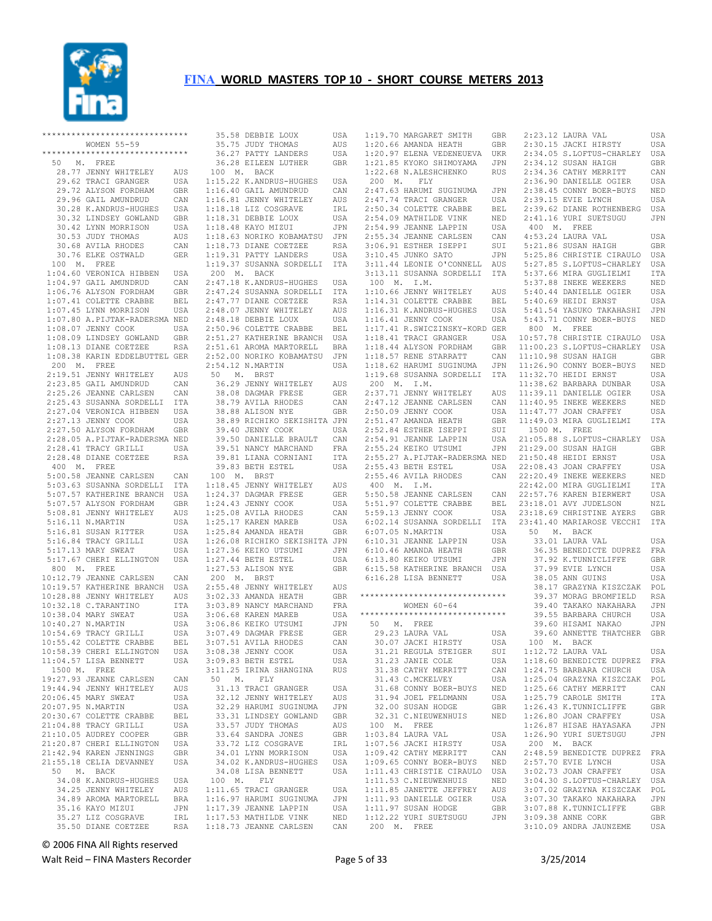

|         | ****************************** |            |                          |
|---------|--------------------------------|------------|--------------------------|
|         | WOMEN 55-59                    |            |                          |
|         | *****************************  |            |                          |
|         | 50 M. FREE                     |            | Ġ                        |
|         |                                |            | 1 <sup>1</sup>           |
|         | 28.77 JENNY WHITELEY           | AUS        |                          |
|         | 29.62 TRACI GRANGER            | USA        | 1:1                      |
|         | 29.72 ALYSON FORDHAM           | GBR        | 1:1                      |
|         | 29.96 GAIL AMUNDRUD            | CAN        | 1:1                      |
|         | 30.28 K.ANDRUS-HUGHES          | USA        | 1:1                      |
|         | 30.32 LINDSEY GOWLAND          | GBR        | 1:1                      |
|         | 30.42 LYNN MORRISON            | USA        | 1:1                      |
|         |                                |            |                          |
|         | 30.53 JUDY THOMAS              | AUS        | 1:1                      |
|         | 30.68 AVILA RHODES             | CAN        | 1:1                      |
|         | 30.76 ELKE OSTWALD             | GER        | 1:1                      |
|         | 100 M. FREE                    |            | 1:1                      |
|         | 1:04.60 VERONICA HIBBEN USA    |            | 2 <sup>c</sup>           |
|         | 1:04.97 GAIL AMUNDRUD          | CAN        | 2:4                      |
|         | 1:06.76 ALYSON FORDHAM         | GBR        | 2:4                      |
|         |                                |            |                          |
|         | 1:07.41 COLETTE CRABBE         | BEL        | 2:4                      |
|         | 1:07.45 LYNN MORRISON          | USA        | 2:4                      |
|         | 1:07.80 A.PIJTAK-RADERSMA NED  |            | 2:4                      |
|         | 1:08.07 JENNY COOK             | USA        | 2:5                      |
|         | 1:08.09 LINDSEY GOWLAND        | GBR        | 2:5                      |
|         | 1:08.13 DIANE COETZEE          | RSA        | 2:5                      |
|         | 1:08.38 KARIN EDDELBUTTEL GER  |            | 2:5                      |
|         |                                |            | 2:5                      |
|         | 200 M. FREE                    |            |                          |
|         | 2:19.51 JENNY WHITELEY         | AUS        | 5 <sub>0</sub>           |
|         | 2:23.85 GAIL AMUNDRUD          | CAN        | Ş                        |
|         | 2:25.26 JEANNE CARLSEN         | CAN        | Ġ                        |
|         | 2:25.43 SUSANNA SORDELLI       | ITA        |                          |
|         | 2:27.04 VERONICA HIBBEN        | USA        | <b>CALCA CALCA CALCA</b> |
|         | 2:27.13 JENNY COOK             | USA        |                          |
|         |                                |            |                          |
|         | 2:27.50 ALYSON FORDHAM         | GBR        |                          |
|         | 2:28.05 A.PIJTAK-RADERSMA NED  |            |                          |
|         | 2:28.41 TRACY GRILLI           | USA        | (1,1,1,1,1,1)            |
|         | 2:28.48 DIANE COETZEE          | RSA        |                          |
|         | 400 M. FREE                    |            |                          |
|         | 5:00.58 JEANNE CARLSEN         | CAN        | 1 <sub>0</sub>           |
|         | 5:03.63 SUSANNA SORDELLI       | ITA        | 1:1                      |
|         | 5:07.57 KATHERINE BRANCH       | USA        | 1:2                      |
|         | 5:07.57 ALYSON FORDHAM         | GBR        | 1:2                      |
|         |                                |            |                          |
|         | 5:08.81 JENNY WHITELEY         | AUS        | 1:2                      |
|         | 5:16.11 N.MARTIN               | USA        | 1:2                      |
|         | 5:16.81 SUSAN RITTER           | USA        | 1:2                      |
|         | 5:16.84 TRACY GRILLI           | USA        | 1:2                      |
|         | 5:17.13 MARY SWEAT             | USA        | 1:2                      |
|         | 5:17.67 CHERI ELLINGTON        | USA        | 1:2                      |
|         | 800 M. FREE                    |            | 1:2                      |
|         | 10:12.79 JEANNE CARLSEN        | CAN        | 2 <sup>c</sup>           |
|         |                                |            |                          |
|         | 10:19.57 KATHERINE BRANCH USA  |            | 2:5                      |
|         | 10:28.88 JENNY WHITELEY        | AUS        | 3:0                      |
|         | 10:32.18 C. TARANTINO          | ITA        | 3:0                      |
|         | 10:38.04 MARY SWEAT            | USA        | 3:0                      |
|         | 10:40.27 N.MARTIN              | USA        | 3:0                      |
|         | 10:54.69 TRACY GRILLI          | USA        | 3:0                      |
|         | 10:55.42 COLETTE CRABBE        | BEL        | 3:0                      |
|         | 10:58.39 CHERI ELLINGTON       |            | 3:0                      |
|         |                                | USA        |                          |
|         | 11:04.57 LISA BENNETT          | USA        | 3:0                      |
| 1500 M. | FREE                           |            | 3:1                      |
|         | 19:27.93 JEANNE CARLSEN        | CAN        | 50                       |
|         | 19:44.94 JENNY WHITELEY        | AUS        | G                        |
|         | 20:06.45 MARY SWEAT            | USA        | G                        |
|         | 20:07.95 N.MARTIN              | USA        | G                        |
|         | 20:30.67 COLETTE CRABBE        | BEL        | G                        |
|         | 21:04.88 TRACY GRILLI          | USA        | G                        |
|         |                                |            |                          |
|         | 21:10.05 AUDREY COOPER         | GBR        | G                        |
|         | 21:20.87 CHERI ELLINGTON       | USA        | (1, 1, 1, 1, 1)          |
|         | 21:42.94 KAREN JENNINGS        | GBR        |                          |
|         | 21:55.18 CELIA DEVANNEY        | USA        | Ġ                        |
| 50      | M. BACK                        |            | Э                        |
|         | 34.08 K.ANDRUS-HUGHES          | <b>USA</b> | 10                       |
|         | 34.25 JENNY WHITELEY           | AUS        | 1:1                      |
|         | 34.89 AROMA MARTORELL          | <b>BRA</b> | 1:1                      |
|         |                                |            |                          |
|         | 35.16 KAYO MIZUI               | JPN        | 1:1                      |
|         | 35.27 LIZ COSGRAVE             | IRL        | 1:1                      |
|         | 35.50 DIANE COETZEE            | RSA        | 1:1                      |

 35.58 DEBBIE LOUX USA 35.75 JUDY THOMAS AUS 36.27 PATTY LANDERS USA 36.28 EILEEN LUTHER GBR 00 M. BACK 15.22 K.ANDRUS-HUGHES USA<br>16.40 GAIL AMUNDRUD CAN 6.40 GAIL AMUNDRUD 16.40 GAIL AMUNDRUD CAN<br>16.81 JENNY WHITELEY AUS 1:18.18 LIZ COSGRAVE IRL 1:18.31 DEBBIE LOUX USA 1:18.48 KAYO MIZUI JPN 1:18.63 NORIKO KOBAMATSU JPN 1:18.73 DIANE COETZEE RSA 1:19.31 PATTY LANDERS USA 1:19.37 SUSANNA SORDELLI ITA 200 M. BACK 2:47.18 K.ANDRUS-HUGHES USA 2:47.24 SUSANNA SORDELLI ITA 2:47.77 DIANE COETZEE RSA 2:48.07 JENNY WHITELEY AUS 2:48.18 DEBBIE LOUX USA 2:50.96 COLETTE CRABBE BEL 2:51.27 KATHERINE BRANCH USA 2:51.61 AROMA MARTORELL BRA 2:52.00 NORIKO KOBAMATSU JPN 54.12 N.MARTIN USA 50 M. BRST<br>36.29 JENNY WHITELEY AUS<br>38.08 DAGMAR FRESE GER<br>38.79 AVILA RHODES CAN<br>38.88 ALISON NYE GER 38.89 RICHIKO SEKISHITA JPN 39.40 JENNY COOK USA<br>39.50 DANIELLE BRAULT CAN .<br>39.50 DANIELLE BRAULT - CAN<br>39.51 NANCY MARCHAND - FRA 39.51 NANCY MARCHAND FRA 39.81 LIANA CORNIANI ITA 39.83 BETH ESTEL USA 00 M. BRST 18.45 JENNY WHITELEY AUS 18.45 JENNI WILLES<br>24.37 DAGMAR FRESE 24.43 JENNY COOK 25.08 AVILA RHODES 1:25.17 KAREN MAREB USA 1:25.84 AMANDA HEATH GBR 1:26.08 RICHIKO SEKISHITA JPN 1:27.36 KEIKO UTSUMI JPN 1:27.44 BETH ESTEL USA 1:27.53 ALISON NYE GBR 200 M. BRST 2:55.48 JENNY WHITELEY AUS 2.33 AMANDA HEATH 3:03.89 NANCY MARCHAND FRA 3:06.68 KAREN MAREB USA 06.86 KEIKO UTSUMI JPN<br>07.49 DAGMAR FRESE GER 3:07.49 DAGMAR FRESE GER 3:07.51 AVILA RHODES CAN 3:08.38 JENNY COOK USA 3:09.83 BETH ESTEL USA 3:11.25 IRINA SHANGINA RUS M. FLY 31.13 TRACI GRANGER USA<br>32.12 JENNY WHITELEY AUS 32.12 JENNY WHITELEY AUS<br>32.29 HARUMI SUGINUMA JPN 32.29 HARUMI SUGINUMA <mark>JPN</mark><br>33.31 LINDSEY GOWLAND GBR 33.31 LINDSEY GOWLAND GBR<br>33.57 JUDY THOMAS AUS 33.57 JUDY THOMAS AUS 33.64 SANDRA JONES GBR<br>33.72 LIZ COSGRAVE IRL 33.72 LIZ COSGRAVE IRL 34.01 LYNN MORRISON USA 34.02 K.ANDRUS-HUGHES USA<br>34 08 LISA BENNETT USA 34.08 LISA BENNETT 00 M. FLY , ...<br>11.65 TRACI GRANGER USA<br>16.97 HARUMI SUGINUMA JPN 16.97 HARUMI SUGINUMA ........<br>.7.39 JEANNE LAPPIN USA<br>17.53 MATHILDE VINK NED 17.53 MATHILDE VINK 18.73 JEANNE CARLSEN CAN

 1:19.70 MARGARET SMITH GBR 1:20.66 AMANDA HEATH GBR 1:20.97 ELENA VEDENEUEVA UKR 1:21.85 KYOKO SHIMOYAMA JPN 1:22.68 N.ALESHCHENKO RUS 200 M. FLY 2:47.63 HARUMI SUGINUMA JPN 2:47.74 TRACI GRANGER USA<br>2:50.34 COLETTE CRABBE BEL 2:50.34 COLETTE CRABBE  $2:54.09$  MATHILDE VINK 2:54.99 JEANNE LAPPIN USA<br>2:55.34 JEANNE CARLSEN CAN 2:55.34 JEANNE CARLSEN 3:06.91 ESTHER ISEPPI SUI<br>3:10.45 JUNKO SATO JPN  $3:10.45$  JUNKO SATO 100 M. I.M. 1:14.31 COLETTE CRABBE BEL 1:16.31 K.ANDRUS-HUGHES USA<br>1:16.41 JENNY COOK USA  $1:16.41$  JENNY COOK 1:17.41 R.SWICZINSKY-KORD GER 1:18.41 TRACI GRANGER USA 1:18.44 ALYSON FORDHAM GBR  $2:37.71$  JENNY WHITELEY 2:47.12 JEANNE CARLSEN CAN 2:50.09 JENNY COOK USA 2:51.47 AMANDA HEATH GBR 2:52.84 ESTHER ISEPPI SUI 2:54.91 JEANNE LAPPIN USA 2:55.24 KEIKO UTSUMI JPN 2:55.27 A.PIJTAK-RADERSMA NED 2:55.43 BETH ESTEL USA 2:55.46 AVILA RHODES CAN 400 M. I.M. 5:50.58 JEANNE CARLSEN CAN 5:51.97 COLETTE CRABBE BEL 5:59.13 JENNY COOK USA 6:02.14 SUSANNA SORDELLI ITA 6:07.05 N.MARTIN USA 6:10.31 JEANNE LAPPIN USA 6:10.46 AMANDA HEATH GBR 6:13.80 KEIKO UTSUMI JPN 6:15.58 KATHERINE BRANCH USA 6:16.28 LISA BENNETT USA \*\*\*\*\*\*\*\*\*\*\*\*\*\*\*\*\*\*\*\*\*\*\*\*\*\*\*\*\*\* WOMEN 60-64 \*\*\*\*\*\*\*\*\*\*\*\*\*\*\*\*\*\*\*\*\*\*\*\*\*\*\*\*\*\* 50 M. FREE 29.23 LAURA VAL USA 30.07 JACKI HIRSTY USA 31.21 REGULA STEIGER SUI<br>
31.38 JANIE COLE USA<br>
31.33 CATHY MERRITT CAN<br>
31.43 C.MCKELVEY USA<br>
31.68 CONNY BOER-BUYS NED<br>
31.94 JOEL FELDMANN USA<br>
32.00 SUSAN HOOGE GBR<br>
32.31 C.NIEUWENHUIS NED 100 M. FREE 1:03.84 LAURA VAL USA 1:07.56 JACKI HIRSTY USA 1:09.42 CATHY MERRITT CAN 1:09.65 CONNY BOER-BUYS NED 1:11.43 CHRISTIE CIRAULO USA 1:11.53 C.NIEUWENHUIS NED 1:11.85 JANETTE JEFFREY AUS 1:11.93 DANIELLE OGIER USA<br>1:11.93 DANIELLE OGIER USA<br>1:11.97 SUSAN HODGE GBR 1:11.97 SUSAN HODGE GBR 1:12.22 YURI SUETSUGU 200 M. FREE

 3:11.44 LEONIE O'CONNELL AUS 3:13.11 SUSANNA SORDELLI ITA 5:27.85 S.LOFTUS-CHARLEY USA 5:37.66 MIRA GUGLIELMI ITA 1:10.66 JENNY WHITELEY AUS 5:40.44 DANIELLE OGIER USA 1:18.57 RENE STARRATT CAN 1:18.62 HARUMI SUGINUMA JPN 11:10.98 SUSAN HAIGH GBR 11:26.90 CONNY BOER-BUYS NED 1:19.68 SUSANNA SORDELLI ITA 200 M. I.M. 11:32.70 HEIDI ERNST USA 11:38.62 BARBARA DUNBAR USA 2:30.15 JACKI HIRSTY USA 2:34.05 S.LOFTUS-CHARLEY USA 2:34.12 SUSAN HAIGH GBR 2:34.36 CATHY MERRITT CAN 2:36.90 DANIELLE OGIER USA<br>2:38.45 CONNY BOER-BUYS NED 2:38.45 CONNY BOER-BUYS USA 2:39.15 EVIE LYNCH USA<br>BEL 2:39.62 DIANE ROTHENBERG USA 2:39.62 DIANE ROTHENBERG 2:41.16 YURI SUETSUGU JPN 400 M. FREE 4:53.24 LAURA VAL USA 5:21.86 SUSAN HAIGH GBR<br>5:25 86 CHRISTIE CIRAULO USA 5:25.86 CHRISTIE CIRAULO 5:37.88 INEKE WEEKERS NED 5:40.69 HEIDI ERNST USA 5:41.54 YASUKO TAKAHASHI JPN<br>5:43.71 CONNY BOER-BUYS NED 5:43.71 CONNY BOER-BUYS 800 M. FREE 10:57.78 CHRISTIE CIRAULO USA 11:00.23 S.LOFTUS-CHARLEY USA AUS 11:39.11 DANIELLE OGIER USA<br>CAN 11:40 95 INEKE WEEKERS NED 11:40.95 INEKE WEEKERS NED 11:47.77 JOAN CRAFFEY USA 11:49.03 MIRA GUGLIELMI ITA 1500 M. FREE 21:05.88 S.LOFTUS-CHARLEY USA<br>21:29.00 SUSAN HAIGH GBR<br>21:50.48 HEIDI ERNST USA<br>22:06.43 JOAN CRAFFEY USA<br>22:20.49 INEKE WEEKERS NED 22:42.00 MIRA GUGLIELMI ITA 22:57.76 KAREN BIERWERT USA 23:18.01 AVY JUDELSON NZL 23:18.69 CHRISTINE AYERS GBR 23:41.40 MARIAROSE VECCHI ITA 50 M. BACK 33.01 LAURA VAL USA 36.35 BENEDICTE DUPREZ FRA<br>37.92 K.TUNNICLIFFE GBR 37.92 K.TUNNICLIFFE GBR<br>37.99 EVIE LYNCH USA 37.99 EVIE LYNCH USA<br>38.05 ANN GUINS USA 38.05 ANN GUINS USA<br>38.17 GRAZYNA KISZCZAK POL 38.17 GRAZYNA KISZCZAK POL<br>39.37 MORAG BROMFIELD RSA 39.37 MORAG BROMFIELD 39.40 TAKAKO NAKAHARA JPN<br>39.55 BARBARA CHURCH USA 39.55 BARBARA CHURCH USA<br>39.60 HISAMI NAKAO JPN 39.60 HISAMI NAKAO 39.60 ANNETTE THATCHER GBR USA 100 M. BACK 1:12.72 LAURA VAL USA 1:18.60 BENEDICTE DUPREZ FRA 1:24.75 BARBARA CHURCH USA 1:25.04 GRAZYNA KISZCZAK POL 1:25.66 CATHY MERRITT CAN 1:25.79 CAROLE SMITH ITA 1:26.43 K.TUNNICLIFFE GBR 1:26.43 K.TUNNICLIFFE GBR 1:26.43 K.TU 1:26.87 HISAE HAYASAKA JPN 1:26.90 YURI SUETSUGU JPN 200 M. BACK 2:48.59 BENEDICTE DUPREZ FRA  $2:57.70$  EVIE LYNCH USA<br> $3:02.73$  JOAN CRAFFEY USA 3:02.73 JOAN CRAFFEY USA<br>3:04 30 S LOFTUS-CHARLEY USA 3:04.30 S.LOFTUS-CHARLEY USA<br>3:07.02 GRAZYNA KISZCZAK POL 3:07.02 GRAZYNA KISZCZAK POL 3:07.30 TAKAKO NAKAHARA 3:07.88 K.TUNNICLIFFE GBR<br>3:09.38 ANNE CORK GBR JPN 3:09.38 ANNE CORK 3:10.09 ANDRA JAUNZEME USA

2:23.12 LAURA VAL USA

© 2006 FINA All Rights reserved

Walt Reid – FINA Masters Recorder and the Second Page 5 of 33 3/25/2014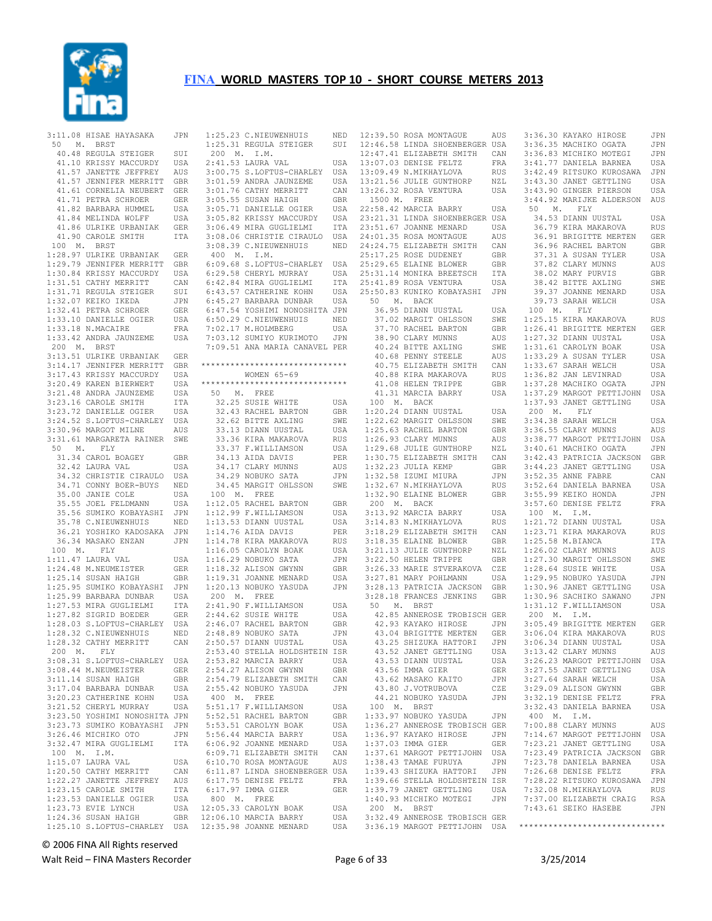

 3:11.08 HISAE HAYASAKA JPN 50 M. BRST 40.48 REGULA STEIGER SUI 41.10 KRISSY MACCURDY USA 41.57 JANETTE JEFFREY AUS 41.57 JENNIFER MERRITT GBR 41.61 CORNELIA NEUBERT GER 41.71 PETRA SCHROER GER<br>41.82 BARBARA HUMMEL USA 41.82 BARBARA HUMMEL 41.84 MELINDA WOLFF USA 41.86 ULRIKE URBANIAK GER<br>41.90 CAROLE SMITH ITA 41.90 CAROLE SMITH 100 M. BRST 1:28.97 ULRIKE URBANIAK GER 1:29.79 JENNIFER MERRITT GBR 1:30.84 KRISSY MACCURDY USA 1:31.51 CATHY MERRITT CAN 1:31.71 REGULA STEIGER SUI 1:32.07 KEIKO IKEDA JPN 1:32.41 PETRA SCHROER GER<br>1:33.10 DANIELLE OGIER USA  $1:33.10$  DANIELLE OGIER 1:33.18 N.MACAIRE FRA<br>1:33.42 ANDRA JAUNZEME USA  $1:33.42$  ANDRA JAUNZEME 200 M. BRST 3:13.51 ULRIKE URBANIAK GER 3:14.17 JENNIFER MERRITT GBR 3:17.43 KRISSY MACCURDY USA<br>3:20.49 KAREN BIERWERT USA 3:20.49 KAREN BIERWERT 3:21.48 ANDRA JAUNZEME USA<br>3:23.16 CAROLE SMITH ITA  $3:23.16$  CAROLE SMITH 3:23.72 DANIELLE OGIER USA 3:24.52 S.LOFTUS-CHARLEY USA<br>3:30.96 MARGOT MILNE AUS 3:30.96 MARGOT MILNE 3:31.61 MARGARETA RAINER SWE<br>50 M. FLY 50 M. FLY 31.34 CAROL BOAGEY GBR 32.42 LAURA VAL USA 34.32 CHRISTIE CIRAULO USA 34.71 CONNY BOER-BUYS NED 35.00 JANIE COLE USA<br>35.55 JOEL FELDMANN USA 35.55 JOEL FELDMANN 35.56 SUMIKO KOBAYASHI JPN 35.78 C.NIEUWENHUIS NED 36.21 YOSHIKO KADOSAKA JPN 36.34 MASAKO ENZAN 100 M. FLY 1:11.47 LAURA VAL USA 1:24.48 M.NEUMEISTER GER<br>1:25.14 SUSAN HATGH GER  $1:25.14$  SUSAN HAIGH 1:25.95 SUMIKO KOBAYASHI JPN 1:25.99 BARBARA DUNBAR USA 1:27.53 MIRA GUGLIELMI ITA 1:27.82 SIGRID BOEDER GER 1:28.03 S.LOFTUS-CHARLEY USA 1:28.32 C.NIEUWENHUIS NED 1:28.32 CATHY MERRITT CAN<br>200 M. FLY 200 M. 3:08.31 S.LOFTUS-CHARLEY USA 3:08.44 M.NEUMEISTER GER 3:11.14 SUSAN HAIGH GBR<br>3:17.04 BARBARA DUNBAR USA 3:17.04 BARBARA DUNBAR 3:20.23 CATHERINE KOHN USA<br>3:21.52 CHERYL MURRAY USA 3:21.52 CHERYL MURRAY 3:23.50 YOSHIMI NONOSHITA JPN 3:23.73 SUMIKO KOBAYASHI JPN 3:26.46 MICHIKO OTO JPN 3:32.47 MIRA GUGLIELMI 100 M. I.M. 1:15.07 LAURA VAL USA 1:20.50 CATHY MERRITT CAN<br>1:22.27 JANETTE JEFFREY AUS 1:22.27 JANETTE JEFFREY AUS<br>1:23.15 CAROLE SMITH ITA 1:23.15 CAROLE SMITH ITA<br>1:23.53 DANIELLE OGIER ISA 1:23.53 DANIELLE OGIER<br>1:23.73 EVIE LYNCH 1:23.73 EVIE LYNCH USA 1:24.36 SUSAN HAIGH GBR 1:25.10 S.LOFTUS-CHARLEY USA

1:25.23 C.NIEUWENHUIS NED<br>
1:25.31 REGULA STEIGER SUI<br>
200 M. I.M.<br>
2:41.53 LAURA VAL USA<br>
3:00.75 S.LOFTUS-CHARLEY USA 3:01.59 ANDRA JAUNZEME USA 13:21.56 JULIE GUNTHORP<br>3:01.76 CATHY MERRITT CAN 13:26.32 ROSA VENTURA  $3:01.76$  CATHY MERRITT 3:05.55 SUSAN HAIGH GBR<br>3:05.71 DANIELLE OGIER USA 3:05.71 DANIELLE OGIER USA 3:05.82 KRISSY MACCURDY USA 22:58.42 MARCIA BARRY USA 23:21.31 LINDA SHOENBERGER USA 3:06.49 MIRA GUGLIELMI ITA 3:08.06 CHRISTIE CIRAULO USA 3:08.39 C.NIEUWENHUIS NED 400 M. I.M. 6:09.68 S.LOFTUS-CHARLEY USA 6:29.58 CHERYL MURRAY USA 6:42.84 MIRA GUGLIELMI ITA 6:43.57 CATHERINE KOHN USA 6:45.27 BARBARA DUNBAR USA 6:47.54 YOSHIMI NONOSHITA JPN 6:50.29 C.NIEUWENHUIS NED 7:02.17 M.HOLMBERG USA<br>7:03.12 SUMIYO KURIMOTO JPN 7:03.12 SUMIYO KURIMOTO 7:09.51 ANA MARIA CANAVEL PER \*\*\*\*\*\*\*\*\*\*\*\*\*\*\*\*\*\*\*\*\*\*\*\*\*\*\*\*\*\* WOMEN 65-69 \*\*\*\*\*\*\*\*\*\*\*\*\*\*\*\*\*\*\*\*\*\*\*\*\*\*\*\*\*\* 50 M. FREE 32.25 SUSIE WHITE USA 32.43 RACHEL BARTON GBR 32.62 BITTE AXLING SWE 33.13 DIANN UUSTAL USA 33.36 KIRA MAKAROVA RUS 33.37 F.WILLIAMSON USA GBR 34.13 AIDA DAVIS PER<br>USA 34.17 CLARY MUNNS AUS 34.17 CLARY MUNNS 34.29 NOBUKO SATA 34.45 MARGIT OHLSSON SWE 100 M. FREE 1:12.05 RACHEL BARTON GBR  $1:12.99$  F.WILLIAMSON 1:13.53 DIANN UUSTAL USA<br>1:14.76 ATDA DAVIS PER 1:14.76 AIDA DAVIS PER<br>1:14.78 KIRA MAKAROVA RUS 1:14.78 KIRA MAKAROVA RUS 1:16.05 CAROLYN BOAK USA<br>1:16.29 NOBUKO SATA JPN  $1:16.29$  NOBUKO SATA 1:18.32 ALISON GWYNN GBR<br>1:19.31 JOANNE MENARD USA 1:19.31 JOANNE MENARD 1:20.13 NOBUKO YASUDA JPN 200 M. FREE 2:41.90 F.WILLIAMSON USA<br>2:44.62 SUSTE WHITE USA  $2:44.62$  SUSIE WHITE 2:46.07 RACHEL BARTON GBR<br>2:48.89 NOBUKO SATA JPN  $2:48.89$  NOBUKO SATA 2:50.57 DIANN UUSTAL USA 2:53.40 STELLA HOLDSHTEIN ISR 2:53.82 MARCIA BARRY USA<br>2:54.27 ALISON GWYNN GRR 2:54.27 ALISON GWYNN 2:54.79 ELIZABETH SMITH CAN 2:55.42 NOBUKO YASUDA 400 M. FREE 5:51.17 F.WILLIAMSON USA 5:52.51 RACHEL BARTON GBR<br>5:53.51 CAROLYN BOAK USA 5:53.51 CAROLYN BOAK 5:56.44 MARCIA BARRY USA ITA 6:06.92 JOANNE MENARD USA<br>6:09 71 ELIZARETH SMITH CAN 6:09.71 ELIZABETH SMITH CAN 6:10.70 ROSA MONTAGUE AUS 6:11.87 LINDA SHOENBERGER USA 6:17.75 DENISE FELTZ FRA 6:17.97 IMMA GIER GER 800 M. FREE 12:05.33 CAROLYN BOAK USA 12:06.10 MARCIA BARRY USA 12:35.98 JOANNE MENARD USA

12:39.50 ROSA MONTAGUE AUS 12:46.58 LINDA SHOENBERGER USA 12:47.41 ELIZABETH SMITH CAN 13:07.03 DENISE FELTZ FRA 13:09.49 N.MIKHAYLOVA RUS 13:21.56 JULIE GUNTHORP NZL 13:26.32 ROSA VENTURA USA 1500 M. FREE 23:51.67 JOANNE MENARD USA 24:01.35 ROSA MONTAGUE AUS 24:24.75 ELIZABETH SMITH CAN 25:17.25 ROSE DUDENEY 25:29.65 ELAINE BLOWER GBR 25:31.14 MONIKA BREETSCH ITA 25:41.89 ROSA VENTURA USA 25:50.83 KUNIKO KOBAYASHI JPN 50 M. BACK 36.95 DIANN UUSTAL USA 37.02 MARGIT OHLSSON SWE 37.70 RACHEL BARTON GBR<br>38.90 CLARY MUNNS AUS 38.90 CLARY MUNNS AUS 40.24 BITTE AXLING 40.68 PENNY STEELE 40.75 ELIZABETH SMITH 40.88 KIRA MAKAROVA 41.08 HELEN TRIPPE GBR<br>41.31 MARCIA BARRY USA 41.31 MARCIA BARRY 100 M. BACK 1:20.24 DIANN UUSTAL USA 1:25.63 RACHEL BARTON GBR<br>1:26.93 CLARY MUNNS AUS<br>1:26.93 CLARY MUNNS AUS 1:26.93 CLARY MUNNS AUS<br>1:29.68 JULIE GUNTHORP NZL 1:29.68 JULIE GUNTHORP 1:30.75 ELIZABETH SMITH CAN  $1:32.23$  JULIA KEMP JPN 1:32.58 IZUMI MIURA JPN<br>SWE 1:32.67 N.MIKHAYLOVA RUS 200 M. BACK 3:13.92 MARCIA BARRY USA 3:14.83 N.MIKHAYLOVA RUS 3:18.29 ELIZABETH SMITH CAN 3:18.35 ELAINE BLOWER 3:21.13 JULIE GUNTHORP NZL<br>3:22.50 HELEN TRIPPE GBR 3:22.50 HELEN TRIPPE 3:26.33 MARIE STVERAKOVA CZE 3:27.81 MARY POHLMANN USA 3:28.13 PATRICIA JACKSON GBR 3:28.18 FRANCES JENKINS GBR 50 M. BRST 42.85 ANNEROSE TROBISCH GER 42.93 KAYAKO HIROSE JPN 43.04 BRIGITTE MERTEN GER 43.25 SHIZUKA HATTORI JPN 43.52 JANET GETTLING USA 43.53 DIANN UUSTAL USA 43.56 IMMA GIER GER<br>43.62 MASAKO KAITO JPN 43.62 MASAKO KAITO JPN 43.80 J.VOTRUBOVA CZE 100 M. BRST 1:33.97 NOBUKO YASUDA JPN 1:36.27 ANNEROSE TROBISCH GER 1:36.97 KAYAKO HIROSE JPN 1:37.03 IMMA GIER GER 1:37.61 MARGOT PETTIJOHN USA<br>1:38.43 TAMAE FURUYA JPN 1:38.43 TAMAE FURUYA JPN 1:39.43 SHIZUKA HATTORI JPN 1:39.66 STELLA HOLDSHTEIN ISR 1:39.79 JANET GETTLING USA<br>1:39.79 JANET GETTLING USA<br>1:40 93 MICHIKO MOTEGI JPN 1:40.93 MICHIKO MOTEGI 200 M. BRST 3:32.49 ANNEROSE TROBISCH GER

 1:22.62 MARGIT OHLSSON SWE 3:34.38 SARAH WELCH USA 1:32.67 N.MIKHAYLOVA RUS 1:32.90 ELAINE BLOWER GBR 3:55.99 KEIKO HONDA JPN 44.21 NOBUKO YASUDA JPN 3:32.19 DENISE FELTZ FRA 3:32.49 ANNEROSE TROBISCH GER<br>3:36.19 MARGOT PETTIJOHN USA \*\*\*\*\*\*\*\*\*\*\*\*\*\*\*\*\*\*\*\*\*\*\*\*\*\*\*\*\*\* 3:36.30 KAYAKO HIROSE JPN 3:36.35 MACHIKO OGATA JPN 3:36.83 MICHIKO MOTEGI JPN 3:41.77 DANIELA BARNEA USA 3:42.49 RITSUKO KUROSAWA JPN 3:43.30 JANET GETTLING USA 3:43.90 GINGER PIERSON USA 3:44.92 MARIJKE ALDERSON AUS<br>50 M. FLY M. FLY 34.53 DIANN UUSTAL USA 36.79 KIRA MAKAROVA RUS<br>36.91 BRIGITTE MERTEN GER 36.91 BRIGITTE MERTEN GER 36.96 RACHEL BARTON GBR<br>37.31 A SUSAN TYLER USA 37.31 A SUSAN TYLER 37.82 CLARY MUNNS AUS<br>38.02 MARY PHRVIS GRR 38.02 MARY PURVIS GBR 38.42 BITTE AXLING SWE 39.37 JOANNE MENARD USA 39.73 SARAH WELCH USA USA 100 M. FLY<br>SWE 1:25.15 KIRA MA 1:25.15 KIRA MAKAROVA RUS GBR 1:26.41 BRIGITTE MERTEN GER<br>alis 1:27.32 diann lilistai. IISA  $1:27.32$  DIANN UUSTAL NUS 1.27.32 DIANN 0031AL 03A<br>SWE 1:31.61 CAROLYN BOAK USA<br>AUS 1:33.29 A SUSAN TYLER USA 1:33.29 A SUSAN TYLER USA 1:33.67 SARAH WELCH USA 1:36.82 JAN LEVINRAD USA 1:37.28 MACHIKO OGATA JPN 1:37.29 MARGOT PETTIJOHN USA<br>1:37.93 JANET GETTLING USA 1:37.93 JANET GETTLING USA 200 M. FLY 3:36.55 CLARY MUNNS AUS 3:38.77 MARGOT PETTIJOHN USA<br>3:40.61 MACHIKO OGATA JPN 3:40.61 MACHIKO OGATA CAN 3:42.43 PATRICIA JACKSON GBR<br>GBR 3:44.23 JANET GETTLING USA 3:44.23 JANET GETTLING 3:52.35 ANNE FABRE CAN<br>3:52.64 DANIELA BARNEA USA 3:52.64 DANIELA BARNEA 3:57.60 DENISE FELTZ FRA 100 M. I.M. 1:21.72 DIANN UUSTAL USA<br>1:23.71 KIRA MAKAROVA RUS 1:23.71 KIRA MAKAROVA RUS<br>GBR 1:23.71 KIRA MAKAROVA RUS<br>GBR 1:25.58 M.BIANCA ITA  $1:25.58$  M.BIANCA 1:26.02 CLARY MUNNS AUS<br>1:27.30 MARGIT OHLSSON SWE 1:27.30 MARGIT OHLSSON SWE 1:28.64 SUSIE WHITE USA<br>1:29.95 NOBUKO YASUDA JPN 1:29.95 NOBUKO YASUDA JPN 1:30.96 JANET GETTLING USA 1:30.96 SACHIKO SAWANO JPN 1:31.12 F.WILLIAMSON USA 200 M. I.M. 3:05.49 BRIGITTE MERTEN GER 3:06.04 KIRA MAKAROVA RUS JPN 3:06.34 DIANN UUSTAL USA<br>
USA 3:13.42 CLARY MUNNS AUS<br>
USA 3:26.23 MARGOT PETTIJOHN USA 3:13.42 CLARY MUNNS AUS<br>3:26.23 MARGOT PETTIJOHN USA 3:26.23 MARGOT PETTIJOHN USA 3:27.55 JANET GETTLING 3:27.64 SARAH WELCH USA<br>3:29.09 ALISON GWYNN GBR 3:29.09 ALISON GWYNN GBR 3:32.43 DANIELA BARNEA USA 400 M. I.M. 7:00.88 CLARY MUNNS AUS 7:14.67 MARGOT PETTIJOHN USA 7:23.21 JANET GETTLING USA<br>7:23.49 PATRICIA JACKSON GBR 7:23.49 PATRICIA JACKSON GBR 7:23.78 DANIELA BARNEA USA 7:26.68 DENISE FELTZ FRA 7:28.22 RITSUKO KUROSAWA JPN 7:32.08 N.MIKHAYLOVA RUS<br>7:37 00 ELIZABETH CRAIG RSA 7:37.00 ELIZABETH CRAIG 7:43.61 SEIKO HASEBE JPN

© 2006 FINA All Rights reserved

Walt Reid – FINA Masters Recorder **Page 6 of 33** 3/25/2014 Page 6 of 33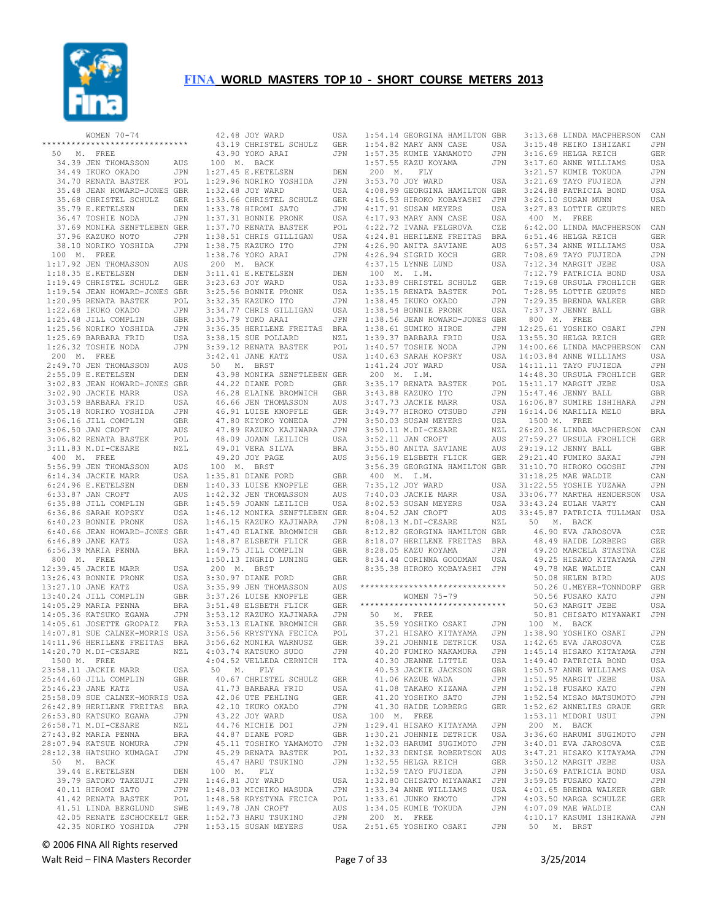

| WOMEN $70 - 74$                                                                                                                                                                                      |              |
|------------------------------------------------------------------------------------------------------------------------------------------------------------------------------------------------------|--------------|
| ******************************                                                                                                                                                                       |              |
| 50 M. FREE                                                                                                                                                                                           |              |
| 34.39 JEN THOMASSON                                                                                                                                                                                  | AUS          |
| 34.49 IKUKO OKADO                                                                                                                                                                                    | JPN          |
| 34.70 RENATA BASTEK<br>34.70 RENATA BASTEK                                                                                                                                                           | POL          |
| 35.48 JEAN HOWARD-JONES GBR                                                                                                                                                                          |              |
| 35.68 CHRISTEL SCHULZ GER<br>35.79 E.KETELSEN DEN<br>36.47 TOSHIE NODA JPN                                                                                                                           |              |
|                                                                                                                                                                                                      |              |
|                                                                                                                                                                                                      | JPN          |
| 37.69 MONIKA SENFTLEBEN GER                                                                                                                                                                          |              |
| 37.96 KAZUKO NOTO                                                                                                                                                                                    | JPN          |
| 38.10 NORIKO YOSHIDA JPN                                                                                                                                                                             |              |
| 100 M. FREE                                                                                                                                                                                          |              |
| 1:17.92 JEN THOMASSON<br>1:18.35 E.KETELSEN                                                                                                                                                          | AUS          |
| 1:10.00 E.KETELSEN DEN<br>1:19.49 CHRISTEL SCHULZ GER                                                                                                                                                | DEN          |
| 1:19.54 JEAN HOWARD-JONES GBR                                                                                                                                                                        |              |
| 1:19.54 JEAN HOWARD-JONES<br>1:22.68 ERNATA BASTEK<br>1:25.68 EKUKO OKADO<br>1:25.48 JILL COMPLIN<br>1:25.56 NORIKO YOSHIDA<br>1:25.69 BARBARA FRID<br>1:26.32 TOSHIE NODA<br>1:26.32 TOSHIE NODA    | POL          |
|                                                                                                                                                                                                      | JPN          |
|                                                                                                                                                                                                      | GBR          |
|                                                                                                                                                                                                      | JPN          |
|                                                                                                                                                                                                      | USA          |
|                                                                                                                                                                                                      | JPN          |
|                                                                                                                                                                                                      |              |
|                                                                                                                                                                                                      | AUS          |
| 200 M. FREE<br>2:49.70 JEN THOMASSON<br>2:55.09 E.KETELSEN                                                                                                                                           | DEN          |
|                                                                                                                                                                                                      |              |
|                                                                                                                                                                                                      |              |
|                                                                                                                                                                                                      |              |
|                                                                                                                                                                                                      |              |
| 1991 - ANNE HOWARD-JONES GER<br>3:02.83 JEAN HOWARD-JONES GER<br>3:02.90 JACKIE MARR USA<br>3:03.59 BARBARA FRID USA<br>3:05.18 NORIKO YOSHIDA JPN<br>3:06.50 JAN CROFT AUS<br>3:06.50 JAN CROFT AUS |              |
|                                                                                                                                                                                                      |              |
| 3:06.82 RENATA BASTEK                                                                                                                                                                                | POL          |
| 3:11.83 M.DI-CESARE                                                                                                                                                                                  | $_{\rm NZL}$ |
| 400 M. FREE                                                                                                                                                                                          |              |
|                                                                                                                                                                                                      | AUS          |
|                                                                                                                                                                                                      | USA          |
|                                                                                                                                                                                                      | DEN          |
| 900 PH THOMASSON<br>5:56.99 JEN THOMASSON<br>6:14.34 JACKIE MARR<br>6:34.96 E.KETELSEN<br>6:35.88 JILL COMPLIN<br>6:36.86 SARAH KOPSKY<br>6:40.23 BONNIE PRONK<br>6:40.23 BONNIE PRONK               | AUS          |
|                                                                                                                                                                                                      | GBR          |
|                                                                                                                                                                                                      | USA          |
|                                                                                                                                                                                                      | USA          |
| 6:40.66 JEAN HOWARD-JONES GBR                                                                                                                                                                        |              |
| 6:46.89 JANE KATZ                                                                                                                                                                                    | USA          |
| 6:56.39 MARIA PENNA                                                                                                                                                                                  | <b>BRA</b>   |
| 800 $M.$ FREE                                                                                                                                                                                        |              |
| 12:39.45 JACKIE MARR                                                                                                                                                                                 | USA          |
| 12.33.13 BONNIE PRONK                                                                                                                                                                                | USA          |
| 13:27.10 JANE KATZ                                                                                                                                                                                   | USA          |
| 13:40.24 JILL COMPLIN GBR<br>14:05.29 MARIA PENNA BRA<br>14:05.36 KATSUKO EGAWA JPN<br>14:05.61 JOSETTE GROPAIZ FRA                                                                                  |              |
|                                                                                                                                                                                                      |              |
|                                                                                                                                                                                                      |              |
|                                                                                                                                                                                                      |              |
| 14:07.81 SUE CALNEK-MORRIS USA<br>14:11.96 HERILENE FREITAS BRA                                                                                                                                      |              |
| 14:20.70 M.DI-CESARE                                                                                                                                                                                 | NZL          |
| 1500 M. FREE                                                                                                                                                                                         |              |
|                                                                                                                                                                                                      | USA          |
| 23:58.11 JACKIE MARR<br>25:44.60 JILL COMPLIN                                                                                                                                                        | GBR          |
| 25:46.23 JANE KATZ                                                                                                                                                                                   | USA          |
| 25:58.09 SUE CALNEK-MORRIS USA                                                                                                                                                                       |              |
| 26:42.89 HERILENE FREITAS                                                                                                                                                                            | <b>BRA</b>   |
| 26:53.80 KATSUKO EGAWA                                                                                                                                                                               | JPN          |
| 26:58.71 M.DI-CESARE                                                                                                                                                                                 | NZL          |
| 27:43.82 MARIA PENNA                                                                                                                                                                                 | <b>BRA</b>   |
| 28:07.94 KATSUE NOMURA                                                                                                                                                                               | JPN          |
| 28:12.38 HATSUHO KUMAGAI                                                                                                                                                                             | JPN          |
| 50 M. BACK                                                                                                                                                                                           |              |
| 39.44 E.KETELSEN                                                                                                                                                                                     | DEN          |
| 39.79 SATOKO TAKEUJI                                                                                                                                                                                 | JPN          |
| 40.11 HIROMI SATO                                                                                                                                                                                    | <b>JPN</b>   |
| 41.42 RENATA BASTEK                                                                                                                                                                                  | POL          |
| 41.51 LINDA BERGLUND                                                                                                                                                                                 | SWE          |
| 42.05 RENATE ZSCHOCKELT GER                                                                                                                                                                          |              |
| 42.35 NORIKO YOSHIDA                                                                                                                                                                                 | JPN          |

| 42.48 JOY WARD                                                                                                                                                                                                                                 | USA                   |
|------------------------------------------------------------------------------------------------------------------------------------------------------------------------------------------------------------------------------------------------|-----------------------|
| 43.19 CHRISTEL SCHULZ                                                                                                                                                                                                                          | GER                   |
| 43.90 YOKO ARAI                                                                                                                                                                                                                                | JPN                   |
| 100 M. BACK                                                                                                                                                                                                                                    |                       |
| $1:27.45$ E.KETELSEN                                                                                                                                                                                                                           | DEN                   |
| 1:29.96 NORIKO YOSHIDA<br>1:32.48 JOY WARD                                                                                                                                                                                                     | JPN                   |
|                                                                                                                                                                                                                                                | USA                   |
| 1:33.66 CHRISTEL SCHULZ                                                                                                                                                                                                                        | GER                   |
| 1:33.78 HIROMI SATO<br>1:37.31 BONNIE PRONK<br>1:37.70 RENATA BASTEK                                                                                                                                                                           | JPN                   |
|                                                                                                                                                                                                                                                | USA                   |
|                                                                                                                                                                                                                                                | $\texttt{POL}{}$      |
|                                                                                                                                                                                                                                                |                       |
| 1:37.70 NEMARA STILLIGAN USA<br>1:38.51 CHRIS GILLIGAN USA<br>7.26.75 KAZUKO ITO JPN JPN                                                                                                                                                       |                       |
| 1:38.76 YOKO ARAI                                                                                                                                                                                                                              | JPN                   |
| 200 M. BACK                                                                                                                                                                                                                                    |                       |
|                                                                                                                                                                                                                                                | DEN                   |
|                                                                                                                                                                                                                                                | USA<br>USA            |
|                                                                                                                                                                                                                                                |                       |
|                                                                                                                                                                                                                                                | JPN<br>USA            |
|                                                                                                                                                                                                                                                | JPN                   |
| 3:35.79 YOKO ARAI JPN<br>3:36.35 HERILENE FREITAS BRA                                                                                                                                                                                          |                       |
|                                                                                                                                                                                                                                                | NZL                   |
|                                                                                                                                                                                                                                                | POL                   |
| 3:38.15 SUE POLLARD<br>3:39.12 RENATA BASTEK<br>3:42.41 JANE KATZ<br>3:42.41 JANE KATZ                                                                                                                                                         | USA                   |
| 50 M. BRST                                                                                                                                                                                                                                     |                       |
| 43.98 MONIKA SENFTLEBEN GER                                                                                                                                                                                                                    |                       |
| 44.22 DIANE FORD GBR<br>46.28 ELAINE BROMWICH GBR                                                                                                                                                                                              | GBR                   |
|                                                                                                                                                                                                                                                |                       |
|                                                                                                                                                                                                                                                | AUS                   |
|                                                                                                                                                                                                                                                | ${\tt GER}$           |
|                                                                                                                                                                                                                                                | JPN                   |
|                                                                                                                                                                                                                                                | JPN                   |
| 46.66 LEN THOMASSON<br>46.91 LUISE KNOPFLE<br>47.80 KIYOKO YONEDA<br>47.89 KAZUKO KAJIWARA<br>48.09 JOANN LEILICH<br>49.01 VERA SILVA<br>49.20 JOY PAGE<br>M<br>DRA SILVA<br>49.20 JOANN LEILICH<br>49.01 VERA SILVA                           | USA                   |
|                                                                                                                                                                                                                                                | <b>BRA</b>            |
|                                                                                                                                                                                                                                                | AUS                   |
| 100 M. BRST                                                                                                                                                                                                                                    |                       |
| 1:35.81 DIANE FORD                                                                                                                                                                                                                             | GBR                   |
|                                                                                                                                                                                                                                                |                       |
|                                                                                                                                                                                                                                                |                       |
|                                                                                                                                                                                                                                                |                       |
| 1:46.12 MONIKA SENFTLEBEN GER                                                                                                                                                                                                                  |                       |
|                                                                                                                                                                                                                                                |                       |
|                                                                                                                                                                                                                                                |                       |
|                                                                                                                                                                                                                                                |                       |
| 1:46.15 KAZUKO KAJIWARA<br>1:47.40 ELAINE BROMWICH GBR<br>1:48.87 ELSBETH FLICK GER<br>1:49.75 JILL COMPLIN GBR<br>1:50.13 INGRID LUNING GER<br>1:50.13 INGRID LUNING GER                                                                      |                       |
|                                                                                                                                                                                                                                                |                       |
| 200 M. BRST                                                                                                                                                                                                                                    |                       |
|                                                                                                                                                                                                                                                | GBR                   |
|                                                                                                                                                                                                                                                |                       |
|                                                                                                                                                                                                                                                | GER                   |
|                                                                                                                                                                                                                                                |                       |
|                                                                                                                                                                                                                                                | JPN<br>GBR            |
| 200 M. BKSI<br>3:30.97 DIANE FORD GBR<br>3:35.99 JEN THOMASSON AUS<br>3:37.26 LUISE KNOPFLE GER<br>3:51.48 ELSBETH FLICK GER<br>3:53.12 KAZUKO KAJIWARA JPN<br>3:53.53.13 ELAINE BROMWICH GBR<br>3:56.56 KRYSTYNA FECICA POL<br>3:56.56 MONIKA |                       |
|                                                                                                                                                                                                                                                |                       |
| 4:03.74 KATSUKO SUDO                                                                                                                                                                                                                           | JPN                   |
| 4:04.52 VELLEDA CERNICH                                                                                                                                                                                                                        | ITA                   |
| 50 M. FLY                                                                                                                                                                                                                                      |                       |
| 40.67 CHRISTEL SCHULZ                                                                                                                                                                                                                          | GER                   |
| 41.73 BARBARA FRID                                                                                                                                                                                                                             | USA                   |
| 42.06 UTE FEHLING                                                                                                                                                                                                                              | GER                   |
| 42.10 IKUKO OKADO                                                                                                                                                                                                                              | JPN                   |
| 43.22 JOY WARD                                                                                                                                                                                                                                 |                       |
| 44.76 MICHIE DOI                                                                                                                                                                                                                               | USA                   |
| 44.87 DIANE FORD                                                                                                                                                                                                                               | JPN                   |
| 45.11 TOSHIKO YAMAMOTO                                                                                                                                                                                                                         | $_{\rm GBR}$          |
| 45.29 RENATA BASTEK                                                                                                                                                                                                                            | JPN                   |
|                                                                                                                                                                                                                                                | POL                   |
| 45.47 HARU TSUKINO                                                                                                                                                                                                                             | JPN                   |
| 100 M. FLY                                                                                                                                                                                                                                     |                       |
| 1:46.81 JOY WARD                                                                                                                                                                                                                               | USA                   |
| 1:48.03 MICHIKO MASUDA                                                                                                                                                                                                                         | JPN                   |
| 1:48.58 KRYSTYNA FECICA                                                                                                                                                                                                                        | POL                   |
| 1:49.78 JAN CROFT                                                                                                                                                                                                                              | AUS                   |
| $1:52.73$ HARU TSUKINO<br>1:53.15 SUSAN MEYERS                                                                                                                                                                                                 | $\mathtt{JPN}$<br>USA |

| 1:54.14 GEORGINA HAMILTON GBR                                                                                                                                                                       |            |
|-----------------------------------------------------------------------------------------------------------------------------------------------------------------------------------------------------|------------|
| 1:54.82 MARY ANN CASE USA<br>1:57.35 KUMIE YAMAMOTO JPN<br>1:57.55 KAZU KOYAMA JPN                                                                                                                  |            |
|                                                                                                                                                                                                     |            |
| 200 M. FLY                                                                                                                                                                                          |            |
| 3:53.70 JOY WARD                                                                                                                                                                                    | USA        |
| 4:08.99 GEORGINA HAMILTON GBR                                                                                                                                                                       |            |
| 4:16.53 HIROKO KOBAYASHI JPN                                                                                                                                                                        |            |
|                                                                                                                                                                                                     | USA<br>USA |
| 4:17.91 SUSAN MEYERS<br>4:17.93 MARY ANN CASE<br>4:22.72 IVANA FELGROVA<br>4:24.81 HERILENE FREITAS<br>7.62 ANTER SAVIANE                                                                           | CZE        |
|                                                                                                                                                                                                     | <b>BRA</b> |
| 4:26.90 ANITA SAVIANE<br>4:26.94 SIGRID KOCH<br>4:37.15 LYNNE LUND                                                                                                                                  | AUS        |
|                                                                                                                                                                                                     | GER        |
| $4:20111$ IYNNE LUND                                                                                                                                                                                | USA        |
| 100 M. I.M.<br>1:33.89 CHRISTEL SCHULZ GER                                                                                                                                                          |            |
|                                                                                                                                                                                                     | POL        |
|                                                                                                                                                                                                     | JPN        |
| 1:35.15 RENATA BASTEK<br>1:38.45 IKUKO OKADO<br>1:38.54 BONNIE PRONK                                                                                                                                | USA        |
| 1:38.56 JEAN HOWARD-JONES GBR                                                                                                                                                                       |            |
| 1:38.61 SUMIKO HIROE<br>1:39.37 BARBARA FRID<br>1:40.57 TOSHIE NODA<br>1:40.63 SARAH KOPSKY<br>1:41 24 JOY WARD                                                                                     | JPN        |
|                                                                                                                                                                                                     | USA        |
|                                                                                                                                                                                                     | JPN        |
| 1:41.24 JOY WARD                                                                                                                                                                                    | USA<br>USA |
| 200 M. I.M.                                                                                                                                                                                         |            |
| 200 m. 1.m.<br>3:35.17 RENATA BASTEK<br>3:43.88 KAZUKO ITO<br>3:47.73 JACKIE MARR<br>3:49.77 HIROKO OTSUBO<br>3:50.03 SUSAN MEYERS<br>3:50.11 M.DI-CESARE<br>3:52.11 JAN CROFT<br>3:52.11 JAN CROFT | POL        |
|                                                                                                                                                                                                     | JPN        |
|                                                                                                                                                                                                     | USA        |
|                                                                                                                                                                                                     | <b>JPN</b> |
|                                                                                                                                                                                                     | USA        |
|                                                                                                                                                                                                     | NZL        |
|                                                                                                                                                                                                     | AUS<br>AUS |
| 3:55.80 ANITA SAVIANE<br>3:56.19 ELSBETH FLICK                                                                                                                                                      | GER        |
| 3:56.39 GEORGINA HAMILTON GBR                                                                                                                                                                       |            |
| 400 M. I.M.                                                                                                                                                                                         |            |
| 7:35.12 JOY WARD                                                                                                                                                                                    | USA        |
| 7:40.03 JACKIE MARR                                                                                                                                                                                 | USA        |
| $8:02.53$ SUSAN MEYERS<br>8:04.52 JAN CROFT                                                                                                                                                         | USA<br>AUS |
| $8:08.13$ M.DI-CESARE<br>8:08.13 M.DI-CESARE                                                                                                                                                        | NZL        |
| 8:12.82 GEORGINA HAMILTON GBR                                                                                                                                                                       |            |
|                                                                                                                                                                                                     |            |
| 8:18.07 HERILENE FREITAS BRA<br>8:28.05 KAZU KOYAMA JPN                                                                                                                                             |            |
| 8:34.44 CORINNA GOODMAN                                                                                                                                                                             | USA        |
| 8:35.38 HIROKO KOBAYASHI JPN                                                                                                                                                                        |            |
| *******************************                                                                                                                                                                     |            |
| WOMEN 75-79                                                                                                                                                                                         |            |
| *****************************                                                                                                                                                                       |            |
|                                                                                                                                                                                                     |            |
| 50 M. FREE                                                                                                                                                                                          |            |
|                                                                                                                                                                                                     |            |
| 35.59 YOSHIKO OSAKI JPN<br>37.21 HISAKO KITAYAMA JPN                                                                                                                                                |            |
| 39.21 JOHNNIE DETRICK                                                                                                                                                                               | USA        |
| 40.20 FUMIKO NAKAMURA                                                                                                                                                                               | JPN        |
| 40.30 JEANNE LITTLE                                                                                                                                                                                 | USA        |
| 40.53 JACKIE JACKSON<br>41.06 KAZUE WADA                                                                                                                                                            | GBR<br>JPN |
| 41.08 TAKAKO KIZAWA                                                                                                                                                                                 | JPN        |
| 41.20 YOSHIKO SATO                                                                                                                                                                                  | JPN        |
| 41.30 HAIDE LORBERG                                                                                                                                                                                 | GER        |
| 100 M. FREE                                                                                                                                                                                         |            |
| 1:29.41 HISAKO KITAYAMA                                                                                                                                                                             | JPN        |
|                                                                                                                                                                                                     | USA<br>JPN |
| 1:30.21 JOHNNIE DETRICK<br>1:32.03 HARUMI SUGIMOTO<br>1:32.33 DENISE ROBERTSON                                                                                                                      | AUS        |
|                                                                                                                                                                                                     | GER        |
| 1:32.55 HELGA REICH<br>1:32.59 TAYO FUJIEDA                                                                                                                                                         | JPN        |
| 1:32.80 CHISATO MIYAWAKI                                                                                                                                                                            | JPN        |
| 1:33.34 ANNE WILLIAMS                                                                                                                                                                               | USA        |
| 1:33.61 JUNKO EMOTO                                                                                                                                                                                 | JPN        |
| 1:34.05 KUMIE TOKUDA<br>200 M. FREE                                                                                                                                                                 | JPN        |

|                                                                                                                                                                                                                                                                                                                                                                                                                                                                                                    | CAN            |
|----------------------------------------------------------------------------------------------------------------------------------------------------------------------------------------------------------------------------------------------------------------------------------------------------------------------------------------------------------------------------------------------------------------------------------------------------------------------------------------------------|----------------|
|                                                                                                                                                                                                                                                                                                                                                                                                                                                                                                    | JPN            |
| 3:15.48 REIKO ISHIZAKI<br>3:16.69 HELGA REICH<br>3:17.60 ANNE WILLIAMS                                                                                                                                                                                                                                                                                                                                                                                                                             | <b>GER</b>     |
|                                                                                                                                                                                                                                                                                                                                                                                                                                                                                                    | USA            |
| 3:21.57 KUMIE TOKUDA                                                                                                                                                                                                                                                                                                                                                                                                                                                                               | JPN            |
| 3:21.69 TAYO FUJIEDA<br>3:21.69 TAYO FUJIEDA<br>3:24.88 PATRICIA BOND                                                                                                                                                                                                                                                                                                                                                                                                                              | JPN            |
|                                                                                                                                                                                                                                                                                                                                                                                                                                                                                                    | USA            |
| 3:26.10 SUSAN MUNN                                                                                                                                                                                                                                                                                                                                                                                                                                                                                 | USA            |
| 3:27.83 LOTTIE GEURTS                                                                                                                                                                                                                                                                                                                                                                                                                                                                              | NED            |
| 400 M. FREE                                                                                                                                                                                                                                                                                                                                                                                                                                                                                        |                |
| 6:42.00 LINDA MACPHERSON                                                                                                                                                                                                                                                                                                                                                                                                                                                                           | CAN            |
| 6:51.46 HELGA REICH                                                                                                                                                                                                                                                                                                                                                                                                                                                                                | GER            |
| 6:57.34 ANNE WILLIAMS                                                                                                                                                                                                                                                                                                                                                                                                                                                                              | <b>USA</b>     |
| 7:08.69 TAYO FUJIEDA                                                                                                                                                                                                                                                                                                                                                                                                                                                                               | JPN            |
| 7:12.34 MARGIT JEBE<br>7:12.34 MAKGIT JODD<br>7:12.79 PATRICIA BOND<br>7:19.68 URSULA FROHLICH                                                                                                                                                                                                                                                                                                                                                                                                     | USA            |
|                                                                                                                                                                                                                                                                                                                                                                                                                                                                                                    | USA            |
|                                                                                                                                                                                                                                                                                                                                                                                                                                                                                                    | GER            |
| 7:28.95 LOTTIE GEURTS                                                                                                                                                                                                                                                                                                                                                                                                                                                                              | NED            |
| 7:29.35 BRENDA WALKER                                                                                                                                                                                                                                                                                                                                                                                                                                                                              | GBR            |
| 7:37.37 JENNY BALL                                                                                                                                                                                                                                                                                                                                                                                                                                                                                 | GBR            |
| 800 M. FREE                                                                                                                                                                                                                                                                                                                                                                                                                                                                                        |                |
| 12:25.61 YOSHIKO OSAKI                                                                                                                                                                                                                                                                                                                                                                                                                                                                             | JPN            |
| 13:55.30 HELGA REICH                                                                                                                                                                                                                                                                                                                                                                                                                                                                               | GER            |
| 14:00.66 LINDA MACPHERSON                                                                                                                                                                                                                                                                                                                                                                                                                                                                          | CAN            |
| 14:03.84 ANNE WILLIAMS<br>14:11.11 TAYO FUJIEDA                                                                                                                                                                                                                                                                                                                                                                                                                                                    | USA            |
|                                                                                                                                                                                                                                                                                                                                                                                                                                                                                                    | JPN            |
| 14:48.30 URSULA FROHLICH                                                                                                                                                                                                                                                                                                                                                                                                                                                                           | GER            |
| 15:11.17 MARGIT JEBE                                                                                                                                                                                                                                                                                                                                                                                                                                                                               | USA            |
| 15:47.46 JENNY BALL                                                                                                                                                                                                                                                                                                                                                                                                                                                                                | <b>GBR</b>     |
| 16:06.87 SUMIRE ISHIHARA                                                                                                                                                                                                                                                                                                                                                                                                                                                                           | JPN            |
| 16:14.06 MARILIA MELO                                                                                                                                                                                                                                                                                                                                                                                                                                                                              | <b>BRA</b>     |
| 1500 M. FREE                                                                                                                                                                                                                                                                                                                                                                                                                                                                                       |                |
| 26:20.36 LINDA MACPHERSON<br>27:59.27 URSULA FROHLICH                                                                                                                                                                                                                                                                                                                                                                                                                                              | CAN            |
|                                                                                                                                                                                                                                                                                                                                                                                                                                                                                                    | GER            |
| 29:19.12 JENNY BALL<br>29:21.40 FUMIKO SAKAI<br>31:10.70 HIROKO OGOSHI<br>31:18.25 MAR WAIDIR                                                                                                                                                                                                                                                                                                                                                                                                      | <b>GBR</b>     |
|                                                                                                                                                                                                                                                                                                                                                                                                                                                                                                    | JPN            |
|                                                                                                                                                                                                                                                                                                                                                                                                                                                                                                    | JPN            |
| 31:18.25 MAE WALDIE                                                                                                                                                                                                                                                                                                                                                                                                                                                                                | CAN            |
| 31:22.55 YOSHIE YUZAWA     JPN<br>33:06.77 MARTHA HENDERSON  USA                                                                                                                                                                                                                                                                                                                                                                                                                                   |                |
|                                                                                                                                                                                                                                                                                                                                                                                                                                                                                                    |                |
| 33:43.24 EULAH VARTY                                                                                                                                                                                                                                                                                                                                                                                                                                                                               | CAN            |
| 33:45.87 PATRICIA TULLMAN                                                                                                                                                                                                                                                                                                                                                                                                                                                                          |                |
|                                                                                                                                                                                                                                                                                                                                                                                                                                                                                                    | USA            |
| 50 M. BACK                                                                                                                                                                                                                                                                                                                                                                                                                                                                                         |                |
| 46.90 EVA JAROSOVA                                                                                                                                                                                                                                                                                                                                                                                                                                                                                 | CZE            |
|                                                                                                                                                                                                                                                                                                                                                                                                                                                                                                    | <b>GER</b>     |
| $\begin{array}{ll}\n & - \cdots & - \cdots \rightarrow \text{C} \cup \text{C} \cup \text{C} \wedge \text{C} \wedge \text{C} \wedge \text{C} \wedge \text{C} \wedge \text{C} \wedge \text{C} \wedge \text{C} \wedge \text{C} \wedge \text{C} \wedge \text{C} \wedge \text{C} \wedge \text{C} \wedge \text{C} \wedge \text{C} \wedge \text{C} \wedge \text{C} \wedge \text{C} \wedge \text{C} \wedge \text{C} \wedge \text{C} \wedge \text{C} \wedge \text{C} \wedge \text$<br>49.20 MARCELA STASTNA | CZE            |
| 49.25 HISAKO KITAYAMA                                                                                                                                                                                                                                                                                                                                                                                                                                                                              | JPN            |
| 49.78 MAE WALDIE                                                                                                                                                                                                                                                                                                                                                                                                                                                                                   | CAN            |
| 50.08 HELEN BIRD                                                                                                                                                                                                                                                                                                                                                                                                                                                                                   | AUS            |
| 50.26 U.MEYER-TONNDORF                                                                                                                                                                                                                                                                                                                                                                                                                                                                             | GER            |
| 50.56 FUSAKO KATO                                                                                                                                                                                                                                                                                                                                                                                                                                                                                  | JPN            |
| 50.63 MARGIT JEBE                                                                                                                                                                                                                                                                                                                                                                                                                                                                                  | USA            |
| 50.81 CHISATO MIYAWAKI JPN                                                                                                                                                                                                                                                                                                                                                                                                                                                                         |                |
| 100 M. BACK                                                                                                                                                                                                                                                                                                                                                                                                                                                                                        |                |
|                                                                                                                                                                                                                                                                                                                                                                                                                                                                                                    | JPN            |
| $100$ $\ldots$ $100$ $0.54KI$<br>$1:38.90$ YOSHIKO OSAKI<br>1:42.65 EVA JAROSOVA                                                                                                                                                                                                                                                                                                                                                                                                                   | CZE            |
| 1:45.14 HISAKO KITAYAMA                                                                                                                                                                                                                                                                                                                                                                                                                                                                            | JPN            |
| 1:49.40 PATRICIA BOND                                                                                                                                                                                                                                                                                                                                                                                                                                                                              | USA            |
| $1:50.57$ ANNE WILLIAMS                                                                                                                                                                                                                                                                                                                                                                                                                                                                            | USA            |
| 1:51.95 MARGIT JEBE                                                                                                                                                                                                                                                                                                                                                                                                                                                                                | USA            |
| 1:52.18 FUSAKO KATO                                                                                                                                                                                                                                                                                                                                                                                                                                                                                | $\mathtt{JPN}$ |
| 1:52.54 MISAO MATSUMOTO                                                                                                                                                                                                                                                                                                                                                                                                                                                                            | JPN            |
| 1:52.62 ANNELIES GRAUE                                                                                                                                                                                                                                                                                                                                                                                                                                                                             | <b>GER</b>     |
| 1:53.11 MIDORI USUI                                                                                                                                                                                                                                                                                                                                                                                                                                                                                | JPN            |
| 200 M. BACK                                                                                                                                                                                                                                                                                                                                                                                                                                                                                        |                |
| 3:36.60 HARUMI SUGIMOTO                                                                                                                                                                                                                                                                                                                                                                                                                                                                            | JPN            |
| $3:40.01$ EVA JAROSOVA                                                                                                                                                                                                                                                                                                                                                                                                                                                                             | CZE            |
| 3:47.21 HISAKO KITAYAMA                                                                                                                                                                                                                                                                                                                                                                                                                                                                            | JPN            |
| 3:50.12 MARGIT JEBE                                                                                                                                                                                                                                                                                                                                                                                                                                                                                | USA            |
|                                                                                                                                                                                                                                                                                                                                                                                                                                                                                                    | USA            |
| 3:50.69 PATRICIA BOND<br>3:59.05 FUSAKO KATO                                                                                                                                                                                                                                                                                                                                                                                                                                                       | JPN            |
| 4:01.65 BRENDA WALKER                                                                                                                                                                                                                                                                                                                                                                                                                                                                              | GBR            |
| 4:03.50 MARGA SCHULZE                                                                                                                                                                                                                                                                                                                                                                                                                                                                              | GER            |
| 4:07.09 MAE WALDIE                                                                                                                                                                                                                                                                                                                                                                                                                                                                                 | CAN            |
| 4:10.17 KASUMI ISHIKAWA<br>50<br>M. BRST                                                                                                                                                                                                                                                                                                                                                                                                                                                           | JPN            |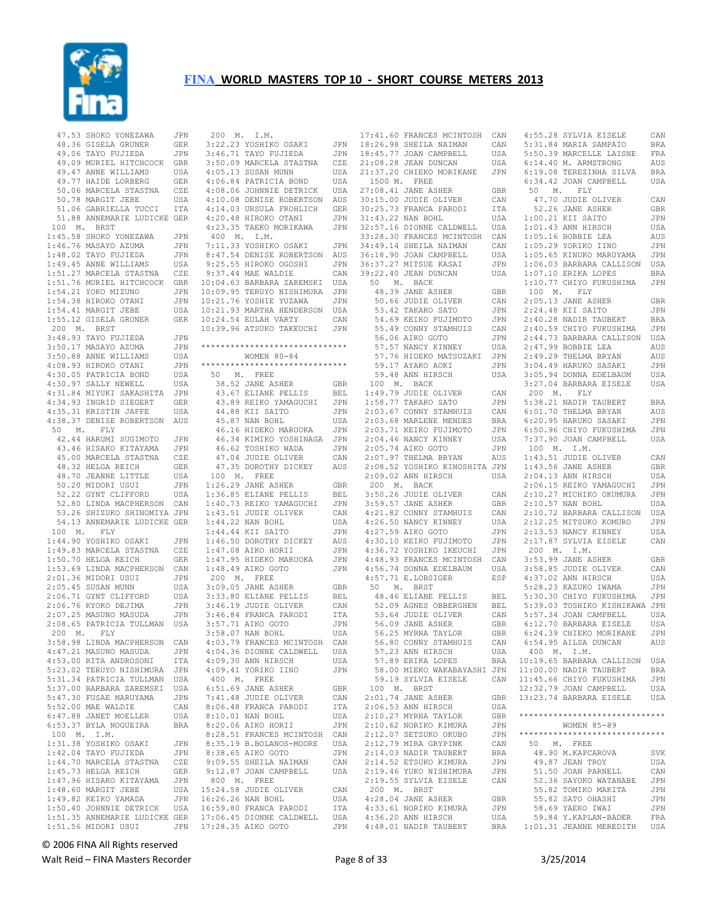

|           | 47.53 SHOKO YONEZAWA                                 | JPN        | 200 M. I.M.            |                      |
|-----------|------------------------------------------------------|------------|------------------------|----------------------|
|           | 48.36 GISELA GRUNER                                  | GER        |                        | 3:22.23 YOSHIKO OSA  |
|           |                                                      |            |                        |                      |
|           | 49.06 TAYO FUJIEDA                                   | JPN        |                        | 3:46.71 TAYO FUJIEI  |
|           | 49.09 MURIEL HITCHCOCK                               | GBR        |                        | 3:50.09 MARCELA STA  |
|           | 49.47 ANNE WILLIAMS                                  | USA        |                        | 4:05.13 SUSAN MUNN   |
|           | 49.77 HAIDE LORBERG                                  | GER        |                        | 4:06.84 PATRICIA BO  |
|           | 50.06 MARCELA STASTNA                                | CZE        |                        | 4:08.06 JOHNNIE DE'  |
|           | 50.78 MARGIT JEBE                                    | USA        |                        | 4:10.08 DENISE ROBI  |
|           |                                                      |            |                        |                      |
|           | 51.06 GABRIELLA TUCCI                                | ITA        |                        | 4:14.03 URSULA FROM  |
|           | 51.88 ANNEMARIE LUDICKE                              | GER        |                        | 4:20.48 HIROKO OTAD  |
| 100<br>М. | BRST                                                 |            |                        | 4:23.35 TAEKO MORII  |
|           | 1:45.58 SHOKO YONEZAWA                               | JPN        | 400 M.                 | I.M.                 |
|           | 1:46.76 MASAYO AZUMA                                 | JPN        |                        | 7:11.33 YOSHIKO OSA  |
|           | 1:48.02 TAYO FUJIEDA                                 | JPN        |                        | 8:47.54 DENISE ROBI  |
|           | 1:49.45 ANNE WILLIAMS                                | USA        |                        | 9:25.55 HIROKO OGO:  |
|           |                                                      |            |                        | 9:37.44 MAE WALDIE   |
|           | 1:51.27 MARCELA STASTNA                              | CZE        |                        |                      |
|           | 1:51.76 MURIEL HITCHCOCK                             | GBR        |                        | 10:04.63 BARBARA ZAI |
|           | 1:54.21 YOKO MIZUNO                                  | JPN        |                        | 10:09.95 TERUYO NISI |
|           | 1:54.38 HIROKO OTANI                                 | JPN        |                        | 10:21.76 YOSHIE YUZA |
|           | 1:54.41 MARGIT JEBE                                  | USA        |                        | 10:21.93 MARTHA HENI |
|           | 1:55.12 GISELA GRUNER                                | GER        |                        | 10:24.54 EULAH VARTY |
| 200 M.    | BRST                                                 |            |                        | 10:39.96 ATSUKO TAKI |
|           |                                                      |            |                        |                      |
|           | 3:48.93 TAYO FUJIEDA                                 | JPN        |                        |                      |
|           | 3:50.17 MASAYO AZUMA                                 | JPN        |                        | *******************  |
|           | 3:50.88 ANNE WILLIAMS                                | USA        |                        | WOMEN $80 - 8$       |
|           | 4:08.93 HIROKO OTANI                                 | JPN        |                        | ******************** |
|           | 4:30.05 PATRICIA BOND                                | USA        | 50 M.                  | FREE                 |
|           | 4:30.97 SALLY NEWELL                                 | USA        |                        | 38.52 JANE ASHER     |
|           |                                                      |            |                        |                      |
|           | 4:31.84 MIYUKI SAKASHITA                             | JPN        |                        | 43.67 ELIANE PELI    |
|           | 4:34.93 INGRID SIEGERT                               | GER        |                        | 43.89 REIKO YAMA     |
|           | 4:35.31 KRISTIN JAFFE                                | USA        | 44.88 KII              | SAITO                |
|           | 4:38.37 DENISE ROBERTSON                             | AUS        |                        | 45.87 NAN BOHL       |
| 50<br>М.  | FLY                                                  |            |                        | 46.16 HIDEKO MARU    |
|           | 42.44 HARUMI SUGIMOTO                                | JPN        |                        | 46.34 KIMIKO YOSI    |
|           | 43.46 HISAKO KITAYAMA                                | JPN        |                        | 46.62 TOSHIKO WAI    |
|           |                                                      |            |                        |                      |
|           | 45.00 MARCELA STASTNA                                | CZE        |                        | 47.04 JUDIE OLIVI    |
|           | 48.32 HELGA REICH                                    | GER        |                        | 47.35 DOROTHY DIO    |
|           | 48.70 JEANNE LITTLE                                  | USA        | 100 M.                 | FREE                 |
|           | 50.20 MIDORI USUI                                    | JPN        |                        | $1:26.29$ JANE ASHER |
|           | 52.22 GYNT CLIFFORD                                  | USA        |                        | 1:36.85 ELIANE PELI  |
|           | 52.80 LINDA MACPHERSON                               | CAN        |                        | 1:40.73 REIKO YAMA   |
|           | 53.26 SHIZUKO SHINOMIYA JPN                          |            |                        | 1:43.51 JUDIE OLIVI  |
|           |                                                      |            |                        |                      |
|           | 54.13 ANNEMARIE LUDICKE GER                          |            |                        | 1:44.22 NAN BOHL     |
| 100 M.    | FLY                                                  |            |                        | 1:44.44 KII SAITO    |
|           | 1:44.90 YOSHIKO OSAKI                                | JPN        |                        | 1:46.50 DOROTHY DIO  |
|           | 1:49.83 MARCELA STASTNA                              | CZE        |                        | 1:47.08 AIKO HORII   |
|           | 1:50.70 HELGA REICH                                  | GER        |                        | 1:47.95 HIDEKO MARU  |
|           | 1:53.69 LINDA MACPHERSON                             | CAN        |                        | 1:48.49 AIKO GOTO    |
|           | 2:01.36 MIDORI USUI                                  | JPN        | 200 M.                 | FREE                 |
|           |                                                      |            |                        |                      |
|           | 2:05.45 SUSAN MUNN                                   | USA        |                        |                      |
|           |                                                      |            |                        | 3:09.05 JANE ASHER   |
|           | 2:06.71 GYNT CLIFFORD                                | USA        |                        | 3:33.80 ELIANE PELI  |
|           | 2:06.76 KYOKO DEJIMA                                 | JPN        |                        | 3:46.19 JUDIE OLIVI  |
|           | 2:07.25 MASUNO MASUDA                                | JPN        |                        | 3:46.84 FRANCA PARO  |
|           | 2:08.65 PATRICIA TULLMAN                             | USA        |                        | 3:57.71 AIKO GOTO    |
|           |                                                      |            |                        |                      |
| 200 M.    | ${\rm FLY}$                                          |            |                        | 3:58.07 NAN BOHL     |
|           | 3:58.98 LINDA MACPHERSON                             | CAN        |                        | 4:03.79 FRANCES MC   |
|           | 4:47.21 MASUNO MASUDA                                | JPN        |                        | 4:04.36 DIONNE CALI  |
|           | 4:53.00 RITA ANDROSONI                               | ITA        |                        | 4:09.30 ANN HIRSCH   |
|           | 5:23.02 TERUYO NISHIMURA                             | JPN        |                        | 4:09.41 YORIKO IIN   |
|           | 5:31.34 PATRICIA TULLMAN                             | USA        | 400 M.                 | FREE                 |
|           | 5:37.00 BARBARA ZAREMSKI                             | USA        |                        | 6:51.69 JANE ASHER   |
|           | 5:47.30 FUSAE MARUYAMA                               |            |                        | 7:41.48 JUDIE OLIVI  |
|           |                                                      | JPN        |                        |                      |
|           | 5:52.00 MAE WALDIE                                   | CAN        |                        | 8:06.48 FRANCA PAR   |
|           | 6:47.88 JANET MOELLER                                | USA        |                        | 8:10.01 NAN BOHL     |
|           | 6:53.37 BYLA NOGUEIRA                                | <b>BRA</b> |                        | 8:20.06 AIKO HORII   |
| 100 M.    | I.M.                                                 |            |                        | 8:28.51 FRANCES MC   |
|           | 1:31.38 YOSHIKO OSAKI                                | JPN        |                        | 8:35.19 B.BOLANOS-M  |
|           | 1:42.04 TAYO FUJIEDA                                 | JPN        |                        | 8:38.65 AIKO GOTO    |
|           | 1:44.70 MARCELA STASTNA                              | CZE        |                        | 9:09.55 SHEILA NAIM  |
|           |                                                      |            |                        |                      |
|           | 1:45.73 HELGA REICH                                  | GER        |                        | 9:12.87 JOAN CAMPBI  |
|           | 1:47.96 HISAKO KITAYAMA                              | JPN        | 800 M. FREE            |                      |
|           | 1:48.60 MARGIT JEBE                                  | USA        |                        | 15:24.58 JUDIE OLIVI |
|           | 1:49.82 KEIKO YAMADA                                 | JPN        |                        | 16:26.26 NAN BOHL    |
|           | 1:50.40 JOHNNIE DETRICK                              | USA        |                        | 16:59.80 FRANCA PARO |
|           | 1:51.35 ANNEMARIE LUDICKE GER<br>1:51.56 MIDORI USUI |            | JPN 17:28.35 AIKO GOTO | 17:06.45 DIONNE CALI |

M. I.M. 3:22.23 YOSHIKO OSAKI JPN 3:46.71 TAYO FUJIEDA JPN 18:26.98 SHEILA NAIMAN CAN 18:45.77 JOAN CAMPBELL USA 3:50.09 MARCELA STASTNA CZE 21:08.28 JEAN DUNCAN USA 4:05.13 SUSAN MUNN USA 4:06.84 PATRICIA BOND USA 4:08.06 JOHNNIE DETRICK USA 08 DENISE ROBERTSON AUS 4:14.03 URSULA FROHLICH GER 4:20.48 HIROKO OTANI JPN 4:23.35 TAEKO MORIKAWA JPN 400 M. I.M. 7:11.33 YOSHIKO OSAKI JPN 54 DENISE ROBERTSON AUS 9:25.55 HIROKO OGOSHI JPN 44 MAE WALDIE 10:04.63 BARBARA ZAREMSKI USA 10:09.95 TERUYO NISHIMURA JPN 10:21.76 YOSHIE YUZAWA JPN 93 MARTHA HENDERSON USA<br>54 EULAH VARTY CAN 54 EULAH VARTY 96 ATSUKO TAKEUCHI JPN \*\*\*\*\*\*\*\*\*\*\*\*\*\*\*\*\*\*\*\*\*\*\*\*\*\*\*\*\*\* WOMEN 80-84<br>\*\*\*\*\*\*\*\*\*\*\*\*\*\*\*\*\*\*\*\*\*\*\*\* \*\*\*\*\*\*\*\*\*\*\*\*\*\*\*\*\*\*\*\*\*\*\*\*\*\*\*\*\*\* 50 M. FREE 38.52 JANE ASHER GBR 43.67 ELIANE PELLIS BEL 43.89 REIKO YAMAGUCHI JPN 44.88 KII SAITO JPN 45.87 NAN BOHL USA 46.16 HIDEKO MARUOKA JPN 46.34 KIMIKO YOSHINAGA JPN 46.62 TOSHIKO WADA JPN 47.04 JUDIE OLIVER CAN 47.35 DOROTHY DICKEY AUS 100 M. FREE 1:26.29 JANE ASHER GBR 1:36.85 ELIANE PELLIS BEL 200 M. BACK 3:50.26 JUDIE OLIVER CAN 73 REIKO YAMAGUCHI JPN<br>51 JUDIE OLIVER CAN 73 REINO INTERNATIONAL<br>51 JUDIE OLIVER 1:44.22 NAN BOHL USA 1:44.44 KII SAITO JPN 1:46.50 DOROTHY DICKEY AUS 08 AIKO HORII JPN<br>95 HIDEKO MARUOKA JPN 95 HIDEKO MARUOKA 1:48.49 AIKO GOTO JPN 200 M. FREE 3:09.05 JANE ASHER GBR 3:33.80 ELIANE PELLIS BEL 3:46.19 JUDIE OLIVER CAN 3:46.84 FRANCA PARODI ITA 3:57.71 AIKO GOTO JPN 3:58.07 NAN BOHL USA 4:03.79 FRANCES MCINTOSH CAN 36 DIONNE CALDWELL USA 4:09.30 ANN HIRSCH USA 4:09.41 YORIKO IINO JPN M. FREE 69 JANE ASHER GBR 7:41.48 JUDIE OLIVER CAN 8:06.48 FRANCA PARODI ITA 8:10.01 NAN BOHL USA 06 AIKO HORII 51 FRANCES MCINTOSH CAN 8:35.19 B.BOLANOS-MOORE USA 8:38.65 AIKO GOTO JPN 9:09.55 SHEILA NAIMAN CAN 99 SHEEHH HIHHHH USH USH 800 M. FREE 158 JUDIE OLIVER CAN<br>26 NAN ROHL CUSA 26 NAN BOHL 80 FRANCA PARODI ITA<br>45 DIONNE CALDWELL USA 45 DIONNE CALDWELL

17:41.60 FRANCES MCINTOSH CAN 4:55.28 SYLVIA EISELE CAN 21:37.20 CHIEKO MORIKANE JPN 1500 M. FREE 27:08.41 JANE ASHER GBR<br>30:15.00 JUDIE OLIVER CAN<br>30:25.73 FRANCA PARODI ITA<br>31:43.22 NAN BOHL USA<br>32:57.16 DIONNE CALDWELL USA 33:28.30 FRANCES MCINTOSH CAN 1:05.16 BOBBIE LEA AUS 34:49.14 SHEILA NAIMAN CAN 36:18.90 JOAN CAMPBELL USA 36:37.27 MITSUE KASAI JPN 39:22.40 JEAN DUNCAN USA 50 M. BACK 48.39 JANE ASHER GBR 50.66 JUDIE OLIVER CAN 53.42 TAKAKO SATO JPN 54.69 KEIKO FUJIMOTO JPN 55.49 CONNY STAMHUIS CAN 56.06 AIKO GOTO JPN 2:40.59 CHIYO FUKUSHIMA JPN 2:44.73 BARBARA CALLISON USA 57.57 NANCY KINNEY USA 2:47.99 BOBBIE LEA AUS 57.76 HIDEKO MATSUZAKI JPN 59.17 AYAKO AOKI JPN 59.48 ANN HIRSCH USA 100 M. BACK 1:49.79 JUDIE OLIVER CAN 1:58.77 TAKAKO SATO JPN 2:03.67 CONNY STAMHUIS CAN 2:03.68 MARLENE MENDES BRA 2:03.71 KEIKO FUJIMOTO JPN 2:04.46 NANCY KINNEY USA 6:50.96 CHIYO FUKUSHIMA JPN 7:37.90 JOAN CAMPBELL USA 2:05.74 AIKO GOTO JPN 2:07.97 THELMA BRYAN AUS 1:43.51 JUDIE OLIVER CAN 2:08.52 YOSHIKO KINOSHITA JPN 2:09.02 ANN HIRSCH USA 2:04.13 ANN HIRSCH 2:09.02 ANN HIRSCH USA 2:04.13 ANN HIRSCH 3:59.57 JANE ASHER GBR 4:21.82 CONNY STAMHUIS CAN 4:26.50 NANCY KINNEY USA 4:27.59 AIKO GOTO JPN 4:30.10 KEIKO FUJIMOTO JPN 4:36.72 YOSHIKO IKEUCHI JPN 4:48.93 FRANCES MCINTOSH CAN 4:56.74 DONNA EDELBAUM USA 3:58.85 JUDIE OLIVER CAN 4:57.71 E.LOBSIGER ESP 50 M. BRST<br>48.46 ELIANE PELLIS BEL 48.46 ELIANE PELLIS BEL 52.09 AGNES OBBERGHEN BEL 53.64 JUDIE OLIVER CAN 52.09 ASHER<br>53.64 JUDIE OLIVER<br>56.09 JANE ASHER 56.25 MYRNA TAYLOR GBR 56.80 CONNY STAMHUIS CAN 6:24.39 CHIEKO MORIKANE JPN 6:54.95 AILSA DUNCAN AUS 57.23 ANN HIRSCH USA 57.89 ERIKA LOPES BRA 58.00 MIEKO WAKABAYASHI JPN 59.19 SYLVIA EISELE CAN 11:00.00 NADIR TAUBERT BRA 11:45.66 CHIYO FUKUSHIMA JPN 100 M. BRST 2:01.74 JANE ASHER GBR 2:06.53 ANN HIRSCH USA 2:10.27 MYRNA TAYLOR GBR<br>2:10.62 NORIKO KIMURA JPN  $2:10.62$  NORIKO KIMURA 2:12.07 SETSUKO OKUBO 2:12.79 MIRA GRYPINK CAN<br>2:14 03 NADIR TAURERT RRA 2:14.03 NADIR TAUBERT BRA<br>2:14.52 ETSUKO KIMURA JPN 2:14.52 ETSUKO KIMURA JPN<br>2:19.46 YUKO NISHIMURA JPN  $2:19.46$  YUKO NISHIMURA 2:19.55 SYLVIA EISELE CAN 200 M. BRST 4:28.04 JANE ASHER GBR 4:33.61 NORIKO KIMURA JPN 4:36.20 ANN HIRSCH USA 4:48.01 NADIR TAUBERT BRA

CAN 5:31.84 MARIA SAMPAIO BRA<br>USA 5:50.39 MARCELLE LAISNE FRA<br>CAN 5:50.39 MARCELLE LAISNE FRA 5:50.39 MARCELLE LAISNE FRA 6:14.40 M. ARMSTRONG AUS 6:19.08 TEREZINHA SILVA BRA 6:34.42 JOAN CAMPBELL USA 50 M. FLY 47.70 JUDIE OLIVER CAN 52.26 JANE ASHER GBR 1:00.21 KII SAITO JPN 1:01.43 ANN HIRSCH USA 1:05.29 YORIKO IINO JPN 1:05.65 KINUKO MARUYAMA JPN 1:06.03 BARBARA CALLISON USA 1:07.10 ERIKA LOPES BRA 1:10.77 CHIYO FUKUSHIMA JPN 100 M. FLY<br>2:05.13 JANE ASHER 2:05.13 JANE ASHER GBR 2:24.48 KII SAITO JPN 2:40.28 NADIR TAUBERT BRA 2:49.29 THELMA BRYAN AUS 3:04.49 HARUKO SASAKI JPN 3:05.94 DONNA EDELBAUM USA 3:27.04 BARBARA EISELE 200 M. FLY 5:38.21 NADIR TAUBERT BRA 6:01.70 THELMA BRYAN AUS 6:20.95 HARUKO SASAKI JPN 100 M. I.M. 1:43.56 JANE ASHER GBR 2:04.13 ANN HIRSCH USA 2:06.15 REIKO YAMAGUCHI JPN 2:10.27 MICHIKO OKUMURA JPN 2:10.57 NAN BOHL USA 2:10.72 BARBARA CALLISON USA 2:12.25 MITSUKO KOMURO JPN 2:13.53 NANCY KINNEY USA 2:17.87 SYLVIA EISELE CAN 200 M. I.M. 3:53.99 JANE ASHER GBR 4:37.02 ANN HIRSCH USA 5:28.23 KAZUKO IWAMA JPN<br>5:30.30 CHIYO FUKUSHIMA JPN 5:30.30 CHIYO FUKUSHIMA JPN 5:39.03 TOSHIKO KISHIKAWA JPN 5:57.34 JOAN CAMPBELL USA 6:12.70 BARBARA EISELE USA 400 M. I.M. 10:19.65 BARBARA CALLISON USA<br>10:19.65 BARBARA CALLISON USA<br>11:00.00 NADIR TAURERT RRA 12:32.79 JOAN CAMPBELL USA 13:23.74 BARBARA EISELE USA \*\*\*\*\*\*\*\*\*\*\*\*\*\*\*\*\*\*\*\*\*\*\*\*\*\*\*\*\*\* WOMEN 85-89 \*\*\*\*\*\*\*\*\*\*\*\*\*\*\*\*\*\*\*\*\*\*\*\*\*\*\*\*\*\* 50 M. FREE 48.90 M.KAPCAROVA SVK 49.87 JEAN TROY USA **51.50 JOAN PARNELL CAN**<br>52.36 SAYOKO WATANARE JPN 52.36 SAYOKO WATANABE JPN<br>55.82 TOMIKO MAKITA JPN 55.82 TOMIKO MAKITA JPN<br>55.82 SATO OHASHI JPN  $55.82$  SATO OHASHI 58.69 YAEKO IWAI JPN 59.84 Y.KAPLAN-BADER FRA 1:01.31 JEANNE MEREDITH USA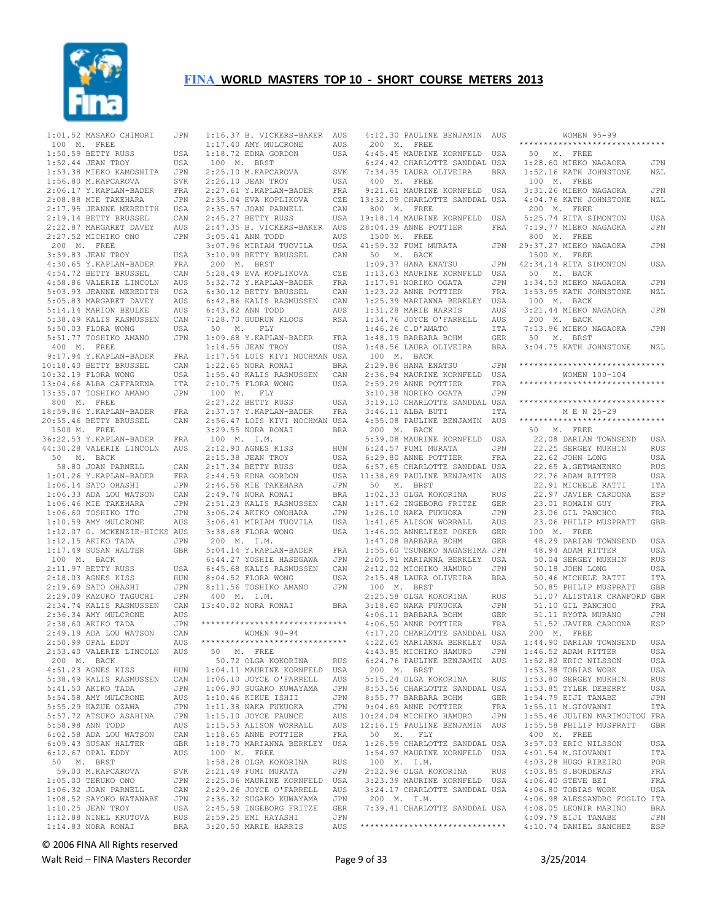

 1:01.52 MASAKO CHIMORI JPN 100 M. FREE 1:50.59 BETTY RUSS USA 1:52.44 JEAN TROY USA 1:53.38 MIEKO KAMOSHITA JPN 1:56.80 M.KAPCAROVA SVK<br>2:06.17 Y.KAPLAN-BADER FRA  $2:06.17$  Y.KAPLAN-BADER 2:08.88 MIE TAKEHARA JPN<br>2:17.95 JEANNE MEREDITH USA 2:17.95 JEANNE MEREDITH 2:19.14 BETTY BRUSSEL CAN 2:22.87 MARGARET DAVEY AUS<br>2:27.52 MICHIKO ONO JPN 2:27.52 MICHIKO ONO 200 M. FREE 3:59.83 JEAN TROY USA 4:30.65 Y.KAPLAN-BADER FRA<br>4:54.72 BETTY BRUSSEL CAN 4:54.72 BETTY BRUSSEL CAN 4:58.86 VALERIE LINCOLN AUS 5:03.93 JEANNE MEREDITH USA 5:05.83 MARGARET DAVEY AUS 5:14.14 MARION BEULKE AUS<br>5:38.49 KALIS RASMUSSEN CAN 5:38.49 KALIS RASMUSSEN CAN 5:50.03 FLORA WONG USA<br>5:51.77 TOSHIKO AMANO JPN 5:51.77 TOSHIKO AMANO 400 M. FREE 9:17.94 Y.KAPLAN-BADER FRA<br>0:18.40 BETTY BRUSSEL CAN 10:18.40 BETTY BRUSSEL CAN 10:32.19 FLORA WONG USA<br>13:04.66 ALBA CAFFARENA ITA  $13:04.66$  ALBA CAFFARENA 13:35.07 TOSHIKO AMANO JPN 800 M. FREE 18:59.86 Y.KAPLAN-BADER FRA 20:55.46 BETTY BRUSSEL CAN 1500 M. FREE 36:22.53 Y.KAPLAN-BADER FRA<br>44:30.28 VALERIE LINCOLN AUS 44:30.28 VALERIE LINCOLN AUS 50 M. BACK 58.80 JOAN PARNELL CAN 1:01.26 Y.KAPLAN-BADER FRA<br>1:06.14 SATO OHASHI JPN 1:06.14 SATO OHASHI JPN<br>1:06.33 ADA LOU WATSON CAN 1:06.33 ADA LOU WATSON CAN<br>1:06.46 MTE TAKEHARA JPN 1:06.46 MIE TAKEHARA JPN<br>1:06.60 TOSHIKO ITO JPN  $1:06.60$  TOSHIKO ITO 1:10.59 AMY MULCRONE AUS 1:12.07 G. MCKENZIE-HICKS AUS 1:12.15 AKIKO TADA JPN 1:17.49 SUSAN HALTER GBR 100 M. BACK 2:11.97 BETTY RUSS USA<br>2:18.03 AGNES KISS HUN  $2:18.03$  AGNES KISS 2:19.69 SATO OHASHI JPN<br>2:29.09 KAZUKO TAGUCHI JPN 2:29.09 KAZUKO TAGUCHI 2:34.74 KALIS RASMUSSEN CAN 2:36.34 AMY MULCRONE AUS 2:38.60 AKIKO TADA JPN<br>2:49.19 ADA LOU WATSON CAN 2:49.19 ADA LOU WATSON CAN<br>2:50.99 OPAL EDDY AUS 2:50.99 OPAL EDDY 2:53.40 VALERIE LINCOLN AUS<br>200 M. BACK 200 M. BACK 4:51.23 AGNES KISS HUN 5:38.49 KALIS RASMUSSEN CAN 5:41.50 AKIKO TADA JPN<br>5:54.58 AMY MULCRONE AUS 5:54.58 AMY MULCRONE AUS<br>5:55.29 KAZUE OZAWA JPN  $5:55.29$  KAZUE OZAWA 5:57.72 ATSUKO ASAHINA JPN<br>5:58.98 ANN TODD  $5:58.98$  ANN TODD 6:02.58 ADA LOU WATSON CAN 6:09.43 SUSAN HALTER GBR 6:12.67 OPAL EDDY AUS 50 M. BRST 59.00 M.KAPCAROVA SVK 1:05.00 TERUKO ONO JPN<br>1:06.32 JOAN PARNELL CAN 1:06.32 JOAN PARNELL CAN<br>1:08.52 SAYOKO WATANABE JPN  $1:08.52$  SAYOKO WATANABE 1:10.25 JEAN TROY USA<br>1·12 88 NINEL KRUTOVA RUS 1:12.88 NINEL KRUTOVA  $1:14.83$  NORA RONAI

 1:16.37 B. VICKERS-BAKER AUS 1:17.40 AMY MULCRONE AUS 1:18.72 EDNA GORDON USA 100 M. BRST 2:25.10 M.KAPCAROVA SVK 2:26.10 JEAN TROY USA<br>2:27.61 Y.KAPLAN-BADER FRA  $2:27.61$  Y.KAPLAN-BADER 2:35.04 EVA KOPLIKOVA CZE<br>2:35.57 JOAN PARNELL CAN  $2:35.57$  JOAN PARNELL 2:45.27 BETTY RUSS USA 2:47.35 B. VICKERS-BAKER AUS 3:05.41 ANN TODD AUS 3:07.96 MIRIAM TUOVILA USA 3:10.99 BETTY BRUSSEL CAN 200 M. BRST 5:28.49 EVA KOPLIKOVA CZE 5:32.72 Y.KAPLAN-BADER FRA 6:30.12 BETTY BRUSSEL CAN 6:42.86 KALIS RASMUSSEN CAN 6:43.82 ANN TODD AUS 7:28.70 GUDRUN KLOOS RSA 50 M. FLY 1:09.68 Y.KAPLAN-BADER FRA 1:14.55 JEAN TROY USA 1:17.54 LOIS KIVI NOCHMAN USA  $1:22.65$  NORA RONAI 1:55.40 KALIS RASMUSSEN CAN  $2:10.75$  FLORA WONG 100 M. FLY 2:27.22 BETTY RUSS USA 2:37.57 Y.KAPLAN-BADER FRA 2:56.47 LOIS KIVI NOCHMAN USA 3:29.55 NORA RONAI BRA 100 M. I.M. 2:12.90 AGNES KISS HUN 2:15.38 JEAN TROY USA 2:17.34 BETTY RUSS USA 2:44.59 EDNA GORDON USA  $2:46.56$  MIE TAKEHARA 2:49.74 NORA RONAI BRA<br>2:51.23 KALIS RASMUSSEN CAN 2:51.23 KALIS RASMUSSEN CAN<br>3:06.24 AKIKO ONOHARA JPN  $3:06.24$  AKIKO ONOHARA 3:06.41 MIRIAM TUOVILA USA<br>3:38.68 FLORA WONG USA 3:38.68 FLORA WONG 200 M. I.M. 5:04.14 Y.KAPLAN-BADER FRA  $6:44.27$  YOSHIE HASEGAWA 6:45.68 KALIS RASMUSSEN CAN 8:04.52 FLORA WONG USA 8:11.56 TOSHIKO AMANO JPN 400 M. I.M. 13:40.02 NORA RONAI BRA \*\*\*\*\*\*\*\*\*\*\*\*\*\*\*\*\*\*\*\*\*\*\*\*\*\*\*\*\*\* WOMEN 90-94 \*\*\*\*\*\*\*\*\*\*\*\*\*\*\*\*\*\*\*\*\*\*\*\*\*\*\*\*\*\* 50 M. FREE 50.72 OLGA KOKORINA RUS 1:04.11 MAURINE KORNFELD USA 1:06.10 JOYCE O'FARRELL AUS  $1:06.90$  SUGAKO KUWAYAMA 1:10.46 KIKUE ISHII JPN<br>1:11.38 NAKA FUKUOKA JPN  $1:11.38$  NAKA FUKUOKA 1:15.10 JOYCE FAUNCE AUS 1:15.53 ALISON WORRALL AUS 1:18.65 ANNE POTTIER FRA 1:18.70 MARIANNA BERKLEY USA 100 M. FREE 1:58.28 OLGA KOKORINA RUS 2:21.49 FUMI MURATA JPN<br>2:25.06 MAURINE KORNFELD USA 2:25.06 MAURINE KORNFELD USA 2:29.26 JOYCE O'FARRELL AUS 2:36.32 SUGAKO KUWAYAMA JPN 2:45.59 INGEBORG FRITZE GER  $2:59.25$  EMI HAYASHI BRA 3:20.50 MARIE HARRIS

 4:12.30 PAULINE BENJAMIN AUS 200 M. FREE 4:45.45 MAURINE KORNFELD USA 6:24.42 CHARLOTTE SANDDAL USA 7:34.35 LAURA OLIVEIRA BRA 400 M. FREE 9:21.61 MAURINE KORNFELD USA 13:32.09 CHARLOTTE SANDDAL USA 800 M. FREE 19:18.14 MAURINE KORNFELD USA 28:04.39 ANNE POTTIER FRA 1500 M. FREE  $41:59.32$  FUMI MURATA 50 M. BACK  $1:09.37$  HANA ENATSU 1:13.63 MAURINE KORNFELD USA 1:17.91 NORIKO OGATA JPN 1:23.22 ANNE POTTIER FRA 1:25.39 MARIANNA BERKLEY USA<br>1:31.28 MARIE HARRIS AUS 1:31.28 MARIE HARRIS AUS<br>1:34.76 JOYCE O'FARRELL AUS 1:34.76 JOYCE O'FARRELL AUS 1:46.26 C.D'AMATO ITA 1:48.19 BARBARA BOHM GER 1:48.56 LAURA OLIVEIRA<br>100 M. BACK 100 M. BACK<br>2:29.86 HANA ENATSU 2:29.86 HANA ENATSU JPN 2:36.94 MAURINE KORNFELD USA 2:59.29 ANNE POTTIER FRA 3:10.38 NORIKO OGATA JPN 3:19.10 CHARLOTTE SANDDAL USA 3:46.11 ALBA BUTI ITA 200 M. BACK 5:39.08 MAURINE KORNFELD USA 6:57.65 CHARLOTTE SANDDAL USA 50 M. BRST 1:02.33 OLGA KOKORINA RUS 1:17.62 INGEBORG FRITZE GER 1:26.10 NAKA FUKUOKA JPN 1:41.65 ALISON WORRALL AUS 1:46.00 ANNELIESE POKER GER 100 M. FREE 1:47.08 BARBARA BOHM GER 1:55.60 TSUNEKO NAGASHIMA JPN 2:05.91 MARIANNA BERKLEY USA 2:12.02 MICHIKO HAMURO JPN<br>2:15.48 LAURA OLIVEIRA BRA 2:15.48 LAURA OLIVEIRA 100 M. BRST<br>2:25.58 OLGA KOKORINA RUS<br>3:18.60 NAKA FUKUOKA JPN 2:25.58 OLGA KOKORINA RUS 3:18.60 NAKA FUKUOKA JPN 4:06.11 BARBARA BOHM GER 4:06.50 ANNE POTTIER FRA 200 M. BRST 5:15.24 OLGA KOKORINA RUS 8:53.56 CHARLOTTE SANDDAL USA 8:55.77 BARBARA BOHM GER<br>9:04.69 ANNE POTTIER FRA 9:04.69 ANNE POTTIER 10:24.04 MICHIKO HAMURO JPN 12:16.15 PAULINE BENJAMIN AUS 50 M. FLY 1:26.59 CHARLOTTE SANDDAL USA 1:54.97 MAURINE KORNFELD USA 100 M. I.M. 2:22.96 OLGA KOKORINA RUS 200 M. I.M.

 4:55.08 PAULINE BENJAMIN AUS \*\*\*\*\*\*\*\*\*\*\*\*\*\*\*\*\*\*\*\*\*\*\*\*\*\*\*\*\*\* 6:24.57 FUMI MURATA JPN 6:29.80 ANNE POTTIER FRA 22.62 JOHN LONG USA 11:38.69 PAULINE BENJAMIN AUS 22.76 ADAM RITTER USA 4:17.20 CHARLOTTE SANDDAL USA 4:22.65 MARIANNA BERKLEY USA 200 M. FREE 1:44.90 DARIAN TOWNSEND USA 4:43.85 MICHIKO HAMURO JPN 6:24.76 PAULINE BENJAMIN AUS 1:46.52 ADAM RITTER USA 1:52.82 ERIC NILSSON USA 3:23.39 MAURINE KORNFELD USA 3:24.17 CHARLOTTE SANDDAL USA 4:06.40 STEVE BEI FRA 4:06.80 TOBIAS WORK USA 7:39.41 CHARLOTTE SANDDAL USA 4:08.05 LEONIR MARINO BRA \*\*\*\*\*\*\*\*\*\*\*\*\*\*\*\*\*\*\*\*\*\*\*\*\*\*\*\*\*\* 4:10.74 DANIEL SANCHEZ ESP WOMEN 95-99 \*\*\*\*\*\*\*\*\*\*\*\*\*\*\*\*\*\*\*\*\*\*\*\*\*\*\*\*\*\* 50 M. FREE 1:28.60 MIEKO NAGAOKA JPN 1:52.16 KATH JOHNSTONE NZL 100 M. FREE 3:31.26 MIEKO NAGAOKA JPN 4:04.76 KATH JOHNSTONE NZL 200 M. FREE 5:25.74 RITA SIMONTON USA 7:19.77 MIEKO NAGAOKA JPN 800 M. FREE 29:37.27 MIEKO NAGAOKA JPN 1500 M. FREE JPN 42:34.14 RITA SIMONTON USA 50 M. BACK 1:34.53 MIEKO NAGAOKA JPN 1:53.95 KATH JOHNSTONE NZL 100 M. BACK 3:21.44 MIEKO NAGAOKA JPN 200 M. BACK 7:13.96 MIEKO NAGAOKA JPN 50 M. BRST 3:04.75 KATH JOHNSTONE NZL \*\*\*\*\*\*\*\*\*\*\*\*\*\*\*\*\*\*\*\*\*\*\*\*\*\*\*\* \*\*\*\*\*\*\*\*\*\*\*\*\*\*\*\*\*\*\*\*\*\*\*\*\*\*\*\*\*\* WOMEN 100-104 \*\*\*\*\*\*\*\*\*\*\*\*\*\*\*\*\*\*\*\*\*\*\*\*\*\*\*\*\*\* \*\*\*\*\*\*\*\*\*\*\*\*\*\*\*\*\*\*\*\*\*\*\*\*\*\*\*\*\*\* M E N 25-29 50 M. FREE 22.08 DARIAN TOWNSEND USA 22.25 SERGEY MUKHIN 22.65 A.GETMANENKO RUS 22.91 MICHELE RATTI ITA 22.97 JAVIER CARDONA ESP 23.01 ROMAIN GUY FRA 23.06 GIL PANCHOO FRA 23.06 PHILIP MUSPRATT GBR 48.29 DARIAN TOWNSEND USA 48.94 ADAM RITTER USA<br>50.04 SERGEY MUKHIN RUS 50.04 SERGEY MUKHIN RUS 50.18 JOHN LONG USA<br>50.46 MICHELE RATTI ITA 50.46 MICHELE RATTI 50.85 PHILIP MUSPRATT GBR 51.07 ALISTAIR CRAWFORD GBR 51.10 GIL PANCHOO FRA 51.11 RYOTA MURANO JPN 51.52 JAVIER CARDONA ESP 1:53.38 TOBIAS WORK USA 1:53.80 SERGEY MUKHIN RUS<br>1:53.85 TYLER DEBERRY USA  $1:53.85$  TYLER DEBERRY 1:54.79 EIJI TANABE JPN 1:55.11 M.GIOVANNI ITA 1:55.46 JULIEN MARIMOUTOU FRA 1:55.58 PHILIP MUSPRATT GBR 400 M. FREE 3:57.03 ERIC NILSSON USA<br>4:01 54 M GIOVANNI TTA 4:01.54 M.GIOVANNI 4:03.28 HUGO RIBEIRO POR 4:03.85 S.BORDERAS FRA 4:06.98 ALESSANDRO FOGLIO ITA 4:09.79 EIJI TANABE JPN

© 2006 FINA All Rights reserved

Walt Reid – FINA Masters Recorder **Page 9 of 33** 25/2014 Page 9 of 33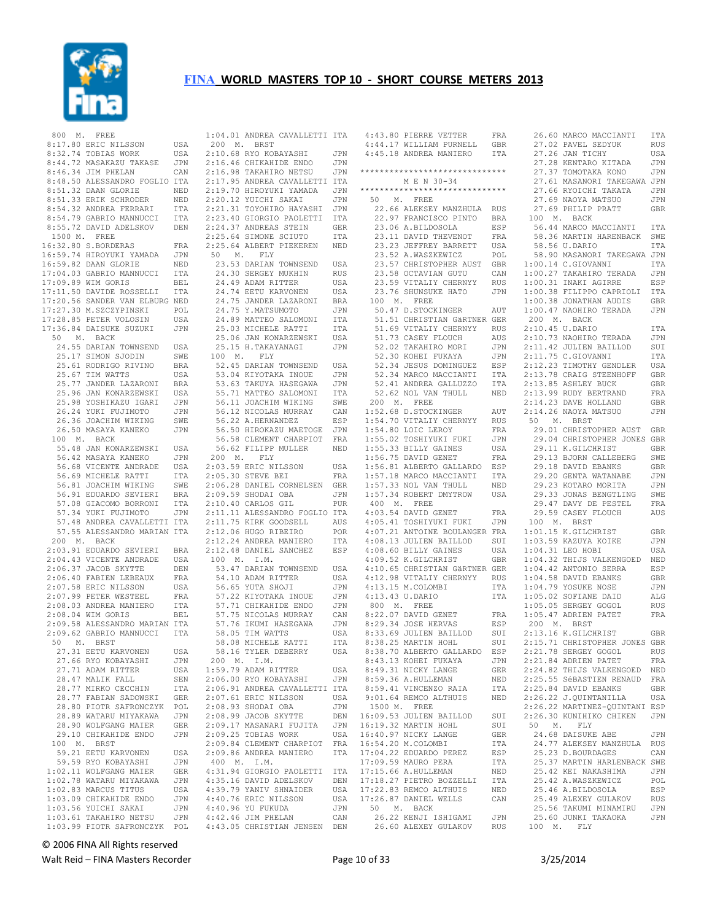

 800 M. FREE 8:17.80 ERIC NILSSON USA 8:32.74 TOBIAS WORK USA 8:44.72 MASAKAZU TAKASE JPN 8:46.34 JIM PHELAN CAN 8:48.50 ALESSANDRO FOGLIO ITA<br>8:51.32 DAAN GLORIE NED 8:51.32 DAAN GLORIE 8:51.33 ERIK SCHRODER NED<br>8:54.32 ANDREA FERRARI ITA 8:54.32 ANDREA FERRARI 8:54.79 GABRIO MANNUCCI ITA 8:55.72 DAVID ADELSKOV DEN 1500 M. FREE 16:32.80 S.BORDERAS FRA 16:59.74 HIROYUKI YAMADA JPN 16:59.82 DAAN GLORIE NED<br>17:04.03 GABRIO MANNUCCI TTA 17:04.03 GABRIO MANNUCCI 17:09.89 WIM GORIS BEL 17:11.50 DAVIDE ROSSELLI ITA 17:20.56 SANDER VAN ELBURG NED 17:27.30 M.SZCZYPINSKI POL<br>17:28.85 PETER VOLOSIN USA 17:28.85 PETER VOLOSIN USA 17:36.84 DAISUKE SUZUKI JPN<br>50 M. BACK 50 M. BACK 24.55 DARIAN TOWNSEND USA<br>25.17 SIMON SJODIN SWE 25.17 SIMON SJODIN SWE<br>25.61 RODRIGO RIVINO BRA 25.61 RODRIGO RIVINO 25.67 TIM WATTS USA<br>25.77 JANDER LAZARONI BRA 25.77 JANDER LAZARONI 25.96 JAN KONARZEWSKI USA<br>25.98 YOSHIKAZU IGARI JPN 25.98 YOSHIKAZU IGARI 26.24 YUKI FUJIMOTO JPN 26.36 JOACHIM WIKING SWE<br>26.50 MASAYA KANEKO JPN 26.50 MASAYA KANEKO 100 M. BACK 55.48 JAN KONARZEWSKI USA 56.42 MASAYA KANEKO JPN<br>56.68 VICENTE ANDRADE USA 56.68 VICENTE ANDRADE 56.69 MICHELE RATTI ITA 56.81 JOACHIM WIKING SWE<br>56.91 EDUARDO SEVIERI BRA 56.91 EDUARDO SEVIERI BRA<br>57.08 GIACOMO BORRONI ITA 57.08 GIACOMO BORRONI ITA<br>57.34 YUKI FUJIMOTO JPN 57.34 YUKI FUJIMOTO 57.48 ANDREA CAVALLETTI ITA 57.55 ALESSANDRO MARIAN ITA 200 M. BACK 2:03.91 EDUARDO SEVIERI BRA<br>2:04.43 VICENTE ANDRADE USA 2:04.43 VICENTE ANDRADE 2:06.37 JACOB SKYTTE DEN<br>2:06.40 FABIEN LEBEAUX FRA  $2:06.40$  FABIEN LEBEAUX 2:07.58 ERIC NILSSON USA 2:07.99 PETER WESTEEL FRA 2:08.03 ANDREA MANIERO ITA 2:08.04 WIM GORIS BEL 2:09.58 ALESSANDRO MARIAN ITA 2:09.62 GABRIO MANNUCCI ITA 50 M. BRST 27.31 EETU KARVONEN USA<br>27.66 RYO KOBAYASHI JPN 27.66 RYO KOBAYASHI JPN  $27.71$  ADAM RITTER 28.47 MALIK FALL SEN<br>28.77 MIRKO CECCHIN ITA 28.77 MIRKO CECCHIN 28.77 FABIAN SADOWSKI GER 28.80 PIOTR SAFRONCZYK POL 28.89 WATARU MIYAKAWA JPN<br>28.90 WOLFGANG MATER GER 28.90 WOLFGANG MAIER GER 29.10 CHIKAHIDE ENDO JPN 100 M. BRST 59.21 EETU KARVONEN USA<br>59.59 RYO KOBAYASHI JPN 59.59 RYO KOBAYASHI 1:02.11 WOLFGANG MAIER GER<br>1:02.78 WATARII MIYAKAWA JPN  $1:02.78$  WATARU MIYAKAWA 1:02.83 MARCUS TITUS USA<br>1:03.09 CHIKAHIDE ENDO JPN  $1:03.09$  CHIKAHIDE ENDO

 1:03.99 PIOTR SAFRONCZYK POL 4:43.05 CHRISTIAN JENSEN DEN 1:04.01 ANDREA CAVALLETTI ITA 4:43.80 PIERRE VETTER FRA 200 M. BRST 2:10.68 RYO KOBAYASHI JPN 2:16.46 CHIKAHIDE ENDO JPN 2:16.98 TAKAHIRO NETSU JPN 2:17.95 ANDREA CAVALLETTI ITA 2:19.70 HIROYUKI YAMADA JPN 2:20.12 YUICHI SAKAI JPN<br>2:21.31 TOYOHIRO HAYASHI JPN  $2:21.31$  TOYOHIRO HAYASHI 2:23.40 GIORGIO PAOLETTI ITA 2:24.37 ANDREAS STEIN GER 2:25.64 SIMONE SCIUTO ITA 2:25.64 ALBERT PIEKEREN NED 50 M. FLY 23.53 DARIAN TOWNSEND USA 24.30 SERGEY MUKHIN RUS 24.49 ADAM RITTER USA 24.74 EETU KARVONEN USA 24.75 JANDER LAZARONI BRA 24.75 Y.MATSUMOTO JPN<br>24.89 MATTEO SALOMONI TTA 24.89 MATTEO SALOMONI 25.03 MICHELE RATTI ITA 25.06 JAN KONARZEWSKI 25.15 H.TAKAYANAGI JPN<br>100 M. FLY 100 M. 52.45 DARIAN TOWNSEND USA 53.04 KIYOTAKA INOUE JPN<br>53.63 TAKUYA HASEGAWA JPN 53.63 TAKUYA HASEGAWA 55.71 MATTEO SALOMONI ITA 56.11 JOACHIM WIKING SWE 56.12 NICOLAS MURRAY CAN 56.22 A.HERNANDEZ ESP 56.50 HIROKAZU MAETOGE JPN 56.58 CLEMENT CHARPIOT FRA 56.62 FILIPP MULLER NED  $200$  M. FLY 2:03.59 ERIC NILSSON USA 2:05.30 STEVE BEI FRA 2:06.28 DANIEL CORNELSEN GER<br>2:09.59 SHODAI OBA JPN 2:09.59 SHODAI OBA JPN<br>2:10.40 CARLOS GIL PUR  $2:10.40$  CARLOS GIL 2:11.11 ALESSANDRO FOGLIO ITA 2:11.75 KIRK GOODSELL AUS<br>2:12.06 HUGO RIBEIRO POR 2:12.06 HUGO RIBEIRO POR 2:12.24 ANDREA MANIERO 2:12.24 ANDREA PERMITTENS TELL THE CONTROL OF THE 2:12.48 DANIEL SANCHEZ ESP 4:08.60 BILLY GAINES 100 M. I.M. 100 m. 1.m.<br>53.47 DARIAN TOWNSEND - USA<br>54.10 ADAM RITTER - USA  $54.10$  ADAM RITTER 56.65 YUTA SHOJI JPN<br>57.22 KIYOTAKA INOUE JPN 57.22 KIYOTAKA INOUE 57.71 CHIKAHIDE ENDO JPN 57.75 NICOLAS MURRAY CAN<br>57.76 IKUMI HASEGAWA JPN 57.76 IKUMI HASEGAWA 58.05 TIM WATTS USA 58.08 MICHELE RATTI ITA 58.16 TYLER DEBERRY USA 200 M. I.M. 1:59.79 ADAM RITTER USA 2:06.00 RYO KOBAYASHI JPN 2:06.91 ANDREA CAVALLETTI ITA 2:07.61 ERIC NILSSON USA<br>2:08.93 SHODAI OBA JPN  $2:08.93$  SHODAI OBA 2:08.99 JACOB SKYTTE DEN<br>2:09.17 MASANARI FUJITA JPN 2:09.17 MASANARI FUJITA  $2:09.25$  TOBIAS WORK 2:09.84 CLEMENT CHARPIOT FRA 2:09.86 ANDREA MANIERO ITA 400 M. I.M. 4:31.94 GIORGIO PAOLETTI ITA 4:35.16 DAVID ADELSKOV DEN 4:39.79 YANIV SHNAIDER USA 4:40.76 ERIC NILSSON USA 4:40.96 YU FUKUDA JPN 4:42.46 JIM PHELAN CAN

 4:44.17 WILLIAM PURNELL GBR 27.02 PAVEL SEDYUK RUS 4:45.18 ANDREA MANIERO ITA \*\*\*\*\*\*\*\*\*\*\*\*\*\*\*\*\*\*\*\*\*\*\*\*\*\*\*\*\*\* M E N 30-34 \*\*\*\*\*\*\*\*\*\*\*\*\*\*\*\*\*\*\*\*\*\*\*\*\*\*\*\*\*\* 50 M. FREE<br>22.66 ALEKSEY MANZHULA RUS 22.66 ALEKSEY MANZHULA RUS 22.97 FRANCISCO PINTO BRA 23.06 A.BILDOSOLA ESP 23.11 DAVID THEVENOT FRA 23.11 DAVID THEVENOT FRA<br>23.23 JEFFREY BARRETT USA 23.52 A.WASZKEWICZ<br>23.52 A.WASZKEWICZ<br>23.57 CHRISTOPHER AUST<br>23.58 OCTAVIAN GUTU 23.57 CHRISTOPHER AUST GBR<br>23.58 OCTAVIAN GUTU – CAN<br>23.59 VITALIY CHERNYY RUS<br>23.76 SHUNSUKE HATO – JPN 100 M. FREE 50.47 D.STOCKINGER AUT 51.51 CHRISTIAN GäRTNER GER 51.69 VITALIY CHERNYY RUS<br>51.73 CASEY FLOUCH AUS 51.73 CASEY FLOUCH AUS 52.02 TAKAHIRO MORI 52.30 KOHEI FUKAYA 52.34 JESUS DOMINGUEZ 52.34 MARCO MACCIANTI ITA 52.41 ANDREA GALLUZZO ITA 52.62 NOL VAN THULL NED 200 M. FREE 1:52.68 D.STOCKINGER AUT 1:54.70 VITALIY CHERNYY RUS 50 M. BRST 1:54.80 LOIC LEROY FRA 1:55.02 TOSHIYUKI FUKI JPN<br>1:55.33 BILLY GAINES USA  $1:55.33$  BILLY GAINES 1:56.75 DAVID GENET FRA<br>1:56.81 ALBERTO GALLARDO ESP 1:56.81 ALBERTO GALLARDO 1:57.18 MARCO MACCIANTI ITA 1:57.33 NOL VAN THULL NED 1:57.34 ROBERT DMYTROW USA 400 M. FREE 4:03.54 DAVID GENET FRA 4:05.41 TOSHIYUKI FUKI JPN 4:07.21 ANTOINE BOULANGER FRA 4:08.13 JULIEN BAILLOD SUI 4:08.60 BILLY GAINES USA 4:09.52 K.GILCHRIST GBR 4:10.65 CHRISTIAN GäRTNER GER 4:12.98 VITALIY CHERNYY RUS 4:13.15 M.COLOMBI ITA 4:13.43 U.DARIO 800 M. FREE 8:33.69 JULIEN BAILLOD 8:38.25 MARTIN HOHL 8:38.70 ALBERTO GALLARDO ESP<br>8:43.13 KOHEI FUKAYA JPN 8:43.13 KOHEI FUKAYA JPN<br>8:49 31 NICKY LANGE GER 8:49.31 NICKY LANGE GER<br>8:59.36 A.HULLEMAN NED 8:59.36 A.HULLEMAN NED 8:59.41 VINCENZO RAIA 1500 M. FREE 16:09.53 JULIEN BAILLOD SUI<br>16:19.32 MARTIN HOHL SUI  $16:19.32$  MARTIN HOHL USA 16:40.97 NICKY LANGE GER<br>FRA 16:54.20 M.COLOMBI ITA 16:54.20 M.COLOMBI ITA<br>17:04 22 EDUARDO PEREZ ESP 17:04.22 EDUARDO PEREZ 17:09.59 MAURO PERA ITA 17:15.66 A.HULLEMAN NED 17:18.27 PIETRO BOZZELLI ITA 17:22.83 REMCO ALTHUIS NED<br>17:26.87 DANIEL WELLS CAN 17:26.87 DANIEL WELLS CAN 50 M. BACK 26.22 KENJI ISHIGAMI JPN 26.60 ALEXEY GULAKOV RUS 100 M. FLY

 8:22.07 DAVID GENET FRA 8:29.34 JOSE HERVAS ESP 1:05.47 ADRIEN PATET FRA 200 M. BRST 9:01.64 REMCO ALTHUIS NED 2:26.22 J.QUINTANILLA USA 27.26 JAN TICHY USA 27.28 KENTARO KITADA JPN 27.37 TOMOTAKA KONO JPN 27.61 MASANORI TAKEGAWA JPN<br>27.66 RYOICHI TAKATA JIPN 27.66 RYOICHI TAKATA 27.69 NAOYA MATSUO JPN<br>27.69 PHILIP PRATT GBR 27.69 PHILIP PRATT 100 M. BACK 56.44 MARCO MACCIANTI ITA 58.36 MARTIN HARENBACK SWE 58.56 U.DARIO ITA 58.90 MASANORI TAKEGAWA JPN 1:00.14 C.GIOVANNI ITA 1:00.27 TAKAHIRO TERADA JPN 1:00.31 INAKI AGIRRE ESP 1:00.38 FILIPPO CAPRIOLI ITA 1:00.38 JONATHAN AUDIS GBR 1:00.47 NAOHIRO TERADA 200 M. BACK 2:10.45 U.DARIO ITA<br>2:10.73 NAOHIRO TERADA JIPN  $2:10.73$  NAOHIRO TERADA 2:11.42 JULIEN BAILLOD SUI 2:11.75 C.GIOVANNI ITA 2:12.23 TIMOTHY GENDLER USA 2:13.78 CRAIG STEENHOFF GBR 2:13.85 ASHLEY BUCK GBR 2:13.99 RUDY BERTRAND FRA<br>2:14.23 DAVE HOLLAND GBR 2:14.23 DAVE HOLLAND GBR 2:14.26 NAOYA MATSUO JPN 29.01 CHRISTOPHER AUST GBR 29.04 CHRISTOPHER JONES GBR<br>29.11 K.GILCHRIST GBR 29.11 K.GILCHRIST 29.13 BJORN CALLEBERG SWE<br>29.18 DAVID EBANKS GBR 29.18 DAVID EBANKS 29.20 GENTA WATANABE JPN 29.23 KOTARO MORITA JPN<br>29.33 JONAS BENGTLING SWE 29.33 JONAS BENGTLING 29.47 DAVY DE PESTEL FRA 29.59 CASEY FLOUCH AUS 100 M. BRST 1:01.15 K.GILCHRIST GBR 1:03.59 KAZUYA KOIKE JPN<br>1:04.31 LEO HOBI USA<br>1:04.32 THIJS VALKENGOED NED<br>1:04.42 ANTONIO SERRA ESP 1:04.58 DAVID EBANKS GBR 1:04.79 YOSUKE NOSE JPN 1:05.02 SOFIANE DAID ALG 1:05.05 SERGEY GOGOL RUS 2:13.16 K.GILCHRIST GBR 2:15.71 CHRISTOPHER JONES GBR 2:21.78 SERGEY GOGOL RUS 2:21.84 ADRIEN PATET FRA 2:24.82 THIJS VALKENGOED NED 2:25.55 SéBASTIEN RENAUD FRA<br>2:25.84 DAVID EBANKS GBR  $2:25.84$  DAVID EBANKS 2:26.22 MARTINEZ-QUINTANI ESP SUI 2:26.30 KUNIHIKO CHIKEN JPN<br>SUI 50 M. FLY 50 M. FLY 24.68 DAISUKE ABE JPN 24.77 ALEKSEY MANZHULA RUS 25.23 D.BOURDAGES CAN 25.37 MARTIN HARLENBACK SWE 25.42 KEI NAKASHIMA JPN 25.42 A.WASZKEWICZ POL 25.46 A.BILDOSOLA ESP<br>25.49 ALEXEY GULAKOV RUS 25.49 ALEXEY GULAKOV 25.56 TAKUMI MINAMIRU JPN<br>25.60 JUNKI TAKAOKA JPN 25.60 JUNKI TAKAOKA

26.60 MARCO MACCIANTI ITA

© 2006 FINA All Rights reserved

Walt Reid – FINA Masters Recorder and the Seconder Page 10 of 33 3/25/2014

 1:03.56 YUICHI SAKAI JPN 1:03.61 TAKAHIRO NETSU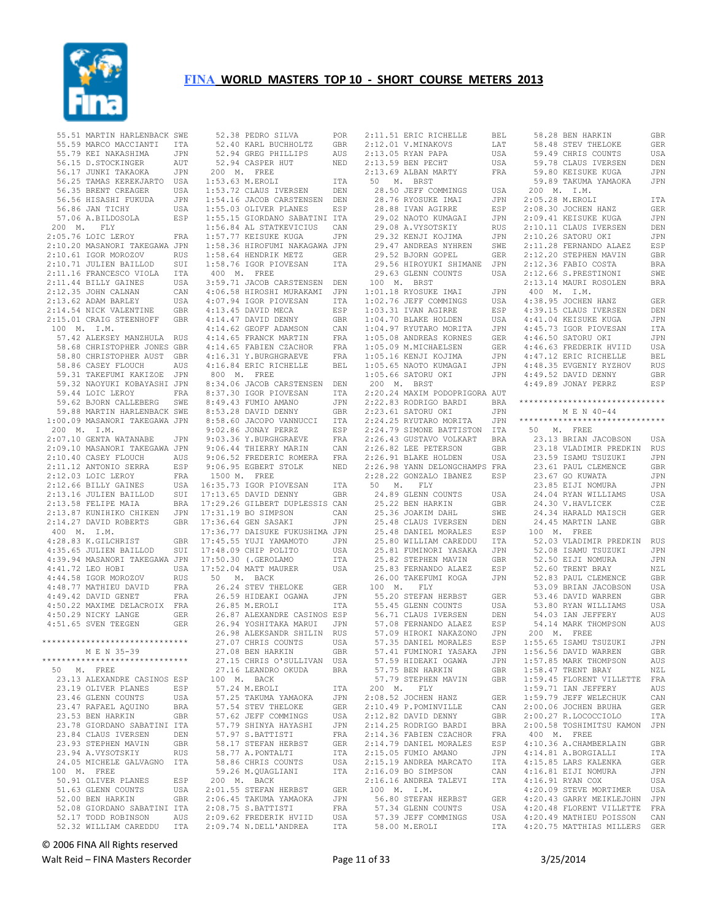

|             | 55.51 MARTIN HARLENBACK SWE                                                                                                                                                                                                        |                |
|-------------|------------------------------------------------------------------------------------------------------------------------------------------------------------------------------------------------------------------------------------|----------------|
|             |                                                                                                                                                                                                                                    |                |
|             |                                                                                                                                                                                                                                    |                |
|             | 55.51 MAKTIN HALLENDACK OLL<br>55.59 MARCO MACCIANTI TTA<br>55.79 KEI NAKASHIMA JPN<br>56.15 D.STOCKINGER AUT<br>56.25 TAMAS KEREKJARTO USA<br>56.25 TAMAS KEREKJARTO USA                                                          |                |
|             |                                                                                                                                                                                                                                    |                |
|             |                                                                                                                                                                                                                                    |                |
|             |                                                                                                                                                                                                                                    |                |
|             |                                                                                                                                                                                                                                    |                |
|             |                                                                                                                                                                                                                                    | USA            |
|             |                                                                                                                                                                                                                                    | JPN            |
|             | 56.35 BRENT CREAGER<br>56.35 BRENT CREAGER<br>56.36 JAN TICHY<br>57.06 A.BILDOSOLA<br>57.06 A.BILDOSOLA                                                                                                                            | USA            |
|             |                                                                                                                                                                                                                                    | ESP            |
|             |                                                                                                                                                                                                                                    |                |
|             | 200 M. FLY                                                                                                                                                                                                                         |                |
|             | 2:05.76 LOIC LEROY                                                                                                                                                                                                                 | FRA            |
|             | 2:10.20 MASANORI TAKEGAWA JPN                                                                                                                                                                                                      |                |
|             |                                                                                                                                                                                                                                    |                |
|             |                                                                                                                                                                                                                                    |                |
|             | 2.10.20 ELOR MORDOV RUS<br>2.10.71 JULIEN BAILLOD SUI<br>2.10.71 JULIEN BAILLOD SUI<br>2.11.16 FRANCESCO VIOLA ITA<br>2.11.44 BILLY GAINES USA<br>2.12.35 JOHN CALNAN CAN<br>2.13.62 ADAM BARLEY USA<br>2.14.54 NICK VALENTINE GER |                |
|             |                                                                                                                                                                                                                                    |                |
|             |                                                                                                                                                                                                                                    |                |
|             |                                                                                                                                                                                                                                    |                |
|             |                                                                                                                                                                                                                                    |                |
|             |                                                                                                                                                                                                                                    |                |
|             |                                                                                                                                                                                                                                    |                |
|             | 2:15.01 CRAIG STEENHOFF                                                                                                                                                                                                            | GBR            |
|             | 100 M. I.M.                                                                                                                                                                                                                        |                |
|             | 57.42 ALEKSEY MANZHULA RUS                                                                                                                                                                                                         |                |
|             |                                                                                                                                                                                                                                    |                |
|             | 58.68 CHRISTOPHER JONES GBR                                                                                                                                                                                                        |                |
|             |                                                                                                                                                                                                                                    |                |
|             |                                                                                                                                                                                                                                    |                |
|             | 58.80 CHRISTOPHER AUST GER<br>58.80 CHRISTOPHER AUST GER<br>59.31 TAKEFUMI KAKIZOE JPN<br>59.32 NAOYUKI KOBAYASHI JPN<br>59.44 LOIC LEROY FRA<br>59.62 BJORN CALLEBERG SWE                                                         |                |
|             |                                                                                                                                                                                                                                    |                |
|             |                                                                                                                                                                                                                                    |                |
|             |                                                                                                                                                                                                                                    |                |
|             |                                                                                                                                                                                                                                    |                |
|             | 59.88 MARTIN HARLENBACK SWE                                                                                                                                                                                                        |                |
|             |                                                                                                                                                                                                                                    |                |
|             | 1:00.09 MASANORI TAKEGAWA JPN                                                                                                                                                                                                      |                |
| 200 M. I.M. |                                                                                                                                                                                                                                    |                |
|             | 2:07.10 GENTA WATANABE JPN                                                                                                                                                                                                         |                |
|             | 2:09.10 MASANORI TAKEGAWA JPN                                                                                                                                                                                                      |                |
|             |                                                                                                                                                                                                                                    |                |
|             | 2:10.40 CASEY FLOUCH AUS                                                                                                                                                                                                           |                |
|             | 2:11.12 ANTONIO SERRA<br>2:12.03 LOIC LEROY<br>2:12.66 BILLY GAINES                                                                                                                                                                | ESP            |
|             |                                                                                                                                                                                                                                    | FRA            |
|             |                                                                                                                                                                                                                                    | USA            |
|             |                                                                                                                                                                                                                                    |                |
|             |                                                                                                                                                                                                                                    | $\texttt{SUI}$ |
|             | 2:13.16 JULIEN BAILLOD<br>2:13.58 FELIPE MAIA<br>2:13.58 FELIPE MAIA<br>2:13.87 KUNIHIKO CHIKEN                                                                                                                                    | <b>BRA</b>     |
|             |                                                                                                                                                                                                                                    | JPN            |
|             | 2:14.27 DAVID ROBERTS                                                                                                                                                                                                              | GBR            |
| 400 M. I.M. |                                                                                                                                                                                                                                    |                |
|             |                                                                                                                                                                                                                                    |                |
|             | 4:28.83 K.GILCHRIST<br>7.20.83 K.GILCHRIST<br>4:35.65 JULIEN BAILLOD<br>4.39.94 MAGAMOS                                                                                                                                            | GBR            |
|             |                                                                                                                                                                                                                                    |                |
|             |                                                                                                                                                                                                                                    | SUI            |
|             |                                                                                                                                                                                                                                    |                |
|             |                                                                                                                                                                                                                                    |                |
|             | 4:39.94 MASANORI TAKEGAWA JPN<br>4:41.72 LEO HOBI USA                                                                                                                                                                              |                |
|             |                                                                                                                                                                                                                                    | <b>RUS</b>     |
|             |                                                                                                                                                                                                                                    | FRA            |
|             |                                                                                                                                                                                                                                    |                |
|             | 4:44.58 IGOR MOROZOV<br>4:48.77 MATHIEU DAVID<br>4:49.42 DAVID GENET                                                                                                                                                               | FRA            |
|             | 4:50.22 MAXIME DELACROIX                                                                                                                                                                                                           | FRA            |
|             |                                                                                                                                                                                                                                    | GER            |
|             | 4:50.29 NICKY LANGE<br>4:51.65 SVEN TEEGEN                                                                                                                                                                                         | GER            |
|             |                                                                                                                                                                                                                                    |                |
|             | ******************************                                                                                                                                                                                                     |                |
|             |                                                                                                                                                                                                                                    |                |
|             | M E N 35-39                                                                                                                                                                                                                        |                |
|             | ******************************                                                                                                                                                                                                     |                |
|             | 50 M. FREE                                                                                                                                                                                                                         |                |
|             | 23.13 ALEXANDRE CASINOS ESP                                                                                                                                                                                                        |                |
|             | 23.19 OLIVER PLANES                                                                                                                                                                                                                | ESP            |
|             |                                                                                                                                                                                                                                    | USA            |
|             | 23.46 GLENN COUNTS                                                                                                                                                                                                                 |                |
|             | 23.47 RAFAEL AQUINO                                                                                                                                                                                                                | <b>BRA</b>     |
|             | 23.53 BEN HARKIN                                                                                                                                                                                                                   | GBR            |
|             | 23.78 GIORDANO SABATINI                                                                                                                                                                                                            | <b>ITA</b>     |
|             | 23.84 CLAUS IVERSEN                                                                                                                                                                                                                | DEN            |
|             |                                                                                                                                                                                                                                    |                |
|             | 23.93 STEPHEN MAVIN                                                                                                                                                                                                                | GBR            |
|             | 23.94 A.VYSOTSKIY                                                                                                                                                                                                                  | <b>RUS</b>     |
|             | 24.05 MICHELE GALVAGNO                                                                                                                                                                                                             | ITA            |
|             | 100 M. FREE                                                                                                                                                                                                                        |                |
|             |                                                                                                                                                                                                                                    |                |
|             | 50.91 OLIVER PLANES                                                                                                                                                                                                                | ESP            |
|             | 51.63 GLENN COUNTS                                                                                                                                                                                                                 | USA            |
|             | 52.00 BEN HARKIN                                                                                                                                                                                                                   | GBR            |
|             | 52.08 GIORDANO SABATINI                                                                                                                                                                                                            | ITA            |
|             | 52.17 TODD ROBINSON                                                                                                                                                                                                                | AUS            |

| 52.38 PEDRO SILVA POR<br>52.40 KARL BUCHHOLTZ GBR<br>52.94 GREG PHILLIPS AUS                                                                                                                                     |                                                             |
|------------------------------------------------------------------------------------------------------------------------------------------------------------------------------------------------------------------|-------------------------------------------------------------|
| 200 M. FREE                                                                                                                                                                                                      |                                                             |
| 1:53.63 M.EROLI                                                                                                                                                                                                  | ITA                                                         |
| 1:53.72 CLAUS IVERSEN                                                                                                                                                                                            |                                                             |
|                                                                                                                                                                                                                  | DEN                                                         |
| 1:54.16 JACOB CARSTENSEN DEN                                                                                                                                                                                     |                                                             |
| 1:55.03 OLIVER PLANES                                                                                                                                                                                            | ESP                                                         |
|                                                                                                                                                                                                                  |                                                             |
|                                                                                                                                                                                                                  |                                                             |
| 1:55.15 GIORDANO SABATINI ITA<br>1:56.84 AL STATKEVICIUS - CAN<br>1:57.77 KEISUKE KUGA - JPN                                                                                                                     |                                                             |
|                                                                                                                                                                                                                  |                                                             |
|                                                                                                                                                                                                                  |                                                             |
|                                                                                                                                                                                                                  |                                                             |
|                                                                                                                                                                                                                  |                                                             |
| 1:57.77 KEISUKE KUGA 1 JPN<br>1:58.36 HIROFUMI NAKAGAWA JPN<br>1:58.64 HENDRIK METZ 6ER<br>1:58.76 IGOR PIOVESAN 1TA                                                                                             |                                                             |
| 400 M. FREE                                                                                                                                                                                                      |                                                             |
| 3:59.71 JACOB CARSTENSEN DEN                                                                                                                                                                                     |                                                             |
|                                                                                                                                                                                                                  | JPN                                                         |
|                                                                                                                                                                                                                  |                                                             |
|                                                                                                                                                                                                                  | ITA                                                         |
|                                                                                                                                                                                                                  | ESP                                                         |
| 4:06.58 HIROSHI MURAKAMI<br>4:07.94 IGOR PIOVESAN<br>4:13.45 DAVID MECA<br>4:14.47 DAVID DENNY                                                                                                                   | GBR                                                         |
|                                                                                                                                                                                                                  | CAN                                                         |
|                                                                                                                                                                                                                  |                                                             |
| <b>THE READ MANUTE OF A SECT AND DENNS ON 4:14.65 FRANCK MARTIN<br/>4:14.65 FRANCK MARTIN<br/>4:16.31 Y.BURGHGRAEVE<br/>4:16.31 Y.BURGHGRAEVE<br/>4:16.84 ERIC RICHELLE</b>                                      | $\begin{array}{c} \texttt{FRA} \\ \texttt{FRA} \end{array}$ |
|                                                                                                                                                                                                                  |                                                             |
|                                                                                                                                                                                                                  | FRA                                                         |
|                                                                                                                                                                                                                  | <b>BEL</b>                                                  |
|                                                                                                                                                                                                                  |                                                             |
| 800 $M$ . FREE                                                                                                                                                                                                   |                                                             |
| 8:34.06 JACOB CARSTENSEN DEN                                                                                                                                                                                     |                                                             |
|                                                                                                                                                                                                                  | ITA                                                         |
|                                                                                                                                                                                                                  |                                                             |
|                                                                                                                                                                                                                  | JPN                                                         |
| 8:37.30 IGOR PIOVESAN<br>8:49.43 FUMIO AMANO<br>8:53.28 DAVID DENNY                                                                                                                                              | <b>GBR</b>                                                  |
| 8:58.60 JACOPO VANNUCCI                                                                                                                                                                                          | ITA                                                         |
| 9:02.86 JONAY PERRZ                                                                                                                                                                                              | ESP                                                         |
|                                                                                                                                                                                                                  |                                                             |
|                                                                                                                                                                                                                  | FRA                                                         |
|                                                                                                                                                                                                                  | CAN                                                         |
| 9:03.36 Y.BURGHGRAEVE<br>9:06.44 THIERRY MARIN<br>9:06.52 FREDERIC ROMERA                                                                                                                                        | FRA                                                         |
| 9:06.95 EGBERT STOLK                                                                                                                                                                                             | NED                                                         |
|                                                                                                                                                                                                                  |                                                             |
|                                                                                                                                                                                                                  |                                                             |
| 1500 M. FREE                                                                                                                                                                                                     |                                                             |
|                                                                                                                                                                                                                  | ITA                                                         |
|                                                                                                                                                                                                                  |                                                             |
| 16:35.73 IGOR PIOVESAN<br>17:13.65 DAVID DENNY                                                                                                                                                                   | GBR                                                         |
| 17:29.26 GILBERT DUPLESSIS CAN                                                                                                                                                                                   |                                                             |
| 17:31.19 BO SIMPSON                                                                                                                                                                                              | CAN                                                         |
|                                                                                                                                                                                                                  |                                                             |
|                                                                                                                                                                                                                  |                                                             |
|                                                                                                                                                                                                                  |                                                             |
|                                                                                                                                                                                                                  |                                                             |
|                                                                                                                                                                                                                  |                                                             |
|                                                                                                                                                                                                                  |                                                             |
|                                                                                                                                                                                                                  |                                                             |
| 17:36.64 GEN SASAKI USAN USAN<br>17:36.77 DAISUKE FUKUSHIMA JPN<br>17:36.77 DAISUKE FUKUSHIMA JPN<br>17:48.09 CHIP POLITO USA<br>17:50.30 (.GEROLAMO ITA<br>17:52.04 MATT MAURER USA<br>17:52.04 MATT MAURER USA |                                                             |
| $50 \qquad \mathtt{M.} \quad \mathtt{BACK}$                                                                                                                                                                      |                                                             |
|                                                                                                                                                                                                                  | GER                                                         |
|                                                                                                                                                                                                                  | JPN                                                         |
| 26.24 STEV THELOKE<br>26.59 HIDEAKI OGAWA                                                                                                                                                                        |                                                             |
| 26.85 M.EROLI                                                                                                                                                                                                    | ITA                                                         |
| 26.87 ALEXANDRE CASINOS ESP                                                                                                                                                                                      |                                                             |
| 26.94 YOSHITAKA MARUI                                                                                                                                                                                            |                                                             |
| 26.98 ALEKSANDR SHILIN                                                                                                                                                                                           | JPN<br>RUS                                                  |
| 27.07 CHRIS COUNTS                                                                                                                                                                                               | USA                                                         |
|                                                                                                                                                                                                                  |                                                             |
| 27.08 BEN HARKIN                                                                                                                                                                                                 | <b>GBR</b>                                                  |
| 27.15 CHRIS O'SULLIVAN                                                                                                                                                                                           | USA                                                         |
| 27.16 LEANDRO OKUDA                                                                                                                                                                                              | <b>BRA</b>                                                  |
|                                                                                                                                                                                                                  |                                                             |
| 100 M. BACK                                                                                                                                                                                                      |                                                             |
| 57.24 M.EROLI                                                                                                                                                                                                    | ITA                                                         |
| 57.25 TAKUMA YAMAOKA                                                                                                                                                                                             | JPN                                                         |
| 57.54 STEV THELOKE                                                                                                                                                                                               | GER                                                         |
| 57.62 JEFF COMMINGS                                                                                                                                                                                              | USA                                                         |
|                                                                                                                                                                                                                  |                                                             |
| 57.79 SHINYA HAYASHI                                                                                                                                                                                             | JPN                                                         |
| 57.97 S.BATTISTI                                                                                                                                                                                                 | FRA                                                         |
| 58.17 STEFAN HERBST                                                                                                                                                                                              | GER                                                         |
|                                                                                                                                                                                                                  |                                                             |
| 58.77 A.PONTALTI                                                                                                                                                                                                 | ITA                                                         |
| 58.86 CHRIS COUNTS                                                                                                                                                                                               | USA                                                         |
| 59.26 M.QUAGLIANI                                                                                                                                                                                                | ITA                                                         |
|                                                                                                                                                                                                                  |                                                             |
| 200 M. BACK<br>2:01.55 STEFAN HERBST                                                                                                                                                                             | GER                                                         |
|                                                                                                                                                                                                                  |                                                             |
| $2:06.45$ TAKUMA YAMAOKA                                                                                                                                                                                         | JPN                                                         |
| 2:08.75 S.BATTISTI                                                                                                                                                                                               | FRA                                                         |
|                                                                                                                                                                                                                  | USA                                                         |
| 2:09.62 FREDERIK HVIID<br>2:09.74 N.DELL'ANDREA                                                                                                                                                                  | ITA                                                         |

 2:11.51 ERIC RICHELLE BEL 2:12.01 V.MINAKOVS LAT 2:13.05 RYAN PAPA USA 2:13.59 BEN PECHT USA 2:13.69 ALBAN MARTY FRA 50 M. BRST 28.50 JEFF COMMINGS USA 28.76 RYOSUKE IMAI JPN 28.88 IVAN AGIRRE ESP 29.08 A.VYSOTSKIY RUS 29.32 KENJI KOJIMA JPN 29.47 ANDREAS NYHREN SWE 29.52 BJORN GOPEL GER 29.56 HIROYUKI SHIMANE JPN 100 M. BRST 1:01.18 RYOSUKE IMAI JPN 1:02.76 JEFF COMMINGS USA 1:03.31 IVAN AGIRRE ESP 1:04.70 BLAKE HOLDEN USA 1:04.97 RYUTARO MORITA JPN 1:05.08 ANDREAS KORNES GER 1:05.09 M.MICHAELSEN GER 1:05.16 KENJI KOJIMA JPN<br>1:05.65 NAOTO KUMAGAI JPN<br>1:05.66 SATORU OKI JPN<br>200 M. BRST 2:20.24 MAXIM PODOPRIGORA AUT 2:23.61 SATORU OKI JPN 2:24.25 RYUTARO MORITA 2:24.79 SIMONE BATTISTON ITA 50 M. FREE 2:26.43 GUSTAVO VOLKART BRA 2:26.98 YANN DELONGCHAMPS FRA 25.22 BEN HARKIN GBR 25.36 JOAKIM DAHL SWE 25.48 CLAUS IVERSEN DEN 25.48 DANIEL MORALES ESP 100 M. FREE 25.80 WILLIAM CAREDDU ITA 25.81 FUMINORI YASAKA JPN<br>25.82 STEPHEN MAVIN GBR<br>25.83 FERNANDO ALAEZ ESP 25.82 STEPHEN MAVIN GBR 25.83 FERNANDO ALAEZ ESP<br>26.00 TAKEFUMI KOGA JPN 26.00 TAKEFUMI KOGA 100 M. FLY 55.45 GLENN COONTO CONTROL CONTROL DEN<br>56.71 CLAUS IVERSEN DEN<br>57.08 FERNANDO ALAEZ ESP 57.08 FERNANDO ALAEZ ESP 57.09 HIROKI NAKAZONO JPN 57.35 DANIEL MORALES ESP 57.41 FUMINORI YASAKA 57.59 HIDEAKI OGAWA 200 M. FLY 2:08.52 JOCHEN HANZ GER 2:10.49 P.POMINVILLE 2:12.82 DAVID DENNY GBR<br>2:14.25 RODRIGO BARDI BRA  $2:14.25$  RODRIGO BARDI 2:14.36 FABIEN CZACHOR 2:14.79 DANIEL MORALES  $2:15.05$  FUMIO AMANO 2:15.19 ANDREA MARCATO  $2:16.09$  BO SIMPSON  $2:16.16$  ANDREA TALEVI 100 M. I.M. 56.80 STEFAN HERBST GER 57.34 GLENN COUNTS USA 57.39 JEFF COMMINGS USA 58.00 M.EROLI

 29.02 NAOTO KUMAGAI JPN 2:09.41 KEISUKE KUGA JPN 29.63 GLENN COUNTS USA 2:12.66 S.PRESTINONI SWE 2:22.83 RODRIGO BARDI BRA \*\*\*\*\*\*\*\*\*\*\*\*\*\*\*\*\*\*\*\*\*\*\*\*\*\*\*\*\*\* 2:26.82 LEE PETERSON GBR 2:26.91 BLAKE HOLDEN USA 23.18 VLADIMIR PREDKIN RUS 23.59 ISAMU TSUZUKI JPN 2:28.22 GONZALO IBANEZ ESP 23.67 GO KUWATA JPN 50 M. FLY 24.89 GLENN COUNTS USA 24.04 RYAN WILLIAMS USA 55.20 STEFAN HERBST GER 55.45 GLENN COUNTS USA 53.46 DAVID WARREN GBR 53.80 RYAN WILLIAMS USA 57.75 BEN HARKIN GBR 57.79 STEPHEN MAVIN GBR 1:58.47 TRENT BRAY NZL 1:59.45 FLORENT VILLETTE FRA 58.28 BEN HARKIN GBR 58.48 STEV THELOKE GER 59.49 CHRIS COUNTS USA 1. 1. 1. 58.40 J.L.<br>1981 - 59.49 CHRIS COUNTS - JOHN DEN<br>1981 - CLAUS IVERSEN DEN 59.80 KEISUKE KUGA JPN 59.89 TAKUMA YAMAOKA JPN 200 M. I.M. 2:05.28 M.EROLI ITA 2:08.30 JOCHEN HANZ GER 2:10.11 CLAUS IVERSEN DEN<br>2:10.26 SATORU OKI JPN 2:10.26 SATORU OKI JPN<br>2:11.28 FERNANDO ALAEZ BSP<br>2:12.20 STEPHEN MAVIN GBR<br>2:12.36 FABIO COSTA BRA 2:13.14 MAURI ROSOLEN BRA 400 M. I.M. 4:38.95 JOCHEN HANZ GER 4:39.15 CLAUS IVERSEN DEN 4:41.04 KEISUKE KUGA JPN 4:45.73 IGOR PIOVESAN ITA 4:46.50 SATORU OKI JPN 4:46.63 FREDERIK HVIID USA 4:47.12 ERIC RICHELLE BEL 4:48.35 EVGENIY RYZHOV RUS 4:49.52 DAVID DENNY GBR 4:49.89 JONAY PERRZ ESP M E N 40-44 .<br>JPN \*\*\*\*\*\*\*\*\*\*\*\*\*\*\*\*\*\*\*\*\*\*\*\*\*\*\*\*\* 23.13 BRIAN JACOBSON USA 23.61 PAUL CLEMENCE GBR 23.85 EIJI NOMURA JPN<br>24.04 RYAN WILLIAMS USA 24.30 V.HAVLICEK CZE<br>24.34 HARALD MAISCH GER 24.34 HARALD MAISCH GER 24.45 MARTIN LANE GBR 52.03 VLADIMIR PREDKIN RUS 52.08 ISAMU TSUZUKI JPN<br>52.50 EIJI NOMURA JPN 52.50 EIJI NOMURA 52.60 TRENT BRAY NZL<br>52.83 PAUL CLEMENCE GBR 52.83 PAUL CLEMENCE GBR<br>53.09 BRIAN JACOBSON USA 53.09 BRIAN JACOBSON USA<br>53.46 DAVID WARREN GBR 54.03 IAN JEFFERY AUS 54.14 MARK THOMPSON AUS 200 M. FREE 1:55.65 ISAMU TSUZUKI JPN 1:56.56 DAVID WARREN GBR 1:57.85 MARK THOMPSON AUS 1:59.71 IAN JEFFERY AUS 1:59.79 JEFF WELECHUK CAN  $2:00.06$  JOCHEN BRUHA CAN 2:00.06 JOCHEN BRUHA GER<br>CAN 2:00.06 JOCHEN BRUHA GER<br>GER 2:00.27 R.LOCOCCIOLO ITA 2:00.58 TOSHIMITSU KAMON JPN 400 M. FREE 4:10.36 A.CHAMBERLAIN GBR<br>4:14 81 A BORGIALLI TTA ESP 4:10.36 A.CHAMBERLAIN<br>JPN 4:14.81 A.BORGIALLI 4:15.85 LARS KALENKA GER 4:16.81 EIJI NOMURA JPN ITA 4:16.91 RYAN COX USA<br>4:20.09 STEVE MORTIMER USA 4:20.09 STEVE MORTIMER 4:20.43 GARRY MEIKLEJOHN JPN 4:20.48 FLORENT VILLETTE FRA 4:20.49 MATHIEU POISSON CAN 4:20.75 MATTHIAS MILLERS GER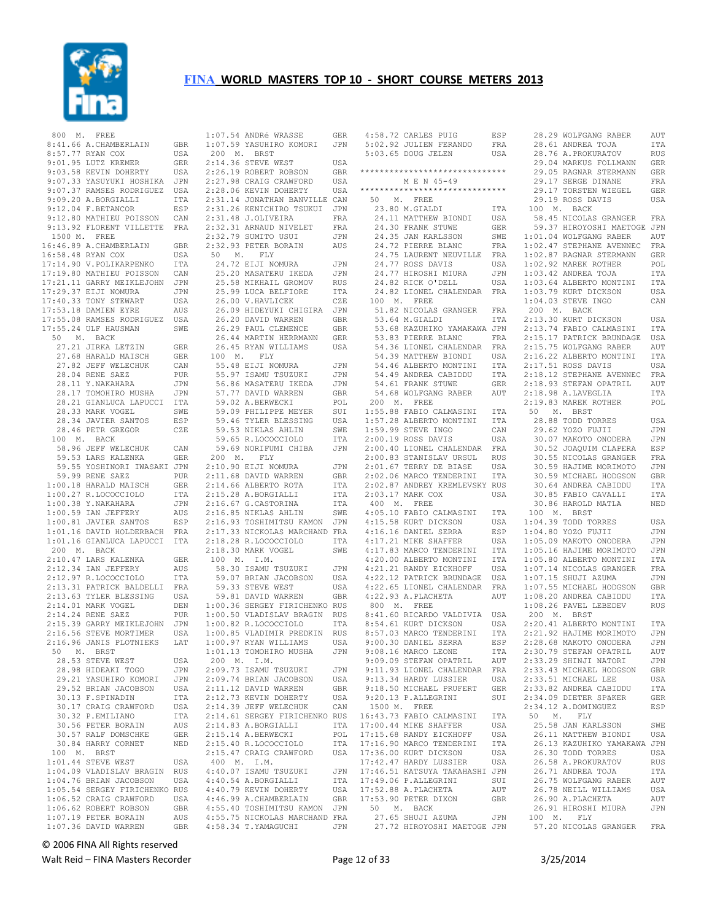

| 800 M. FREE                                                                                                            | GBR                         |
|------------------------------------------------------------------------------------------------------------------------|-----------------------------|
| 8:41.66 A.CHAMBERLAIN<br>8:57.77 RYAN COX                                                                              | USA                         |
| 9:37:77 NIAN COA<br>9:01.95 LUTZ KREMER<br>9:03.58 KEVIN DOHERTY<br>9:07.33 YASUYUKI HOSHIKA                           | GER                         |
|                                                                                                                        | USA                         |
|                                                                                                                        | JPN                         |
| 9:07.37 RAMSES RODRIGUEZ<br>9:09.20 A.BORGIALLI<br>9:12.04 F.BETANCOR                                                  | USA                         |
|                                                                                                                        | ITA<br>ESP                  |
| 9:12.80 MATHIEU POISSON                                                                                                | CAN                         |
| 9:13.92 FLORENT VILLETTE FRA                                                                                           |                             |
| 1500 M. FREE                                                                                                           |                             |
| 16:46.89 A.CHAMBERLAIN                                                                                                 | GBR                         |
| 16:58.48 RYAN COX                                                                                                      | USA                         |
| 17:14.90 V.POLIKARPENKO<br>17:19.80 MATHIEU POISSON                                                                    | ITA<br>CAN                  |
|                                                                                                                        | JPN                         |
| 17:21.11 GARRY MEIKLEJOHN<br>17:29.37 EIJI NOMURA<br>17:40.33 TONY STEWART                                             | JPN                         |
|                                                                                                                        | USA                         |
| 17:53.18 DAMIEN EYRE                                                                                                   | AUS                         |
| 17:55.08 RAMSES RODRIGUEZ USA<br>17:55.24 ULF HAUSMAN                                                                  | SWE                         |
| 50 M. BACK                                                                                                             |                             |
|                                                                                                                        | GER                         |
| 27.21 JIRKA LETZIN<br>27.68 HARALD MAISCH                                                                              | GER                         |
| 27.82 JEFF WELECHUK                                                                                                    | CAN                         |
| 28.04 RENE SAEZ<br>28.11 Y.NAKAHARA                                                                                    | PUR                         |
|                                                                                                                        | JPN<br>JPN                  |
|                                                                                                                        | ITA                         |
| 28.33 MARK VOGEL                                                                                                       | SWE                         |
| 28.34 JAVIER SANTOS<br>28.46 PETR GREGOR                                                                               | ESP                         |
|                                                                                                                        | CZE                         |
| 100 M. BACK                                                                                                            | CAN                         |
| 58.96 JEFF WELECHUK<br>59.53 LARS KALENKA                                                                              | GER                         |
| 59.55 YOSHINORI IWASAKI JPN                                                                                            |                             |
| 59.99 RENE SAEZ<br>1:00.18 HARALD MAISCH<br>1:00.27 R.LOCOCCIOLO<br>1:00.38 Y.NAKAHARA                                 | PUR                         |
|                                                                                                                        | GER                         |
|                                                                                                                        | ITA<br>JPN                  |
|                                                                                                                        | AUS                         |
| 1:00.59 IAN JEFFERY<br>1:00.81 JAVIER SANTOS                                                                           | ESP                         |
| 1:01.16 DAVID HOLDERBACH                                                                                               | FRA                         |
| 1:01.16 GIANLUCA LAPUCCI ITA                                                                                           |                             |
| 200 M. BACK<br>2:10.47 LARS KALENKA                                                                                    | GER                         |
| 2:12.34 IAN JEFFERY                                                                                                    | AUS                         |
| 2:12.34 IAN JEFFERT<br>2:12.97 R.LOCOCCIOLO<br>2:13.31 PATRICK BALDELLI<br>2:13.63 TYLER BLESSING<br>53 TYLER BLESSING | ITA                         |
|                                                                                                                        | FRA                         |
|                                                                                                                        | USA                         |
| 2:14.01 MARK VOGEL<br>2:14.24 RENE SAEZ                                                                                | DEN<br>PUR                  |
| 2:15.39 GARRY MEIKLEJOHN                                                                                               | JPN                         |
| 2:16.56 STEVE MORTIMER                                                                                                 | USA                         |
| 2:16.96 JANIS PLOTNIEKS                                                                                                | LAT                         |
| 50 M. BRST                                                                                                             |                             |
| 28.53 STEVE WEST<br>28.98 HIDEAKI TOGO                                                                                 | USA<br>JPN                  |
|                                                                                                                        | <b>JPN</b>                  |
| 29.21 YASUHIRO KOMORI<br>29.52 BRIAN JACOBSON<br>30.13 F.SPINADIN                                                      | USA                         |
|                                                                                                                        | ITA                         |
| 30.17 CRAIG CRAWFORD                                                                                                   | USA                         |
| 30.32 P.EMILIANO<br>30.56 PETER BORAIN                                                                                 | ITA                         |
| 30.57 RALF DOMSCHKE                                                                                                    | AUS<br>GER                  |
| 30.84 HARRY CORNET                                                                                                     | <b>NED</b>                  |
| 100 M. BRST                                                                                                            |                             |
| 1:01.44 STEVE WEST                                                                                                     | USA                         |
| 1:04.09 VLADISLAV BRAGIN                                                                                               | <b>RUS</b>                  |
| 1:04.76 BRIAN JACOBSON<br>1:05.54 SERGEY FIRICHENKO RUS                                                                | USA                         |
| 1:06.52 CRAIG CRAWFORD                                                                                                 | USA                         |
| 1:06.62 ROBERT ROBSON                                                                                                  | GBR                         |
| 1:07.19 PETER BORAIN                                                                                                   | $\mathop{\rm AUS}\nolimits$ |
| 1:07.36 DAVID WARREN                                                                                                   | GBR                         |

|             | 1:07.54 ANDRé WRASSE                                                     | <b>GER</b> |
|-------------|--------------------------------------------------------------------------|------------|
|             |                                                                          |            |
|             | 1:07.59 YASUHIRO KOMORI                                                  | JPN        |
|             |                                                                          |            |
| 200 M. BRST |                                                                          |            |
|             | 2:14.36 STEVE WEST                                                       | USA        |
|             |                                                                          |            |
|             | 2:26.19 ROBERT ROBSON                                                    | GBR        |
|             | 2:27.98 CRAIG CRAWFORD                                                   | USA        |
|             |                                                                          |            |
|             | 2:28.06 KEVIN DOHERTY                                                    | USA        |
|             | 2:31.14 JONATHAN BANVILLE CAN                                            |            |
|             |                                                                          |            |
|             | 2:31.26 KENICHIRO TSUKUI JPN                                             |            |
|             |                                                                          |            |
|             | 2:31.48 J.OLIVEIRA                                                       | FRA        |
|             | 2:32.31 ARNAUD NIVELET                                                   | FRA        |
|             |                                                                          |            |
|             | 2:32.79 SUMITO USUI                                                      | JPN        |
|             | 2:32.93 PETER BORAIN                                                     | AUS        |
|             |                                                                          |            |
| 50 M. FLY   |                                                                          |            |
|             | 24.72 EIJI NOMURA                                                        | JPN        |
|             |                                                                          |            |
|             | 24.72 EIJI NOMURA<br>25.20 MASATERU IKEDA<br>25.58 MIKHAIL GROMOV        | JPN        |
|             |                                                                          | RUS        |
|             |                                                                          |            |
|             |                                                                          | <b>ITA</b> |
|             | 25.99 LUCA BELFIORE<br>26.00 V.HAVLICEK                                  | CZE        |
|             |                                                                          |            |
|             | 26.09 HIDEYUKI CHIGIRA                                                   | JPN        |
|             |                                                                          |            |
|             | 26.20 DAVID WARREN                                                       | <b>GBR</b> |
|             | 26.29 PAUL CLEMENCE                                                      | GBR        |
|             |                                                                          |            |
|             | 26.44 MARTIN HERRMANN                                                    | GER        |
|             | 26.45 RYAN WILLIAMS                                                      | USA        |
|             |                                                                          |            |
| 100 M. FLY  |                                                                          |            |
|             | 55.48 EIJI NOMURA<br>55.97 ISAMU TSUZUKI                                 | JPN        |
|             |                                                                          |            |
|             |                                                                          | JPN        |
|             |                                                                          | JPN        |
|             |                                                                          |            |
|             | 56.86 MASATERU IKEDA<br>57.77 DAVID WARREN                               | <b>GBR</b> |
|             |                                                                          |            |
|             | 59.02 A.BERWECKI                                                         | POL        |
|             | 59.09 PHILIPPE MEYER<br>59.46 TYLER BLESSING                             | SUI        |
|             |                                                                          |            |
|             |                                                                          | USA        |
|             |                                                                          | SWE        |
|             | 59.53 NIKLAS AHLIN<br>59.65 R.LOCOCCIOLO                                 |            |
|             |                                                                          | ITA        |
|             | 59.69 NORIFUMI CHIBA                                                     | JPN        |
|             |                                                                          |            |
| 200 M. FLY  |                                                                          |            |
|             | 2:10.90 EIJI NOMURA                                                      | JPN        |
|             |                                                                          |            |
|             |                                                                          | GBR        |
|             |                                                                          |            |
|             |                                                                          |            |
|             | $2:10.50$ DAVID WARREN<br>$2:11.68$ DAVID WARREN<br>2:14.66 ALBERTO ROTA | ITA        |
|             |                                                                          |            |
|             | 2:15.28 A.BORGIALLI                                                      | ITA        |
|             |                                                                          | ITA        |
|             |                                                                          |            |
|             | 2:16.67 G.CASTORINA<br>2:16.67 G.CASTORINA<br>$2:16.85$ NIKLAS AHLIN     | SWE        |
|             | 2:16.93 TOSHIMITSU KAMON                                                 | JPN        |
|             |                                                                          |            |
|             | 2:17.33 NICKOLAS MARCHAND FRA                                            |            |
|             |                                                                          | ITA        |
|             | 2:18.28 R.LOCOCCIOLO                                                     |            |
|             | 2:18.30 MARK VOGEL                                                       | SWE        |
| 100 M. I.M. |                                                                          |            |
|             |                                                                          |            |
|             | 58.30 ISAMU TSUZUKI                                                      | JPN        |
|             |                                                                          | USA        |
|             | 59.07 BRIAN JACOBSON                                                     |            |
|             | 59.33 STEVE WEST                                                         | USA        |
|             |                                                                          | <b>GBR</b> |
|             | 59.81 DAVID WARREN                                                       |            |
|             | 1:00.36 SERGEY FIRICHENKO RUS                                            |            |
|             |                                                                          |            |
|             | 1:00.50 VLADISLAV BRAGIN RUS                                             |            |
|             | 1:00.82 R.LOCOCCIOLO                                                     | ITA        |
|             | 1:00.85 VLADIMIR PREDKIN                                                 | RUS        |
|             |                                                                          |            |
|             | 1:00.97 RYAN WILLIAMS                                                    | USA        |
|             | 1:01.13 TOMOHIRO MUSHA                                                   | JPN        |
|             |                                                                          |            |
|             |                                                                          |            |
|             | 200 M. I.M.<br>2:09.73 ISAMU TSUZUKI                                     | JPN        |
|             |                                                                          |            |
|             | 2:09.74 BRIAN JACOBSON                                                   | USA        |
|             | 2:11.12 DAVID WARREN                                                     | GBR        |
|             |                                                                          |            |
|             | 2:12.73 KEVIN DOHERTY                                                    | USA        |
|             |                                                                          | CAN        |
|             | 2:14.39 JEFF WELECHUK                                                    |            |
|             | 2:14.61 SERGEY FIRICHENKO RUS                                            |            |
|             |                                                                          |            |
|             | $2:14.83$ A.BORGIALLI                                                    | ITA        |
|             | 2:15.14 A.BERWECKI                                                       | POL        |
|             |                                                                          |            |
|             | 2:15.40 R.LOCOCCIOLO                                                     | ITA        |
|             | 2:15.47 CRAIG CRAWFORD                                                   | USA        |
|             |                                                                          |            |
| 400 M.      | I.M.                                                                     |            |
|             | 4:40.07 ISAMU TSUZUKI                                                    | JPN        |
|             |                                                                          |            |
|             | 4:40.54 A.BORGIALLI                                                      | ITA        |
|             | 4:40.79 KEVIN DOHERTY                                                    | USA        |
|             |                                                                          |            |
|             | $4:46.99$ A.CHAMBERLAIN                                                  | GBR        |
|             | 4:55.40 TOSHIMITSU KAMON                                                 | JPN        |
|             |                                                                          |            |
|             | 4:55.75 NICKOLAS MARCHAND FRA<br>4:58.34 T.YAMAGUCHI                     | JPN        |

|               | 4:58.72 CARLES PUIG                                                                       | ESP                                                               |
|---------------|-------------------------------------------------------------------------------------------|-------------------------------------------------------------------|
|               | 5:02.92 JULIEN FERANDO                                                                    | FRA                                                               |
|               | 5:03.65 DOUG JELEN                                                                        | USA                                                               |
|               | ******************************                                                            |                                                                   |
|               | M E N 45-49                                                                               |                                                                   |
|               | ******************************                                                            |                                                                   |
| 50 M. FREE    |                                                                                           |                                                                   |
|               | 23.80 M.GIALDI                                                                            | ITA                                                               |
|               | 24.11 MATTHEW BIONDI                                                                      | USA                                                               |
|               | 24.30 FRANK STUWE                                                                         | GER                                                               |
|               | 24.35 JAN KARLSSON<br>24.72 PIERRE BLANC                                                  | SWE                                                               |
|               | 24.72 PIERRE BLANC                                                                        | FRA                                                               |
|               | 24.75 LAURENT NEUVILLE FRA                                                                |                                                                   |
|               | 24.77 ROSS DAVIS                                                                          | USA                                                               |
|               |                                                                                           |                                                                   |
|               | 24.77 HIROSHI MIURA - JPN<br>24.82 RICK O'DELL - USA<br>24.82 LIONEL CHALENDAR FRA        | .<br>USA                                                          |
|               |                                                                                           |                                                                   |
|               | 100 M. FREE<br>51.82 NICOLAS GRANGER FRA                                                  |                                                                   |
|               | 53.64 M.GIALDI                                                                            | ITA                                                               |
|               | 53.68 KAZUHIKO YAMAKAWA JPN                                                               |                                                                   |
|               |                                                                                           |                                                                   |
|               | 53.83 PIERRE BLANC FRA<br>54.36 LIONEL CHALENDAR FRA<br>54.36 LIONEL CHALENDAR FRA        |                                                                   |
|               | 54.39 MATTHEW BIONDI                                                                      | USA                                                               |
|               | 54.46 ALBERTO MONTINI ITA<br>54.49 ANDREA CABIDDU ITA                                     |                                                                   |
|               |                                                                                           |                                                                   |
|               | 54.61 FRANK STUWE                                                                         | GER                                                               |
|               | 54.68 WOLFGANG RABER AUT                                                                  |                                                                   |
|               | 200 M. FREE                                                                               | $\ddot{\phantom{0}}$                                              |
|               | 1:55.88 FABIO CALMASINI ITA                                                               |                                                                   |
|               |                                                                                           | ITA                                                               |
|               | 1:57.28 ALBERTO MONTINI<br>1:59.99 STEVE INGO<br>2:00.19 ROSS DAVIS                       | $\begin{array}{c}\n\text{A} \\ \text{CAN} \\ \hline\n\end{array}$ |
|               |                                                                                           | USA                                                               |
|               | 2:00.40 LIONEL CHALENDAR FRA<br>2:00.83 STANISLAV URSUL RUS<br>2:01.67 TERRY DE BIASE USA |                                                                   |
|               |                                                                                           |                                                                   |
|               |                                                                                           |                                                                   |
|               | 2:02.06 MARCO TENDERINI ITA<br>2:02.87 ANDREY KREMLEVSKY RUS                              |                                                                   |
|               | 2:03.17 MARK COX                                                                          | USA                                                               |
| $400$ M. FREE |                                                                                           |                                                                   |
|               | 400 M. PABIO CALMASINI<br>4:05.10 FABIO CALMASINI                                         | ITA                                                               |
|               | 4:15.58 KURT DICKSON                                                                      | USA                                                               |
|               |                                                                                           | ESP                                                               |
|               | 4:16.16 DANIEL SERRA<br>4:17.21 MIKE SHAFFER                                              | USA                                                               |
|               | 4:17.83 MARCO TENDERINI ITA                                                               |                                                                   |
|               | 4:20.00 ALBERTO MONTINI ITA<br>4:21.21 RANDY EICKHOFF USA<br>4:22.12 PATRICK BRUNDAGE USA |                                                                   |
|               |                                                                                           |                                                                   |
|               |                                                                                           |                                                                   |
|               | 4:22.65 LIONEL CHALENDAR                                                                  | FRA                                                               |
|               | 4:22.93 A.PLACHETA                                                                        | 医皮肤性 医大脑性 医皮肤病 医水杨酸 医水杨酸<br>AUT                                   |
| 800 M. FREE   |                                                                                           |                                                                   |
|               | 8:41.60 RICARDO VALDIVIA USA<br>8:54.61 KURT DICKSON                                      | $\ddot{\phantom{0}}$<br>USA                                       |
|               | 8:57.03 MARCO TENDERINI ITA                                                               |                                                                   |
|               | 9:00.30 DANIEL SERRA                                                                      | $\sim$ $\sim$ $\sim$ $\sim$<br>ESP                                |
|               | 9:08.16 MARCO LEONE                                                                       | ITA                                                               |
|               | 9:09.09 STEFAN OPATRIL                                                                    | AUT                                                               |
|               | 9:11.93 LIONEL CHALENDAR                                                                  | FRA                                                               |
|               | 9:13.34 HARDY LUSSIER                                                                     | USA                                                               |
|               | 9:18.50 MICHAEL PRUFERT GER                                                               |                                                                   |
|               | 9:20.13 P.ALLEGRINI                                                                       | <b>A</b> .<br>SUI                                                 |
| 1500 M. FREE  |                                                                                           |                                                                   |
|               | 16:43.73 FABIO CALMASINI                                                                  | <b>ITA</b>                                                        |
|               | 17:00.44 MIKE SHAFFER                                                                     | USA                                                               |
|               | 17:15.68 RANDY EICKHOFF<br>17:16.90 MARCO TENDERINI                                       | USA                                                               |
|               | 17:36.00 KURT DICKSON                                                                     | ITA<br>USA                                                        |
|               | 17:42.47 HARDY LUSSIER                                                                    | USA                                                               |
|               |                                                                                           |                                                                   |
|               | 17:46.51 KATSUYA TAKAHASHI JPN<br>17:49.06 P.ALLEGRINI SUI                                |                                                                   |
|               | 17:52.88 A.PLACHETA                                                                       | AUT                                                               |
|               | 17:53.90 PETER DIXON                                                                      | GBR                                                               |
|               | 50 M. BACK                                                                                |                                                                   |
|               | 27.65 SHUJI AZUMA JPN<br>27.72 HIROYOSHI MAETOGE JPN                                      |                                                                   |
|               |                                                                                           |                                                                   |

| 28.29 WOLFGANG RABER                                                                       | AUT        |
|--------------------------------------------------------------------------------------------|------------|
| 28.61 ANDREA TOJA                                                                          | ITA        |
| 28.61 ANDREA TOJA<br>28.76 A.PROKURATOV                                                    | RUS        |
|                                                                                            | GER        |
| 29.04 MARKUS FOLLMANN<br>29.05 RAGNAR STERMANN                                             | GER        |
| 29.17 SERGE DINANE                                                                         | FRA        |
| 29.17 TORSTEN WIEGEL                                                                       | <b>GER</b> |
| 29.19 ROSS DAVIS                                                                           | USA        |
| 100 M. BACK                                                                                |            |
| 58.45 NICOLAS GRANGER FRA<br>59.37 HIROYOSHI MAETOGE JPN                                   |            |
| 1:01.04 WOLFGANG RABER AUT                                                                 |            |
|                                                                                            |            |
|                                                                                            |            |
| 1:02.47 STEPHANE AVENNEC FRA<br>1:02.47 STEPHANE AVENNEC FRA<br>1:02.92 MAREK ROTHER POL   |            |
| 1:02.92 MAREK ROTHER<br>1:03.42 ANDREA TOJA                                                | ITA        |
| 1:03.64 ALBERTO MONTINI                                                                    | ITA        |
| 1:03.79 KURT DICKSON                                                                       | USA        |
| 1:04.03 STEVE INGO                                                                         | CAN        |
| 200 M. BACK                                                                                |            |
| 2:13.30 KURT DICKSON                                                                       | USA        |
| 2:13.74 FABIO CALMASINI ITA<br>2:15.17 PATRICK BRUNDAGE USA<br>2:15.75 WOLFGANG RABER AUT  |            |
|                                                                                            |            |
|                                                                                            |            |
| 2:16.22 ALBERTO MONTINI<br>2:17.51 ROSS DAVIS<br>2:18.12 STEPHANE AVENNEC                  | ITA        |
|                                                                                            | USA        |
|                                                                                            | FRA        |
|                                                                                            | AUT        |
| 2:18.93 STEFAN OPATRIL<br>2:18.98 A.LAVEGLIA<br>2:19.83 MAREK ROTHER                       | ITA        |
|                                                                                            | POL        |
| 50 M. BRST                                                                                 | USA        |
| 28.88 TODD TORRES<br>29.62 YOZO FUJII                                                      | JPN        |
| 25.02 1020 20011<br>30.07 MAKOTO ONODERA<br>30.52 JOAQUIM CLAPERA<br>30.55 NICOLAS GRANGER | JPN        |
|                                                                                            |            |
|                                                                                            | ESP<br>FRA |
| 30.59 HAJIME MORIMOTO                                                                      | JPN        |
|                                                                                            | GBR        |
| 30.59 MICHAEL HODGSON<br>30.64 ANDREA CABIDDU                                              | ITA        |
| 30.85 FABIO CAVALLI<br>30.86 HAROLD MATLA                                                  | ITA        |
|                                                                                            | NED        |
| 100 M. BRST                                                                                |            |
|                                                                                            | USA        |
| 1:04.80 YOZO FUJII<br>1:04.80 YOZO FUJII<br>1:05.09 MARCES<br>1:05.09 MAKOTO ONODERA       | JPN        |
| 1:05.16 HAJIME MORIMOTO                                                                    | JPN        |
|                                                                                            | JPN        |
| 1:05.80 ALBERTO MONTINI ITA<br>1:07.14 NICOLAS GRANGER FRA<br>1:07.15 SHUJI AZUMA JPN      |            |
|                                                                                            |            |
|                                                                                            | GBR        |
| 1:07.55 MICHAEL HODGSON<br>1:08.20 ANDREA CABIDDU                                          | ITA        |
| 1:08.26 PAVEL LEBEDEV                                                                      | <b>RUS</b> |
| 200 M. BRST                                                                                |            |
|                                                                                            |            |
| 2:20.41 ALBERTO MONTINI<br>2:21.92 HAJIME MORIMOTO                                         | ITA<br>JPN |
| 2:28.68 MAKOTO ONODERA                                                                     | <b>JPN</b> |
| 2:30.79 STEFAN OPATRIL                                                                     | AUT        |
| 2:33.29 SHINJI NATORI                                                                      | JPN        |
| 2:33.43 MICHAEL HODGSON                                                                    | GBR        |
| 2:33.51 MICHAEL LEE<br>2:33.82 ANDREA CABIDDU                                              | USA        |
| 2:34.09 DIETER SPÄKER                                                                      | ITA<br>GER |
| 2:34.12 A.DOMINGUEZ                                                                        | ESP        |
| 50 M. FLY                                                                                  |            |
|                                                                                            | SWE        |
| 25.58 JAN KARLSSON<br>26.11 MATTHEW BIONDI                                                 | USA        |
| 26.13 KAZUHIKO YAMAKAWA JPN                                                                |            |
| 26.30 TODD TORRES                                                                          | USA        |
| 26.58 A.PROKURATOV                                                                         | <b>RUS</b> |
| 26.71 ANDREA TOJA                                                                          | ITA        |
| 26.75 WOLFGANG RABER                                                                       | AUT        |
| 26.78 NEILL WILLIAMS                                                                       |            |
| 26.90 A.PLACHETA                                                                           | USA        |
|                                                                                            | AUT        |
| 26.91 HIROSHI MIURA                                                                        | JPN        |
| 100 M. FLY                                                                                 |            |
| 57.20 NICOLAS GRANGER FRA                                                                  |            |

© 2006 FINA All Rights reserved

Walt Reid – FINA Masters Recorder and the Seconder Page 12 of 33 3/25/2014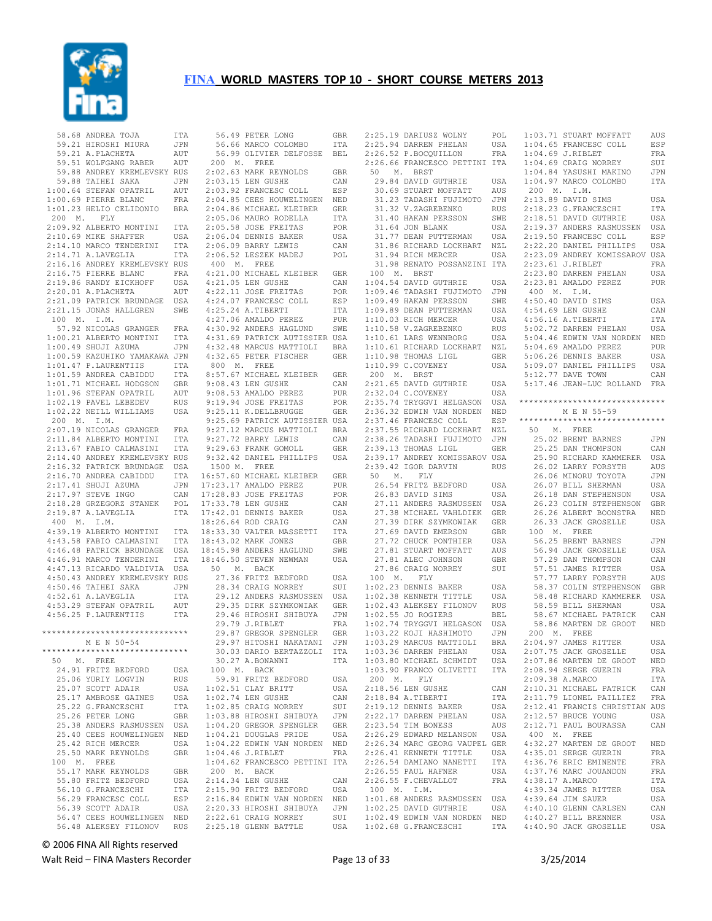

 58.68 ANDREA TOJA ITA 59.21 HIROSHI MIURA JPN 59.21 A.PLACHETA AUT 59.51 WOLFGANG RABER AUT 59.88 ANDREY KREMLEVSKY RUS 59.88 TAIHEI SAKA JPN<br>00.64 STEFAN OPATRIL AUT  $1:00.64$  STEFAN OPATRIL 1:00.69 PIERRE BLANC FRA 1:01.23 HELIO CELIDONIO BRA 200 M. FLY 2:09.92 ALBERTO MONTINI ITA<br>2:10.69 MIKE SHAFFER USA  $2:10.69$  MIKE SHAFFER 2:14.10 MARCO TENDERINI ITA<br>2:14.71 A.LAVEGLIA ITA  $2:14.71$  A.LAVEGLIA 2:16.16 ANDREY KREMLEVSKY RUS 2:19.86 RANDY EICKHOFF USA 2:20.01 A.PLACHETA AUT 2:21.09 PATRICK BRUNDAGE USA 2:21.15 JONAS HALLGREN SWE 100 M. I.M. 57.92 NICOLAS GRANGER FRA<br>:00.21 ALBERTO MONTINI ITA  $1:00.21$  ALBERTO MONTINI  $1:00.49$  SHUJI AZUMA 1:00.59 KAZUHIKO YAMAKAWA JPN 1:01.47 P.LAURENTIIS ITA 1:01.59 ANDREA CABIDDU ITA 1:01.71 MICHAEL HODGSON GBR 1:01.71 FILOMINAL 1.01.96<br>1:01.96 STEFAN OPATRIL AUT 1:02.19 PAVEL LEBEDEV RUS 1:02.22 NEILL WILLIAMS USA 200 M. I.M. 2:07.19 NICOLAS GRANGER FRA 2:16.32 PATRICK BRUNDAGE USA  $2:10.70 \, \text{m}$ 2:17.97 STEVE INGO 2:18.28 GRZEGORZ STANEK POL 2:19.87 A.LAVEGLIA ITA 400 M. I.M. 4:43.58 FABIO CALMASINI ITA 4:46.91 MARCO TENDERINI ITA 4:47.13 RICARDO VALDIVIA USA 4:50.43 ANDREY KREMLEVSKY RUS 4:50.46 TAIHEI SAKA JPN<br>4:52.61 A.LAVEGLIA TTA 4:52.61 A.LAVEGLIA ITA 4:53.29 STEFAN OPATRIL AUT \*\*\*\*\*\*\*\*\*\*\*\*\*\*\*\*\*\*\*\*\*\*\*\*\*\*\*\*\*\* M E N 50-54 \*\*\*\*\*\*\*\*\*\*\*\*\*\*\*\*\*\*\*\*\*\*\*\*\*\*\*\*\*\* 50 M. FREE 24.91 FRITZ BEDFORD USA 25.06 YURIY LOGVIN RUS<br>25.07 SCOTT ADAIR USA 25.07 SCOTT ADAIR USA<br>25.17 AMBROSE GAINES USA 25.17 AMBROSE GAINES USA<br>25.22 G.FRANCESCHI 1TA 25.11 FILMS 25.26 PETER LONG GBR 25.38 ANDERS RASMUSSEN USA 25.40 CEES HOUWELINGEN NED 25.42 RICH MERCER USA 25.50 MARK REYNOLDS GBR 100 M. FREE 55.17 MARK REYNOLDS GBR<br>55.80 FRITZ BEDFORD USA 199.17 Fairly Control Company<br>55.80 FRITZ BEDFORD USA<br>56.10 G.FRANCESCHI ITA 56.10 G.FRANCESCHI ITA<br>56.29 FRANCESC COLL ESP 56.29 FRANCESC COLL 56.39 SCOTT ADAIR USA 56.47 CEES HOUWELINGEN NED 56.48 ALEKSEY FILONOV RUS 2:22.61 CRAIG NORREY SUI 2:25.18 GLENN BATTLE USA

 2:16.75 PIERRE BLANC FRA 4:21.00 MICHAEL KLEIBER GER 100 M. BRST 2:11.84 ALBERTO MONTINI ITA 9:27.72 BARRY LEWIS CAN<br>2:13.67 FABIO CALMASINI ITA 9:29.63 FRANK GOMOLL GER 2:14.40 ANDREY KREMLEVSKY RUS 9:32.42 DANIEL PHILLIPS USA 2:16.70 ANDREA CABIDDU ITA 16:57.60 MICHAEL KLEIBER GER 4:39.19 ALBERTO MONTINI ITA 18:33.30 VALTER MASSETTI ITA 4:46.48 PATRICK BRUNDAGE USA 18:45.98 ANDERS HAGLUND SWE 4:56.25 P.LAURENTIIS ITA 29.46 HIROSHI SHIBUYA JPN 29.79 J.RIBLET FRA 56.49 PETER LONG GBR<br>56.66 MARCO COLOMBO ITA<br>56.99 OLIVIER DELFOSSE BEL<br>200 M. FREE<br>2:02.63 MARK REYNOLDS GBR 2:03.15 LEN GUSHE CAN<br>2:03.92 FRANCESC COLL ESP 2:03.92 FRANCESC COLL 2:04.85 CEES HOUWELINGEN NED 2:04.86 MICHAEL KLEIBER GER 2:05.06 MAURO RODELLA ITA 2:05.58 JOSE FREITAS POR 2:06.04 DENNIS BAKER USA 2:06.09 BARRY LEWIS CAN 2:00.09 BANAI BEWIS CONCORNER 400 M. FREE 4:21.05 LEN GUSHE CAN 4:22.11 JOSE FREITAS POR 4:24.07 FRANCESC COLL ESP 4:25.24 A.TIBERTI ITA<br>4:27.06 AMALDO PEREZ PUR 4:27.06 AMALDO PEREZ 4:30.92 ANDERS HAGLUND SWE 4:31.69 PATRICK AUTISSIER USA 4:32.48 MARCUS MATTIOLI BRA 4:32.65 PETER FISCHER GER 800 M. FREE 8:57.67 MICHAEL KLEIBER GER  $9:08.43$  LEN GUSHE 9:08.53 AMALDO PEREZ PUR<br>9:19.94 JOSE FREITAS POR AUT 9:00.00 APRILIAN 11.1-1 9:25.11 K.DELLBRUGGE GER 9:25.69 PATRICK AUTISSIER USA 9:27.12 MARCUS MATTIOLI BRA 1500 M. FREE 17:23.17 AMALDO PEREZ PUR 17:28.83 JOSE FREITAS POR 17:33.78 LEN GUSHE CAN 17:42.01 DENNIS BAKER USA 18:26.64 ROD CRAIG CAN 18:43.02 MARK JONES GBR<br>18:45.98 ANDERS HAGLUND SWE<br>18:46.50 STEVEN NEWMAN USA 18:46.50 STEVEN NEWMAN USA 50 M. BACK<br>27.36 FRITZ BEDFORD 27.36 FRITZ BEDFORD USA 28.34 CRAIG NORREY SUI 29.12 ANDERS RASMUSSEN USA 29.35 DIRK SZYMKOWIAK GER 29.87 GREGOR SPENGLER GER 29.97 HITOSHI NAKATANI JPN 30.03 DARIO BERTAZZOLI ITA 30.27 A.BONANNI ITA 100 M. BACK 59.91 FRITZ BEDFORD USA<br>:02.51 CLAY BRITT USA 59.91 FAILS 22.<br>1:02.51 CLAY BRITT 1:02.74 LEN GUSHE CAN<br>1:02.85 CRATG NORREY SUI  $1:02.85$  CRAIG NORREY 1:03.88 HIROSHI SHIBUYA - JPN<br>1:04.20 GREGOR SPENGLER - GER 1:04.20 GREGOR SPENGLER 1:04.21 DOUGLAS PRIDE USA 1:04.22 EDWIN VAN NORDEN NED<br>1:04.46 J.RIBLET FRA  $1:04.46$  J.RIBLET 1:04.62 FRANCESCO PETTINI ITA 200 M. BACK 2:14.34 LEN GUSHE CAN 2:14.34 HER SOURN<br>2:15.90 FRITZ BEDFORD USA 2:16.84 EDWIN VAN NORDEN NED 2:20.33 HIROSHI SHIBUYA JPN<br>2:22 61 CRAIG NORREY SUI

 2:25.19 DARIUSZ WOLNY POL 2:25.94 DARREN PHELAN USA 2:26.52 P.BOCQUILLON FRA 2:26.66 FRANCESCO PETTINI ITA 50 M. BRST 2000 DE DARINGE DU METTINI ITA<br>50 M. BRST<br>29.84 DAVID GUTHRIE USA<br>30.69 STUART MOFFATT AUS 30.69 STUART MOFFATT AUS 31.23 TADASHI FUJIMOTO JPN 2:13.89 DAVID SIMS USA 31.32 V.ZAGREBENKO RUS 31.40 HAKAN PERSSON 31.64 JON BLANK USA<br>31.77 DEAN PUTTERMAN USA<br>31.86 RICHARD LOCKHART NZL<br>31.94 RICH MERCER USA<br>31.98 RENATO POSSANZINI ITA 1:04.54 DAVID GUTHRIE USA CAN 1:04.54 DAVID GOINKIE OSA<br>POR 1:09.46 TADASHI FUJIMOTO JPN 1:09.49 HAKAN PERSSON SWE 1:09.89 DEAN PUTTERMAN USA  $1:10.03$  RICH MERCER 1:10.58 V.ZAGREBENKO RUS 1:10.61 LARS WENNBORG USA 1:10.61 RICHARD LOCKHART NZL 5:04.46 EDWIN VAN NORDEN NED 5:04.69 AMALDO PEREZ PUR 1:10.98 THOMAS LIGL GER 1:10.99 C.COVENEY USA 5:06.26 DENNIS BAKER USA 5:09.07 DANIEL PHILLIPS USA 1:10.99 C.COVENEY<br>200 M. BRST 2:21.65 DAVID GUTHRIE USA 5:17.46 JEAN-LUC ROLLAND FRA 2:32.04 C.COVENEY USA 2:35.74 TRYGGVI HELGASON USA 2:36.32 EDWIN VAN NORDEN NED 2:37.46 FRANCESC COLL 2:37.55 RICHARD LOCKHART NZL 2:38.26 TADASHI FUJIMOTO JPN  $2:39.13$  THOMAS LIGL 2:39.17 ANDREY KOMISSAROV USA 2:39.42 IGOR DARVIN RUS 50 M. FLY 26.54 FRITZ BEDFORD USA<br>26.83 DAVID SIMS USA 26.83 DAVID SIMS USA 27.11 ANDERS RASMUSSEN USA 27.38 MICHAEL VAHLDIEK GER 27.39 DIRK SZYMKOWIAK GER 27.69 DAVID EMERSON GBR 27.72 CHUCK PONTHIER USA 27.81 STUART MOFFATT AUS 27.81 ALEC JOHNSON GBR 27.86 CRAIG NORREY SUI 100 M. FLY SUI 1:02.23 DENNIS BAKER USA<br>USA 1:02.38 KENNETH TITTLE USA 1:02.38 KENNETH TITTLE USA 1:02.43 ALEKSEY FILONOV RUS 58.48 RICHARD KAMMERER USA 58.59 BILL SHERMAN USA 1:02.55 JO ROGIERS BEL 1:02.74 TRYGGVI HELGASON USA 1:03.22 KOJI HASHIMOTO JPN 1:03.29 MARCUS MATTIOLI BRA 1:03.36 DARREN PHELAN USA 1:03.80 MICHAEL SCHMIDT USA 1:03.90 FRANCO OLIVETTI ITA 200 M. FLY 2:18.56 LEN GUSHE CAN  $2:18.84$  A.TIBERTI  $2:19.12$  DENNIS BAKER 2:22.17 DARREN PHELAN USA<br>2:23.54 TIM BONESS AUS 2:23.54 TIM BONESS 2:26.29 EDWARD MELANSON USA 2:26.34 MARC GEORG VAUPEL GER 2:26.41 KENNETH TITTLE USA 4:32.27 MARTEN DE GROOT NED 4:35.01 SERGE GUERIN FRA  $2:26.54$  DAMIANO NANETTI  $2:26.55$  PAUL HAFNER  $2:26.55$  F. CHEVALLOT 100 M. I.M. 1:01.68 ANDERS RASMUSSEN USA 1:02.25 DAVID GUTHRIE USA 1:02.49 EDWIN VAN NORDEN NED 1:02.68 G.FRANCESCHI ITA 4:40.27 BILL BRENNER USA 4:40.90 JACK GROSELLE USA GER 26.33 JACK GRO<br>GBR 100 M. FREE

1:03.71 STUART MOFFATT AUS<br>
1:04.65 FRANCESC COLL ESP<br>
1:04.69 J.RIBLET FRA<br>
1:04.69 CRAIG NORREY SUI<br>
1:04.84 YASUSHI MAKINO JPN USA 1:04.97 MARCO COLOMBO ITA 200 M. I.M. 2:18.23 G.FRANCESCHI ITA SWE 2:18.51 DAVID GUTHRIE USA 2:19.37 ANDERS RASMUSSEN USA<br>
2:29.20 DANIEL PHILLIPS USA<br>
2:22.20 DANIEL PHILLIPS USA<br>
2:23.09 ANDREY KOMISSAROV USA<br>
2:23.61 J.RIBLET FRA<br>
2:23.80 DARREN PHELAN USA 2:23.81 AMALDO PEREZ PUR 400 M. I.M. 4:50.40 DAVID SIMS USA USA 4:54.69 LEN GUSHE CAN<br>USA 4:56.16 A.TIBERTI TTA 4:56.16 A.TIBERTI ITA 5:02.72 DARREN PHELAN USA 5:12.77 DAVE TOWN CAN \*\*\*\*\*\*\*\*\*\*\*\*\*\*\*\*\*\*\*\*\*\*\*\*\*\*\*\*\*\* M E N 55-59 ESP \*\*\*\*\*\*\*\*\*\*\*\*\*\*\*\*\*\*\*\*\*\*\*\*\*\*\*\*\* 50 M. FREE 25.02 BRENT BARNES JPN 25.25 DAN THOMPSON CAN 25.90 RICHARD KAMMERER USA<br>26.02 LARRY FORSYTH AUS 26.02 LARRY FORSYTH 26.06 MINORU TOYOTA JPN<br>26.07 BILL SHERMAN USA 26.07 BILL SHERMAN USA 26.18 DAN STEPHENSON USA 26.23 COLIN STEPHENSON GBR 26.26 ALBERT BOONSTRA NED 26.33 JACK GROSELLE USA 56.25 BRENT BARNES JPN 56.94 JACK GROSELLE USA<br>57.29 DAN THOMPSON CAN 57.29 DAN THOMPSON CAN 57.51 JAMES RITTER USA 57.77 LARRY FORSYTH 58.37 COLIN STEPHENSON GBR<br>58.48 RICHARD KAMMERER USA 58.67 MICHAEL PATRICK CAN 58.86 MARTEN DE GROOT NED 200 M. FREE 2:04.97 JAMES RITTER USA 2:07.75 JACK GROSELLE USA 2:07.86 MARTEN DE GROOT NED 2:08.94 SERGE GUERIN FRA 2:09.38 A.MARCO ITA 2:10.31 MICHAEL PATRICK CAN 2:11.79 LIONEL PAILLIEZ FRA 2:12.41 FRANCIS CHRISTIAN AUS 2:12.57 BRUCE YOUNG USA 2:12.71 PAUL BOURASSA CAN 400 M. FREE 4:36.76 ERIC EMINENTE FRA 4:37.76 MARC JOUANDON FRA FRA  $4:38.17$  A.MARCO ITA 4:39.34 JAMES RITTER USA<br>4:39.64 JIM SAUER USA 4:39.64 JIM SAUER 4:40.10 GLENN CARLSEN CAN<br>4:40 27 BILL BRENNER LISA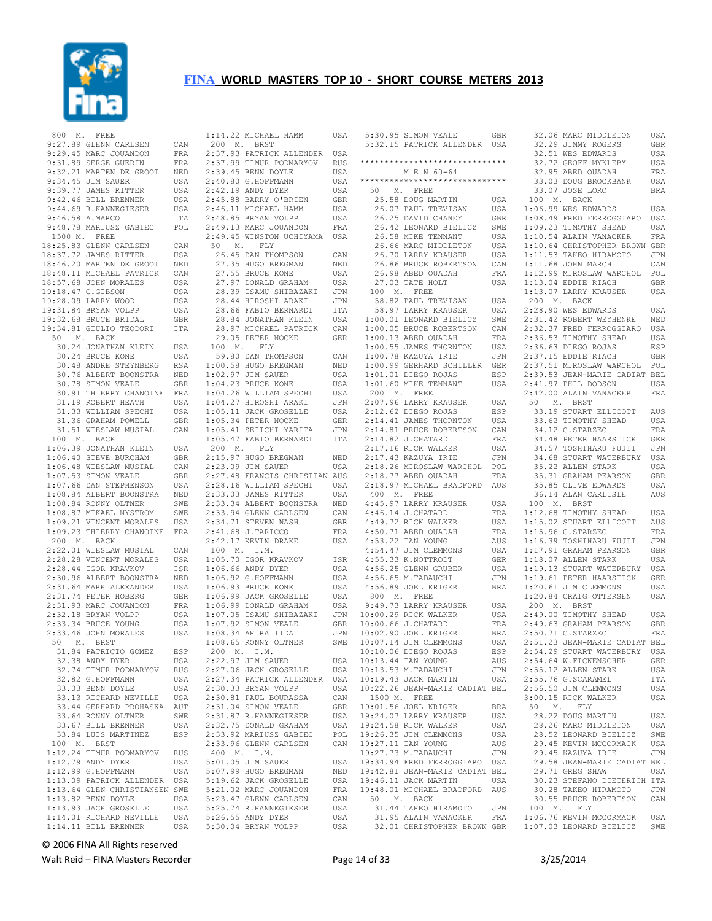

 800 M. FREE 9:27.89 GLENN CARLSEN CAN 9:29.45 MARC JOUANDON FRA 9:31.89 SERGE GUERIN FRA 9:32.21 MARTEN DE GROOT NED 9:34.45 JIM SAUER USA 9:39.77 JAMES RITTER USA 9:42.46 BILL BRENNER USA<br>9:44.69 R.KANNEGIESER USA 9:44.69 R.KANNEGIESER 9:46.58 A.MARCO 9:48.78 MARIUSZ GABIEC 1500 M. FREE 1900 FL 1900<br>18:25.83 GLENN CARLSEN CAN<br>18:37.72 JAMES RITTER USA 18:37.72 JAMES RITTER USA<br>18:46.20 MARTEN DE GROOT NED<br>18:48.11 MICHAEL PATRICK CAN<br>18:57.68 JOHN MORALES USA<br>19:18.47 C.GIBSON USA 19:28.09 LARRY WOOD USA 19:31.84 BRYAN VOLPP USA 19:32.68 BRUCE BRIDAL GBR 19:34.81 GIULIO TEODORI ITA 50 M. BACK 30.24 JONATHAN KLEIN USA 100 M. FLY 31.33 WILLIAM SPECHT USA 31.36 GRAHAM POWELL GBR<br>31.51 WIESLAW MUSIAL CAN 31.51 WIESLAW MUSIAL CAN 100 M. BACK 1:06.39 JONATHAN KLEIN USA 1:06.40 STEVE BURCHAM GBR 1:06.48 WIESLAW MUSIAL CAN  $1:07.53$  SIMON VEALE  $1:08.84$  RONNY OLTNER 1:08.87 MIKAEL NYSTROM 1:09.21 VINCENT MORALES USA 1:09.23 THIERRY CHANOINE FRA 200 M. BACK<br>2:22.01 WIESLAW MUSIAL<br>2:28.00 ----- 2:22.01 WIESLAW MUSIAL CAN 2:28.28 VINCENT MORALES USA 2:28.44 IGOR KRAVKOV ISR<br>2:30.96 ALBERT BOONSTRA NED 2:30.96 ALBERT BOONSTRA 2:31.74 PETER HOBERG GER 2:31.93 MARC JOUANDON 2:32.18 BRYAN VOLPP USA 2:33.34 BRUCE YOUNG USA 50 M. BRST 31.84 PATRICIO GOMEZ ESP 200 M. I.M.<br>32.38 ANDY DYER USA 2:22.97 JIM SAUER 32.38 ANDY DYER 32.74 TIMUR PODMARYOV 32.82 G.HOFFMANN USA<br>33.03 BENN DOYLE USA 33.03 BENN DOYLE 33.44 GERHARD PROHASKA AUT 33.67 BILL BRENNER USA 100 M. BRST 1:12.24 TIMUR PODMARYOV RUS<br>1:12.79 ANDY DYER USA 1:12.79 ANDY DYER 1:12.99 G.HOFFMANN USA 1:13.82 BENN DOYLE USA 1:13.93 JACK GROSELLE USA 1:14.01 RICHARD NEVILLE USA  $1:14.11$  BILL BRENNER

 30.24 BRUCE KONE USA 30.48 ANDRE STEYNBERG RSA 59.80 DAN THOMPSON CAN 1:00.58 HUGO BREGMAN NED 30.76 ALBERT BOONSTRA NED 30.78 SIMON VEALE GBR 1:02.97 JIM SAUER USA 1:04.23 BRUCE KONE USA 30.91 THIERRY CHANOINE FRA 31.19 ROBERT HEATH USA 1:04.26 WILLIAM SPECHT USA 1:04.27 HIROSHI ARAKI JPN 1:07.66 DAN STEPHENSON USA 1:08.84 ALBERT BOONSTRA NED 2:28.16 WILLIAM SPECHT USA 2:33.03 JAMES RITTER USA 2:31.64 MARK ALEXANDER USA 1:06.93 BRUCE KONE USA 2:33.46 JOHN MORALES USA 1:08.34 AKIRA IIDA JPN 33.13 RICHARD NEVILLE USA 2:30.81 PAUL BOURASSA CAN 33.64 RONNY OLTNER SWE 2:31.87 R.KANNEGIESER USA 33.84 LUIS MARTINEZ ESP 2:33.92 MARIUSZ GABIEC POL 1:13.09 PATRICK ALLENDER USA 1:13.64 GLEN CHRISTIANSEN SWE 5:19.62 JACK GROSELLE USA 5:21.02 MARC JOUANDON FRA 1:14.22 MICHAEL HAMM USA 200 M. BRST 2:37.93 PATRICK ALLENDER USA 2:37.99 TIMUR PODMARYOV RUS 2:39.45 BENN DOYLE USA USA 2:40.80 G.HOFFMANN USA<br>USA 2:42.19 ANDY DYER USA  $2:42.19$  ANDY DYER 2:45.88 BARRY O'BRIEN GBR  $2:46.11$  MICHAEL HAMM 2:48.85 BRYAN VOLPP USA POL 2:49.13 MARC JOUANDON FRA 2:49.45 WINSTON UCHIYAMA USA 50 M. FLY<br>26.45 DAN THOMPSON 26.45 DAN THOMPSON CAN 27.35 HUGO BREGMAN NED<br>27.55 BRUCE KONE USA<br>27.57 DONALD GRAHAM USA<br>28.39 ISAMU SHIBAZAKI JPN 28.44 HIROSHI ARAKI JPN 28.66 FABIO BERNARDI ITA 28.84 JONATHAN KLEIN USA 28.97 MICHAEL PATRICK CAN<br>29.05 PETER NOCKE GER 29.05 PETER NOCKE 1:05.11 JACK GROSELLE USA 1:05.11 JACK GROSELLE USA<br>1:05.34 PETER NOCKE GER<br>1:05.41 SEIICHI YARITA JPN 1:05.41 SEIICHI YARITA JPN 1:05.47 FABIO BERNARDI ITA 200 M. FLY 2:15.97 HUGO BREGMAN NED 2:23.09 JIM SAUER USA 2:27.48 FRANCIS CHRISTIAN AUS 2:33.34 ALBERT BOONSTRA NED 2:33.94 GLENN CARLSEN CAN 2:34.71 STEVEN NASH GBR 2:41.68 J.TARICCO FRA 2:42.17 KEVIN DRAKE USA 100 M. I.M. 1:05.70 IGOR KRAVKOV ISR 1:06.66 ANDY DYER USA<br>1:06.92 G.HOFFMANN USA  $1:06.92$  G.HOFFMANN 1:06.99 JACK GROSELLE USA FRA 1:06.99 DONALD GRAHAM USA 1:07.05 ISAMU SHIBAZAKI JPN 1:07.92 SIMON VEALE GBR 1:08.65 RONNY OLTNER SWE 200 M. I.M. 2:22.97 JIM SAUER USA 2:27.06 JACK GROSELLE USA 2:27.34 PATRICK ALLENDER USA 2:30.33 BRYAN VOLPP USA 2:31.04 SIMON VEALE GBR 2:32.75 DONALD GRAHAM USA 2:33.96 GLENN CARLSEN CAN 400 M. I.M. 5:01.05 JIM SAUER USA 5:07.99 HUGO BREGMAN NED 5:23.47 GLENN CARLSEN CAN 5:25.74 R.KANNEGIESER USA 5:26.55 ANDY DYER USA USA 5:20.55 ANDI DIER OSA<br>USA 5:30.04 BRYAN VOLPP USA

|  |  |  |  | 5:30.95 SIMON VEALE                                                                                                                                                                                             | GBR        |
|--|--|--|--|-----------------------------------------------------------------------------------------------------------------------------------------------------------------------------------------------------------------|------------|
|  |  |  |  | 5:32.15 PATRICK ALLENDER USA                                                                                                                                                                                    |            |
|  |  |  |  |                                                                                                                                                                                                                 |            |
|  |  |  |  | *****************************                                                                                                                                                                                   |            |
|  |  |  |  | M E N 60-64                                                                                                                                                                                                     |            |
|  |  |  |  | *****************************                                                                                                                                                                                   |            |
|  |  |  |  |                                                                                                                                                                                                                 |            |
|  |  |  |  | 50 M. FREE                                                                                                                                                                                                      |            |
|  |  |  |  |                                                                                                                                                                                                                 | USA        |
|  |  |  |  |                                                                                                                                                                                                                 | USA        |
|  |  |  |  |                                                                                                                                                                                                                 | GBR        |
|  |  |  |  |                                                                                                                                                                                                                 | SWE        |
|  |  |  |  | 25.58 DOUG MARTIN<br>26.07 PAUL TREVISAN<br>26.25 DAVID CHANEY<br>26.42 LEONARD BIELICZ<br>26.58 MIKE TENNANT                                                                                                   | USA        |
|  |  |  |  |                                                                                                                                                                                                                 | USA        |
|  |  |  |  | 26.66 MARC MIDDLETON<br>26.70 LARRY KRAUSER                                                                                                                                                                     | USA        |
|  |  |  |  | 26.70 LARRY KRAUSER                                                                                                                                                                                             |            |
|  |  |  |  | 26.86 BRUCE ROBERTSON<br>26.98 ABED OUADAH                                                                                                                                                                      | CAN        |
|  |  |  |  |                                                                                                                                                                                                                 | FRA        |
|  |  |  |  |                                                                                                                                                                                                                 | USA        |
|  |  |  |  | 27.03 TATE HOLT<br>100 M. FREE                                                                                                                                                                                  |            |
|  |  |  |  | 58.82 PAUL TREVISAN USA<br>58.97 LARRY KRAUSER USA<br>1:00.01 LEONARD BIELICZ SWE<br>1:00.05 BRUCE ROBERTSON CAN                                                                                                |            |
|  |  |  |  |                                                                                                                                                                                                                 |            |
|  |  |  |  |                                                                                                                                                                                                                 |            |
|  |  |  |  |                                                                                                                                                                                                                 |            |
|  |  |  |  |                                                                                                                                                                                                                 |            |
|  |  |  |  | $1:00.13$ ABED OUADAH                                                                                                                                                                                           | FRA        |
|  |  |  |  | 1:00.55 JAMES THORNTON USA<br>1:00.55 JAMES THORNTON USA<br>1:00.99 GERHARD SCHILLER GER                                                                                                                        |            |
|  |  |  |  |                                                                                                                                                                                                                 |            |
|  |  |  |  |                                                                                                                                                                                                                 |            |
|  |  |  |  | $1:01.01$ DIEGO ROJAS                                                                                                                                                                                           | ESP        |
|  |  |  |  | $1:01.60$ MIKE TENNANT                                                                                                                                                                                          | USA        |
|  |  |  |  | 200 M. FREE                                                                                                                                                                                                     |            |
|  |  |  |  | ZUU M. FREE<br>2:12.62 LARRY KRAUSER<br>2:12.62 DIEGO ROJAS<br>2:14.41 JAMES THORNTON<br>2:14.81 BRUCE ROBERTSON<br>2:14.82 J.CHATARD<br>2:17.16 RICK WALKER<br>2:17.43 KAZUYA IRIE<br>2:18.26 MTROSIAN NAPOTAT |            |
|  |  |  |  |                                                                                                                                                                                                                 | USA        |
|  |  |  |  |                                                                                                                                                                                                                 | ESP        |
|  |  |  |  |                                                                                                                                                                                                                 | USA        |
|  |  |  |  |                                                                                                                                                                                                                 | CAN        |
|  |  |  |  |                                                                                                                                                                                                                 | FRA        |
|  |  |  |  |                                                                                                                                                                                                                 | USA        |
|  |  |  |  |                                                                                                                                                                                                                 | JPN        |
|  |  |  |  | 2:18.26 MIROSLAW WARCHOL POL                                                                                                                                                                                    |            |
|  |  |  |  |                                                                                                                                                                                                                 |            |
|  |  |  |  | $2:18.77$ ABED OUADAH                                                                                                                                                                                           | FRA        |
|  |  |  |  | 2:18.97 MICHAEL BRADFORD                                                                                                                                                                                        | AUS        |
|  |  |  |  | 400 M. FREE                                                                                                                                                                                                     |            |
|  |  |  |  | 4:45.97 LARRY KRAUSER                                                                                                                                                                                           | USA        |
|  |  |  |  | 4:46.14 J.CHATARD                                                                                                                                                                                               | FRA        |
|  |  |  |  |                                                                                                                                                                                                                 | USA        |
|  |  |  |  | 4:49.72 RICK WALKER<br>4:50.71 ABED OUADAH                                                                                                                                                                      | FRA        |
|  |  |  |  |                                                                                                                                                                                                                 | AUS        |
|  |  |  |  | 4:53.22 IAN YOUNG<br>4:54.47 JIM CLEMMONS                                                                                                                                                                       |            |
|  |  |  |  |                                                                                                                                                                                                                 | USA        |
|  |  |  |  | $4:55.33$ K.NOTTRODT                                                                                                                                                                                            | GER        |
|  |  |  |  | 4:56.25 GLENN GRUBER                                                                                                                                                                                            | USA        |
|  |  |  |  | 4:56.65 M.TADAUCHI                                                                                                                                                                                              | JPN        |
|  |  |  |  | 4:56.89 JOEL KRIGER                                                                                                                                                                                             | <b>BRA</b> |
|  |  |  |  | 800 M. FREE<br>9:49.73 LARRY KRAUSER<br>10:00.29 RICK WALKER                                                                                                                                                    |            |
|  |  |  |  |                                                                                                                                                                                                                 | USA        |
|  |  |  |  |                                                                                                                                                                                                                 | USA        |
|  |  |  |  |                                                                                                                                                                                                                 |            |
|  |  |  |  | 10:00.66 J.CHATARD                                                                                                                                                                                              | FRA        |
|  |  |  |  | 10:02.90 JOEL KRIGER<br>10:07.14 JIM CLEMMONS<br>10:10.06 DIECO DOTES<br>10:10.06 DIECO DOTES                                                                                                                   | <b>BRA</b> |
|  |  |  |  |                                                                                                                                                                                                                 | USA        |
|  |  |  |  |                                                                                                                                                                                                                 | ESP        |
|  |  |  |  | 10:13.44 IAN YOUNG                                                                                                                                                                                              | AUS        |
|  |  |  |  | 10:13.53 M.TADAUCHI                                                                                                                                                                                             | JPN        |
|  |  |  |  | 10:19.43 JACK MARTIN                                                                                                                                                                                            | USA        |
|  |  |  |  |                                                                                                                                                                                                                 |            |
|  |  |  |  | 10:22.26 JEAN-MARIE CADIAT BEL                                                                                                                                                                                  |            |
|  |  |  |  | 1500 M. FREE                                                                                                                                                                                                    |            |
|  |  |  |  | 19:01.56 JOEL KRIGER                                                                                                                                                                                            | BRA        |
|  |  |  |  | 19:24.07 LARRY KRAUSER                                                                                                                                                                                          | USA        |
|  |  |  |  | 19:24.58 RICK WALKER                                                                                                                                                                                            | USA        |
|  |  |  |  | 19:26.35 JIM CLEMMONS                                                                                                                                                                                           | USA        |
|  |  |  |  | 19:27.11 IAN YOUNG                                                                                                                                                                                              | AUS        |
|  |  |  |  | 19:27.73 M. TADAUCHI                                                                                                                                                                                            | JPN        |
|  |  |  |  |                                                                                                                                                                                                                 |            |
|  |  |  |  | 19:34.94 FRED FERROGGIARO USA                                                                                                                                                                                   |            |
|  |  |  |  | 19:42.81 JEAN-MARIE CADIAT BEL                                                                                                                                                                                  |            |
|  |  |  |  | 19:46.11 JACK MARTIN                                                                                                                                                                                            | USA        |
|  |  |  |  | 19:48.01 MICHAEL BRADFORD AUS                                                                                                                                                                                   |            |
|  |  |  |  | 50 M. BACK                                                                                                                                                                                                      |            |
|  |  |  |  | 31.44 TAKEO HIRAMOTO                                                                                                                                                                                            | JPN        |
|  |  |  |  | 31.95 ALAIN VANACKER                                                                                                                                                                                            | FRA        |
|  |  |  |  | 32.01 CHRISTOPHER BROWN GBR                                                                                                                                                                                     |            |

|                                                                                        | GBR            |
|----------------------------------------------------------------------------------------|----------------|
| 32.51 WES EDWARDS                                                                      | USA            |
| 32.72 GEOFF MYKLEBY                                                                    | USA            |
| 32.95 ABED OUADAH                                                                      | FRA            |
| 33.03 DOUG BROCKBANK                                                                   | USA            |
| 33.07 JOSE LORO<br>100 M. BACK                                                         | <b>BRA</b>     |
| $1:06.99$ WES EDWARDS                                                                  | USA            |
| 1:08.49 FRED FERROGGIARO USA                                                           |                |
|                                                                                        | USA            |
| 1:09.23 TIMOTHY SHEAD<br>1:10.54 ALAIN VANACKER                                        | FRA            |
| 1:10.64 CHRISTOPHER BROWN GBR<br>1:11.53 TAKEO HIRAMOTO JPN                            |                |
|                                                                                        |                |
| 1:11.68 JOHN MARCH                                                                     | CAN            |
| 1:12.99 MIROSLAW WARCHOL POL                                                           |                |
| 1:13.04 EDDIE RIACH                                                                    | GBR            |
| 1:13.07 LARRY KRAUSER<br>200 M. BACK                                                   | <b>USA</b>     |
| 2:28.90 WES EDWARDS                                                                    | USA            |
|                                                                                        | NED            |
| 2:31.42 ROBERT WEYHENKE<br>2:32.37 FRED FERROGGIARO                                    | USA            |
| 2:36.53 TIMOTHY SHEAD                                                                  | USA            |
|                                                                                        | ESP            |
| 2:36.63 DIEGO ROJAS<br>2:37.15 EDDIE RIACH                                             | GBR            |
| 2:37.51 MIROSLAW WARCHOL POL                                                           |                |
| 2:39.53 JEAN-MARIE CADIAT BEL                                                          |                |
| 2:41.97 PHIL DODSON                                                                    | USA            |
| 2:42.00 ALAIN VANACKER                                                                 | FRA            |
| 50 M. BRST                                                                             | AUS            |
| 33.19 STUART ELLICOTT<br>33.62 TIMOTHY SHEAD                                           | USA            |
| 34.12 C.STARZEC                                                                        | FRA            |
| 34.48 PETER HAARSTICK                                                                  | GER            |
| 34.57 TOSHIHARU FUJII                                                                  | JPN            |
| 34.68 STUART WATERBURY                                                                 | USA            |
| 35.22 ALLEN STARK                                                                      | USA            |
| 35.31 GRAHAM PEARSON                                                                   | GBR            |
| 35.85 CLIVE EDWARDS                                                                    | USA            |
| 36.14 ALAN CARLISLE                                                                    | AUS            |
|                                                                                        |                |
| 100 M. BRST                                                                            |                |
| 1:12.68 TIMOTHY SHEAD                                                                  | USA            |
| 1:15.02 STUART ELLICOTT                                                                | AUS            |
| $1:15.96$ C.STARZEC                                                                    | FRA<br>JPN     |
| $1:16.39$ TOSHIHARU FUJII                                                              | GBR            |
|                                                                                        | USA            |
| 1:17.91 GRAHAM PEARSON<br>1:18.07 ALLEN STARK<br>1:19.13 STUART WATERBURY USA          |                |
|                                                                                        | GER            |
| 1:19.61 PETER HAARSTICK<br>1:20.61 JIM CLEMMONS                                        | USA            |
| 1:20.61 JIM CLEMMONS<br>1:20.84 CRAIG OTTERSEN                                         | USA            |
| 200 M. BRST                                                                            |                |
| 2:49.00 TIMOTHY SHEAD                                                                  | USA            |
| 2:49.63 GRAHAM PEARSON                                                                 | GBR            |
|                                                                                        |                |
| 2:50.71 C.STARZEC FRA<br>2:51.23 JEAN-MARIE CADIAT BEL<br>2:54.29 STUART WATERBURY USA |                |
| 2:54.64 W.FICKENSCHER                                                                  | GER            |
| 2:55.12 ALLEN STARK                                                                    | USA            |
| 2:55.76 G.SCARAMEL                                                                     | ITA            |
| 2:56.50 JIM CLEMMONS                                                                   | USA            |
| 3:00.15 RICK WALKER                                                                    | USA            |
| 50 M.<br>FLY                                                                           |                |
| 28.22 DOUG MARTIN<br>28.26 MARC MIDDLETON                                              | USA<br>USA     |
| 28.52 LEONARD BIELICZ                                                                  | SWE            |
| 29.45 KEVIN MCCORMACK                                                                  | USA            |
| 29.45 KAZUYA IRIE                                                                      | $\mathtt{JPN}$ |
| 29.58 JEAN-MARIE CADIAT BEL                                                            |                |
| 29.71 GREG SHAW                                                                        | USA            |
| 30.23 STEFANO DIETERICH ITA                                                            |                |
| 30.28 TAKEO HIRAMOTO                                                                   | JPN            |
| 30.55 BRUCE ROBERTSON                                                                  | CAN            |
| 100 M. FLY<br>1:06.76 KEVIN MCCORMACK<br>$1:07.03$ LEONARD BIELICZ                     | USA            |

32.06 MARC MIDDLETON USA

© 2006 FINA All Rights reserved

Walt Reid – FINA Masters Recorder and the Seconder Page 14 of 33 3/25/2014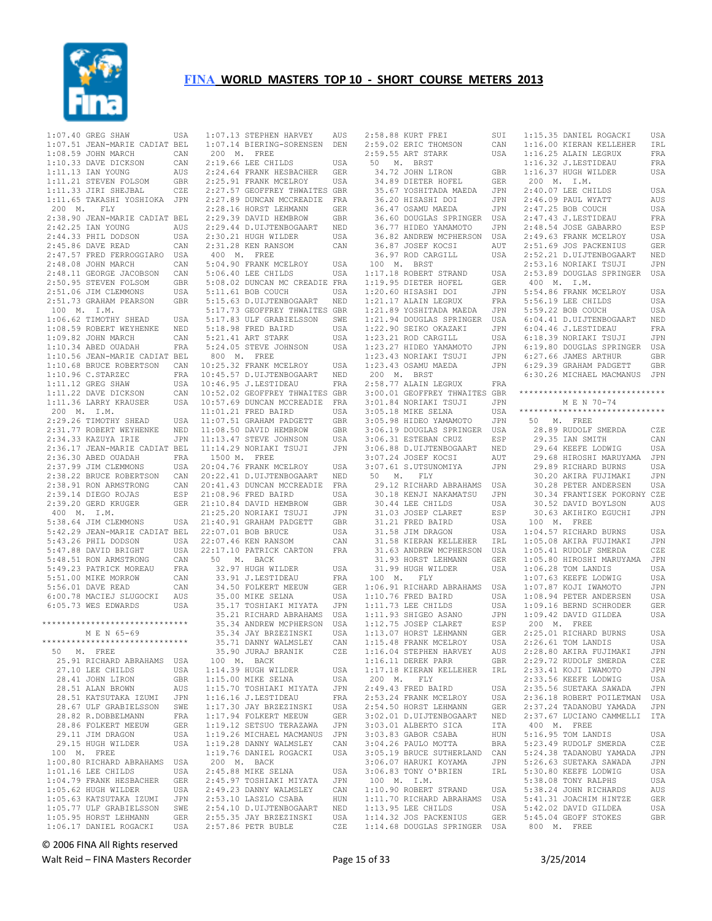

| $1:07.40$ GREG SHAW                            |                                                                                                                                                                                      | USA          |
|------------------------------------------------|--------------------------------------------------------------------------------------------------------------------------------------------------------------------------------------|--------------|
|                                                | 1:07.51 JEAN-MARIE CADIAT BEL                                                                                                                                                        |              |
|                                                |                                                                                                                                                                                      |              |
|                                                | 1:08.59 JOHN MARCH CAN<br>1:10.33 DAVE DICKSON CAN<br>1:11.13 IAN YOUNG AUS                                                                                                          |              |
|                                                |                                                                                                                                                                                      |              |
|                                                |                                                                                                                                                                                      |              |
| 1:11.21 STEVEN FOLSOM<br>1:11.33 JIRI SHEJBAL  |                                                                                                                                                                                      | $\mbox{GBR}$ |
|                                                |                                                                                                                                                                                      | CZE          |
|                                                | 1:11.65 TAKASHI YOSHIOKA JPN<br>200 M. FLY                                                                                                                                           |              |
|                                                |                                                                                                                                                                                      |              |
|                                                | 2:38.90 JEAN-MARIE CADIAT BEL                                                                                                                                                        |              |
|                                                | 2:42.25 IAN YOUNG AUS<br>2:44.33 PHIL DODSON USA<br>2:45.86 DAVE READ CAN                                                                                                            |              |
|                                                |                                                                                                                                                                                      | USA<br>CAN   |
|                                                |                                                                                                                                                                                      |              |
|                                                | AN AN ARE PERROGGIARO USA<br>2:48.08 JOHN MARCH<br>2:48.11 GEORGE JACOBSON CAN<br>2:50.95 STEVEN FOLSOM GBR<br>2:51.06 JIM CLEMMONS USA<br>2:51.73 GRAHAM PEARSON GBR<br>100 M. I.M. |              |
|                                                |                                                                                                                                                                                      |              |
|                                                |                                                                                                                                                                                      |              |
|                                                |                                                                                                                                                                                      |              |
|                                                |                                                                                                                                                                                      |              |
|                                                |                                                                                                                                                                                      |              |
|                                                |                                                                                                                                                                                      |              |
|                                                | 1:06.62 TIMOTHY SHEAD USA<br>1:08.59 ROBERT WEYHENKE NED                                                                                                                             |              |
|                                                |                                                                                                                                                                                      |              |
|                                                |                                                                                                                                                                                      |              |
|                                                |                                                                                                                                                                                      |              |
|                                                |                                                                                                                                                                                      |              |
|                                                |                                                                                                                                                                                      |              |
|                                                |                                                                                                                                                                                      |              |
|                                                |                                                                                                                                                                                      |              |
|                                                |                                                                                                                                                                                      |              |
|                                                |                                                                                                                                                                                      |              |
|                                                |                                                                                                                                                                                      |              |
|                                                |                                                                                                                                                                                      |              |
|                                                |                                                                                                                                                                                      |              |
|                                                |                                                                                                                                                                                      |              |
|                                                |                                                                                                                                                                                      |              |
|                                                |                                                                                                                                                                                      |              |
|                                                |                                                                                                                                                                                      |              |
|                                                |                                                                                                                                                                                      |              |
|                                                |                                                                                                                                                                                      |              |
|                                                |                                                                                                                                                                                      |              |
|                                                |                                                                                                                                                                                      |              |
|                                                |                                                                                                                                                                                      |              |
|                                                |                                                                                                                                                                                      |              |
|                                                |                                                                                                                                                                                      |              |
|                                                |                                                                                                                                                                                      |              |
|                                                |                                                                                                                                                                                      |              |
|                                                |                                                                                                                                                                                      |              |
|                                                |                                                                                                                                                                                      |              |
|                                                |                                                                                                                                                                                      |              |
|                                                |                                                                                                                                                                                      |              |
|                                                |                                                                                                                                                                                      |              |
|                                                |                                                                                                                                                                                      |              |
|                                                | 5:56.01 DAVE READ<br>6:00.78 MACIEJ SLUGOCKI AUS                                                                                                                                     |              |
| 6:05.73 WES EDWARDS                            |                                                                                                                                                                                      | USA          |
|                                                |                                                                                                                                                                                      |              |
| *******************************<br>M E N 65-69 |                                                                                                                                                                                      |              |
|                                                |                                                                                                                                                                                      |              |
| *****************************                  |                                                                                                                                                                                      |              |
| 50<br>M. FREE                                  |                                                                                                                                                                                      |              |
|                                                |                                                                                                                                                                                      |              |
|                                                |                                                                                                                                                                                      |              |
|                                                | 25.91 RICHARD ABRAHAMS                                                                                                                                                               | USA          |
| 27.10 LEE CHILDS                               |                                                                                                                                                                                      | USA          |
| 28.41 JOHN LIRON                               |                                                                                                                                                                                      | GBR          |
| 28.51 ALAN BROWN                               |                                                                                                                                                                                      | AUS          |
| 28.51 KATSUTAKA IZUMI                          |                                                                                                                                                                                      | JPN          |
| 28.67 ULF GRABIELSSON                          |                                                                                                                                                                                      | SWE          |
| 28.82 R.DOBBELMANN                             |                                                                                                                                                                                      | FRA          |
| 28.86 FOLKERT MEEUW                            |                                                                                                                                                                                      | <b>GER</b>   |
| 29.11 JIM DRAGON                               |                                                                                                                                                                                      | USA          |
| 29.15 HUGH WILDER                              |                                                                                                                                                                                      | USA          |
| 100 M.<br>FREE                                 |                                                                                                                                                                                      |              |
| 1:00.80 RICHARD ABRAHAMS                       |                                                                                                                                                                                      | USA          |
| 1:01.16 LEE CHILDS                             |                                                                                                                                                                                      | USA          |
| 1:04.79 FRANK HESBACHER                        |                                                                                                                                                                                      | GER          |
| 1:05.62 HUGH WILDER                            |                                                                                                                                                                                      | USA          |
| 1:05.63 KATSUTAKA IZUMI                        |                                                                                                                                                                                      | JPN          |
| 1:05.77 ULF GRABIELSSON                        |                                                                                                                                                                                      | SWE          |
| 1:05.95 HORST LEHMANN                          |                                                                                                                                                                                      | ${\tt GER}$  |

| 1:07.13 STEPHEN HARVEY                                                                                                    | AUS            |
|---------------------------------------------------------------------------------------------------------------------------|----------------|
| 1:07.14 BIERING-SORENSEN                                                                                                  | DEN            |
|                                                                                                                           |                |
| 200 M. FREE                                                                                                               |                |
| 2:19.66 LEE CHILDS                                                                                                        | USA            |
|                                                                                                                           |                |
|                                                                                                                           |                |
| 2:24.64 FRANK HESBACHER GER<br>2:25.91 FRANK MCELROY USA<br>2:27.57 GEOFFREY THWAITES GBR                                 |                |
|                                                                                                                           |                |
| 2:27.89 DUNCAN MCCREADIE                                                                                                  | FRA            |
| 2:28.16 HORST LEHMANN                                                                                                     | GER            |
| 2:29.39 DAVID HEMBROW                                                                                                     | $_{\rm GBR}$   |
| 2:29.44 D.UIJTENBOGAART                                                                                                   |                |
|                                                                                                                           | NED            |
| 2:30.21 HUGH WILDER                                                                                                       | USA            |
| 2:31.28 KEN RANSOM                                                                                                        | CAN            |
| 400 M. FREE                                                                                                               |                |
|                                                                                                                           |                |
| 5:04.90 FRANK MCELROY                                                                                                     | USA            |
| 5:06.40 LEE CHILDS                                                                                                        | USA            |
| 5:08.02 DUNCAN MC CREADIE FRA                                                                                             |                |
| 5:11.61 BOB COUCH                                                                                                         | USA            |
|                                                                                                                           |                |
| 5:15.63 D.UIJTENBOGAART NED<br>5:17.73 GEOFFREY THWAITES GBR                                                              |                |
|                                                                                                                           |                |
| 5:17.83 ULF GRABIELSSON                                                                                                   | SWE            |
| 5:18.98 FRED BAIRD                                                                                                        | USA            |
| 5:21.41 ART STARK                                                                                                         | USA            |
|                                                                                                                           |                |
| 5:24.05 STEVE JOHNSON                                                                                                     | USA            |
| 800 M. FREE                                                                                                               |                |
| 10:25.32 FRANK MCELROY                                                                                                    | USA            |
|                                                                                                                           | NED            |
| 10:45.57 D.UIJTENBOGAART<br>10:46.95 J.LESTIDEAU                                                                          |                |
|                                                                                                                           | FRA            |
| 10:52.02 GEOFFREY THWAITES GBR                                                                                            |                |
| 10:57.69 DUNCAN MCCREADIE FRA                                                                                             |                |
|                                                                                                                           | USA            |
|                                                                                                                           |                |
|                                                                                                                           | GBR            |
|                                                                                                                           | GBR            |
| 11:01.21 FRED BATRD<br>11:01.21 FRED BATRD<br>11:07.51 GRAHAM PADGETT<br>11:08.50 DAVID HEMBROW<br>11:13.47 STEVE JOHNSON | USA            |
| 11:14.29 NORIAKI TSUJI                                                                                                    | JPN            |
|                                                                                                                           |                |
| 1500 M. FREE                                                                                                              |                |
| 20:04.76 FRANK MCELROY                                                                                                    | USA            |
|                                                                                                                           | NED            |
| 20:22.41 D.UIJTENBOGAART<br>20:22.41 D.UIJTENBOGAART<br>20:41.43 DUNCAN MCCREADIE                                         | FRA            |
| 21:08.96 FRED BAIRD                                                                                                       | USA            |
|                                                                                                                           |                |
| 21:10.84 DAVID HEMBROW<br>21:25.20 NORIAKI TSUJI                                                                          | GBR            |
|                                                                                                                           | JPN            |
| 21:40.91 GRAHAM PADGETT                                                                                                   | GBR            |
| 22:07.01 BOB BRUCE                                                                                                        | USA            |
| 22:07.46 KEN RANSOM                                                                                                       | CAN            |
|                                                                                                                           |                |
| 22:17.10 PATRICK CARTON                                                                                                   | FRA            |
| 50 M. BACK                                                                                                                |                |
| 32.97 HUGH WILDER                                                                                                         | USA            |
| 33.91 J.LESTIDEAU                                                                                                         | <b>FRA</b>     |
|                                                                                                                           |                |
| 34.50 FOLKERT MEEUW                                                                                                       | GER            |
| 35.00 MIKE SELNA                                                                                                          | USA            |
|                                                                                                                           | JPN            |
| 35.17 TOSHIAKI MIYATA<br>35.21 RICHARD ABRAHAMS<br>35.34 ANDREW MCPHERSON                                                 |                |
|                                                                                                                           | USA<br>USA     |
|                                                                                                                           |                |
| 35.34 JAY BRZEZINSKI                                                                                                      |                |
| 35.71 DANNY WALMSLEY                                                                                                      | USA            |
| 35.90 JURAJ BRANIK                                                                                                        | CAN            |
|                                                                                                                           | CZE            |
|                                                                                                                           |                |
| 100 M. BACK                                                                                                               |                |
| 1:14.39 HUGH WILDER                                                                                                       | USA            |
| $1:15.00$ MIKE SELNA                                                                                                      | USA            |
| 1:15.70 TOSHIAKI MIYATA                                                                                                   | JPN            |
| 1:16.16 J.LESTIDEAU                                                                                                       | FRA            |
|                                                                                                                           |                |
| $1:17.30$ JAY BRZEZINSKI                                                                                                  | USA            |
| 1:17.94 FOLKERT MEEUW                                                                                                     | GER            |
| 1:19.12 SETSUO TERAZAWA                                                                                                   | JPN            |
|                                                                                                                           | JPN            |
| 1:19.26 MICHAEL MACMANUS<br>1:19.28 DANNY WALMSLEY                                                                        | CAN            |
|                                                                                                                           |                |
| 1:19.76 DANIEL ROGACKI                                                                                                    | USA            |
| 200 M. BACK                                                                                                               |                |
| 2:45.88 MIKE SELNA                                                                                                        | USA            |
| 2:45.97 TOSHIAKI MIYATA                                                                                                   | $\mathtt{JPN}$ |
|                                                                                                                           | CAN            |
|                                                                                                                           |                |
| 2:49.23 DANNY WALMSLEY<br>2:53.10 LASZLO CSABA                                                                            | HUN            |
| 2:54.10 D.UIJTENBOGAART                                                                                                   | NED            |
|                                                                                                                           | USA            |
| 2:55.35 JAY BRZEZINSKI<br>2:57.86 PETR BUBLE                                                                              | CZE            |

|             | 2:58.88 KURT FREI                                                                                                                   | SUI               | ĵ                                |
|-------------|-------------------------------------------------------------------------------------------------------------------------------------|-------------------|----------------------------------|
|             | 2:59.02 ERIC THOMSON                                                                                                                | CAN               | Í                                |
|             | 2:59.55 ART STARK                                                                                                                   |                   | Í                                |
|             |                                                                                                                                     | USA               |                                  |
|             | 50 M. BRST                                                                                                                          |                   | $\ddot{\phantom{a}}$             |
|             | 34.72 JOHN LIRON                                                                                                                    | GBR               | ĵ                                |
|             | 34.89 DIETER HOFEL<br>35.67 West                                                                                                    | GER               |                                  |
|             |                                                                                                                                     | JPN               |                                  |
|             |                                                                                                                                     | JPN               |                                  |
|             | 35.67 YOSHITADA MAEDA<br>36.20 HISASHI DOI<br>36.47 OSAMU MAEDA<br>36.47 OSAMU MAEDA                                                | JPN               |                                  |
|             |                                                                                                                                     |                   |                                  |
|             | 36.60 DOUGLAS SPRINGER USA<br>36.77 HIDEO YAMAMOTO JPN<br>36.82 ANDREW MCPHERSON USA                                                |                   |                                  |
|             |                                                                                                                                     | JPN               |                                  |
|             |                                                                                                                                     |                   |                                  |
|             | 36.87 JOSEF KOCSI<br>36.97 ROD CARGILL                                                                                              | AUT               |                                  |
|             |                                                                                                                                     | USA               |                                  |
|             | 100 M. BRST                                                                                                                         |                   |                                  |
|             | $1:17.18$ ROBERT STRAND                                                                                                             | USA               | he he he he he he he he he he he |
|             |                                                                                                                                     |                   |                                  |
|             | $1:19.95$ DIETER HOFEL                                                                                                              | GER               |                                  |
|             | $1:20.60$ HISASHI DOI                                                                                                               | $_{\rm JPN}$      | (5.25)                           |
|             | 1:21.17 ALAIN LEGRUX<br>1:21.17 ALAIN LEGRUX<br>1:21.17 ALAIN LEGROA<br>1:21.89 YOSHITADA MAEDA JPN<br>1:21.94 DOUGLAS SPRINGER USA |                   |                                  |
|             |                                                                                                                                     |                   |                                  |
|             |                                                                                                                                     |                   | $\epsilon$                       |
|             |                                                                                                                                     |                   |                                  |
|             | 1:22.90 SEIKO OKAZAKI JPN<br>1:23.21 ROD CARGILL USA<br>1:23.27 HIDEO YAMAMOTO JPN                                                  |                   | $\epsilon$                       |
|             |                                                                                                                                     |                   | $\epsilon$                       |
|             |                                                                                                                                     |                   | $\epsilon$                       |
|             | 1:23.43 NORIAKI TSUJI                                                                                                               | JPN               | $\epsilon$                       |
|             | $1:23.43$ OSAMU MAEDA                                                                                                               | JPN               | $\epsilon$                       |
|             | 200 M. BRST                                                                                                                         |                   | $\epsilon$                       |
|             | 2:58.77 ALAIN LEGRUX                                                                                                                | FRA               |                                  |
|             |                                                                                                                                     |                   |                                  |
|             | 3:00.01 GEOFFREY THWAITES GBR<br>3:00.01 GEOFFREI 1<br>3:01.84 NORIAKI TSUJI                                                        |                   | $^{\star}$                       |
|             |                                                                                                                                     |                   |                                  |
|             | 3:05.18 MIKE SELNA                                                                                                                  | JPN<br>USA<br>JPN | $^{\star}$                       |
|             | $3:05.98$ HIDEO YAMAMOTO                                                                                                            |                   |                                  |
|             | 3:06.19 DOUGLAS SPRINGER USA                                                                                                        |                   |                                  |
|             | 3:06.31 ESTEBAN CRUZ                                                                                                                | ESP               |                                  |
|             |                                                                                                                                     |                   |                                  |
|             |                                                                                                                                     |                   |                                  |
|             | 3:06.31 ESTEBAN CIVE<br>3:06.88 D.UIJTENBOGAART NED<br>2:07.24 JOSEF KOCSI AUT<br>3:07.24 JOSEF KOCSI<br>3·07.61 S.UTSUNOMIYA       |                   |                                  |
|             | 3:07.61 S.UTSUNOMIYA                                                                                                                | JPN               |                                  |
|             | 50 M. FLY                                                                                                                           |                   |                                  |
|             |                                                                                                                                     |                   |                                  |
|             | 29.12 RICHARD ABRAHAMS USA<br>30.18 KENJI NAKAMATSU JPN<br>30.18 KENJI NAKAMATSU                                                    |                   |                                  |
|             |                                                                                                                                     |                   |                                  |
|             | 30.44 LEE CHILDS                                                                                                                    | USA               |                                  |
|             | UHILDS دعمد<br>31.03 JOSEP CLARET<br>31.21 FRED BAIRD                                                                               | ESP               |                                  |
|             | 31.21 FRED BAIRD<br>31.31 FRED BAIRD<br>31.58 JIM DRAGON                                                                            | USA               |                                  |
|             | 31.58 JIM DRAGON                                                                                                                    | USA               | ĵ                                |
|             | 1. ALBANN KELLEHER IRL 31.63 ANDREW MCPHERSON USA                                                                                   |                   | j                                |
|             |                                                                                                                                     |                   | ĵ                                |
|             | 31.93 HORST LEHMANN                                                                                                                 |                   |                                  |
|             | 31.99 HUGH WILDER                                                                                                                   |                   | $\frac{1}{2}$                    |
|             |                                                                                                                                     | USA               |                                  |
|             | 100 M. FLY                                                                                                                          |                   |                                  |
|             | 1:06.91 RICHARD ABRAHAMS USA<br>1:10.76 FRED BAIRD USA                                                                              |                   | <b>CONTRACTOR</b>                |
|             |                                                                                                                                     | USA               |                                  |
|             | $1:11.73$ LEE CHILDS                                                                                                                | USA               |                                  |
|             | 1:11.93 SHIGEO ASANO                                                                                                                | JPN               | $\ddot{\phantom{0}}$             |
|             | 1:12.75 JOSEP CLARET                                                                                                                | ESP               |                                  |
|             |                                                                                                                                     |                   |                                  |
|             | 1:13.07 HORST LEHMANN<br>1:15.48 FRANK MCELROY                                                                                      | GER<br>USA        | $\overline{a}$<br>ź              |
|             |                                                                                                                                     |                   |                                  |
|             | 1:16.04 STEPHEN HARVEY                                                                                                              | AUS               |                                  |
|             | 1:16.11 DEREK PARR                                                                                                                  | GBR               | $\ddot{\phantom{0}}$             |
|             | 1:17.18 KIERAN KELLEHER                                                                                                             | IRL               |                                  |
| 200 M. FLY  |                                                                                                                                     |                   |                                  |
|             | 2:49.43 FRED BAIRD                                                                                                                  | USA               | <b>AA AA AA AA AA AA</b>         |
|             | 2:53.24 FRANK MCELROY                                                                                                               |                   |                                  |
|             |                                                                                                                                     | USA               |                                  |
|             | $2:54.50$ HORST LEHMANN                                                                                                             | GER               |                                  |
|             | 3:02.01 D.UIJTENBOGAART                                                                                                             | NED               | $\frac{1}{2}$                    |
|             | 3:03.01 ALBERTO SICA                                                                                                                | <b>ITA</b>        |                                  |
|             | 3:03.83 GABOR CSABA                                                                                                                 | HUN               |                                  |
|             | 3:04.26 PAULO MOTTA                                                                                                                 | BRA               |                                  |
|             | 3:05.19 BRUCE SUTHERLAND                                                                                                            | CAN               |                                  |
|             | 3:06.07 HARUKI KOYAMA                                                                                                               |                   | in in in in in in in in in       |
|             |                                                                                                                                     | JPN               |                                  |
|             | 3:06.83 TONY O'BRIEN                                                                                                                | IRL               |                                  |
| 100 M. I.M. |                                                                                                                                     |                   |                                  |
|             | 1:10.90 ROBERT STRAND                                                                                                               | USA               |                                  |
|             | 1:11.70 RICHARD ABRAHAMS                                                                                                            | USA               |                                  |
|             | 1:13.95 LEE CHILDS                                                                                                                  | USA               |                                  |
|             | 1:14.32 JOS PACKENIUS                                                                                                               | GER               |                                  |
|             | 1:14.68 DOUGLAS SPRINGER USA                                                                                                        |                   |                                  |
|             |                                                                                                                                     |                   |                                  |

|                                                                                                                              | 1:15.35 DANIEL ROGACKI                                                                                                                                                                                                          | USA                         |
|------------------------------------------------------------------------------------------------------------------------------|---------------------------------------------------------------------------------------------------------------------------------------------------------------------------------------------------------------------------------|-----------------------------|
| ľ                                                                                                                            | 1:16.00 KIERAN KELLEHER<br>1:16.25 ALAIN LEGRUX<br>1:16.32 J.LESTIDEAU<br>1:16.37 HUGH WILDER                                                                                                                                   | $_{\rm{FRA}}^{\rm{IRL}}$    |
|                                                                                                                              |                                                                                                                                                                                                                                 |                             |
| $\overline{a}$                                                                                                               |                                                                                                                                                                                                                                 | FRA                         |
|                                                                                                                              |                                                                                                                                                                                                                                 | USA                         |
|                                                                                                                              | 200 M. I.M.                                                                                                                                                                                                                     |                             |
| $\frac{1}{1}$                                                                                                                |                                                                                                                                                                                                                                 | USA                         |
|                                                                                                                              | 2:40.07 LEE CHILDS<br>2:46.09 PAUL WYATT<br>2:47.25 BOB COUCH<br>2:47.43 J.LESTIDEAU                                                                                                                                            | AUS                         |
|                                                                                                                              |                                                                                                                                                                                                                                 | USA                         |
|                                                                                                                              |                                                                                                                                                                                                                                 | FRA                         |
|                                                                                                                              | 2:47.43 J.LESTIDEAU<br>2:48.54 JOSE GABARRO                                                                                                                                                                                     | $_{\rm ESP}$                |
| $\begin{bmatrix} 1 \\ 1 \\ 1 \\ 1 \end{bmatrix}$                                                                             | $2:49.63$ FRANK MCELROY                                                                                                                                                                                                         | USA                         |
|                                                                                                                              |                                                                                                                                                                                                                                 |                             |
| L                                                                                                                            |                                                                                                                                                                                                                                 |                             |
|                                                                                                                              | 2:49.63 FRANK MCELROY USA<br>2:51.69 JOS PACKENIUS GER<br>2:52.21 D.UIJTENBOGAART NED<br>2:53.16 NORIARI TSUJI JPN                                                                                                              |                             |
|                                                                                                                              |                                                                                                                                                                                                                                 |                             |
|                                                                                                                              | 2:53.89 DOUGLAS SPRINGER USA                                                                                                                                                                                                    |                             |
| $\frac{1}{1}$                                                                                                                |                                                                                                                                                                                                                                 |                             |
|                                                                                                                              | 400 M. I.M.<br>5:54.86 FRANK MCELROY<br>5:56.19 LEE CHILDS                                                                                                                                                                      | <b>USA</b>                  |
|                                                                                                                              |                                                                                                                                                                                                                                 | USA                         |
|                                                                                                                              |                                                                                                                                                                                                                                 | USA                         |
| $\frac{1}{1}$                                                                                                                | 5:59.22 EOB COUCH<br>6:04.41 D.UIJTENBOGAART<br>6:04.46 J.LESTIDEAU<br>6:18.39 NORIAKI TSUJI                                                                                                                                    | $\mathop{\rm NED}\nolimits$ |
|                                                                                                                              |                                                                                                                                                                                                                                 | FRA                         |
|                                                                                                                              |                                                                                                                                                                                                                                 | JPN                         |
| $\frac{1}{\pi}$                                                                                                              | 6:19.80 DOUGLAS SPRINGER USA                                                                                                                                                                                                    |                             |
|                                                                                                                              | 6:27.66 JAMES ARTHUR<br>6:29.39 GRAHAM PADGETT                                                                                                                                                                                  | GBR                         |
| ľ                                                                                                                            |                                                                                                                                                                                                                                 | GBR                         |
|                                                                                                                              | 6:30.26 MICHAEL MACMANUS JPN                                                                                                                                                                                                    |                             |
|                                                                                                                              |                                                                                                                                                                                                                                 |                             |
| $\frac{1}{2}$ . The set of $\frac{1}{2}$ is the set of $\frac{1}{2}$ is the set of $\frac{1}{2}$ is the set of $\frac{1}{2}$ | ******************************                                                                                                                                                                                                  |                             |
|                                                                                                                              | M E N 70-74                                                                                                                                                                                                                     |                             |
|                                                                                                                              |                                                                                                                                                                                                                                 |                             |
|                                                                                                                              |                                                                                                                                                                                                                                 |                             |
|                                                                                                                              | 28.89 RUDOLF SMERDA<br>29.35 IAN SMITH<br>29.64 KEEFE LODWIG<br>29.68 HIROSHI MARUYAMA                                                                                                                                          | CZE                         |
|                                                                                                                              |                                                                                                                                                                                                                                 | CAN                         |
|                                                                                                                              |                                                                                                                                                                                                                                 | USA                         |
|                                                                                                                              |                                                                                                                                                                                                                                 | JPN                         |
|                                                                                                                              |                                                                                                                                                                                                                                 |                             |
|                                                                                                                              |                                                                                                                                                                                                                                 |                             |
|                                                                                                                              | 29.89 RICHARD BURNS<br>30.20 AKIRA FUJIMAKI JPN<br>30.28 PETER ANDERSEN USA<br>30.34 FRANTISEK POKORNY CZE<br>30.52 DAVID BOYLSON AUS<br>30.52 DAVID BOYLSON AUS                                                                |                             |
| ľ                                                                                                                            |                                                                                                                                                                                                                                 |                             |
|                                                                                                                              |                                                                                                                                                                                                                                 |                             |
| こうしょうしょう こうしょう                                                                                                               | 30.54 FARM11021<br>30.63 AKIHIKO EGUCHI<br>30.63 AKIHIKO EGUCHI<br>100 M. FREE<br>1:04.57 RICHARD BURNS<br>1:05.08 AKIRA FUJIMAKI JPN<br>1:05.41 RUDOLF SMERDA CZE<br>1:05.40 HIROSHI MARUYAMA JPN<br>1:06.28 TOM LANDIS<br>USA |                             |
|                                                                                                                              |                                                                                                                                                                                                                                 |                             |
|                                                                                                                              |                                                                                                                                                                                                                                 |                             |
|                                                                                                                              |                                                                                                                                                                                                                                 |                             |
|                                                                                                                              |                                                                                                                                                                                                                                 |                             |
|                                                                                                                              |                                                                                                                                                                                                                                 |                             |
| L                                                                                                                            | 1:06.28 TOM LANDIS<br>1:07.63 KEEFE LODWIG<br>1:07.87 KOJI IWAMOTO<br>1:08.94 PETER ANDERSEN                                                                                                                                    | USA                         |
|                                                                                                                              |                                                                                                                                                                                                                                 | USA                         |
|                                                                                                                              |                                                                                                                                                                                                                                 | $\mathtt{JPN}$              |
|                                                                                                                              |                                                                                                                                                                                                                                 | USA                         |
|                                                                                                                              | $1:08.94$ Friends<br>$1:09.16$ BERND SCHRODER                                                                                                                                                                                   | GER                         |
|                                                                                                                              | 1:09.10 BERND 3<br>1:09.42 DAVID 6<br>200 M. FREE<br>2:25.01 RICHARI<br>1:09.42 DAVID GILDEA                                                                                                                                    | USA                         |
|                                                                                                                              |                                                                                                                                                                                                                                 |                             |
|                                                                                                                              | 2:25.01 RICHARD BURNS                                                                                                                                                                                                           | USA                         |
|                                                                                                                              | 2:26.61 TOM LANDIS                                                                                                                                                                                                              | USA                         |
|                                                                                                                              | 2:28.80 AKIRA FUJIMAKI                                                                                                                                                                                                          | JPN                         |
| Ļ                                                                                                                            | 2:29.72 RUDOLF SMERDA                                                                                                                                                                                                           | CZE                         |
| í                                                                                                                            | 2:33.41 KOJI IWAMOTO<br>2:33.56 KEEFE LODWIG                                                                                                                                                                                    | JPN                         |
|                                                                                                                              |                                                                                                                                                                                                                                 | USA                         |
| $\ddot{\phantom{0}}$                                                                                                         | 2:35.56 SUETAKA SAWADA                                                                                                                                                                                                          | JPN                         |
|                                                                                                                              | 2:36.18 ROBERT POILETMAN                                                                                                                                                                                                        | USA                         |
| į                                                                                                                            | 2:37.24 TADANOBU YAMADA                                                                                                                                                                                                         | JPN                         |
| $\overline{)}$                                                                                                               | 2:37.67 LUCIANO CAMMELLI                                                                                                                                                                                                        | ITA                         |
| L                                                                                                                            | 400 M.<br>FREE                                                                                                                                                                                                                  |                             |
| ľ                                                                                                                            | 5:16.95 TOM LANDIS                                                                                                                                                                                                              | <b>USA</b>                  |
|                                                                                                                              | 5:23.49 RUDOLF SMERDA                                                                                                                                                                                                           | CZE                         |
| ľ                                                                                                                            | 5:24.38 TADANOBU YAMADA                                                                                                                                                                                                         | $\mathtt{JPN}$              |
| ľ                                                                                                                            | 5:26.63 SUETAKA SAWADA                                                                                                                                                                                                          | JPN                         |
| ,                                                                                                                            | 5:30.80 KEEFE LODWIG                                                                                                                                                                                                            | USA                         |
|                                                                                                                              | 5:38.08 TONY RALPHS                                                                                                                                                                                                             | USA                         |
|                                                                                                                              | 5:38.24 JOHN RICHARDS                                                                                                                                                                                                           | AUS                         |
|                                                                                                                              | 5:41.31 JOACHIM HINTZE                                                                                                                                                                                                          | GER                         |
| .<br>.<br>.                                                                                                                  | 5:42.02 DAVID GILDEA                                                                                                                                                                                                            | USA                         |
|                                                                                                                              | 5:45.04 GEOFF STOKES                                                                                                                                                                                                            | GBR                         |
| L                                                                                                                            | 800 M. FREE                                                                                                                                                                                                                     |                             |
|                                                                                                                              |                                                                                                                                                                                                                                 |                             |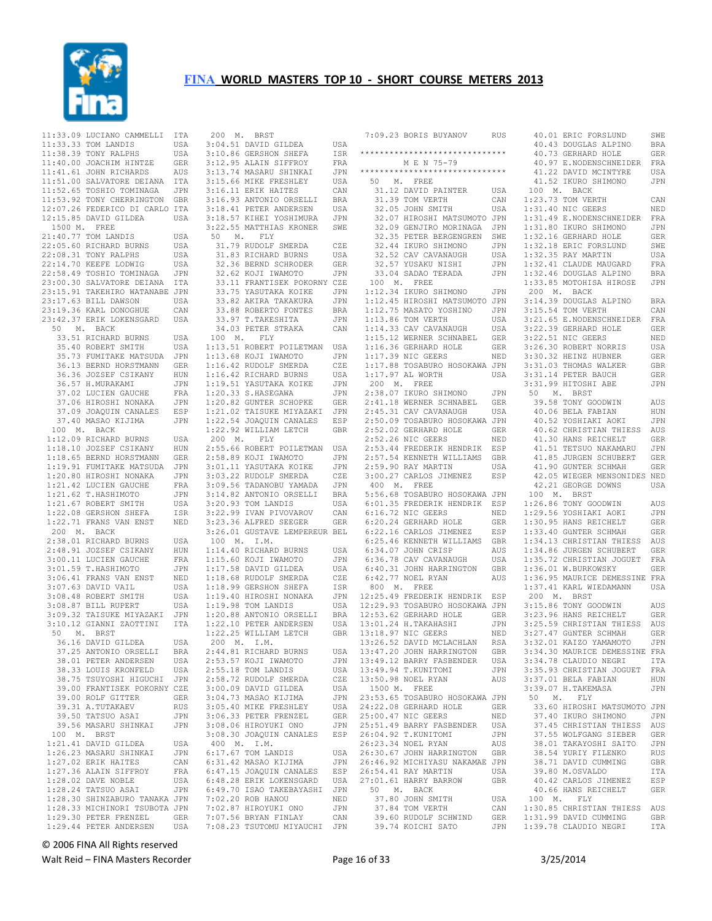

|         | 11:33.09 LUCIANO CAMMELLI ITA                                                                                                                                                 |            |
|---------|-------------------------------------------------------------------------------------------------------------------------------------------------------------------------------|------------|
|         |                                                                                                                                                                               |            |
|         |                                                                                                                                                                               |            |
|         |                                                                                                                                                                               |            |
|         | 11:33.33 TOM LANDIS<br>11:33.33 TOM LANDIS USA<br>11:38.39 TONY RALPHS USA<br>11:40.00 JOACHIM HINTZE GER<br>11:41.61 JOHN RICHARDS AUS<br>11:51.00 SALVATORE DEIANA ITA      |            |
|         |                                                                                                                                                                               |            |
|         |                                                                                                                                                                               |            |
|         |                                                                                                                                                                               |            |
|         |                                                                                                                                                                               |            |
|         | 11:52.65 TOSHIO TOMINAGA JPN<br>11:53.92 TONY CHERRINGTON GBR                                                                                                                 |            |
|         | 12:07.26 FEDERICO DI CARLO ITA                                                                                                                                                |            |
|         | 12:15.85 DAVID GILDEA                                                                                                                                                         | USA        |
|         |                                                                                                                                                                               |            |
|         | 1500 M. FREE                                                                                                                                                                  |            |
|         | 21:40.77 TOM LANDIS                                                                                                                                                           | USA        |
|         | 22:05.60 RICHARD BURNS                                                                                                                                                        | USA        |
|         | 22:08.31 TONY RALPHS                                                                                                                                                          | USA        |
|         |                                                                                                                                                                               |            |
|         | 22:14.70 KEEFE LODWIG                                                                                                                                                         | USA        |
|         | 22:58.49 TOSHIO TOMINAGA JPN<br>22:58.49 TOSHIO TOMINAGA JPN<br>23:00.30 SALVATORE DEIANA ITA                                                                                 |            |
|         |                                                                                                                                                                               |            |
|         |                                                                                                                                                                               |            |
|         | 23:15.91 TAKEHIRO WATANABE JPN<br>23:17.63 BILL DAWSON USA                                                                                                                    |            |
|         |                                                                                                                                                                               |            |
|         | 23:19.36 KARL DONOGHUE<br>23:19.36 KARL DONOGHUE                                                                                                                              | CAN        |
|         | 23:42.37 ERIK LOKENSGARD                                                                                                                                                      | USA        |
|         |                                                                                                                                                                               |            |
|         | 50 M. BACK                                                                                                                                                                    |            |
|         | 33.51 RICHARD BURNS<br>35.40 ROBERT SMITH                                                                                                                                     | USA        |
|         |                                                                                                                                                                               | USA        |
|         |                                                                                                                                                                               | JPN        |
|         | 35.40 ROBERT SMITH<br>35.73 FUMITAKE MATSUDA<br>36.13 BERND HORSTMANN                                                                                                         | GER        |
|         |                                                                                                                                                                               |            |
|         |                                                                                                                                                                               | HUN        |
|         | 36.36 JOZSEF CSIKANY<br>36.37 H.MURAKAMI<br>37.02 LUCIEN GAUCHE<br>37.06 HIROSHI NONAKA                                                                                       | JPN        |
|         |                                                                                                                                                                               |            |
|         |                                                                                                                                                                               | FRA<br>JPN |
|         |                                                                                                                                                                               |            |
|         | 37.09 JOAQUIN CANALES<br>37.40 MASAO KIJIMA                                                                                                                                   | ESP        |
|         |                                                                                                                                                                               | JPN        |
|         |                                                                                                                                                                               |            |
|         | 100 M. BACK                                                                                                                                                                   |            |
|         | 1:12.09 RICHARD BURNS<br>1:12.09 RICHARD BURNS<br>1:18.10 JOZSEF CSIKANY<br>1:18.65 BERND HORSTMANN                                                                           | USA        |
|         |                                                                                                                                                                               | HUN        |
|         |                                                                                                                                                                               | GER        |
|         |                                                                                                                                                                               |            |
|         |                                                                                                                                                                               | JPN        |
|         | 1.10.03 BEAND MOKSIMAN<br>1.19.91 FUMITAKE MATSUDA<br>1.20.80 HIROSHI NONAKA<br>1.21.42 LUCIEN GAUCHE<br>1.21.62 T.HASHIMOTO<br>1.21.67 ROBERT SMITH<br>1.22.08 GERSHON SHEFA | JPN        |
|         |                                                                                                                                                                               | FRA        |
|         |                                                                                                                                                                               | JPN        |
|         |                                                                                                                                                                               |            |
|         |                                                                                                                                                                               | USA        |
|         |                                                                                                                                                                               | ISR        |
|         | $1:22.71$ FRANS VAN ENST                                                                                                                                                      | NED        |
|         | 200 M. BACK                                                                                                                                                                   |            |
|         |                                                                                                                                                                               |            |
|         |                                                                                                                                                                               | USA        |
|         | 2:38.01 RICHARD BURNS<br>2:48.91 JOZSEF CSIKANY<br>3:00.11 LUCIEN GAUCHE<br>3:01.59 T.HASHIMOTO                                                                               | HUN        |
|         |                                                                                                                                                                               | FRA        |
|         |                                                                                                                                                                               | JPN        |
|         |                                                                                                                                                                               |            |
|         | 3:06.41 FRANS VAN ENST<br>3:07.63 DAVID VAIL                                                                                                                                  | NED        |
|         |                                                                                                                                                                               | USA        |
|         | 3:08.48 ROBERT SMITH<br>3:08.48 ROBERT SMITH                                                                                                                                  | USA        |
|         |                                                                                                                                                                               | USA        |
|         |                                                                                                                                                                               |            |
|         | 3:09.32 TAISUKE MIYAZAKI<br>3:10.12 GIANNI ZAOTTINI                                                                                                                           | JPN        |
|         |                                                                                                                                                                               | ITA        |
|         | 50 M. BRST                                                                                                                                                                    |            |
|         | 36.16 DAVID GILDEA                                                                                                                                                            | USA        |
|         |                                                                                                                                                                               |            |
|         | 37.25 ANTONIO ORSELLI                                                                                                                                                         | <b>BRA</b> |
|         | 38.01 PETER ANDERSEN                                                                                                                                                          | USA        |
|         | 38.33 LOUIS KRONFELD                                                                                                                                                          | USA        |
|         | 38.75 TSUYOSHI HIGUCHI                                                                                                                                                        | JPN        |
|         |                                                                                                                                                                               |            |
|         | 39.00 FRANTISEK POKORNY                                                                                                                                                       | CZE        |
|         | 39.00 ROLF GITTER                                                                                                                                                             | GER        |
|         | 39.31 A.TUTAKAEV                                                                                                                                                              | <b>RUS</b> |
|         | 39.50 TATSUO ASAI                                                                                                                                                             | JPN        |
|         |                                                                                                                                                                               |            |
|         | 39.56 MASARU SHINKAI                                                                                                                                                          | JPN        |
| 100 M.  | <b>BRST</b>                                                                                                                                                                   |            |
| 1:21.41 | DAVID GILDEA                                                                                                                                                                  | USA        |
|         | 1:26.23 MASARU SHINKAI                                                                                                                                                        | JPN        |
|         |                                                                                                                                                                               |            |
|         | 1:27.02 ERIK HAITES                                                                                                                                                           | CAN        |
|         | $1:27.36$ ALAIN SIFFROY                                                                                                                                                       | FRA        |
|         | 1:28.02 DAVE NOBLE                                                                                                                                                            | USA        |
|         | 1:28.24 TATSUO ASAI                                                                                                                                                           |            |
|         |                                                                                                                                                                               | JPN        |
|         |                                                                                                                                                                               |            |
|         | 1:28.30 SHINZABURO TANAKA JPN                                                                                                                                                 |            |
|         | 1:28.33 MICHINORI TSUBOTA JPN                                                                                                                                                 |            |
|         |                                                                                                                                                                               |            |
|         | 1:29.30 PETER FRENZEL<br>1:29.44 PETER ANDERSEN                                                                                                                               | GER<br>USA |

| 200 M. BRST                                                                                                                                                             |                          |
|-------------------------------------------------------------------------------------------------------------------------------------------------------------------------|--------------------------|
|                                                                                                                                                                         |                          |
|                                                                                                                                                                         |                          |
|                                                                                                                                                                         |                          |
|                                                                                                                                                                         | USA<br>ISR<br>FRA<br>JPN |
|                                                                                                                                                                         | USA                      |
| 200 THE DAVID GILDEA<br>3:10.86 GERSHON SHEFA<br>3:12.95 ALAIN SIFFROY<br>3:13.74 MASARU SHINKAI<br>3:15.66 MIKE FRESHLEY<br>3:16.11 ERIK HAITES<br>3:16.11 ERIK HAITES | CAN                      |
| 3:16.11 EKIR HAITES<br>3:16.93 ANTONIO ORSELLI<br>3:18.41 PETER ANDERSEN<br>3:18.57 KIHEI YOSHIMURA<br>3:22.55 MATTHIAS KRONER                                          | BRA                      |
|                                                                                                                                                                         | USA                      |
|                                                                                                                                                                         | JPN                      |
|                                                                                                                                                                         | SWE                      |
| 50 M. FLY                                                                                                                                                               |                          |
| 31.79 RUDOLF SMERDA<br>31.83 RICHARD BURNS                                                                                                                              | CZE                      |
|                                                                                                                                                                         | USA                      |
|                                                                                                                                                                         |                          |
| 32.36 BERND SCHRODER GER<br>32.62 KOJI IWAMOTO JPN<br>33.11 FRANTISEK POKORNY CZE                                                                                       |                          |
|                                                                                                                                                                         |                          |
| 33.75 YASUTAKA KOIKE<br>33.82 AKIRA TAKAKURA JPN<br>33.88 ROBERTO FONTES BRA<br>33.97 T.TAKESHITA JPN<br>34.03 PETER STRAKA CAN<br>FIX                                  |                          |
|                                                                                                                                                                         |                          |
|                                                                                                                                                                         |                          |
|                                                                                                                                                                         |                          |
|                                                                                                                                                                         |                          |
| 100 M. FLY<br>1:13.51 ROBERT POILETMAN USA                                                                                                                              |                          |
|                                                                                                                                                                         | JPN                      |
| 1:13.68 KOJI IWAMOTO<br>1:16.42 RUDOLF SMERDA                                                                                                                           | CZE                      |
|                                                                                                                                                                         | USA                      |
|                                                                                                                                                                         | JPN                      |
| 1:16.42 RICHARD BURNS<br>1:19.51 YASUTAKA KOIKE<br>1:20.33 S.HASEGAWA                                                                                                   | JPN                      |
| $1:20.82$ GUNTER SCHOPKE                                                                                                                                                | GER                      |
|                                                                                                                                                                         | JPN                      |
| 1:21.02 TAISUKE MIYAZAKI<br>1:22.54 JOAQUIN CANALES                                                                                                                     | ESP                      |
| 1:22.92 WILLIAM LETCH                                                                                                                                                   | <b>GBR</b>               |
| 200 M. FLY                                                                                                                                                              |                          |
| 2:55.66 ROBERT POILETMAN USA                                                                                                                                            |                          |
| 2:58.89 KOJI IWAMOTO                                                                                                                                                    | JPN                      |
|                                                                                                                                                                         | JPN                      |
|                                                                                                                                                                         | CZE                      |
| 2:50.09 NOOL INNER<br>3:03.22 RUDOLF SMERDA<br>3:03.22 RUDOLF SMERDA<br>3:14.82 ANTONIO ORSELLI<br>3:14.82 MNUMIO ORSELLI                                               | JPN                      |
|                                                                                                                                                                         | <b>BRA</b>               |
| 3:20.93 TOM LANDIS                                                                                                                                                      | USA                      |
| 3:22.99 IVAN PIVOVAROV<br>3:23.36 ALFRED SEEGER                                                                                                                         | CAN                      |
|                                                                                                                                                                         | GER                      |
| 3:26.01 GUSTAVE LEMPEREUR BEL                                                                                                                                           |                          |
| 100 M. I.M.                                                                                                                                                             |                          |
| 1:14.40 RICHARD BURNS<br>1:15.60 KOJI IWAMOTO<br>1:17.58 DAVID GILDEA                                                                                                   | USA                      |
|                                                                                                                                                                         | JPN                      |
|                                                                                                                                                                         | USA                      |
| 1:18.68 RUDOLF SMERDA<br>1:18.99 GERSHON SHEFA<br>1:19.40 HIROSHI NONAKA<br>1:19.98 TOM LANDIS                                                                          | CZE                      |
|                                                                                                                                                                         | ISR                      |
|                                                                                                                                                                         | JPN<br>USA               |
|                                                                                                                                                                         |                          |
| 1:20.88 ANTONIO ORSELLI BRA<br>1:22.10 PETER ANDERSEN USA                                                                                                               |                          |
| 1:22.25 WILLIAM LETCH                                                                                                                                                   | GBR                      |
| 200 M. I.M.                                                                                                                                                             |                          |
| 2:44.81 RICHARD BURNS                                                                                                                                                   |                          |
|                                                                                                                                                                         |                          |
|                                                                                                                                                                         | USA                      |
|                                                                                                                                                                         | JPN<br>USA               |
| 2:53.57 KOJI IWAMOTO<br>2:55.18 TOM LANDIS                                                                                                                              | CZE                      |
|                                                                                                                                                                         | USA                      |
|                                                                                                                                                                         | JPN                      |
| 2:58.72 RUDOLF SMERDA<br>3:00.09 DAVID GILDEA<br>3:04.73 MASAO KIJIMA<br>3:05.40 MIKE FRESHLEY                                                                          | USA                      |
| 3:06.33 PETER FRENZEL                                                                                                                                                   | GER                      |
| 3:08.06 HIROYUKI ONO                                                                                                                                                    | JPN                      |
| 3:08.30 JOAQUIN CANALES                                                                                                                                                 | ESP                      |
|                                                                                                                                                                         |                          |
| 400 M. I.M.<br>6:17.67 TOM LANDIS                                                                                                                                       | USA                      |
|                                                                                                                                                                         | JPN                      |
| 6:31.42 MASAO KIJIMA<br>6:47 15 -000 KIJIMA<br>6:47.15 JOAQUIN CANALES                                                                                                  | ESP                      |
|                                                                                                                                                                         |                          |
|                                                                                                                                                                         |                          |
| 6:48.28 ERIK LOKENSGARD USA<br>6:49.70 ISAO TAKEBAYASHI JPN<br>7:02.20 ROB HANOU NED                                                                                    |                          |
| $\begin{tabular}{lllllllll} \bf 7:02.87 & HIROYUKI & ONO & JPN \\ \bf 7:07.56 & BRYAN & FINLAY & CAN \\ \bf 7:08.23 & TSUTOMU MIYAUCHI & JPN \end{tabular}$             |                          |

| 7:09.23 BORIS BUYANOV          | RUS        | 4              |
|--------------------------------|------------|----------------|
|                                |            | 4              |
| ****************************** |            | 4              |
|                                |            |                |
| M E N 75-79                    |            | $\overline{4}$ |
| ****************************** |            | 4              |
| 50 M.<br>FREE                  |            | 4              |
| 31.12 DAVID PAINTER            | USA        | 10             |
|                                |            |                |
| 31.39 TOM VERTH                | CAN        | 1:2            |
| 32.05 JOHN SMITH               | USA        | 1:3            |
| 32.07 HIROSHI MATSUMOTO        | JPN        | 1:3            |
| 32.09 GENJIRO MORINAGA         | JPN        | 1:3            |
|                                |            |                |
| 32.35 PETER BERGENGREN         | SWE        | 1:3            |
| 32.44 IKURO SHIMONO            | JPN        | 1:3            |
| 32.52 CAV CAVANAUGH            | USA        | 1:3            |
| 32.57 YUSAKU NISHI             | JPN        | 1:3            |
|                                |            |                |
| 33.04 SADAO TERADA             | JPN        | 1:3            |
| 100 M. FREE                    |            | 1:3            |
| 1:12.34<br>IKURO SHIMONO       | JPN        | 20             |
| 1:12.45 HIROSHI MATSUMOTO      | JPN        | 3:1            |
| 1:12.75 MASATO YOSHINO         | JPN        | 3:1            |
|                                |            |                |
| 1:13.86 TOM VERTH              | USA        | 3:2            |
| 1:14.33 CAV CAVANAUGH          | USA        | 3:2            |
| 1:15.12 WERNER SCHNABEL        | GER        | 3:2            |
| 1:16.36 GERHARD HOLE           | GER        | 3:2            |
|                                |            |                |
| 1:17.39 NIC GEERS              | NED        | 3:3            |
| 1:17.88 TOSABURO HOSOKAWA      | JPN        | 3:3            |
| 1:17.97 AL WORTH               | USA        | 3:3            |
| 200 M. FREE                    |            | 3:3            |
|                                |            |                |
| 2:38.07 IKURO SHIMONO          | JPN        | 50             |
| 2:41.18 WERNER SCHNABEL        | GER        | 3              |
| 2:45.31 CAV CAVANAUGH          | USA        | 4              |
| 2:50.09 TOSABURO HOSOKAWA JPN  |            | $\overline{4}$ |
|                                |            |                |
| 2:52.02 GERHARD HOLE           | GER        | $\sqrt{4}$     |
| 2:52.26 NIC GEERS              | NED        | $\sqrt{4}$     |
| 2:53.44 FREDERIK HENDRIK       | ESP        | 4              |
| 2:57.54 KENNETH WILLIAMS       | GBR        | 4              |
|                                |            | $\sqrt{4}$     |
| 2:59.90 RAY MARTIN             | USA        |                |
| 3:00.27 CARLOS JIMENEZ         | ESP        | 4              |
| 400 M. FREE                    |            | 4              |
| 5:56.68 TOSABURO HOSOKAWA JPN  |            | 10             |
| 6:01.35 FREDERIK HENDRIK       | ESP        | 1:2            |
|                                |            |                |
| 6:16.72 NIC GEERS              | NED        | 1:2            |
| 6:20.24 GERHARD HOLE           | GER        | 1:3            |
| 6:22.16 CARLOS JIMENEZ         | ESP        | 1:3            |
| 6:25.46 KENNETH WILLIAMS       | GBR        | 1:3            |
| 6:34.07 JOHN CRISP             |            |                |
|                                | AUS        | 1:3            |
| 6:36.78 CAV CAVANAUGH          | USA        | 1:3            |
| 6:40.31 JOHN HARRINGTON        | GBR        | 1:3            |
| 6:42.77 NOEL RYAN              | AUS        | 1:3            |
| 800 M. FREE                    |            | 1:3            |
|                                |            |                |
| 12:25.49 FREDERIK HENDRIK ESP  |            | 20             |
| 12:29.93 TOSABURO HOSOKAWA JPN |            | 3:1            |
| 12:53.62 GERHARD HOLE          | GER        | 3:2            |
| 13:01.24 H. TAKAHASHI          | JPN        | 3:2            |
| 13:18.97 NIC GEERS             |            | 3:2            |
|                                | NED        |                |
| 13:26.52 DAVID MCLACHLAN       | <b>RSA</b> | 3:3            |
| 13:47.20 JOHN HARRINGTON       | GBR        | 3:3            |
| 13:49.12 BARRY FASBENDER       | USA        | 3:3            |
| 13:49.94 T.KUNITOMI            |            | 3:3            |
|                                | JPN        |                |
| 13:50.98 NOEL RYAN             | AUS        | 3:3            |
| 1500 M. FREE                   |            | 3:3            |
| 23:53.65 TOSABURO HOSOKAWA JPN |            | 50             |
| 24:22.08 GERHARD HOLE          | GER        | 3              |
|                                |            |                |
| 25:00.47 NIC GEERS             | NED        | 3              |
| 25:51.49 BARRY FASBENDER       | USA        | 3              |
| 26:04.92 T.KUNITOMI            | JPN        | 3              |
| 26:23.34 NOEL RYAN             | AUS        | 3              |
| 26:30.67 JOHN HARRINGTON       |            | 3              |
|                                | GBR        |                |
| 26:46.92 MICHIYASU NAKAMAE JPN |            | 3              |
| 26:54.41 RAY MARTIN            | USA        | 3              |
| 27:01.61 HARRY BARROW          | GBR        | 4              |
|                                |            | $\sqrt{4}$     |
| 50 M. BACK                     |            |                |
| 37.80 JOHN SMITH               | USA        | 10             |
| 37.84 TOM VERTH                | CAN        | 1:3            |
| 39.60 RUDOLF SCHWIND           | GER        | 1:3            |
| 39.74 KOICHI SATO              | JPN        | 1:3            |
|                                |            |                |

| 40.43 DOUGLAS ALPINO BRA                                                                                                                       | SWE          |
|------------------------------------------------------------------------------------------------------------------------------------------------|--------------|
|                                                                                                                                                |              |
| 40.73 GERHARD HOLE                                                                                                                             | GER          |
|                                                                                                                                                | FRA          |
| 40.97 E.NODENSCHNEIDER<br>41.22 DAVID MCINTYRE<br>41.52 IKURO SHIMONO                                                                          | USA          |
|                                                                                                                                                | JPN          |
| 100 M. BACK<br>1:23.73 TOM VERTH                                                                                                               |              |
| $1:31.40$ NIC GEERS                                                                                                                            | CAN          |
|                                                                                                                                                | NED<br>FRA   |
| 1:31.49 E.NODENSCHNEIDER                                                                                                                       | JPN          |
| 1:31.80 IKURO SHIMONO<br>1:32.16 GERHARD HOLE                                                                                                  | GER          |
| 1:32.18 ERIC FORSLUND                                                                                                                          | SWE          |
| $1:32.35$ RAY MARTIN                                                                                                                           | USA          |
| 1:32.41 CLAUDE MAUGARD                                                                                                                         | FRA          |
| 1:32.46 DOUGLAS ALPINO                                                                                                                         | <b>BRA</b>   |
| 1:33.85 MOTOHISA HIROSE JPN                                                                                                                    |              |
| $200$ M. BACK                                                                                                                                  |              |
| 3:14.39 DOUGLAS ALPINO                                                                                                                         | <b>BRA</b>   |
| 3:15.54 TOM VERTH                                                                                                                              | CAN          |
| 3:21.65 E.NODENSCHNEIDER FRA                                                                                                                   |              |
| 3:22.39 GERHARD HOLE                                                                                                                           | GER          |
| 3:22.51 NIC GEERS                                                                                                                              | NED          |
| 3:26.30 ROBERT NORRIS<br>3:30.32 HEINZ HUBNER                                                                                                  | USA          |
|                                                                                                                                                | GER          |
|                                                                                                                                                | GBR<br>GER   |
| 3:31.03 THOMAS WALKER<br>3:31.14 PETER BAUCH<br>3:31.99 HITOSHI ABE                                                                            | JPN          |
| 50 M. BRST                                                                                                                                     |              |
|                                                                                                                                                | AUS          |
| 39.58 TONY GOODWIN<br>40.06 BELA FABIAN                                                                                                        | HUN          |
| 40.52 YOSHIAKI AOKI                                                                                                                            | JPN          |
|                                                                                                                                                |              |
| 40.62 CHRISTIAN THIESS AUS<br>41.30 HANS REICHELT GER                                                                                          |              |
| $\begin{tabular}{llllll} 41.51 & TETSUO & NAKAMARU & JPN \\ 41.85 & JURGEN & SCHUBERT & GER \\ 41.90 & GUNTER & SCHMAH & GER \\ \end{tabular}$ |              |
|                                                                                                                                                |              |
|                                                                                                                                                |              |
| 42.05 WIEGER MENSONIDES NED                                                                                                                    |              |
| 42.21 GEORGE DOWNS                                                                                                                             | USA          |
| 100 M. BRST                                                                                                                                    |              |
| $1:26.86$ TONY GOODWIN                                                                                                                         |              |
|                                                                                                                                                | AUS          |
|                                                                                                                                                | JPN          |
| 1:29.56 YOSHIAKI AOKI<br>1:30.95 HANS REICHELT                                                                                                 | GER          |
|                                                                                                                                                | GER          |
|                                                                                                                                                | AUS          |
| 1:30.95 HANS REICHELT<br>1:33.40 GÜNTER SCHMAH<br>1:34.13 CHRISTIAN THIESS<br>1:34.86 JURGEN SCHUBERT                                          | GER          |
|                                                                                                                                                | FRA          |
| 1:35.72 CHRISTIAN JOGUET<br>1:36.01 W.BURKOWSKY<br>1:36.01 W.BURKOWSKY                                                                         | GER          |
| 1:36.95 MAURICE DEMESSINE FRA                                                                                                                  |              |
| 1:37.41 KARL WIEDAMANN USA<br>200 M. BRST                                                                                                      |              |
|                                                                                                                                                | AUS          |
| 3:15.86 TONY GOODWIN<br>3:23.96 HANS REICHELT                                                                                                  | GER          |
| 3:25.59 CHRISTIAN THIESS AUS                                                                                                                   |              |
|                                                                                                                                                |              |
| 3:27.47 GÜNTER SCHMAH GER<br>3:32.01 KAIZO YAMAMOTO JPN                                                                                        |              |
| 3:34.30 MAURICE DEMESSINE FRA                                                                                                                  |              |
| 3:34.78 CLAUDIO NEGRI                                                                                                                          | ITA          |
| 3:35.93 CHRISTIAN JOGUET FRA                                                                                                                   |              |
| $3:37.01$ BELA FABIAN                                                                                                                          | HUN          |
| 3:39.07 H. TAKEMASA                                                                                                                            | JPN          |
| 50 M. FLY                                                                                                                                      |              |
| 33.60 HIROSHI MATSUMOTO JPN<br>37.40 IKURO SHIMONO                                                                                             | $_{\rm JPN}$ |
|                                                                                                                                                |              |
| 37.45 CHRISTIAN THIESS AUS                                                                                                                     |              |
|                                                                                                                                                |              |
|                                                                                                                                                |              |
| 37.55 WOLFGANG SIEBER GER<br>38.01 TAKAYOSHI SAITO JPN<br>38.54 YURIY FILENKO RUS<br>38.71 DAVID CUMMING                                       | GBR          |
| 39.80 M.OSVALDO                                                                                                                                | ITA          |
| 40.42 CARLOS JIMENEZ                                                                                                                           | ESP          |
| 40.66 HANS REICHELT                                                                                                                            | GER          |
| 100 M. FLY                                                                                                                                     |              |
| 1:30.85 CHRISTIAN THIESS AUS                                                                                                                   |              |
| 1:30.00 UMMING<br>1:31.99 DAVID CUMMING<br>$1:39.78$ CLAUDIO NEGRI                                                                             | GBR<br>ITA   |

© 2006 FINA All Rights reserved

Walt Reid – FINA Masters Recorder and Equation of the Page 16 of 33 3/25/2014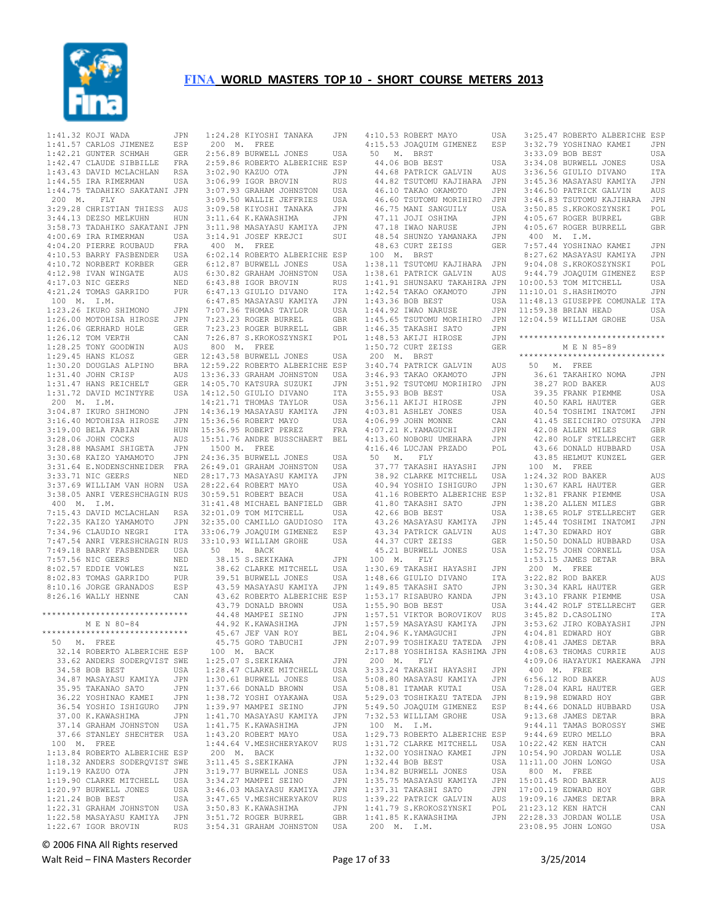

|             | 1:41.32 KOJI WADA JPN<br>1:41.57 CARLOS JIMENEZ ESP<br>1:42.21 GUNTER SCHMAH GER<br>1:42.47 CLAUDE SIBBILLE FRA<br>1:43.43 DAVID MCLACHLAN RSA<br>1:44.55 IRA RIMERMAN USA                        |     |
|-------------|---------------------------------------------------------------------------------------------------------------------------------------------------------------------------------------------------|-----|
|             |                                                                                                                                                                                                   |     |
|             |                                                                                                                                                                                                   |     |
|             |                                                                                                                                                                                                   |     |
|             |                                                                                                                                                                                                   |     |
|             |                                                                                                                                                                                                   |     |
|             |                                                                                                                                                                                                   |     |
|             | 1:44.75 TADAHIKO SAKATANI JPN                                                                                                                                                                     |     |
|             | 200 M. FLY                                                                                                                                                                                        |     |
|             |                                                                                                                                                                                                   |     |
|             | 3:29.28 CHRISTIAN THIESS AUS                                                                                                                                                                      |     |
|             | 3:44.13 DEZSO MELKUHN                                                                                                                                                                             | HUN |
|             |                                                                                                                                                                                                   |     |
|             | 3:58.73 TADAHIKO SAKATANI JPN<br>4:00.69 IRA RIMERMAN USA<br>4:04.20 PIERRE ROUBAUD FRA                                                                                                           |     |
|             |                                                                                                                                                                                                   |     |
|             |                                                                                                                                                                                                   |     |
|             |                                                                                                                                                                                                   |     |
|             | 4:01.53 BARRY FASBENDER<br>4:10.53 BARRY FASBENDER GER<br>4:10.72 NORBERT KORBER GER<br>4:17.03 NIC GEERS NED<br>4:21.24 TOMAS GARRIDO PUR<br>100 M. I.M.                                         |     |
|             |                                                                                                                                                                                                   |     |
|             |                                                                                                                                                                                                   |     |
|             |                                                                                                                                                                                                   |     |
|             |                                                                                                                                                                                                   |     |
|             |                                                                                                                                                                                                   |     |
|             |                                                                                                                                                                                                   |     |
|             |                                                                                                                                                                                                   |     |
|             |                                                                                                                                                                                                   |     |
|             |                                                                                                                                                                                                   |     |
|             |                                                                                                                                                                                                   |     |
|             | IKURO SHIMONO JPN<br>1:26.00 MOTOHISA HIROSE JPN<br>1:26.06 GERHARD HOLE GER<br>1:26.12 TOM VERTH CAN<br>1:28.25 TONY GOODSTIL                                                                    |     |
|             | 1:28.25 TONY GOODWIN<br>1:29.45 HANS KLOSZ                                                                                                                                                        | GER |
|             | 1:30.20 DOUGLAS ALPINO BRA<br>1:31.40 JOHN CRISP AUS<br>1:31.47 HANS REICHELT GER                                                                                                                 |     |
|             |                                                                                                                                                                                                   |     |
|             |                                                                                                                                                                                                   |     |
|             |                                                                                                                                                                                                   |     |
|             | 1:31.72 DAVID MCINTYRE                                                                                                                                                                            | USA |
| 200 M. I.M. |                                                                                                                                                                                                   |     |
|             | 3:04.87 IKURO SHIMONO<br>3:16.40 MOTOHISA HIROSE<br>3:19.00 BELA FABIAN<br>3:28.06 JOHN COCKS                                                                                                     | JPN |
|             |                                                                                                                                                                                                   | JPN |
|             |                                                                                                                                                                                                   |     |
|             |                                                                                                                                                                                                   | HUN |
|             | 908 MARAMI SHIGETA AUS<br>3:30.68 MARAMI SHIGETA JPN<br>3:31.64 E.NODENSCHNEIDER FRA<br>3:33.71 NIC GEERS NED<br>3:33.71 NIC GEERS NED                                                            | AUS |
|             |                                                                                                                                                                                                   |     |
|             |                                                                                                                                                                                                   |     |
|             |                                                                                                                                                                                                   |     |
|             |                                                                                                                                                                                                   |     |
|             |                                                                                                                                                                                                   |     |
|             |                                                                                                                                                                                                   |     |
|             | 3:37.69 WILLIAM VAN HORN USA                                                                                                                                                                      |     |
|             | 3:38.05 ANRI VERESHCHAGIN RUS                                                                                                                                                                     |     |
| 400 M. I.M. |                                                                                                                                                                                                   |     |
|             |                                                                                                                                                                                                   |     |
|             | 7:15.43 DAVID MCLACHLAN RSA                                                                                                                                                                       |     |
|             |                                                                                                                                                                                                   |     |
|             | 7:22.35 KAIZO YAMAMOTO JPN<br>7:34.96 CLAUDIO NEGRI ITA                                                                                                                                           |     |
|             | 7:47.54 ANRI VERESHCHAGIN RUS                                                                                                                                                                     |     |
|             |                                                                                                                                                                                                   |     |
|             |                                                                                                                                                                                                   |     |
|             |                                                                                                                                                                                                   |     |
|             |                                                                                                                                                                                                   |     |
|             |                                                                                                                                                                                                   |     |
|             |                                                                                                                                                                                                   |     |
|             |                                                                                                                                                                                                   |     |
|             | 7:49.18 BARRY FASBENDER<br>7:49.18 BARRY FASBENDER USA<br>7:57.56 NIC GEERS NED<br>8:02.57 EDDIE VOWLES NZL<br>8:02.83 TOMAS GARRIDO PUR<br>8:10.16 JORGE GRANADOS ESP<br>8:26.16 WALLY HENNE CAN |     |
|             | ******************************                                                                                                                                                                    |     |
|             |                                                                                                                                                                                                   |     |
|             | M E N 80-84                                                                                                                                                                                       |     |
|             | ******************************                                                                                                                                                                    |     |
| 50 M. FREE  |                                                                                                                                                                                                   |     |
|             | 32.14 ROBERTO ALBERICHE ESP                                                                                                                                                                       |     |
|             | 33.62 ANDERS SODERQVIST SWE                                                                                                                                                                       |     |
|             |                                                                                                                                                                                                   |     |
|             | 34.58 BOB BEST                                                                                                                                                                                    | USA |
|             | 34.87 MASAYASU KAMIYA                                                                                                                                                                             | JPN |
|             | 35.95 TAKANAO SATO                                                                                                                                                                                | JPN |
|             | 36.22 YOSHINAO KAMEI                                                                                                                                                                              | JPN |
|             | 36.54 YOSHIO ISHIGURO                                                                                                                                                                             | JPN |
|             | 37.00 K.KAWASHIMA                                                                                                                                                                                 | JPN |
|             |                                                                                                                                                                                                   |     |
|             | 37.14 GRAHAM JOHNSTON                                                                                                                                                                             | USA |
|             | 37.66 STANLEY SHECHTER                                                                                                                                                                            | USA |
| 100 M.      | FREE                                                                                                                                                                                              |     |
|             | 1:13.84 ROBERTO ALBERICHE ESP                                                                                                                                                                     |     |
|             | 1:18.32 ANDERS SODERQVIST SWE                                                                                                                                                                     |     |
|             |                                                                                                                                                                                                   |     |
|             | 1:19.19 KAZUO OTA                                                                                                                                                                                 | JPN |
|             | 1:19.90 CLARKE MITCHELL                                                                                                                                                                           | USA |
|             | 1:20.97 BURWELL JONES                                                                                                                                                                             | USA |
|             | 1:21.24 BOB BEST                                                                                                                                                                                  | USA |
|             | 1:22.31 GRAHAM JOHNSTON                                                                                                                                                                           | USA |
|             | 1:22.58 MASAYASU KAMIYA                                                                                                                                                                           | JPN |

|                                               | 1:24.28 KIYOSHI TANAKA JPN                                                            |                   |
|-----------------------------------------------|---------------------------------------------------------------------------------------|-------------------|
| 200 M. FREE                                   |                                                                                       |                   |
|                                               |                                                                                       |                   |
|                                               | 2:56.89 BURWELL JONES                                                                 | USA               |
|                                               | 2:59.86 ROBERTO ALBERICHE ESP<br>3:02.90 KAZUO OTA JPN                                |                   |
|                                               |                                                                                       |                   |
|                                               |                                                                                       |                   |
| 3:06.99 IGOR BROVIN                           |                                                                                       | <b>RUS</b>        |
|                                               |                                                                                       |                   |
|                                               | 3:07.93 GRAHAM JOHNSTON<br>3:09.50 WALLIE JEFFRIES                                    | USA<br>USA        |
|                                               |                                                                                       |                   |
|                                               |                                                                                       | JPN               |
| 3:11.64 K.KAWASHIMA                           | -<br>3:09.58 КІҮОЅНІ ТАNAKA<br>3·11 64 К КАWASHIMA                                    | JPN               |
|                                               |                                                                                       |                   |
|                                               | 3:11.98 MASAYASU KAMIYA                                                               | JPN               |
|                                               | 3:14.91 JOSEF KREJCI                                                                  | SUI               |
| 400 M. FREE                                   |                                                                                       |                   |
|                                               |                                                                                       |                   |
|                                               | 6:02.14 ROBERTO ALBERICHE ESP                                                         |                   |
|                                               | 6:12.87 BURWELL JONES                                                                 | USA               |
|                                               |                                                                                       |                   |
|                                               | 6:30.82 GRAHAM JOHNSTON USA<br>6:30.82 GRAHAM JOHNSTON USA<br>6:43.88 IGOR BROVIN RUS |                   |
|                                               |                                                                                       |                   |
|                                               | 6:43.88 IGOR BROVIN<br>6:47.13 GIULIO DIVANO                                          | ITA               |
|                                               |                                                                                       |                   |
|                                               | 6:47.85 MASAYASU KAMIYA JPN<br>7:07.36 THOMAS TAYLOR USA                              |                   |
|                                               |                                                                                       |                   |
|                                               |                                                                                       |                   |
|                                               | 7:23.23 ROGER BURREL<br>7:23.23 ROGER BURRELL                                         | GBR               |
|                                               |                                                                                       | GBR               |
|                                               | 7:26.87 S.KROKOSZYNSKI POL                                                            |                   |
|                                               |                                                                                       |                   |
| 800 M. FREE                                   |                                                                                       |                   |
| 12:43.58 BURWELL JONES                        |                                                                                       | USA               |
|                                               | 12:59.22 ROBERTO ALBERICHE ESP                                                        |                   |
|                                               |                                                                                       |                   |
|                                               | 13:36.33 GRAHAM JOHNSTON USA                                                          |                   |
|                                               |                                                                                       | JPN               |
|                                               |                                                                                       |                   |
|                                               |                                                                                       |                   |
|                                               | 14:05.70 KATSURA SUZUKI<br>14:12.50 GIULIO DIVANO<br>14:21.71 THOMAS TAYLOR           | ITA<br>USA<br>JPN |
|                                               | 14:36.19 MASAYASU KAMIYA                                                              |                   |
|                                               |                                                                                       |                   |
|                                               |                                                                                       | USA               |
|                                               | 15:36.56 ROBERT MAYO<br>15:36.95 ROBERT PEREZ                                         | FRA               |
|                                               | 15:51.76 ANDRE BUSSCHAERT                                                             | BEL               |
|                                               |                                                                                       |                   |
| 1500 M. FREE                                  |                                                                                       |                   |
| 24:36.35 BURWELL JONES                        |                                                                                       | USA               |
|                                               | 26:49.01 GRAHAM JOHNSTON                                                              | USA               |
|                                               |                                                                                       |                   |
|                                               | 28:17.73 MASAYASU KAMIYA                                                              |                   |
| 28:22.64 ROBERT MAYO                          | 20.22.04 KOBERT MAYO<br>30:59.51 ROBERT BEACH<br>21.11.12                             | JPN<br>USA<br>USA |
|                                               |                                                                                       | USA               |
|                                               |                                                                                       |                   |
|                                               | 31:41.48 MICHAEL BANFIELD                                                             | GBR               |
| 32:01.09 TOM MITCHELL                         |                                                                                       | USA               |
|                                               |                                                                                       | ITA               |
|                                               | 32:35.00 CAMILLO GAUDIOSO                                                             |                   |
|                                               |                                                                                       | $_{\rm ESP}$      |
|                                               | 33:06.79 JOAQUIM GIMENEZ<br>33:10.93 WILLIAM GROHE                                    | USA               |
| 50 M. BACK                                    |                                                                                       |                   |
|                                               |                                                                                       |                   |
|                                               |                                                                                       |                   |
| 38.15 S.SEKIKAWA                              |                                                                                       | JPN               |
|                                               |                                                                                       |                   |
|                                               | 38.62 CLARKE MITCHELL USA                                                             |                   |
|                                               | 39.51 BURWELL JONES                                                                   | USA               |
|                                               | 43.59 MASAYASU KAMIYA JPN                                                             |                   |
|                                               |                                                                                       |                   |
|                                               | 43.62 ROBERTO ALBERICHE ESP                                                           |                   |
|                                               | 43.79 DONALD BROWN                                                                    | USA               |
|                                               |                                                                                       | JPN               |
|                                               |                                                                                       |                   |
|                                               | 44.48 MAMPEI SEINO<br>44.92 K.KAWASHIMA<br>45.67 TEE VAN BOV                          | JPN               |
| 44.92 K.KAWASHIMA<br>45.67 JEF VAN ROY        |                                                                                       | BEL               |
|                                               | 45.75 GORO TABUCHI                                                                    | <b>JPN</b>        |
|                                               |                                                                                       |                   |
| 100 M. BACK                                   |                                                                                       |                   |
| 1:25.07 S.SEKIKAWA                            |                                                                                       | JPN               |
|                                               |                                                                                       | USA               |
|                                               | 1:28.47 CLARKE MITCHELL                                                               |                   |
|                                               |                                                                                       | USA               |
| 1:30.61 BURWELL JONES<br>1:37.66 DONALD BROWN |                                                                                       | USA               |
|                                               |                                                                                       | USA               |
|                                               | $1:38.72$ YOSHI OYAKAWA                                                               |                   |
| 1:39.97 MAMPEI SEINO                          |                                                                                       | JPN               |
|                                               | 1:41.70 MASAYASU KAMIYA                                                               | JPN               |
|                                               |                                                                                       | JPN               |
| $1:41.75$ K. KAWASHIMA                        |                                                                                       |                   |
| 1:43.20 ROBERT MAYO                           |                                                                                       | USA               |
|                                               | 1:44.64 V.MESHCHERYAKOV                                                               | RUS               |
|                                               |                                                                                       |                   |
| $200$ M. BACK                                 |                                                                                       |                   |
| 3:11.45 S.SEKIKAWA                            |                                                                                       | JPN               |
|                                               | 3:19.77 BURWELL JONES                                                                 | USA               |
|                                               |                                                                                       | $_{\rm JPN}$      |
| 3:34.27 MAMPEI SEINO                          |                                                                                       |                   |
|                                               | 3:46.03 MASAYASU KAMIYA                                                               | JPN               |
|                                               | 3:47.65 V.MESHCHERYAKOV                                                               | <b>RUS</b>        |
|                                               |                                                                                       | JPN               |
|                                               |                                                                                       |                   |
| 3:50.83 K. KAWASHIMA<br>3:51.72 ROGER BURREL  | 3:54.31 GRAHAM JOHNSTON                                                               | GBR<br>USA        |

 4:10.53 ROBERT MAYO USA 4:15.53 JOAQUIM GIMENEZ ESP 3:25.47 ROBERTO ALBERICHE ESP 3:32.79 YOSHINAO KAMEI JPN 50 M. BRST 44.06 BOB BEST USA 44.68 PATRICK GALVIN AUS 44.82 TSUTOMU KAJIHARA JPN 46.10 TAKAO OKAMOTO JPN 46.60 TSUTOMU MORIHIRO JPN 3:46.83 TSUTOMU KAJIHARA JPN 46.75 MANI SANGUILY USA 47.11 JOJI OSHIMA JPN 47.18 IWAO NARUSE JPN 48.54 SHUNZO YAMANAKA JPN 48.63 CURT ZEISS GER 100 M. BRST 1:38.11 TSUTOMU KAJIHARA JPN 1:38.61 PATRICK GALVIN AUS 9:44.79 JOAQUIM GIMENEZ ESP 1:41.91 SHUNSAKU TAKAHIRA JPN 1:42.54 TAKAO OKAMOTO JPN 1:43.36 BOB BEST USA 1:44.92 IWAO NARUSE JPN 1:45.65 TSUTOMU MORIHIRO JPN 11:59.38 BRIAN HEAD USA 12:04.59 WILLIAM GROHE USA 1:46.35 TAKASHI SATO JPN 1:48.53 AKIJI HIROSE JPN 1:48.53 ANIJI HIROSE UPN<br>1:50.72 CURT ZEISS GER 200 M. BRST 3:40.74 PATRICK GALVIN AUS 50 M. FREE 3:46.93 TAKAO OKAMOTO JPN 3:51.92 TSUTOMU MORIHIRO JPN 36.61 TAKAHIKO NOMA JPN 38.27 ROD BAKER AUS 3:55.93 BOB BEST USA 3:56.11 AKIJI HIROSE JPN 4:03.81 ASHLEY JONES USA 4:06.99 JOHN MONNE CAN 4:07.21 K.YAMAGUCHI JPN 4:13.60 NOBORU UMEHARA JPN 4:16.46 LUCJAN PRZADO POL 42.80 ROLF STELLRECHT GER 43.66 DONALD HUBBARD USA 50 M. FLY 37.77 TAKASHI HAYASHI 38.92 CLARKE MITCHELL USA 1:24.32 ROD BAKER AUS 40.94 YOSHIO ISHIGURO JPN 41.16 ROBERTO ALBERICHE ESP 1:30.67 KARL HAUTER GER 41.80 TAKASHI SATO JPN 42.66 BOB BEST USA 43.26 MASAYASU KAMIYA JPN 43.34 PATRICK GALVIN AUS 44.37 CURT ZEISS GER 45.21 BURWELL JONES USA 1:50.50 DONALD HUBBARD USA 1:52.75 JOHN CORNELL USA 100 M. FLY 1:30.69 TAKASHI HAYASHI JPN 1:48.66 GIULIO DIVANO ITA 1:49.85 TAKASHI SATO JPN 1:53.17 RISABURO KANDA JPN 1:55.90 BOB BEST USA 1:57.51 VIKTOR BOROVIKOV RUS 1:57.59 MASAYASU KAMIYA JPN 2:04.96 K.YAMAGUCHI JPN 2:07.99 TOSHIKAZU TATEDA JPN 2:17.88 YOSHIHISA KASHIMA JPN 200 M. FLY 3:33.24 TAKASHI HAYASHI JPN 5:08.80 MASAYASU KAMIYA JPN  $5:08.81$  ITAMAR KUTAI 5:29.03 TOSHIKAZU TATEDA JPN 5:49.50 JOAQUIM GIMENEZ ESP 7:32.53 WILLIAM GROHE USA 100 M. I.M. 1:29.73 ROBERTO ALBERICHE ESP 9:44.69 EURO MELLO BRA 1:31.72 CLARKE MITCHELL USA 1:32.00 YOSHINAO KAMEI JPN 10:22.42 KEN HATCH CAN 10:54.90 JORDAN WOLLE USA  $1:32.44$  BOB BEST 1:34.82 BURWELL JONES USA 1:35.75 MASAYASU KAMIYA JPN 1:37.31 TAKASHI SATO JPN 15:01.45 ROD BAKER AUS 17:00.19 EDWARD HOY GBR 1:39.22 PATRICK GALVIN 1:41.79 S.KROKOSZYNSKI

 1:41.85 K.KAWASHIMA JPN 22:28.33 JORDAN WOLLE USA 3:33.09 BOB BEST USA 3:34.08 BURWELL JONES USA 3:36.56 GIULIO DIVANO ITA 3:45.36 MASAYASU KAMIYA JPN 3:46.50 PATRICK GALVIN AUS 3:50.85 S.KROKOSZYNSKI POL 4:05.67 ROGER BURREL GBR 4:05.67 ROGER BURRELL GBR 400 M. I.M. 7:57.44 YOSHINAO KAMEI JPN 8:27.62 MASAYASU KAMIYA JPN 9:04.08 S.KROKOSZYNSKI POL<br>9:44.79 JOAOUIM GIMENEZ ESP 10:00.53 TOM MITCHELL USA 11:10.01 S.HASHIMOTO JPN 11:48.13 GIUSEPPE COMUNALE ITA \*\*\*\*\*\*\*\*\*\*\*\*\*\*\*\*\*\*\*\*\*\*\*\*\*\*\*\*\*\* M E N 85-89 \*\*\*\*\*\*\*\*\*\*\*\*\*\*\*\*\*\*\*\*\*\*\*\*\*\*\*\*\*\* 39.35 FRANK PIEMME USA 40.50 KARL HAUTER GER 40.54 TOSHIMI INATOMI JPN 41.45 SEIICHIRO OTSUKA JPN 42.08 ALLEN MILES GBR 43.85 HELMUT KUNZEL GER JPN 100 M. FREE 1:32.81 FRANK PIEMME USA 1:38.20 ALLEN MILES GBR 1:38.65 ROLF STELLRECHT GER 1:45.44 TOSHIMI INATOMI JPN 1:47.30 EDWARD HOY GBR 1:53.15 JAMES DETAR BRA 200 M. FREE 3:22.82 ROD BAKER AUS 3:30.34 KARL HAUTER GER 3:43.10 FRANK PIEMME USA 3:44.42 ROLF STELLRECHT GER 3:45.82 D.CASOLINO ITA<br>3:53.62 JIRO KOBAYASHI JPN<br>4:04.81 EDWARD HOY GBR<br>4:08.41 JAMES DETAR BRA 4:08.63 THOMAS CURRIE AUS 4:09.06 HAYAYUKI MAEKAWA JPN 400 M. FREE 6:56.12 ROD BAKER AUS 7:28.04 KARL HAUTER GER 8:19.98 EDWARD HOY GBR 8:44.66 DONALD HUBBARD USA 9:13.68 JAMES DETAR BRA 9:44.11 TAMAS BOROSSY SWE USA 11:11.00 JOHN LONGO USA 800 M. FREE 19:09.16 JAMES DETAR BRA POL 21:23.12 KEN HATCH CAN<br>TPN 22:28.33 JORDAN WOLLE USA 23:08.95 JOHN LONGO USA

© 2006 FINA All Rights reserved

Walt Reid – FINA Masters Recorder and the Seconder Page 17 of 33 3/25/2014

200 M. I.M.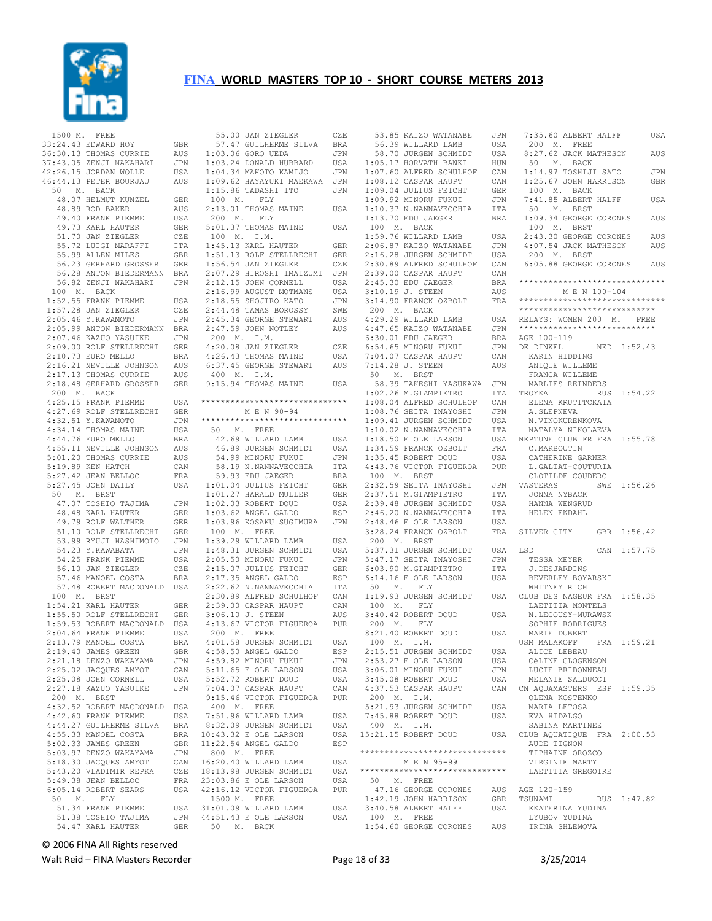

 1500 M. FREE 33:24.43 EDWARD HOY GBR 36:30.13 THOMAS CURRIE AUS 37:43.05 ZENJI NAKAHARI JPN 42:26.15 JORDAN WOLLE USA 46:44.13 PETER BOURJAU AUS 50 M. BACK 48.07 HELMUT KUNZEL GER<br>48.89 ROD BAKER AUS 48.89 ROD BAKER 49.40 FRANK PIEMME USA 19.10 Februari<br>49.73 KARL HAUTER GER<br>51.70 JAN ZIEGLER CZE 51.70 JAN ZIEGLER 55.72 LUIGI MARAFFI ITA<br>55.99 ALLEN MILES GBR 55.99 ALLEN MILES GBR 56.23 GERHARD GROSSER GER 56.28 ANTON BIEDERMANN BRA 56.82 ZENJI NAKAHARI JPN 100 M. BACK 1:52.55 FRANK PIEMME USA 1:57.28 JAN ZIEGLER CZE<br>2:05.46 Y.KAWAMOTO JPN  $2:05.46$  Y.KAWAMOTO 2:05.99 ANTON BIEDERMANN BRA<br>2:07.46 KAZUO YASUIKE JPN 2:07.46 KAZUO YASUIKE 2:09.00 ROLF STELLRECHT GER<br>2:10.73 EURO MELLO BRA 2:10.73 EURO MELLO BRA<br>2:16.21 NEVILLE JOHNSON AUS 2:16.21 NEVILLE JOHNSON 2:17.13 THOMAS CURRIE AUS<br>2:18.48 GERHARD GROSSER GER 2:18.48 GERHARD GROSSER 200 M. BACK  $4:25.15$  FRANK PIEMME 4:27.69 ROLF STELLRECHT GER<br>4:32.51 Y.KAWAMOTO JPN 4:32.51 Y.KAWAMOTO JPN<br>4:34.14 THOMAS MAINE USA  $4:34.14$  THOMAS MAINE 4:44.76 EURO MELLO BRA<br>4:55.11 NEVILLE JOHNSON AUS 4:55.11 NEVILLE JOHNSON 5:01.20 THOMAS CURRIE AUS<br>5:19.89 KEN HATCH CAN  $5:19.89$  KEN HATCH 5:27.42 JEAN BELLOC FRA  $5:27.45$  JOHN DAILY 50 M. BRST 47.07 TOSHIO TAJIMA 48.48 KARL HAUTER GER 49.79 ROLF WALTHER GER<br>51.10 ROLF STELLRECHT GER 51.10 ROLF STELLRECHT GER<br>53.99 RYUJI HASHIMOTO JPN 53.99 RYUJI HASHIMOTO 54.23 Y.KAWABATA JPN<br>54.25 FRANK PIEMME USA 54.25 FRANK PIEMME USA<br>56.10 JAN ZIEGLER CZE 54.25 FRANN FILMAL<br>56.10 JAN ZIEGLER CZE<br>57.46 MANOEL COSTA BRA 57.46 MANOEL COSTA BRA 57.48 ROBERT MACDONALD USA 100 M. BRST 1:54.21 KARL HAUTER GER<br>1:55.50 ROLF STELLRECHT GER 1:55.50 ROLF STELLRECHT 1:59.53 ROBERT MACDONALD USA<br>2:04.64 FRANK PIEMME USA  $2:04.64$  FRANK PIEMME 2:13.79 MANOEL COSTA BRA<br>2:19 40 JAMES GREEN GRR 2:19.40 JAMES GREEN GBR<br>2:21.18 DENZO WAKAYAMA JPN 2:21.18 DENZO WAKAYAMA JPN<br>2:25.02.JACOUES AMYOT CAN  $2:25.02$  JACQUES AMYOT 2:25.08 JOHN CORNELL USA<br>2:27.18 KAZUO YASUIKE JPN 2:27.18 KAZUO YASUIKE 200 M. BRST 4:32.52 ROBERT MACDONALD USA 4:42.60 FRANK PIEMME USA<br>4:44.27 GUILHERME SILVA BRA 4:44.27 GUILHERME SILVA 4:55.33 MANOEL COSTA 5:02.33 JAMES GREEN GBR<br>5:03.97 DENZO WAKAYAMA JPN  $5:03.97$  DENZO WAKAYAMA 5:18.30 JACQUES AMYOT CAN  $5:43.20$  VLADIMIR REPKA 5:49.38 JEAN BELLOC FRA 6:05.14 ROBERT SEARS USA 50 M. FLY 51.34 FRANK PIEMME 51.38 TOSHIO TAJIMA 54.47 KARL HAUTER GER

 55.00 JAN ZIEGLER CZE 57.47 GUILHERME SILVA BRA 1:03.06 GORO UEDA JPN 1:03.24 DONALD HUBBARD USA 1:04.34 MAKOTO KAMIJO JPN 1:09.62 HAYAYUKI MAEKAWA JPN 1:15.86 TADASHI ITO JPN 100 M. FLY 2:13.01 THOMAS MAINE USA 200 M. FLY 5:01.37 THOMAS MAINE USA<br>100 M. I.M. 100 M. I.M. 1:45.13 KARL HAUTER GER 1:51.13 ROLF STELLRECHT GER 1:56.54 JAN ZIEGLER CZE 2:07.29 HIROSHI IMAIZUMI JPN 2:12.15 JOHN CORNELL USA 2:16.99 AUGUST MOTMANS USA 2:18.55 SHOJIRO KATO JPN 2:44.48 TAMAS BOROSSY SWE<br>2:45.34 GEORGE STEWART AUS 2:45.34 GEORGE STEWART AUS<br>2:47.59 JOHN NOTLEY AUS  $2:47.59$  JOHN NOTLEY 200 M. I.M.<br>4:20.08 JAN ZIEGLER 4:20.08 JAN ZIEGLER CZE 4:26.43 THOMAS MAINE USA 6:37.45 GEORGE STEWART AUS 400 M. I.M. 9:15.94 THOMAS MAINE USA \*\*\*\*\*\*\*\*\*\*\*\*\*\*\*\*\*\*\*\*\*\*\*\*\*\*\*\*\*\* M E N 90-94 \*\*\*\*\*\*\*\*\*\*\*\*\*\*\*\*\*\*\*\*\*\*\*\*\*\*\*\*\*\* 50 M. FREE<br>
42.69 WILLARD LAMB USA<br>
46.89 JURGEN SCHMIDT USA<br>
54.99 MINORU FUKUI JPN<br>
58.19 N.NANNAVECCHIA ITA edu Jaeger BRA<br>1.01.04 JULIUS FEICHT GER USA 1:01.04 JULIUS FEICHT GER<br>1:01.27 HARALD MULLER GER 1:01.27 HARALD MULLER GER<br>1:02.03 ROBERT DOUD USA 1:02.03 ROBERT DOUD USA 1:03.62 ANGEL GALDO ESP 1:03.96 KOSAKU SUGIMURA JPN 100 M. FREE 1:39.29 WILLARD LAMB USA 1:48.31 JURGEN SCHMIDT USA<br>2:05.50 MINORU FUKUI JPN  $2:05.50$  MINORU FUKUI 2:15.07 JULIUS FEICHT GER<br>2:17.35 ANGEL GALDO FSP  $2:17.35$  ANGEL GALDO ESP<br> $2:22.62$  N NANNAVECCHIA ITA 2:22.62 N.NANNAVECCHIA ITA<br>2:30.89 ALERED SCHULHOF CAN  $2:30.89$  ALFRED SCHULHOF 2:39.00 CASPAR HAUPT CAN 3:06.10 J. STEEN AUS 4:13.67 VICTOR FIGUEROA PUR 200 M. FREE 4:01.58 JURGEN SCHMIDT USA<br>4:58 50 ANGEL GALDO ESP 4:58.50 ANGEL GALDO ESP<br>4:59.82 MINORU FUKUI JPN 4:59.82 MINORU FUKUI JPN<br>5:11 65 E OLE LARSON LISA  $5:11.65$  E OLE LARSON 5:52.72 ROBERT DOUD USA<br>7:04.07 CASPAR HAUPT CAN  $7:04.07$  CASPAR HAUPT 9:15.46 VICTOR FIGUEROA PUR 400 M. FREE 7:51.96 WILLARD LAMB USA<br>8:32.09 JURGEN SCHMIDT USA 8:32.09 JURGEN SCHMIDT BRA  $10:43.32$  E OLE LARSON USA 11:22.54 ANGEL GALDO ESP 800 M. FREE 16:20.40 WILLARD LAMB USA CZE 18:13.98 JURGEN SCHMIDT USA 23:03.86 E OLE LARSON USA 42:16.12 VICTOR FIGUEROA PUR 1500 M. FREE USA 31:01.09 WILLARD LAMB USA<br>JPN 44:51.43 E OLE LARSON USA JPN 44:51.43 E OLE LARSON 50 M. BACK

 53.85 KAIZO WATANABE JPN 56.39 WILLARD LAMB USA 58.70 JURGEN SCHMIDT USA 1:05.17 HORVATH BANKI HUN 1:07.60 ALFRED SCHULHOF CAN 1:08.12 CASPAR HAUPT CAN<br>1:09.04 JULIUS FEICHT GER 1:09.04 JULIUS FEICHT GER 1:09.92 MINORU FUKUI JPN<br>1:10.37 N.NANNAVECCHIA ITA 1:10.37 N.NANNAVECCHIA ITA<br>1:13.70 EDU JAEGER BRA  $1:13.70$  EDU JAEGER 100 M. BACK 1:59.76 WILLARD LAMB USA<br>2:06.87 KAIZO WATANABE JPN 2:06.87 KAIZO WATANABE JPN<br>2:16.28 JURGEN SCHMIDT USA  $2:16.28$  JURGEN SCHMIDT 2:30.89 ALFRED SCHULHOF CAN<br>2:39.00 CASPAR HAUPT CAN  $2:39.00$  CASPAR HAUPT  $2:45.30$  EDU JAEGER 3:10.19 J. STEEN AUS 3:14.90 FRANCK OZBOLT FRA 200 M. BACK  $4:29.29$  WILLARD LAMB 4:47.65 KAIZO WATANABE JPN<br>6:30.01 EDU JAEGER BRA  $6:30.01$  EDU JAEGER 6:54.65 MINORU FUKUI JPN 7:04.07 CASPAR HAUPT CAN 7:14.28 J. STEEN<br>50 M. BRST 50 M. BRST 58.39 TAKESHI YASUKAWA JPN 1:02.26 M.GIAMPIETRO ITA TROYKA<br>1:08.04 ALFRED SCHULHOF CAN FLENA  $1:08.04$  ALFRED SCHULHOF 1:08.76 SEITA INAYOSHI JPN 1:09.41 JURGEN SCHMIDT USA<br>1:10.02 N.NANNAVECCHIA ITA  $1:10.02$  N.NANNAVECCHIA 1:18.50 E OLE LARSON USA<br>1:34.59 FRANCK OZBOLT FRA  $1:34.59$  FRANCK OZBOLT 1:35.45 ROBERT DOUD USA<br>4:43.76 VICTOR FIGUEROA PUR 4:43.76 VICTOR FIGUEROA 100 M. BRST 2:32.59 SEITA INAYOSHI JPN 2:37.51 M.GIAMPIETRO 2:39.48 JURGEN SCHMIDT USA<br>2:46.20 N.NANNAVECCHIA ITA 2:46.20 N.NANNAVECCHIA 2:48.46 E OLE LARSON USA 3:28.24 FRANCK OZBOLT 200 M. BRST 5:37.31 JURGEN SCHMIDT USA 5:47.17 SEITA INAYOSHI 6:03.90 M.GIAMPIETRO  $6:14.16$  E OLE LARSON USA<br>50 M FLY 50 M. 1:19.93 JURGEN SCHMIDT USA 100 M. FLY 3:40.42 ROBERT DOUD USA 200 M. FLY 8:21.40 ROBERT DOUD USA 100 M. I.M. 2:15.51 JURGEN SCHMIDT USA<br>2:53.27 E OLE LARSON USA  $2:53.27$  E OLE LARSON USA<br> $3:06.01$  MINORII FUKUI JPN 3:06.01 MINORU FUKUI 3:45.08 ROBERT DOUD USA 4:37.53 CASPAR HAUPT 200 M. I.M. 5:21.93 JURGEN SCHMIDT USA<br>7:45.88 ROBERT DOUD USA 7:45.88 ROBERT DOUD 400 M. I.M.  $15:21.15$  ROBERT DOUD \*\*\*\*\*\*\*\*\*\*\*\*\*\*\*\*\*\*\*\*\*\*\*\*\*\*\*\*\*\* M E N 95-99 \*\*\*\*\*\*\*\*\*\*\*\*\*\*\*\*\*\*\*\*\*\*\*\*\*\*\*\*\*\* 50 M. FREE 47.16 GEORGE CORONES AUS AGE 120-159 1:42.19 JOHN HARRISON GBR 3:40.58 ALBERT HALFF USA 100 M. FREE

 1:54.60 GEORGE CORONES AUS IRINA SHLEMOVA 7:35.60 ALBERT HALFF USA 200 M. FREE 8:27.62 JACK MATHESON AUS 50 M. BACK 1:14.97 TOSHIJI SATO JPN 1:25.67 JOHN HARRISON GBR 100 M. BACK 7:41.85 ALBERT HALFF USA<br>50 M. BRST 50 M. BRST 1:09.34 GEORGE CORONES AUS 100 M. BRST 2:43.30 GEORGE CORONES AUS 4:07.54 JACK MATHESON AUS 200 M. BRST 6:05.88 GEORGE CORONES AUS \*\*\*\*\*\*\*\*\*\*\*\*\*\*\*\*\*\*\*\*\*\*\*\*\*\*\*\*\*\* M E N 100-104 \*\*\*\*\*\*\*\*\*\*\*\*\*\*\*\*\*\*\*\*\*\*\*\*\*\*\*\*\*\* \*\*\*\*\*\*\*\*\*\*\*\*\*\*\*\*\*\*\*\*\*\*\*\*\*\*\*\* RELAYS: WOMEN 200 M. FREE \*\*\*\*\*\*\*\*\*\*\*\*\*\*\*\*\*\*\*\*\*\*\*\*\*\*\*\* AGE 100-119 NED 1:52.43 KARIN HIDDING<br>ANIQUE WILLEME FRANCA WILLEME MARLIES REINDERS RUS 1:54.22 ELENA KRUTITCKAIA A.SLEPNEVA N.VINOKURENKOVA NATALYA NIKOLAEVA USA NEPTUNE CLUB FR FRA 1:55.78 C.MARBOUTIN CATHERINE GARNER L.GALTAT-COUTURIA CLOTILDE COUDERC SWE 1:56.26 JONNA NYBACK HANNA WENGRUD HELEN EKDAHL FRA SILVER CITY  $GRR 1:56.42$ CAN 1:57.75 TESSA MEYER J.DESJARDINS BEVERLEY BOYARSKI WHITNEY RICH USA CLUB DES NAGEUR FRA 1:58.35 LAETITIA MONTELS N.LECOUSY-MURAWSK SOPHIE RODRIGUES MARIE DUBERT<br>USM MALAKOFF  $FRA$  1:59.21 ALICE LEBEAU CéLINE CLOGENSON LUCIE BRIDONNEAU MELANIE SALDUCCI CAN CN AQUAMASTERS ESP 1:59.35 OLENA KOSTENKO MARIA LETOSA EVA HIDALGO SABINA MARTINEZ CLUB AQUATIQUE FRA 2:00.53 AUDE TIGNON<br>AUDE TIGNON<br>TIBLE TIPHAINE OROZCO VIRGINIE MARTY LAETITIA GREGOIRE GBR TSUNAMI RUS 1:47.82 EKATERINA YUDINA LYUBOV YUDINA

© 2006 FINA All Rights reserved

Walt Reid – FINA Masters Recorder The Communication of 33 3/25/2014 Page 18 of 33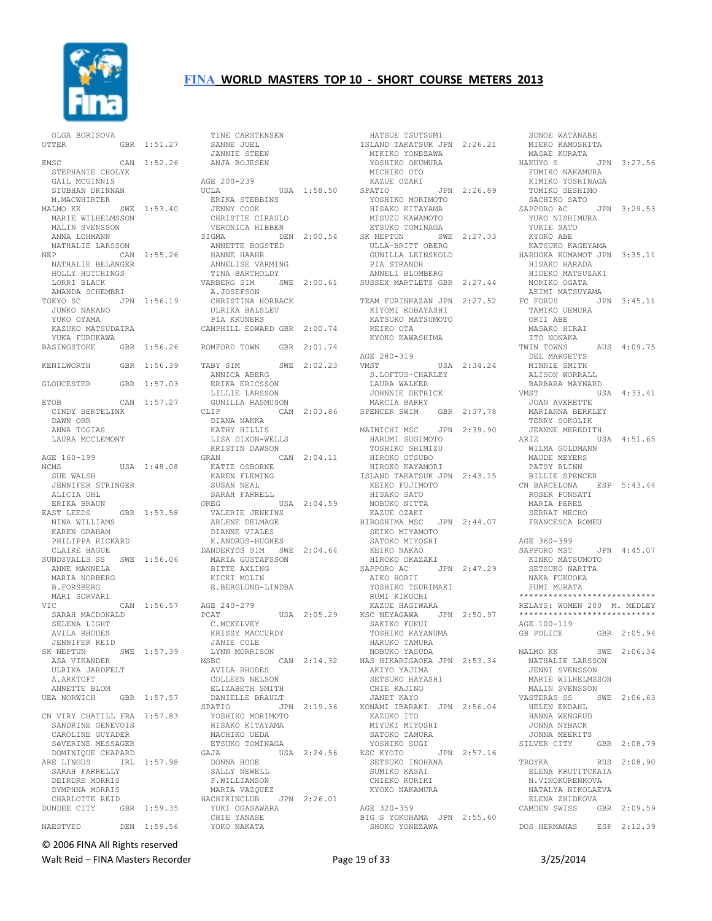

 OLGA BORISOVA OTTER GBR 1:51.27 EMSC CAN 1:52.26 STEPHANIE CHOLYK GAIL MCGINNIS SIUBHAN DRINNAN M.MACWHIRTER<br>MALMO KK SWE 1:53.40 MARIE WILHELMSSON MALIN SVENSSON ANNA LOHMANN NATHALIE LARSSON NEP CAN 1:55.26 ANNETTE BOGSTED HANNE HAAHR NATHALIE BELANGER HOLLY HUTCHINGS LORRI BLACK AMANDA SCHEMBRI TOKYO SC JPN 1:56.19 JUNKO NAKANO YUKO OYAMA KAZUKO MATSUDAIRA YUKA FURUKAWA BASINGSTOKE GBR 1:56.26 KENILWORTH GBR 1:56.39 GLOUCESTER GBR 1:57.03 ETOB CAN 1:57.27 CINDY BERTELINK DAWN ORR ANNA TOGIAS LAURA MCCLEMONT AGE 160-199<br>NCMS USA 1:48.08 SUE WALSH JENNIFER STRINGER ALICIA UHL ERIKA BRAUN<br>EAST LEEDS GBR 1:53.58 NINA WILLIAMS KAREN GRAHAM PHILIPPA RICKARD CLAIRE HAGUE SUNDSVALLS SS SWE 1:56.06 ANNE MANNELA MARIA NORBERG B.FORSBERG MARI SORVARI VIC CAN 1:56.57 SARAH MACDONALD SELENA LIGHT AVILA RHODES JENNIFER REID SK NEPTUN SWE 1:57.39 ASA VIKANDER ULRIKA JARDFELT A.ARKTOFT ANNETTE BLOM UEA NORWICH GBR 1:57.57 CN VIRY CHATILL FRA 1:57.83 SANDRINE GENEVOIS CAROLINE GUYADER SéVERINE MESSAGER DOMINIQUE CHAPARD<br>ARE LINGUS IRL IRL 1:57.98 SARAH FARRELLY DEIRDRE MORRIS DYMPHNA MORRIS CHARLOTTE REID DUNDEE CITY GBR 1:59.35 NAESTVED DEN 1:59.56

 TINE CARSTENSEN SANNE JUEL JANNIE STEEN ANJA BOJESEN AGE 200-239 UCLA USA 1:58.50 ERIKA STEBBINS JENNY COOK CHRISTIE CIRAULO VERONICA HIBBEN SIGMA DEN 2:00.54 SK NEPTUN SWE 2:27.33 ANNELISE VARMING TINA BARTHOLDY VARBERG SIM SWE 2:00.61 SUSSEX MARTLETS GBR 2:27.44 A.JOSEFSON CHRISTINA HORBACK ULRIKA BALSLEV PIA KRUNERS CAMPHILL EDWARD GBR 2:00.74 ROMFORD TOWN GBR 2:01.74 TABY SIM SWE 2:02.23 ANNICA ABERG<br>ERIKA ERICSSON LILLIE LARSSON GUNILLA RASMUSON CLIP CAN 2:03.86 DIANA NAKKA KATHY HILLIS LISA DIXON-WELLS KRISTIN DAWSON GRAN CAN 2:04.11 KATIE OSBORNE KAREN FLEMING SUSAN NEAL SARAH FARRELL OREG USA 2:04.59 VALERIE JENKINS ARLENE DELMAGE DIANNE VIALES K.ANDRUS-HUGHES DANDERYDS SIM SWE 2:04.64 MARIA GUSTAFSSON BITTE AXLING KICKI MOLIN E.BERGLUND-LINDBA AGE 240-279 PCAT USA 2:05.29 C.MCKELVEY C.MCKELVEY<br>KRISSY MACCURDY<br>--- JANIE COLE LYNN MORRISON MSBC CAN 2:14.32 AVILA RHODES COLLEEN NELSON ELIZABETH SMITH DANIELLE BRAULT<br>SPATIO JE JPN 2:19.36 YOSHIKO MORIMOTO HISAKO KITAYAMA MACHIKO UEDA ETSUKO TOMINAGA<br>GAJA US USA 2:24.56 KSC KYOTO DONNA HOOE SALLY NEWELL F.WILLIAMSON MARIA VAZQUEZ HACHIKINCLUB JPN 2:26.01 YUKI OGASAWARA CHIE YANASE YOKO NAKATA

 HATSUE TSUTSUMI ISLAND TAKATSUK JPN 2:26.21 MIKIKO YONEZAWA YOSHIKO OKUMURA MICHIKO OTO KAZUE OZAKI SPATIO JPN 2:26.89 YOSHIKO MORIMOTO HISAKO KITAYAMA MISUZU KAWAMOTO<br>MISUZU KAWAMOTO ETSUKO TOMINAGA ULLA-BRITT OBERG PIA STRANDH ANNELI BLOMBERG KIYOMI KOBAYASHI KATSUKO MATSUMOTO REIKO OTA KYOKO KAWASHIMA AGE 280-319<br>VMST USA 2:34.24 S.LOFTUS-CHARLEY LAURA WALKER JOHNNIE DETRICK MARCIA BARRY SPENCER SWIM GBR 2:37.78 MAINICHI MSC JPN 2:39.90 HARUMI SUGIMOTO TOSHIKO SHIMIZU HIROKO OTSUBO HIROKO KAYAMORI ISLAND TAKATSUK JPN 2:43.15 KEIKO FUJIMOTO HISAKO SATO NOBUKO NITTA KAZUE OZAKI HIROSHIMA MSC JPN 2:44.07 SEIKO MIYAMOTO<br>SEIKO MIYAMOTO<br>CATOVO MIYASILI SATOKO MIYOSHI KEIKO NAKAO HIROKO OKAZAKI SAPPORO AC JPN 2:47.29 AIKO HORII YOSHIKO TSURIMAKI RUMI KIKUCHI KAZUE HAGIWARA KSC NEYAGAWA JPN 2:50.97 SAKIKO FUKUI TOSHIKO KAYANUMA HARUKO TAMURA NOBUKO YASUDA NAS HIKARIGAOKA JPN 2:53.34 AKIYO YAJIMA SETSUKO HAYASHI<br>SETSUKO HAYASHI CHIE KAJINO JANET KAYO KONAMI IBARAKI JPN 2:56.04 KAZUKO ITO MIYUKI MIYOSHI SATOKO TAMURA YOSHIKO SUGI KSC KYOTO JPN 2:57.16 SETSUKO INOHANA SUMIKO KASAI CHIEKO KURIKI KYOKO NAKAMURA AGE 320-359 BIG S YOKOHAMA JPN 2:55.60 SHOKO YONEZAWA MITROL ISSISSII<br>ISLAND TAKATSUK JPN 2:26.21 MIEKO KAMOSHITA

 GUNILLA LEINSKOLD KATSUKO KAGEYAMA HARUOKA KUMAMOT JPN 3:35.11 TEAM FURINKAZAN JPN 2:27.52 FC FORUS JPN 3:45.11 SONOE WATANABE MASAE KURATA JPN 3:27.56 FUMIKO NAKAMURA KIMIKO YOSHINAGA TOMIKO SESHIMO SACHIKO SATO<br>SAPPORO AC JPN 3:29.53 YUKO NISHIMURA YUKIE SATO KYOKO ABE HISAKO HARADA HIDEKO MATSUZAKI NORIKO OGATA AKIMI MATSUYAMA TAMIKO UEMURA ORII ABE MASAKO HIRAI ITO NONAKA TWIN TOWNS AUS 4:09.75 DEL MARGETTS MINNIE SMITH ALISON WORRALL BARBARA MAYNARD<br>VMST US VMST USA 4:33.41 JOAN AVERETTE MARIANNA BERKLEY TERRY SOKOLIK JEANNE MEREDITH<br>ARIZ US USA 4:51.65 WILMA GOLDMANN MAUDE MEYERS PATSY BLINN BILLIE SPENCER CN BARCELONA ESP 5:43.44 ROSER PONSATI MARIA PEREZ SERRAT MECHO FRANCESCA ROMEU AGE 360-399<br>SAPPORO MST JPN 4:45.07 KINKO MATSUMOTO SETSUKO NARITA NAKA FUKUOKA FUMI MURATA \*\*\*\*\*\*\*\*\*\*\*\*\*\*\*\*\*\*\*\*\*\*\*\*\*\*\*\* RELAYS: WOMEN 200 M. MEDLEY \*\*\*\*\*\*\*\*\*\*\*\*\*\*\*\*\*\*\*\*\*\*\*\*\*\*\*\* AGE 100-119 GB POLICE GBR 2:05.94 MALMO KK SWE 2:06.34 NATHALIE LARSSON JENNI SVENSSON MARIE WILHELMSSON<br>MALIN SVENSSON MALIN SVENSSON VASTERAS SS SWE 2:06.63 HELEN EKDAHL HANNA WENGRUD JONNA NYBACK JONNA MEERITS SILVER CITY GBR 2:08.79 TROYKA RUS 2:08.90 ELENA KRUTITCKAIA N.VINOKURENKOVA NATALYA NIKOLAEVA ELENA ZHIDKOVA CAMDEN SWISS GBR 2:09.59 DOS HERMANAS ESP 2:12.39

© 2006 FINA All Rights reserved

Walt Reid – FINA Masters Recorder The Contract Contract Page 19 of 33 3/25/2014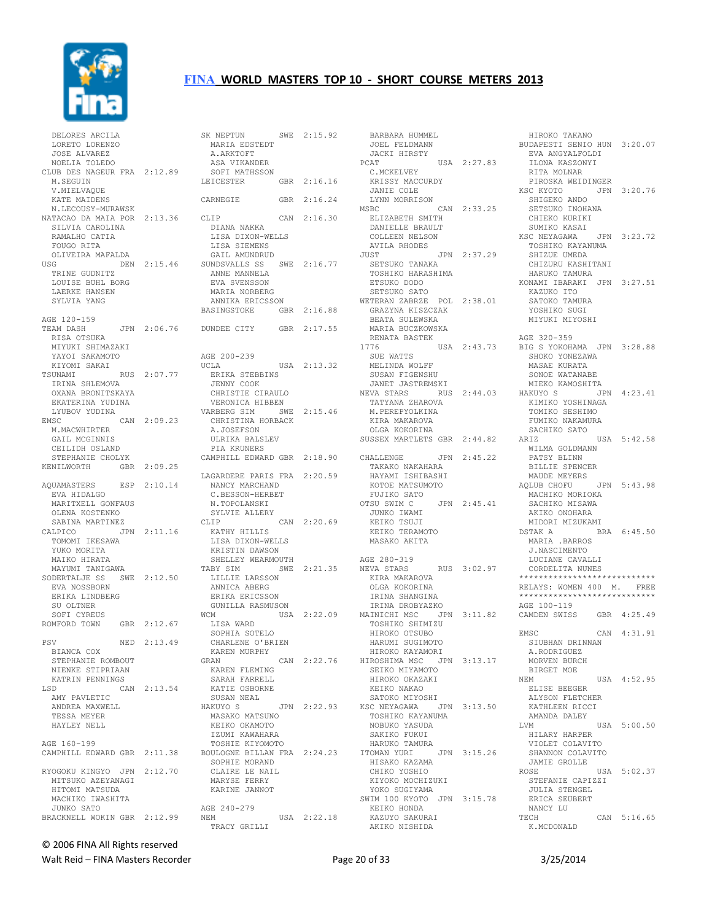

| DELORES ARCILA                                  |             |
|-------------------------------------------------|-------------|
| LORETO LORENZO                                  |             |
| JOSE ALVAREZ<br>NOELIA TOLEDO                   |             |
| CLUB DES NAGEUR FRA 2:12.89                     |             |
| M. SEGUIN                                       |             |
| V. MIELVAQUE                                    |             |
| KATE MAIDENS                                    |             |
| N.LECOUSY-MURAWSK                               |             |
| NATACAO DA MAIA POR 2:13.36                     |             |
| SILVIA CAROLINA                                 |             |
| RAMALHO CATIA                                   |             |
| FOUGO RITA<br>OLIVEIRA MAFALDA                  |             |
| USG                                             | DEN 2:15.46 |
| TRINE GUDNITZ                                   |             |
| LOUISE BUHL BORG                                |             |
| LAERKE HANSEN                                   |             |
| SYLVIA YANG                                     |             |
|                                                 |             |
| AGE 120-159                                     |             |
| TEAM DASH<br>RISA OTSUKA                        | JPN 2:06.76 |
| MIYUKI SHIMAZAKI                                |             |
| YAYOI SAKAMOTO                                  |             |
| KIYOMI SAKAI                                    |             |
| TSUNAMI                                         | RUS 2:07.77 |
| IRINA SHLEMOVA                                  |             |
| OXANA BRONITSKAYA                               |             |
| EKATERINA YUDINA                                |             |
| LYUBOV YUDINA                                   |             |
| EMSC<br>M. MACWHIRTER                           | CAN 2:09.23 |
| GAIL MCGINNIS                                   |             |
| CEILIDH OSLAND                                  |             |
| STEPHANIE CHOLYK                                |             |
| KENILWORTH                                      | GBR 2:09.25 |
|                                                 |             |
|                                                 |             |
| AQUAMASTERS                                     | ESP 2:10.14 |
| EVA HIDALGO                                     |             |
| MARITXELL GONFAUS                               |             |
| OLENA KOSTENKO                                  |             |
| SABINA MARTINEZ                                 |             |
| CALPICO                                         | JPN 2:11.16 |
| TOMOMI IKESAWA                                  |             |
| YUKO MORITA<br>MAIKO HIRATA                     |             |
| MAYUMI TANIGAWA                                 |             |
| SODERTALJE SS                                   | SWE 2:12.50 |
| EVA NOSSBORN                                    |             |
| ERIKA LINDBERG                                  |             |
| SU OLTNER                                       |             |
| SOFI CYREUS                                     |             |
| ROMFORD TOWN                                    | GBR 2:12.67 |
|                                                 |             |
| PSV<br>BIANCA COX                               | NED 2:13.49 |
| STEPHANIE ROMBOUT                               |             |
| NIENKE STIPRIAAN                                |             |
| KATRIN PENNINGS                                 |             |
| LSD                                             | CAN 2:13.54 |
| AMY PAVLETIC                                    |             |
| ANDREA MAXWELL                                  |             |
| TESSA MEYER                                     |             |
| HAYLEY NELL                                     |             |
|                                                 |             |
| AGE 160-199<br>CAMPHILL EDWARD GBR 2:11.38      |             |
|                                                 |             |
|                                                 |             |
| RYOGOKU KINGYO JPN 2:12.70<br>MITSUKO AZEYANAGI |             |
| HITOMI MATSUDA                                  |             |
| MACHIKO IWASHITA                                |             |
| JUNKO SATO<br>BRACKNELL WOKIN GBR 2:12.99       |             |

| SK NEPTUN                       |     | SWE 2:15.92 |
|---------------------------------|-----|-------------|
| MARIA EDSTEDT                   |     |             |
| A.ARKTOFT                       |     |             |
| ASA VIKANDER<br>SOFI MATHSSON   |     |             |
| LEICESTER                       |     | GBR 2:16.16 |
|                                 |     |             |
| CARNEGIE                        | GBR | 2:16.24     |
|                                 |     |             |
| CLIP                            |     | CAN 2:16.30 |
| DIANA NAKKA<br>LISA DIXON-WELLS |     |             |
| LISA SIEMENS                    |     |             |
| GAIL AMUNDRUD                   |     |             |
| SUNDSVALLS SS SWE 2:16.77       |     |             |
| ANNE MANNELA                    |     |             |
| EVA SVENSSON                    |     |             |
| MARIA NORBERG                   |     |             |
| ANNIKA ERICSSON<br>BASINGSTOKE  |     | GBR 2:16.88 |
|                                 |     |             |
| DUNDEE CITY GBR 2:17.55         |     |             |
|                                 |     |             |
|                                 |     |             |
| AGE 200-239                     |     |             |
| UCLA<br>ERIKA STEBBINS          |     | USA 2:13.32 |
| JENNY COOK                      |     |             |
| CHRISTIE CIRAULO                |     |             |
| VERONICA HIBBEN                 |     |             |
| VARBERG SIM                     | SWE | 2:15.46     |
| CHRISTINA HORBACK               |     |             |
| A.JOSEFSON<br>ULRIKA BALSLEV    |     |             |
| PIA KRUNERS                     |     |             |
| CAMPHILL EDWARD GBR             |     | 2:18.90     |
|                                 |     |             |
| LAGARDERE PARIS FRA 2:20.59     |     |             |
| NANCY MARCHAND                  |     |             |
| C.BESSON-HERBET                 |     |             |
| N.TOPOLANSKI<br>SYLVIE ALLERY   |     |             |
| CLIP                            |     | CAN 2:20.69 |
| KATHY HILLIS                    |     |             |
| LISA DIXON-WELLS                |     |             |
| KRISTIN DAWSON                  |     |             |
| SHELLEY WEARMOUTH               |     |             |
| TABY SIM<br>LILLIE LARSSON      |     | SWE 2:21.35 |
| ANNICA ABERG                    |     |             |
| ERIKA ERICSSON                  |     |             |
| GUNILLA RASMUSON                |     |             |
| <b>WCM</b>                      |     | USA 2:22.09 |
| LISA WARD<br>SOPHIA SOTELO      |     |             |
| CHARLENE O'BRIEN                |     |             |
| KAREN MURPHY                    |     |             |
| GRAN                            |     | CAN 2:22.76 |
| KAREN FLEMING                   |     |             |
| SARAH FARRELL                   |     |             |
| KATIE OSBORNE                   |     |             |
| SUSAN NEAL<br>HAKUYO S          |     | JPN 2:22.93 |
| MASAKO MATSUNO                  |     |             |
| KEIKO OKAMOTO                   |     |             |
| IZUMI KAWAHARA                  |     |             |
| TOSHIE KIYOMOTO                 |     |             |
| BOULOGNE BILLAN FRA 2:24.23     |     |             |
| SOPHIE MORAND                   |     |             |
| CLAIRE LE NAIL<br>MARYSE FERRY  |     |             |
| KARINE JANNOT                   |     |             |
|                                 |     |             |
| AGE 240-279                     |     |             |
| NEM                             |     | USA 2:22.18 |
| TRACY GRILLI                    |     |             |

 BARBARA HUMMEL JOEL FELDMANN JACKI HIRSTY<br>PCAT USA 2:27.83<br>C.MCKELVEY KRISSY MACCURDY JANIE COLE LYNN MORRISON<br>MSBC MSBC CAN 2:33.25 ELIZABETH SMITH DANIELLE BRAULT COLLEEN NELSON AVILA RHODES JUST JPN 2:37.29 TOSHIKO KAYANUMA SHIZUE UMEDA SETSUKO TANAKA TOSHIKO HARASHIMA ETSUKO DODO SETSUKO SATO WETERAN ZABRZE POL 2:38.01 GRAZYNA KISZCZAK BEATA SULEWSKA MARIA BUCZKOWSKA RENATA BASTEK SUE WATTS MELINDA WOLFF SUSAN FIGENSHU JANET JASTREMSKI NEVA STARS RUS 2:44.03 TATYANA ZHAROVA M.PEREPYOLKINA KIRA MAKAROVA OLGA KOKORINA SUSSEX MARTLETS GBR 2:44.82 CHALLENGE JPN 2:45.22 WILMA GOLDMANN PATSY BLINN TAKAKO NAKAHARA HAYAMI ISHIBASHI KOTOE MATSUMOTO FUJIKO SATO<br>OTSU SWIM C JPN 2:45.41 JUNKO IWAMI KEIKO TSUJI KEIKO TERAMOTO MASAKO AKITA AGE 280-319<br>NEVA STARS RUS 3:02.97 KIRA MAKAROVA OLGA KOKORINA IRINA SHANGINA IRINA DROBYAZKO<br>MAINICHI MSC JPI TOSHIKO SHIMIZU HIROKO OTSUBO HARUMI SUGIMOTO HIROKO KAYAMORI HIROSHIMA MSC JPN 3:13.17 SEIKO MIYAMOTO HIROKO OKAZAKI KEIKO NAKAO SATOKO MIYOSHI<br>KSC NEYAGAWA JPN 3:13.50 TOSHIKO KAYANUMA NOBUKO YASUDA SAKIKO FUKUI HARUKO TAMURA ITOMAN YURI JPN 3:15.26 HISAKO KAZAMA CHIKO YOSHIO KIYOKO MOCHIZUKI YOKO SUGIYAMA SWIM 100 KYOTO JPN 3:15.78 KEIKO HONDA KAZUYO SAKURAI AKIKO NISHIDA

1776 USA 2:43.73 BIG S YOKOHAMA JPN 3:28.88 MAINICHI MSC JPN 3:11.82 CAMDEN SWISS GBR 4:25.49 HIROKO TAKANO BUDAPESTI SENIO HUN 3:20.07 EVA ANGYALFOLDI ILONA KASZONYI RITA MOLNAR PIROSKA WEIDINGER KSC KYOTO JPN 3:20.76 SHIGEKO ANDO SETSUKO INOHANA CHIEKO KURIKI SUMIKO KASAI<br>SC NEYAGAWA JPN 3:23.72 KSC NEYAGAWA CHIZURU KASHITANI HARUKO TAMURA KONAMI IBARAKI JPN 3:27.51 KAZUKO ITO SATOKO TAMURA YOSHIKO SUGI<br>MIYUKI MIYOSHI AGE 320-359 SHOKO YONEZAWA MASAE KURATA SONOE WATANABE MIEKO KAMOSHITA HAKUYO S JPN 4:23.41 KIMIKO YOSHINAGA TOMIKO SESHIMO FUMIKO NAKAMURA SACHIKO SATO USA 5:42.58 BILLIE SPENCER MAUDE MEYERS<br>AQLUB CHOFU JPN 5:43.98 MACHIKO MORIOKA SACHIKO MISAWA AKIKO ONOHARA MIDORI MIZUKAMI<br>DSTAK A BI BRA 6:45.50 MARIA .BARROS J.NASCIMENTO LUCIANE CAVALLI CORDELITA NUNES \*\*\*\*\*\*\*\*\*\*\*\*\*\*\*\*\*\*\*\*\*\*\*\*\*\*\*\* RELAYS: WOMEN 400 M. FREE \*\*\*\*\*\*\*\*\*\*\*\*\*\*\*\*\*\*\*\*\*\*\*\*\*\*\*\* AGE 100-119 EMSC CAN 4:31.91 SIUBHAN DRINNAN A.RODRIGUEZ MORVEN BURCH BIRGET MOE NEM USA 4:52.95 ELISE BEEGER ALYSON FLETCHER KATHLEEN RICCI AMANDA DALEY<br>LVM  $USA = 5:00.50$  HILARY HARPER VIOLET COLAVITO SHANNON COLAVITO JAMIE GROLLE ROSE USA 5:02.37 STEFANIE CAPIZZI JULIA STENGEL ERICA SEUBERT NANCY LU<br>TECH  $CAN 5:16.65$ K.MCDONALD

# © 2006 FINA All Rights reserved

Walt Reid – FINA Masters Recorder and the Seconder Page 20 of 33 3/25/2014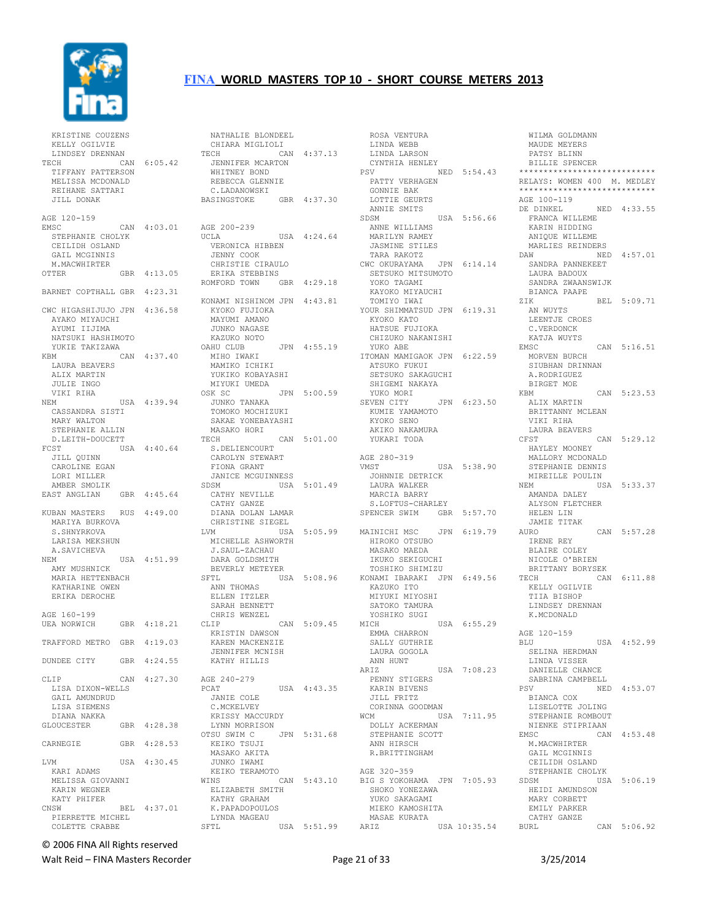

| KRISTINE COUZENS<br>KELLY OGILVIE<br>LINDSEY DRENNAN<br>TECH<br>TIFFANY PATTERSON<br>MELISSA MCDONALD<br>REIHANE SATTARI<br>JILL DONAK |     | CAN 6:05.42 |
|----------------------------------------------------------------------------------------------------------------------------------------|-----|-------------|
| AGE 120-159<br>EMSC<br>STEPHANIE CHOLYK<br>CEILIDH OSLAND<br>GAIL MCGINNIS<br>M.MACWHIRTER                                             |     | CAN 4:03.01 |
| <b>OTTER</b>                                                                                                                           | GBR | 4:13.05     |
| BARNET COPTHALL GBR 4:23.31                                                                                                            |     |             |
| CWC HIGASHIJUJO JPN 4:36.58<br>AYAKO MIYAUCHI<br>AYUMI IIJIMA<br>NATSUKI HASHIMOTO<br>YUKIE TAKIZAWA                                   |     |             |
| KBM<br>LAURA BEAVERS<br>ALIX MARTIN<br>JULIE INGO                                                                                      |     | CAN 4:37.40 |
| VIKI RIHA<br>NEM<br>CASSANDRA SISTI<br>MARY WALTON<br>STEPHANIE ALLIN                                                                  |     | USA 4:39.94 |
| D.LEITH-DOUCETT<br>FCST<br>JILL QUINN<br>CAROLINE EGAN<br>LORI MILLER                                                                  |     | USA 4:40.64 |
| AMBER SMOLIK<br>EAST ANGLIAN                                                                                                           |     | GBR 4:45.64 |
| KUBAN MASTERS RUS 4:49.00<br>MARIYA BURKOVA<br>S.SHNYRKOVA<br>LARISA MEKSHUN                                                           |     |             |
| A.SAVICHEVA<br>NEM                                                                                                                     |     | USA 4:51.99 |
| AMY MUSHNICK<br>MARIA HETTENBACH<br>KATHARINE OWEN<br>ERIKA DEROCHE                                                                    |     |             |
| AGE 160-199<br><b>UEA NORWICH</b>                                                                                                      | GBR | 4:18.21     |
| TRAFFORD METRO GBR 4:19.03                                                                                                             |     |             |
| DUNDEE CITY                                                                                                                            |     | GBR 4:24.55 |
| CLIP<br>LISA DIXON-WELLS<br>GAIL AMUNDRUD<br>LISA SIEMENS                                                                              | CAN | 4:27.30     |
| DIANA NAKKA<br><b>GLOUCESTER</b>                                                                                                       |     | GBR 4:28.38 |
| CARNEGIE                                                                                                                               |     | GBR 4:28.53 |
| LVM                                                                                                                                    |     | USA 4:30.45 |
| KARI ADAMS<br>MELISSA GIOVANNI<br>KARIN WEGNER<br>KATY PHIFER                                                                          |     |             |
| CNSW<br>PIERRETTE MICHEL<br>COLETTE CRABBE                                                                                             |     | BEL 4:37.01 |

| NATHALIE BLONDEEL                   |     |             |
|-------------------------------------|-----|-------------|
| CHIARA MIGLIOLI                     |     |             |
| TECH                                |     | CAN 4:37.13 |
| JENNIFER MCARTON                    |     |             |
| WHITNEY BOND<br>REBECCA GLENNIE     |     |             |
| C.LADANOWSKI                        |     |             |
| BASINGSTOKE                         |     | GBR 4:37.30 |
|                                     |     |             |
| AGE 200-239                         |     |             |
| UCLA                                |     | USA 4:24.64 |
| VERONICA HIBBEN                     |     |             |
| JENNY COOK                          |     |             |
| CHRISTIE CIRAULO                    |     |             |
| ERIKA STEBBINS<br>ROMFORD TOWN      |     | GBR 4:29.18 |
| KONAMI NISHINOM JPN 4:43.81         |     |             |
| KYOKO FUJIOKA                       |     |             |
| MAYUMI AMANO                        |     |             |
| JUNKO NAGASE                        |     |             |
| KAZUKO NOTO                         |     |             |
| OAHU CLUB                           |     | JPN 4:55.19 |
| MIHO IWAKI                          |     |             |
| MAMIKO ICHIKI                       |     |             |
| YUKIKO KOBAYASHI                    |     |             |
| MIYUKI UMEDA                        |     |             |
| OSK SC                              |     | JPN 5:00.59 |
| JUNKO TANAKA<br>TOMOKO MOCHIZUKI    |     |             |
| SAKAE YONEBAYASHI                   |     |             |
| MASAKO HORI                         |     |             |
| TECH                                |     | CAN 5:01.00 |
| S.DELIENCOURT                       |     |             |
| CAROLYN STEWART                     |     |             |
| FIONA GRANT                         |     |             |
| JANICE MCGUINNESS                   |     |             |
| SDSM                                | USA | 5:01.49     |
| CATHY NEVILLE                       |     |             |
| CATHY GANZE<br>DOLAN LAMAR<br>DIANA |     |             |
| CHRISTINE SIEGEL                    |     |             |
| LVM                                 |     | USA 5:05.99 |
| MICHELLE ASHWORTH                   |     |             |
| J.SAUL-ZACHAU                       |     |             |
| DARA GOLDSMITH                      |     |             |
| BEVERLY METEYER                     |     |             |
| SFTL                                | USA | 5:08.96     |
| ANN THOMAS                          |     |             |
| ELLEN ITZLER                        |     |             |
| SARAH BENNETT                       |     |             |
| CHRIS WENZEL                        |     |             |
| CLIP<br>KRISTIN DAWSON              |     | CAN 5:09.45 |
| KAREN MACKENZIE                     |     |             |
| JENNIFER MCNISH                     |     |             |
| KATHY HILLIS                        |     |             |
| AGE 240-279                         |     |             |
| PCAT                                |     | USA 4:43.35 |
| JANIE COLE                          |     |             |
| C.MCKELVEY                          |     |             |
| KRISSY MACCURDY                     |     |             |
| LYNN MORRISON                       |     |             |
| OTSU SWIM C                         |     | JPN 5:31.68 |
| KEIKO TSUJI                         |     |             |
| MASAKO AKITA                        |     |             |
| JUNKO IWAMI                         |     |             |
| KEIKO TERAMOTO<br>WINS              |     | CAN 5:43.10 |
| ELIZABETH SMITH                     |     |             |
| KATHY GRAHAM                        |     |             |
| K.PAPADOPOULOS                      |     |             |
| LYNDA MAGEAU                        |     |             |
| SFTL                                |     | USA 5:51.99 |

 ROSA VENTURA LINDA WEBB LINDA LARSON CYNTHIA HENLEY<br>PSV NI NED 5:54.43 PATTY VERHAGEN GONNIE BAK<br>LOTTIE GEURTS LOTTIE GEURTS ANNIE SMITS SDSM USA 5:56.66 ANNE WILLIAMS MARILYN RAMEY JASMINE STILES TARA RAKOTZ CWC OKURAYAMA JPN 6:14.14 SETSUKO MITSUMOTO YOKO TAGAMI KAYOKO MIYAUCHI TOMIYO IWAI YOUR SHIMMATSUD JPN 6:19.31 KYOKO KATO HATSUE FUJIOKA CHIZUKO NAKANISHI YUKO ABE ITOMAN MAMIGAOK JPN 6:22.59 ATSUKO FUKUI SETSUKO SAKAGUCHI SHIGEMI NAKAYA YUKO MORI SEVEN CITY JPN 6:23.50 KUMIE YAMAMOTO KYOKO SENO AKIKO NAKAMURA YUKARI TODA AGE 280-319 USA 5:38.90 JOHNNIE DETRICK LAURA WALKER MARCIA BARRY S.LOFTUS-CHARLEY SPENCER SWIM GBR 5:57.70 MAINICHI MSC JPN 6:19.79 HIROKO OTSUBO MASAKO MAEDA IKUKO SEKIGUCHI TOSHIKO SHIMIZU KONAMI IBARAKI JPN 6:49.56 KAZUKO ITO MIYUKI MIYOSHI SATOKO TAMURA YOSHIKO SUGI<br>MICH USA 6:55.29 EMMA CHARRON SALLY GUTHRIE LAURA GOGOLA ANN HUNT ARIZ USA 7:08.23 PENNY STIGERS KARIN BIVENS JILL FRITZ CORINNA GOODMAN WCM USA 7:11.95 DOLLY ACKERMAN STEPHANIE SCOTT ANN HIRSCH R.BRITTINGHAM AGE 320-359 BIG S YOKOHAMA JPN 7:05.93 SHOKO YONEZAWA YUKO SAKAGAMI MIEKO KAMOSHITA MASAE KURATA ARIZ USA 10:35.54

 WILMA GOLDMANN MAUDE MEYERS PATSY BLINN BILLIE SPENCER \*\*\*\*\*\*\*\*\*\*\*\*\*\*\*\*\*\*\*\*\*\*\*\*\*\*\*\* RELAYS: WOMEN 400 M. MEDLEY \*\*\*\*\*\*\*\*\*\*\*\*\*\*\*\*\*\*\*\*\*\*\*\*\*\*\*\* AGE 100-119<br>DE DINKEL NED 4:33.55 FRANCA WILLEME KARIN HIDDING ANIQUE WILLEME MARLIES REINDERS<br>DAW NEI NED 4:57.01 SANDRA PANNEKEET LAURA BADOUX SANDRA ZWAANSWIJK BIANCA PAAPE ZIK BEL 5:09.71 AN WUYTS LEENTJE CROES C.VERDONCK KATJA WUYTS EMSC CAN 5:16.51 MORVEN BURCH SIUBHAN DRINNAN A.RODRIGUEZ BIRGET MOE KBM CAN 5:23.53 ALIX MARTIN BRITTANNY MCLEAN VIKI RIHA LAURA BEAVERS<br>CFST  $CAN 5:29.12$  HAYLEY MOONEY MALLORY MCDONALD STEPHANIE DENNIS MIREILLE POULIN<br>NEM US USA 5:33.37 AMANDA DALEY ALYSON FLETCHER HELEN LIN JAMIE TITAK<br>AURO  $CAN$  5:57.28 IRENE REY BLAIRE COLEY NICOLE O'BRIEN BRITTANY BORYSEK<br>TECH CAM CAN 6:11.88 KELLY OGILVIE TIIA BISHOP LINDSEY DRENNAN K.MCDONALD AGE 120-159 BLU USA 4:52.99 SELINA HERDMAN LINDA VISSER DANIELLE CHANCE SABRINA CAMPBELL<br>PSV NE NED 4:53.07 BIANCA COX LISELOTTE JOLING STEPHANIE ROMBOUT NIENKE STIPRIAAN<br>EMSC CAN CAN 4:53.48 M.MACWHIRTER GAIL MCGINNIS CEILIDH OSLAND STEPHANIE CHOLYK SDSM USA 5:06.19 HEIDI AMUNDSON MARY CORBETT EMILY PARKER CATHY GANZE CAN 5:06.92

© 2006 FINA All Rights reserved

Walt Reid – FINA Masters Recorder The Communication of 32 and 2012 10:53 3/25/2014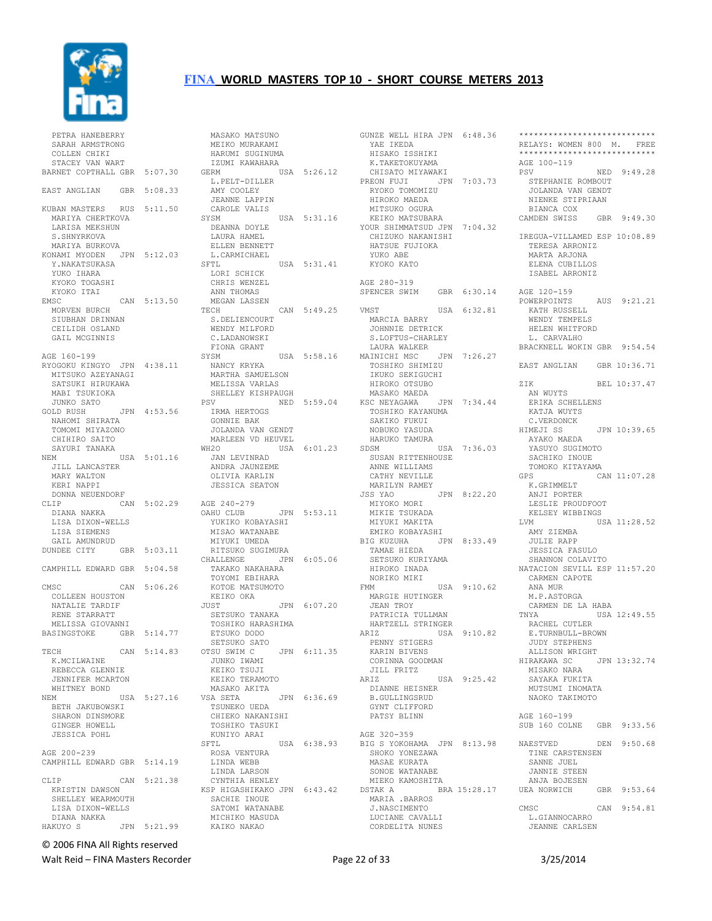

| PETRA HANEBERRY                                |     |             |
|------------------------------------------------|-----|-------------|
| SARAH ARMSTRONG                                |     |             |
| COLLEN CHIKI                                   |     |             |
| STACEY VAN WART<br>BARNET COPTHALL GBR 5:07.30 |     |             |
| EAST ANGLIAN GBR 5:08.33                       |     |             |
| KUBAN MASTERS RUS                              |     | 5:11.50     |
| MARIYA CHERTKOVA                               |     |             |
| LARISA MEKSHUN                                 |     |             |
| S.SHNYRKOVA                                    |     |             |
| MARIYA BURKOVA<br>KONAMI MYODEN JPN 5:12.03    |     |             |
| Y.NAKATSUKASA                                  |     |             |
| YUKO IHARA                                     |     |             |
| KYOKO TOGASHI                                  |     |             |
| KYOKO ITAI                                     |     |             |
| EMSC                                           |     | CAN 5:13.50 |
| MORVEN BURCH                                   |     |             |
| SIUBHAN DRINNAN                                |     |             |
| CEILIDH OSLAND                                 |     |             |
| GAIL MCGINNIS                                  |     |             |
| AGE 160-199                                    |     |             |
| RYOGOKU KINGYO JPN 4:38.11                     |     |             |
| MITSUKO AZEYANAGI                              |     |             |
| SATSUKI HIRUKAWA                               |     |             |
| MABI TSUKIOKA                                  |     |             |
| JUNKO SATO                                     |     |             |
| GOLD RUSH<br>NAHOMI SHIRATA                    |     | JPN 4:53.56 |
| TOMOMI MIYAZONO                                |     |             |
| CHIHIRO SAITO                                  |     |             |
| SAYURI TANAKA                                  |     |             |
| NEM                                            | USA | 5:01.16     |
| JILL LANCASTER                                 |     |             |
| MARY WALTON                                    |     |             |
| KERI<br>NAPPI                                  |     |             |
| DONNA NEUENDORF<br>CLIP                        |     | CAN 5:02.29 |
| DIANA NAKKA                                    |     |             |
| LISA DIXON-WELLS                               |     |             |
| LISA SIEMENS                                   |     |             |
| GAIL AMUNDRUD                                  |     |             |
| DUNDEE CITY                                    | GBR | 5:03.11     |
|                                                |     |             |
| CAMPHILL EDWARD GBR                            |     | 5:04.58     |
| CMSC                                           |     | CAN 5:06.26 |
| COLLEEN HOUSTON                                |     |             |
| NATALIE TARDIF                                 |     |             |
| RENE STARRATT                                  |     |             |
| MELISSA GIOVANNI                               |     |             |
| BASINGSTOKE                                    |     | GBR 5:14.77 |
|                                                |     |             |
| TECH<br>K.MCILWAINE                            | CAN | 5:14.83     |
| REBECCA GLENNIE                                |     |             |
| JENNIFER MCARTON                               |     |             |
| WHITNEY BOND                                   |     |             |
| NEM                                            |     | USA 5:27.16 |
| BETH JAKUBOWSKI                                |     |             |
| SHARON DINSMORE                                |     |             |
| GINGER HOWELL                                  |     |             |
| <b>JESSICA POHL</b>                            |     |             |
| AGE 200-239                                    |     |             |
| CAMPHILL EDWARD GBR 5:14.19                    |     |             |
|                                                |     |             |
| CLIP                                           |     | CAN 5:21.38 |
| KRISTIN DAWSON                                 |     |             |
| SHELLEY WEARMOUTH                              |     |             |
| LISA DIXON-WELLS<br>DIANA NAKKA                |     |             |
| HAKUYO S                                       |     | JPN 5:21.99 |
|                                                |     |             |

 MASAKO MATSUNO MEIKO MURAKAMI HARUMI SUGINUMA IZUMI KAWAHARA GERM USA 5:26.12 L.PELT-DILLER AMY COOLEY JEANNE LAPPIN CAROLE VALIS SYSM USA 5:31.16 DEANNA DOYLE LAURA HAMEL ELLEN BENNETT L.CARMICHAEL SFTL USA 5:31.41 LORI SCHICK CHRIS WENZEL ANN THOMAS MEGAN LASSEN TECH CAN 5:49.25 VMST S.DELIENCOURT WENDY MILFORD C. LADANOWSKI FIONA GRANT<br>SYSM SYSM USA 5:58.16 NANCY KRYKA MARTHA SAMUELSON TOSHIKO SHIMIZU IKUKO SEKIGUCHI MELISSA VARLAS SHELLEY KISHPAUGH PSV NED 5:59.04 IRMA HERTOGS GONNIE BAK JOLANDA VAN GENDT<br>MARLEEN VD HEUVEL MARLEEN VD HEUVEL WH2O USA 6:01.23 JAN LEVINRAD ANDRA JAUNZEME OLIVIA KARLIN JESSICA SEATON AGE 240-279<br>OAHU CLUB OAHU CLUB JPN 5:53.11 YUKIKO KOBAYASHI MISAO WATANABE MIYUKI UMEDA RITSUKO SUGIMURA<br>CHALLENGE JPN JPN 6:05.06 TAKAKO NAKAHARA TOYOMI EBIHARA KOTOE MATSUMOTO KEIKO OKA JUST JPN 6:07.20 MARGIE HUTINGER JEAN TROY PATRICIA TULLMAN HARTZELL STRINGER SETSUKO TANAKA TOSHIKO HARASHIMA ETSUKO DODO SETSUKO SATO<br>OTSU SWIM C JPN 6:11.35 JUNKO IWAMI KEIKO TSUJI KEIKO TERAMOTO MASAKO AKITA VSA SETA JPN 6:36.69 TSUNEKO UEDA CHIEKO NAKANISHI TOSHIKO TASUKI KUNIYO ARAI SFTL USA 6:38.93 ROSA VENTURA LINDA WEBB LINDA LARSON CYNTHIA HENLEY KSP HIGASHIKAKO JPN 6:43.42 DSTAK A BRA 15:28.17 UEA NORWICH GBR 9:53.64 SACHIE INOUE SATOMI WATANABE MICHIKO MASUDA KAIKO NAKAO

GUNZE WELL HIRA JPN 6:48.36 YAE IKEDA ---- INDIA<br>HISAKO ISSHIKI<br>K.TAKETOKUYAMA<br>CHISATO MIYAWAKI<br>PECN TU--K.TAKETOKUYAMA<br>K.TAKETOKUYAMA CHISATO MIYAWAKI PREON FUJI JPN 7:03.73 RYOKO TOMOMIZU HIROKO TOMOMIZU<br>HIROKO MAEDA MITSUKO OGURA KEIKO MATSUBARA YOUR SHIMMATSUD JPN 7:04.32 CHIZUKO NAKANISHI HATSUE FUJIOKA YUKO ABE KYOKO KATO AGE 280-319 SPENCER SWIM GBR 6:30.14 AGE 120-159 USA 6:32.81 MARCIA BARRY **JOHNNIE DETRICK**<br>JOHNNIE DETRICK S.LOFTUS-CHARLEY LAURA WALKER JPN 7:26.27 IKUKO SEKIGUCHI<br>HIROKO OTSUBO MASAKO MAEDA KSC NEYAGAWA JPN 7:34.44 TOSHIKO KAYANUMA SAKIKO FUKUI NOBUKO YASUDA HARUKO TAMURA SDSM USA 7:36.03 SUSAN RITTENHOUSE ANNE WILLIAMS CATHY NEVILLE<br>
MARILYN RAMEY<br>JSS YAO<br>
MIYOKO MORI<br>MIYUKI MAKITA<br>MIYUKI MAKITA EMIKO KOBAYASHI BIG KUZUHA JPN 8:33.49 TAMAE HIEDA SETSUKO KURIYAMA HIROKO INADA NORIKO MIKI FMM USA 9:10.62 ANA MUR M.P.ASTORGA ARIZ USA 9:10.82 PENNY STIGERS KARIN BIVENS CORINNA GOODMAN JILL FRITZ ARIZ USA 9:25.42 MISAKO NARA SAYAKA FUKITA DIANNE HEISNER B.GULLINGSRUD GYNT CLIFFORD PATSY BLINN AGE 320-359 BIG S YOKOHAMA JPN 8:13.98 BIG S IONOMALLE<br>SHOKO YONEZAWA MASAE KURATA SONOE WATANABE MIEKO KAMOSHITA MARIA .BARROS J.NASCIMENTO LUCIANE CAVALLI CORDELITA NUNES

\*\*\*\*\*\*\*\*\*\*\*\*\*\*\*\*\*\*\*\*\*\*\*\*\*\*\*\* RELAYS: WOMEN 800 M. FREE \*\*\*\*\*\*\*\*\*\*\*\*\*\*\*\*\*\*\*\*\*\*\*\*\*\*\*\* AGE 100-119 PSV NED 9:49.28 STEPHANIE ROMBOUT JOLANDA VAN GENDT NIENKE STIPRIAAN BIANCA COX CAMDEN SWISS GBR 9:49.30 IREGUA-VILLAMED ESP 10:08.89 TERESA ARRONIZ MARTA ARJONA ELENA CUBILLOS ISABEL ARRONIZ POWERPOINTS AUS 9:21.21 KATH RUSSELL WENDY TEMPELS HELEN WHITFORD L. CARVALHO BRACKNELL WOKIN GBR 9:54.54 EAST ANGLIAN GBR 10:36.71 ZIK BEL 10:37.47 AN WUYTS ERIKA SCHELLENS KATJA WUYTS C.VERDONCK<br>HIMEJI SS JPN 10:39.65 AYAKO MAEDA YASUYO SUGIMOTO SACHIKO INOUE TOMOKO KITAYAMA<br>GPS C GPS CAN 11:07.28 K.GRIMMELT ANJI PORTER LESLIE PROUDFOOT KELSEY WIBBINGS LVM USA 11:28.52 AMY ZIEMBA ANY ZIEMBA<br>
JPN 8:33.49 JULIE RAPP<br>
JESSICA FASULO<br>
RIYAMA<br>
SIYAMA JESSICA FASULO SHANNON COLAVITO NATACION SEVILL ESP 11:57.20 CARMEN CAPOTE CARMEN DE LA HABA USA 12:49.55 RACHEL CUTLER E.TURNBULL-BROWN JUDY STEPHENS ALLISON WRIGHT<br>HIRAKAWA SC JPN 13:32.74 MUTSUMI INOMATA NAOKO TAKIMOTO AGE 160-199 SUB 160 COLNE GBR 9:33.56 NAESTVED DEN 9:50.68 TINE CARSTENSEN SANNE JUEL JANNIE STEEN ANJA BOJESEN<br>EA NORWICH GBR 9:53.64 CMSC CAN 9:54.81 L.GIANNOCARRO<br>JEANNE CARLSEN

© 2006 FINA All Rights reserved

Walt Reid – FINA Masters Recorder The Communication of Page 22 of 33 3/25/2014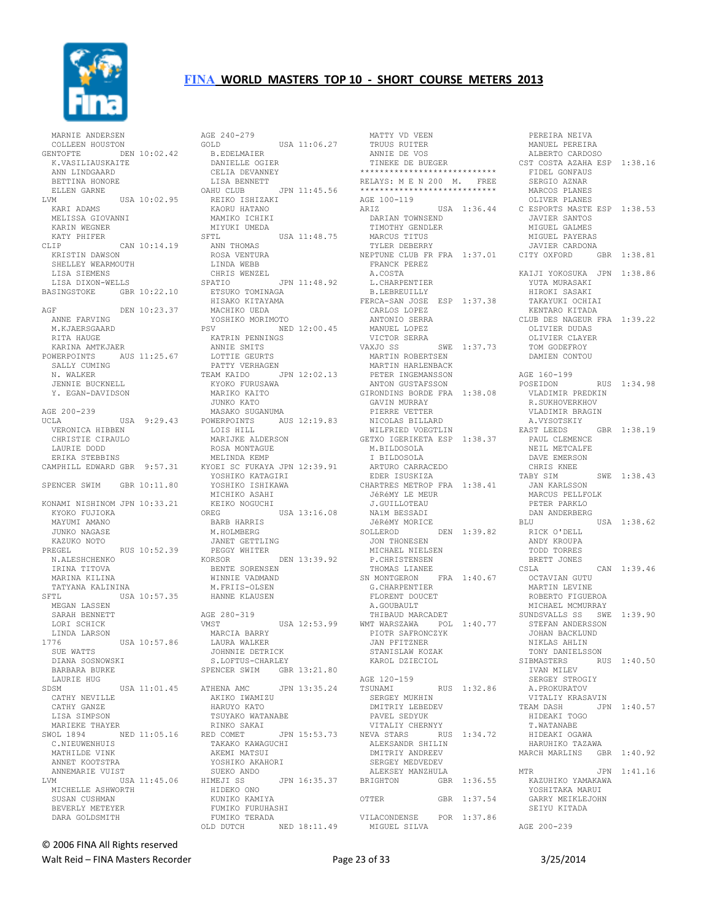

 MARNIE ANDERSEN COLLEEN HOUSTON GENTOFTE DEN 10:02.42 K.VASILIAUSKAITE ANN LINDGAARD BETTINA HONORE ELLEN GARNE LVM USA 10:02.95 KARI ADAMS MELISSA GIOVANNI KARIN WEGNER KATY PHIFER CLIP CAN 10:14.19 KRISTIN DAWSON SHELLEY WEARMOUTH LISA SIEMENS LISA DIXON-WELLS BASINGSTOKE GBR 10:22.10 AGF DEN 10:23.37 ANNE FARVING MACHIKO UEDA M.KJAERSGAARD RITA HAUGE KARINA AMTKJAER POWERPOINTS AUS 11:25.67 SALLY CUMING LOTTIE GEURTS PATTY VERHAGEN N. WALKER JENNIE BUCKNELL Y. EGAN-DAVIDSON AGE 200-239<br>UCLA VERONICA HIBBEN CHRISTIE CIRAULO LAURIE DODD ERIKA STEBBINS CAMPHILL EDWARD GBR 9:57.31 SPENCER SWIM GBR 10:11.80 KONAMI NISHINOM JPN 10:33.21 KYOKO FUJIOKA MAYUMI AMANO JUNKO NAGASE KAZUKO NOTO PREGEL RUS 10:52.39 N.ALESHCHENKO IRINA TITOVA MARINA KILINA TATYANA KALININA<br>SETLUSA SFTL USA 10:57.35 MEGAN LASSEN SARAH BENNETT LORI SCHICK LINDA LARSON<br>1776  $USA$  10:57.86 SUE WATTS DIANA SOSNOWSKI BARBARA BURKE LAURIE HUG<br>SDSM SDSM USA 11:01.45 CATHY NEVILLE CATHY GANZE LISA SIMPSON MARIEKE THAYER SWOL 1894 NED 11:05.16 RED COMET C.NIEUWENHUIS MATHILDE VINK ANNET KOOTSTRA ANNEMARIE VUIST LVM USA 11:45.06 HIMEJI SS MICHELLE ASHWORTH SUSAN CUSHMAN BEVERLY METEYER DARA GOLDSMITH

UCLA USA 9:29.43 POWERPOINTS AUS 12:19.83 NICOLAS BILLARD AGE 240-279 GOLD USA 11:06.27 B.EDELMAIER DANIELLE OGIER CELIA DEVANNEY LISA BENNETT<br>OAHU CLUB JPN 11:45.56 REIKO ISHIZAKI KAORU HATANO MAMIKO ICHIKI MIYUKI UMEDA<br>SFTL USA 11:48.75 ANN THOMAS ROSA VENTURA LINDA WEBB CHRIS WENZEL JPN 11:48.92 ETSUKO TOMINAGA HISAKO KITAYAMA FERCA-SAN JOSE ESP 1:37.38 illino UEDA<br>YOSHIKO MORIMOTO<br>SV PSV NED 12:00.45 MANUEL LOPEZ KATRIN PENNINGS ANNIE SMITS TEAM KAIDO JPN 12:02.13 KYOKO FURUSAWA MARIKO KAITO JUNKO KATO MASAKO SUGANUMA LOIS HILL MARIJKE ALDERSON ROSA MONTAGUE MELINDA KEMP KYOEI SC FUKAYA JPN 12:39.91 YOSHIKO KATAGIRI YOSHIKO ISHIKAWA CHARTRES METROP FRA 1:38.41 MICHIKO ASAHI KEIKO NOGUCHI<br>OREG USA 13:16.08 BARB HARRIS M.HOLMBERG JANET GETTLING PEGGY WHITER KORSOR DEN 13:39.92 BENTE SORENSEN<br>BENTE SORENSEN WINNIE VADMAND M.FRIIS-OLSEN HANNE KLAUSEN AGE 280-319 VMST USA 12:53.99 MARCIA BARRY LAURA WALKER JOHNNIE DETRICK S.LOFTUS-CHARLEY SPENCER SWIM GBR 13:21.80 JPN 13:35.24 AKIKO IWAMIZU HARUYO KATO TSUYAKO WATANABE RINKO SAKAI RED COMET JPN 15:53.73 NEVA STARS RUS 1:34.72 TAKAKO KAWAGUCHI AKEMI MATSUI ALEKSANDR SHILIN DMITRIY ANDREEV YOSHIKO AKAHORI SUEKO ANDO HIMEJI SS JPN 16:35.37 BRIGHTON GBR 1:36.55 HIDEKO ONO KUNIKO KAMIYA KUNING NGRILII<br>FUMIKO FURUHASHI FUMIKO TERADA OLD DUTCH NED 18:11.49

 MATTY VD VEEN TRUUS RUITER ANNIE DE VOS TINEKE DE BUEGER<br>\*\*\*\*\*\*\*\*\*\*\*\*\*\*\*\*\*\*\*\*\*\*\*\*\*\*\*\*\*\* \*\*\*\*\*\*\*\*\*\*\*\*\*\*\*\*\*\*\*\*\*\*\*\*\*\*\*\* RELAYS: M E N 200 M. FREE \*\*\*\*\*\*\*\*\*\*\*\*\*\*\*\*\*\*\*\*\*\*\*\*\*\*\*\* AGE 100-119 ARIZ USA 1:36.44 DARIAN TOWNSEND TIMOTHY GENDLER MARCUS TITUS TYLER DEBERRY FRANCK PEREZ A.COSTA L.CHARPENTIER B.LEBREUILLY CARLOS LOPEZ ANTONIO SERRA VICTOR SERRA VAXJO SS SWE 1:37.73 MARTIN ROBERTSEN MARTIN HARLENBACK PETER INGEMANSSON ANTON GUSTAFSSON GIRONDINS BORDE FRA 1:38.08 GAVIN MURRAY PIERRE VETTER WILFRIED VOEGTLIN<br>WILFRIED VOEGTLIN GETXO IGERIKETA ESP 1:38.37<br>M.BILDOSOLA M.BILDOSOLA I BILDOSOLA ARTURO CARRACEDO EDER ISUSKIZA سمبینیت PERÓMY LE MEUR<br>JéRéMY LE MEUR<br>J CUIIII – J.GUILLOTEAU NAïM BESSADI JéRéMY MORICE SOLLEROD DEN 1:39.82 JON THONESEN MICHAEL NIELSEN P.CHRISTENSEN THOMAS LIANEE<br>SN MONTGERON  $FRA 1:40.67$ G.CHARPENTIER FLORENT DOUCET A.GOUBAULT THIBAUD MARCADET WMT WARSZAWA POL 1:40.77 PIOTR SAFRONCZYK JAN PFITZNER STANISLAW KOZAK KAROL DZIECIOL AGE 120-159<br>TSUNAMI TSUNAMI RUS 1:32.86 SERGEY MUKHIN DMITRIY LEBEDEV PAVEL SEDYUK VITALIY CHERNYY SERGEY MEDVEDEV ALEKSEY MANZHULA OTTER GBR 1:37.54 VILACONDENSE POR 1:37.86 MIGUEL SILVA

NEPTUNE CLUB FR FRA 1:37.01 CITY OXFORD GBR 1:38.81 PEREIRA NEIVA MANUEL PEREIRA ALBERTO CARDOSO CST COSTA AZAHA ESP 1:38.16 FIDEL GONFAUS SERGIO AZNAR MARCOS PLANES OLIVER PLANES C ESPORTS MASTE ESP 1:38.53 JAVIER SANTOS MIGUEL GALMES MIGUEL PAYERAS JAVIER CARDONA KAIJI YOKOSUKA JPN 1:38.86 YUTA MURASAKI HIROKI SASAKI TAKAYUKI OCHIAI KENTARO KITADA CLUB DES NAGEUR FRA 1:39.22 OLIVIER DUDAS OLIVIER CLAYER TOM GODEFROY DAMIEN CONTOU AGE 160-199 POSEIDON RUS 1:34.98 VLADIMIR PREDKIN R.SUKHOVERKHOV VLADIMIR BRAGIN A.VYSOTSKIY EAST LEEDS GBR 1:38.19 PAUL CLEMENCE NEIL METCALFE DAVE EMERSON CHRIS KNEE<br>TABY SIM SWE 1:38.43 JAN KARLSSON MARCUS PELLFOLK PETER PARKLO DAN ANDERBERG<br>BLU USA 1:38.62 RICK O'DELL ANDY KROUPA TODD TORRES BRETT JONES CSLA CAN 1:39.46 OCTAVIAN GUTU MARTIN LEVINE ROBERTO FIGUEROA MICHAEL MCMURRAY SUNDSVALLS SS SWE 1:39.90 STEFAN ANDERSSON JOHAN BACKLUND NIKLAS AHLIN TONY DANIELSSON<br>SIBMASTERS RUS 1:40.50 IVAN MILEV SERGEY STROGIY A.PROKURATOV VITALIY KRASAVIN JPN 1:40.57 HIDEAKI TOGO T.WATANABE HIDEAKI OGAWA HARUHIKO TAZAWA MARCH MARLINS GBR 1:40.92 MTR JPN 1:41.16 KAZUHIKO YAMAKAWA YOSHITAKA MARUI GARRY MEIKLEJOHN SEIYU KITADA AGE 200-239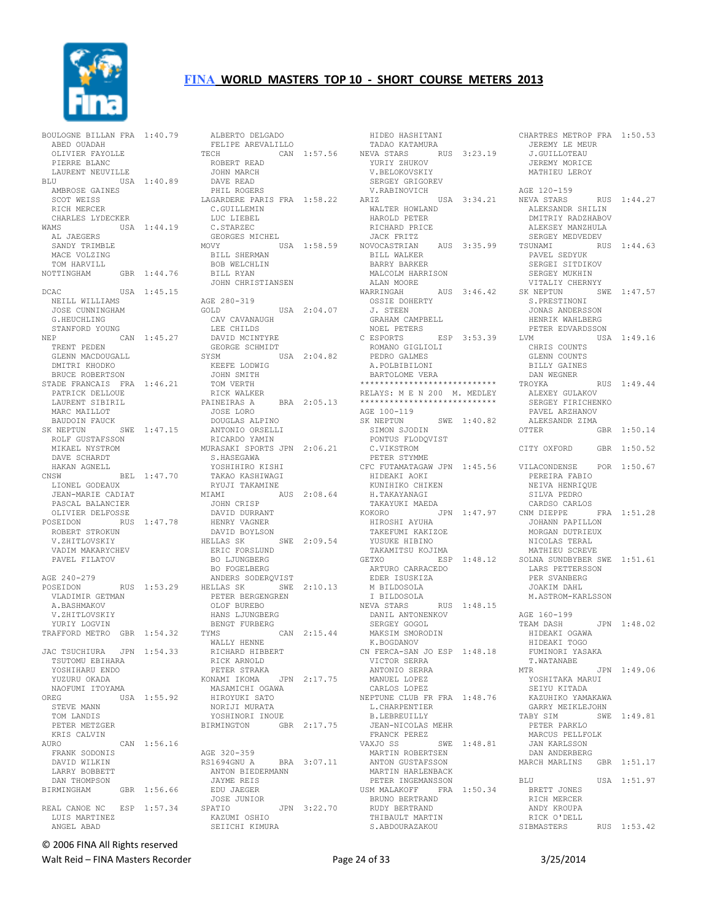

|                                              | BOULOGNE BILLAN FRA 1:40.79 |
|----------------------------------------------|-----------------------------|
| ABED OUADAH                                  |                             |
| OLIVIER FAYOLLE                              |                             |
| PIERRE BLANC                                 |                             |
| LAURENT NEUVILLE                             |                             |
| BLU                                          | USA 1:40.89                 |
| AMBROSE GAINES                               |                             |
| SCOT WEISS<br>RICH<br>MERCER                 |                             |
| CHARLES LYDECKER                             |                             |
| WAMS                                         | USA 1:44.19                 |
| AL JAEGERS                                   |                             |
| SANDY TRIMBLE                                |                             |
| MACE VOLZING                                 |                             |
| TOM HARVILL                                  |                             |
| NOTTINGHAM<br><b>GBR</b>                     | 1:44.76                     |
| DCAC                                         | USA 1:45.15                 |
| NEILL WILLIAMS                               |                             |
| JOSE CUNNINGHAM                              |                             |
| G.HEUCHLING                                  |                             |
| STANFORD YOUNG                               |                             |
| NEP                                          | CAN 1:45.27                 |
| TRENT PEDEN                                  |                             |
| GLENN MACDOUGALL<br>DMITRI KHODKO            |                             |
| BRUCE ROBERTSON                              |                             |
| STADE FRANCAIS FRA 1:46.21                   |                             |
| PATRICK DELLOUE                              |                             |
| LAURENT SIBIRIL                              |                             |
| MARC MAILLOT                                 |                             |
| BAUDOIN FAUCK                                |                             |
| SK NEPTUN                                    | SWE 1:47.15                 |
| ROLF GUSTAFSSON                              |                             |
| MIKAEL NYSTROM                               |                             |
| DAVE SCHARDT                                 |                             |
| HAKAN AGNELL<br>CNSW                         | BEL 1:47.70                 |
| LIONEL GODEAUX                               |                             |
|                                              |                             |
| JEAN-MARIE CADIAT                            |                             |
| PASCAL BALANCIER                             |                             |
| OLIVIER DELFOSSE                             |                             |
| POSEIDON<br>RUS                              | 1:47.78                     |
| ROBERT STROKUN                               |                             |
| V.ZHITLOVSKIY                                |                             |
| VADIM MAKARYCHEV                             |                             |
| PAVEL FILATOV                                |                             |
| AGE 240-279                                  |                             |
| POSEIDON                                     | RUS 1:53.29                 |
| VLADIMIR GETMAN                              |                             |
| A.BASHMAKOV                                  |                             |
| V.ZHITLOVSKIY                                |                             |
| YURIY LOGVIN                                 |                             |
| TRAFFORD METRO GBR 1:54.32                   |                             |
|                                              |                             |
| JAC TSUCHIURA JPN 1:54.33<br>TSUTOMU EBIHARA |                             |
| YOSHIHARU ENDO                               |                             |
| YUZURU OKADA                                 |                             |
| NAOFUMI ITOYAMA                              |                             |
| OREG                                         | USA 1:55.92                 |
| STEVE MANN                                   |                             |
| TOM LANDIS                                   |                             |
| PETER METZGER                                |                             |
| KRIS CALVIN<br>AURO                          | CAN 1:56.16                 |
| FRANK SODONIS                                |                             |
| DAVID WILKIN                                 |                             |
| LARRY BOBBETT                                |                             |
| DAN THOMPSON                                 |                             |
| BIRMINGHAM                                   | GBR 1:56.66                 |
|                                              |                             |
| REAL CANOE NC ESP 1:57.34<br>LUIS MARTINEZ   |                             |

| ALBERTO DELGADO                |             |
|--------------------------------|-------------|
| FELIPE AREVALILLO              |             |
| TECH                           | CAN 1:57.56 |
| ROBERT READ                    |             |
| JOHN MARCH                     |             |
| DAVE READ                      |             |
| PHIL ROGERS                    |             |
|                                |             |
| LAGARDERE PARIS FRA 1:58.22    |             |
| C. GUILLEMIN                   |             |
| LUC LIEBEL                     |             |
| C.STARZEC                      |             |
| GEORGES MICHEL                 |             |
| MOVY                           | USA 1:58.59 |
| BILL SHERMAN                   |             |
| BOB WELCHLIN                   |             |
| <b>BILL RYAN</b>               |             |
| JOHN CHRISTIANSEN              |             |
|                                |             |
| AGE 280-319                    |             |
| GOLD                           | USA 2:04.07 |
| CAV CAVANAUGH                  |             |
| LEE CHILDS                     |             |
| DAVID MCINTYRE                 |             |
| GEORGE SCHMIDT                 |             |
| SYSM                           | USA 2:04.82 |
| KEEFE LODWIG                   |             |
| JOHN SMITH                     |             |
|                                |             |
| TOM VERTH                      |             |
| RICK WALKER                    |             |
| PAINEIRAS A                    | BRA 2:05.13 |
| JOSE LORO                      |             |
| DOUGLAS ALPINO                 |             |
| ANTONIO ORSELLI                |             |
| RICARDO YAMIN                  |             |
| MURASAKI SPORTS JPN 2:06.21    |             |
| S.HASEGAWA                     |             |
| YOSHIHIRO KISHI                |             |
| TAKAO KASHIWAGI                |             |
|                                |             |
|                                |             |
| RYUJI TAKAMINE                 |             |
| MIAMI                          | AUS 2:08.64 |
| JOHN CRISP                     |             |
| DAVID DURRANT                  |             |
| HENRY VAGNER                   |             |
| DAVID BOYLSON                  |             |
| HELLAS SK                      | SWE 2:09.54 |
| ERIC FORSLUND                  |             |
| <b>BO LJUNGBERG</b>            |             |
| <b>BO FOGELBERG</b>            |             |
| ANDERS SODERQVIST              |             |
| HELLAS SK<br>SWE               | 2:10.13     |
| PETER BERGENGREN               |             |
| OLOF BUREBO                    |             |
| HANS<br>LJUNGBERG              |             |
| BENGT FURBERG                  |             |
| TYMS                           | CAN 2:15.44 |
| WALLY HENNE                    |             |
| RICHARD HIBBERT                |             |
| RICK ARNOLD                    |             |
| PETER STRAKA                   |             |
| KONAMI IKOMA                   | JPN 2:17.75 |
| MASAMICHI OGAWA                |             |
| HIROYUKI SATO                  |             |
|                                |             |
| NORIJI MURATA                  |             |
| YOSHINORI INOUE                |             |
| BIRMINGTON                     | GBR 2:17.75 |
|                                |             |
|                                |             |
| AGE 320-359                    |             |
| RS1694GNU A<br><b>BRA</b>      | 3:07.11     |
| ANTON BIEDERMANN               |             |
| JAYME REIS                     |             |
| EDU JAEGER                     |             |
| JOSE JUNIOR                    |             |
| SPATIO                         | JPN 3:22.70 |
| KAZUMI OSHIO<br>SEIICHI KIMURA |             |

 HIDEO HASHITANI TADAO KATAMURA NEVA STARS RUS 3:23.19 YURIY ZHUKOV V.BELOKOVSKIY SERGEY GRIGOREV V.RABINOVICH ARIZ USA 3:34.21 NEVA STARS WALTER HOWLAND HAROLD PETER RICHARD PRICE JACK FRITZ NOVOCASTRIAN AUS 3:35.99<br>BILL WALKER BILL WALKER BARRY BARKER MALCOLM HARRISON ALAN MOORE WARRINGAH AUS 3:46.42 OSSIE DOHERTY J. STEEN GRAHAM CAMPBELL NOEL PETERS C ESPORTS ESP 3:53.39 ROMANO GIGLIOLI PEDRO GALMES A.POLBIBILONI BARTOLOME VERA \*\*\*\*\*\*\*\*\*\*\*\*\*\*\*\*\*\*\*\*\*\*\*\*\*\*\*\* RELAYS: M E N 200 M. MEDLEY \*\*\*\*\*\*\*\*\*\*\*\*\*\*\*\*\*\*\*\*\*\*\*\*\*\*\*\* AGE 100-119<br>SK NEPTUN SK NEPTUNSWE 1:40.82<br>SIMON SJODIN PONTUS FLODQVIST C.VIKSTROM PETER STYMME HIDEAKI AOKI KUNIHIKO CHIKEN H.TAKAYANAGI TAKAYUKI MAEDA<br>KOKORO J KOKORO JPN 1:47.97 HIROSHI AYUHA TAKEFUMI KAKIZOE YUSUKE HIBINO TAKAMITSU KOJIMA<br>GETXO ESP ARTURO CARRACEDO LARS PETTERSSON EDER ISUSKIZA M BILDOSOLA I BILDOSOLA NEVA STARS RUS 1:48.15 DANIL ANTONENKOV SERGEY GOGOL MAKSIM SMORODIN K.BOGDANOV CN FERCA-SAN JO ESP 1:48.18 VICTOR SERRA ANTONIO SERRA MANUEL LOPEZ CARLOS LOPEZ NEPTUNE CLUB FR FRA 1:48.76 L.CHARPENTIER B.LEBREUILLY JEAN-NICOLAS MEHR FRANCK PEREZ VAXJO SS SWE 1:48.81 MARTIN ROBERTSEN ANTON GUSTAFSSON MARTIN HARLENBACK PETER INGEMANSSON USM MALAKOFF FRA 1:50.34 BRUNO BERTRAND RUDY BERTRAND THIBAULT MARTIN S.ABDOURAZAKOU

PETER STYMME<br>CFC FUTAMATAGAW JPN 1:45.56 VILACONDENSE POR 1:50.67 GETXO ESP 1:48.12 SOLNA SUNDBYBER SWE 1:51.61 CHARTRES METROP FRA 1:50.53 JEREMY LE MEUR<br>JEREMY LE MEUR<br>Jeremy J.GUILLOTEAU JEREMY MORICE MATHIEU LEROY AGE 120-159 RUS 1:44.27 ALEKSANDR SHILIN DMITRIY RADZHABOV ALEKSEY MANZHULA SERGEY MEDVEDEV TSUNAMI RUS 1:44.63 PAVEL SEDYUK SERGEI SITDIKOV SERGEY MUKHIN VITALIY CHERNYY  $SWE$  1:47.57 S.PRESTINONI<br>JONAS ANDERSSON<br>HENRIK WAHLBERG PETER EDVARDSSON  $USA 1:49.16$  CHRIS COUNTS GLENN COUNTS GLENN COUNTS<br>BILLY GAINES DAN WEGNER RUS 1:49.44 ALEXEY GULAKOV SERGEY FIRICHENKO PAVEL ARZHANOV ALEKSANDR ZIMA GBR 1:50.14 CITY OXFORD GBR 1:50.52 PEREIRA FABIO NEIVA HENRIQUE SILVA PEDRO CARDSO CARLOS FRA 1:51.28 JOHANN PAPILLON MORGAN DUTRIEUX NICOLAS TERAL MATHIEU SCREVE PER SVANBERG JOAKIM DAHL M.ASTROM-KARLSSON AGE 160-199 TEAM DASH JPN 1:48.02 HIDEAKI OGAWA HIDEAKI TOGO FUMINORI YASAKA T.WATANABE MTR JPN 1:49.06 YOSHITAKA MARUI SEIYU KITADA KAZUHIKO YAMAKAWA GARRY MEIKLEJOHN<br>TABY SIM SWE SWE 1:49.81 PETER PARKLO MARCUS PELLFOLK JAN KARLSSON DAN ANDERBERG MARCH MARLINS GBR 1:51.17 BLU USA 1:51.97 BRETT JONES RICH MERCER ANDY KROUPA RICK O'DELL SIBMASTERS RUS 1:53.42

© 2006 FINA All Rights reserved

Walt Reid – FINA Masters Recorder The Communication of the Page 24 of 33 3/25/2014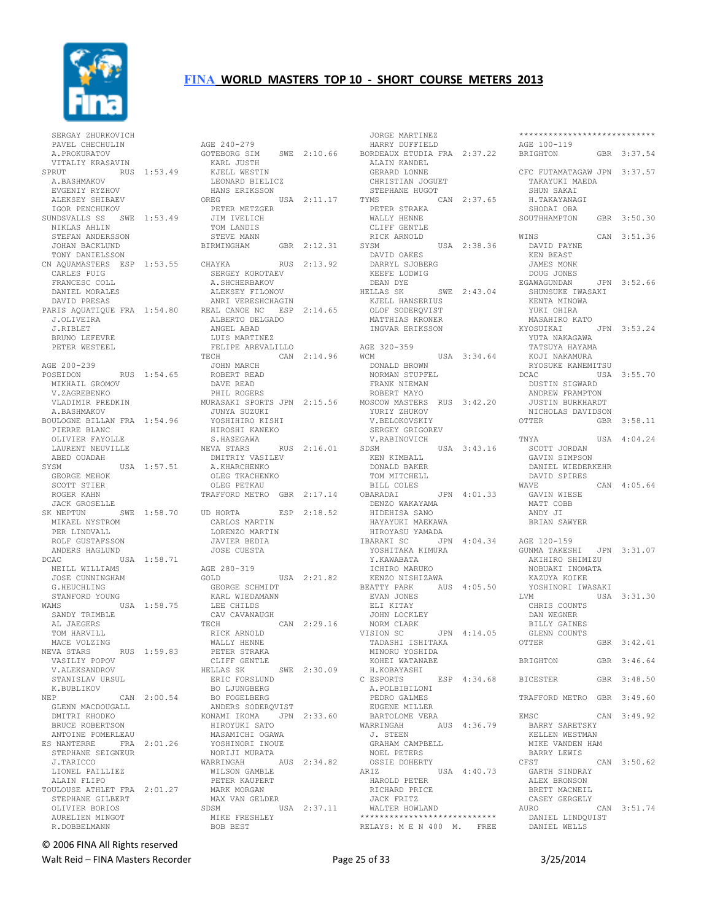

 SERGAY ZHURKOVICH PAVEL CHECHULIN A.PROKURATOV VITALIY KRASAVIN SPRUT RUS 1:53.49 A.BASHMAKOV EVGENIY RYZHOV<br>EVGENIY RYZHOV ALEKSEY SHIBAEV OREG IGOR PENCHUKOV SUNDSVALLS SS SWE 1:53.49 NIKLAS AHLIN STEFAN ANDERSSON<br>STEFAN ANDERSSON<br>TOULLE JOHAN BACKLUND TONY DANIELSSON CN AQUAMASTERS ESP 1:53.55<br>CARLES PUIG CARLES PUIG FRANCESC COLL DANIEL MORALES DAVID PRESAS PARIS AQUATIQUE FRA 1:54.80 J.OLIVEIRA J.RIBLET BRUNO LEFEVRE PETER WESTEEL AGE 200-239 AGE 200-239<br>POSEIDON RUS 1:54.65 MIKHAIL GROMOV V.ZAGREBENKO VLADIMIR PREDKIN A.BASHMAKOV BOULOGNE BILLAN FRA 1:54.96 PIERRE BLANC OLIVIER FAYOLLE LAURENT NEUVILLE ABED OUADAH<br>SYSM USA 1:57.51 GEORGE MEHOK SCOTT STIER ROGER KAHN JACK GROSELLE<br>SK NEPTUN JACK GROSELLE<br>SK NEPTUN SWE 1:58.70 U MIKAEL NYSTROM PER LINDVALL ROLF GUSTAFSSON ANDERS HAGLUND<br>DCAC U USA 1:58.71 NEILL WILLIAMS JOSE CUNNINGHAM G.HEUCHLING STANFORD YOUNG WAMS USA 1:58.75 KARL WIEDAMANN LEE CHILDS SANDY TRIMBLE AL JAEGERS TOM HARVILL MACE VOLZING<br>NEVA STARS RUS 1:59.83 STANISLAV URSUL SIANIJ<sub>–</sub><br>K.BUBLIKOV NEP CAN 2:00.54 BO FOGELBERG GLENN MACDOUGALL DMITRI KHODKO BRUCE ROBERTSON ANTOINE POMERLEAU<br>ES NANTERRE FRA ES NANTERRE FRA 2:01.26 YOSHINORI INOUE NORIJI MURATA STEPHANE SEIGNEUR J.TARICCO LIONEL PAILLIEZ ALAIN FLIPO TOULOUSE ATHLET FRA 2:01.27 MARK MORGAN STEPHANE GILBERT OLIVIER BORIOS AURELIEN MINGOT R.DOBBELMANN

NEVA STARS RUS 1:59.83 VASILIY POPOV V.ALEKSANDROV HELLAS SK SWE 2:30.09 AGE 240-279 AGE 240-279<br>GOTEBORG SIM SWE 2:10.66 KARL JUSTH KJELL WESTIN LEONARD BIELICZ HANS ERIKSSON STEP<br>REG USA 2:11.17 TYMS OREG USA 2:11.17 PETER METZGER JIM IVELICH TOM LANDIS STEVE MANN GBR 2:12.31 SYSM BIRMINGHAM CHAYKA RUS 2:13.92 SERGEY KOROTAEV A.SHCHERBAKOV ALEKSEY FILONOV ANRI VERESHCHAGIN REAL CANOE NC ESP 2:14.65 ALBERTO DELGADO ANGEL ABAD LUIS MARTINEZ FELIPE AREVALILLO  $CAN 2:14.96$ JOHN MARCH<br>ROBERT ROBERT READ DAVE READ PHIL ROGERS MURASAKI SPORTS JPN 2:15.56 MOSCOW MASTERS RUS 3:42.20 JUNYA SUZUKI YOSHIHIRO KISHI HIROSHI KANEKO S.HASEGAWA NEVA STARS RUS 2:16.01 DMITRIY VASILEV A.KHARCHENKO OLEG TKACHENKO OLEG PETKAU TRAFFORD METRO GBR 2:17.14 ESP 2:18.52 CARLOS MARTIN LORENZO MARTIN JAVIER BEDIA JOSE CUESTA AGE 280-319 GOLD USA 2:21.82 GEORGE SCHMIDT BEATTY PARK AUS 4:05.50 CAV CAVANAUGH TECH CAN 2:29.16 RICK ARNOLD WALLY HENNE PETER STRAKA CLIFF GENTLE ERIC FORSLUND BO LJUNGBERG ANDERS SODERQVIST KONAMI IKOMA JPN 2:33.60 HIROYUKI SATO MASAMICHI OGAWA WARRINGAH AUS 2:34.82 WILSON GAMBLE PETER KAUPERT MAX VAN GELDER SDSM USA 2:37.11 MIKE FRESHLEY BOB BEST

 JORGE MARTINEZ ALAIN KANDEL GERARD LONNE CHRISTIAN JOGUET STEPHANE HUGOT CAN 2:37.65 PETER STRAKA WALLY HENNE CLIFF GENTLE RICK ARNOLD SYSM USA 2:38.36 DAVID OAKES DARRYL SJOBERG KEEFE LODWIG DEAN DYE HELLAS SK SWE 2:43.04 KJELL HANSERIUS OLOF SODERQVIST MATTHIAS KRONER INGVAR ERIKSSON AGE 320-359 WCM USA 3:34.64 DONALD BROWN NORMALD BROWN (NORMALD BROWN) (NORMAL BROWN) (NORMAL) (NORMAL BROWN) (NORMAL) (NORMAL BROWN) (NORMAL BROWN) (N<br>NORMAN STUPFEL (NORMAL BROWN) (NORMAL) (NORMAL) (NORMAL) (NORMAL) (NORMAL) (NORMAL) (NORMAL) (NORMAL) (NORMAL) FRANK NIEMAN ROBERT MAYO YURIY ZHUKOV V.BELOKOVSKIY SERGEY GRIGOREV V.RABINOVICH SDSM USA 3:43.16 KEN KIMBALL DONALD BAKER TOM MITCHELL BILL COLES OBARADAI JPN 4:01.33 DENZO WAKAYAMA HIDEHISA SANO HAYAYUKI MAEKAWA HIROYASU YAMADA<br>IBARAKI SC JPN YOSHITAKA KIMURA Y.KAWABATA ICHIRO MARUKO KENZO NISHIZAWA EVAN JONES ELI KITAY JOHN LOCKLEY NORM CLARK VISION SC JPN 4:14.05 TADASHI ISHITAKA MINORU YOSHIDA KOHEI WATANABE H.KOBAYASHI C ESPORTS ESP 4:34.68 A.POLBIBILONI PEDRO GALMES EUGENE MILLER BARTOLOME VERA AUS 4:36.79 J. STEEN GRAHAM CAMPBELL GRAHAM CAMPBEL)<br>NOEL PETERS OSSIE DOHERTY USA 4:40.73 HAROLD PETER RICHARD PRICE JACK FRITZ WALTER HOWLAND \*\*\*\*\*\*\*\*\*\*\*\*\*\*\*\*\*\*\*\*\*\*\*\*\*\*\*\* RELAYS: M E N 400 M. FREE

 HARRY DUFFIELD BORDEAUX ETUDIA FRA 2:37.22 AGE 100-119 BRIGHTON GBR 3:37.54 HIROYASU YAMADA<br>IBARAKI SC JPN 4:04.34 AGE 120-159<br>YOSHITAKA KIMURA GUNMA TAKESHI JPN 3:31.07 \*\*\*\*\*\*\*\*\*\*\*\*\*\*\*\*\*\*\*\*\*\*\*\*\*\*\*\* CFC FUTAMATAGAW JPN 3:37.57 TAKAYUKI MAEDA SHUN SAKAT H.TAKAYANAGI SHODAI OBA SOUTHHAMPTON GBR 3:50.30 WINS CAN 3:51.36 DAVID PAYNE KEN BEAST JAMES MONK DOUG JONES EGAWAGUNDAN JPN 3:52.66 SHUNSUKE IWASAKI KENTA MINOWA YUKI OHIRA MASAHIRO KATO KYOSUIKAI JPN 3:53.24 YUTA NAKAGAWA TATSUYA HAYAMA KOJI NAKAMURA RYOSUKE KANEMITSU DCAC USA 3:55.70 DUSTIN SIGWARD ANDREW FRAMPTON JUSTIN BURKHARDT NICHOLAS DAVIDSON<br>OTTER GBR GBR 3:58.11 TNYA USA 4:04.24 SCOTT JORDAN GAVIN SIMPSON DANIEL WIEDERKEHR DAVID SPIRES CAN 4:05.64 GAVIN WIESE MATT COBB ANDY JI BRIAN SAWYER AKIHIRO SHIMIZU NOBUAKI INOMATA KAZUYA KOIKE YOSHINORI IWASAKI LVM USA 3:31.30 CHRIS COUNTS DAN WEGNER BILLY GAINES GLENN COUNTS<br>OTTER GBR 3:42.41 BRIGHTON GBR 3:46.64 BICESTER GBR 3:48.50 TRAFFORD METRO GBR 3:49.60 EMSC CAN 3:49.92 BARRY SARETSKY KELLEN WESTMAN MIKE VANDEN HAM BARRY LEWIS<br>CFST  $CAN$  3:50.62 GARTH SINDRAY ALEX BRONSON BRETT MACNEIL CASEY GERGELY AURO CAN 3:51.74 DANIEL LINDQUIST DANIEL WELLS

#### © 2006 FINA All Rights reserved

Walt Reid – FINA Masters Recorder The Contract Contract Page 25 of 33 3/25/2014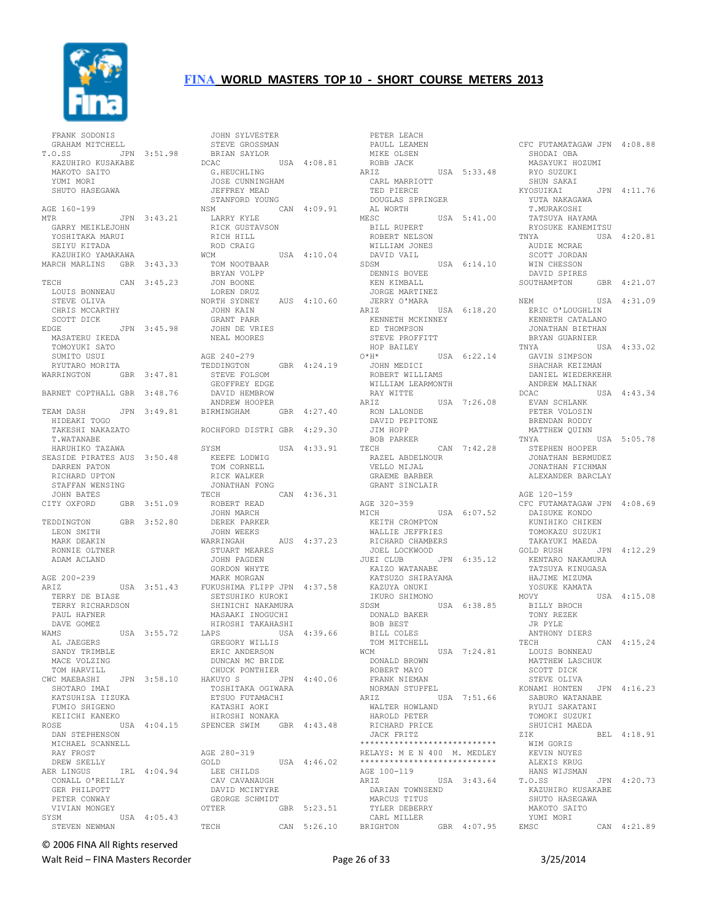

 FRANK SODONIS GRAHAM MITCHELL T.O.SS JPN 3:51.98 KAZUHIRO KUSAKABE MAKOTO SAITO YUMI MORI SHUTO HASEGAWA AGE 160-199 MTR JPN 3:43.21 GARRY MEIKLEJOHN YOSHITAKA MARUI SEIYU KITADA KAZUHIKO YAMAKAWA MARCH MARLINS GBR 3:43.33 TECH CAN 3:45.23 LOUIS BONNEAU STEVE OLIVA CHRIS MCCARTHY SCOTT DICK EDGE JPN 3:45.98 MASATERU IKEDA TOMOYUKI SATO SUMITO USUI RYUTARO MORITA WARRINGTON GBR 3:47.81 BARNET COPTHALL GBR 3:48.76 TEAM DASH JPN 3:49.81 HIDEAKI TOGO TAKESHI NAKAZATO T.WATANABE HARUHIKO TAZAWA SEASIDE PIRATES AUS 3:50.48 DARREN PATON RICHARD UPTON STAFFAN WENSING JOHN BATES<br>CITY OXFORD GBR 3:51.09 TEDDINGTON GBR 3:52.80 LEON SMITH MARK DEAKIN RONNIE OLTNER ADAM ACLAND AGE 200-239 ARIZ USA 3:51.43 TERRY DE BIASE TERRY RICHARDSON PAUL HAFNER DAVE GOMEZ WAMS USA 3:55.72 AL JAEGERS SANDY TRIMBLE MACE VOLZING TOM HARVILL CWC MAEBASHI JPN 3:58.10 SHOTARO IMAI KATSUHISA IIZUKA FUMIO SHIGENO KEIICHI KANEKO<br>ROSE ROSE USA 4:04.15 DAN STEPHENSON MICHAEL SCANNELL RAY FROST DREW SKELLY<br>AER LINGUS IRL  $4:04.94$  CONALL O'REILLY GER PHILPOTT PETER CONWAY VIVIAN MONGEY<br>SYSM USA 4:05.43 STEVEN NEWMAN

 JOHN SYLVESTER STEVE GROSSMAN BRIAN SAYLOR<br>DCAC USA 4:08.81 G.HEUCHLING JOSE CUNNINGHAM JEFFREY MEAD STANFORD YOUNG<br>NSM C  $CAN 4:09.91$  LARRY KYLE RICK GUSTAVSON RICH HILL ROD CRAIG<br>WCM WCM USA 4:10.04 TOM NOOTBAAR BRYAN VOLPP JON BOONE LOREN DRUZ NORTH SYDNEY AUS 4:10.60 JOHN KAIN<br>JOHN KAIN<br>Chail GRANT PARR JOHN DE VRIES NEAL MOORES AGE 240-279 TEDDINGTON GBR 4:24.19 STEVE FOLSOM GEOFFREY EDGE DAVID HEMBROW ANDREW HOOPER BIRMINGHAM GBR 4:27.40 ROCHFORD DISTRI GBR 4:29.30 USA 4:33.91 KEEFE LODWIG TOM CORNELL RICK WALKER JONATHAN FONG TECH CAN 4:36.31 ROBERT READ JOHN MARCH DEREK PARKER JOHN WEEKS<br>WARRINGAH AUS 4:37.23 STUART MEARES JOHN PAGDEN GORDON WHYTE MARK MORGAN FUKUSHIMA FLIPP JPN 4:37.58 SETSUHIKO KUROKI SHINICHI NAKAMURA MASAAKI INOGUCHI HIROSHI TAKAHASHI LAPS USA 4:39.66 GREGORY WILLIS ERIC ANDERSON DUNCAN MC BRIDE CHUCK PONTHIER HAKUYO S JPN 4:40.06 TOSHITAKA OGIWARA ETSUO FUTAMACHI KATASHI AOKI HIROSHI NONAKA SPENCER SWIM GBR 4:43.48 AGE 280-319 GOLD USA 4:46.02 LEE CHILDS CAV CAVANAUGH DAVID MCINTYRE GEORGE SCHMIDT OTTER GBR 5:23.51 TECH CAN 5:26.10 BRIGHTON

 PETER LEACH PAULL LEAMEN MIKE OLSEN ROBB JACK ARIZ USA 5:33.48 CARL MARRIOTT TED PIERCE DOUGLAS SPRINGER AL WORTH MESC USA 5:41.00 BILL RUPERT ROBERT NELSON WILLIAM JONES DAVID VAIL SDSM USA 6:14.10 DENNIS BOVEE KEN KIMBALL JORGE MARTINEZ JERRY O'MARA ARIZ USA 6:18.20 KENNETH MCKINNEY ED THOMPSON STEVE PROFFITT HOP BAILEY<br> $O*H*$ USA 6:22.14 JOHN MEDICI NET HEDICI<br>ROBERT WILLIAMS<br>MILLIAMS WILLIAM LEARMONTH .<br>RAY WITTE<br>ARTZ USA 7:26.08 RON LALONDE --- DADONDE<br>DAVID PEPITONE<br>JIM WOTT JIM HOPP BOB PARKER<br>TECH CAN 7:42.28 RAZEL ABDELNOUR VELLO MIJAL GRAEME BARBER GRANT SINCLAIR AGE 320-359<br>MICH USA 6:07.52 KEITH CROMPTON WALLIE JEFFRIES RICHARD CHAMBERS JOEL LOCKWOOD<br>JUEI CLUB JPN 6:35.12 KAIZO WATANABE KATSUZO SHIRAYAMA KAZUYA ONUKI IKURO SHIMONO SDSM USA 6:38.85 DONALD BAKER BOB BEST BILL COLES TOM MITCHELL WCM USA 7:24.81 DONALD BROWN ROBERT MAYO FRANK NIEMAN NORMAN STUPFEL ARIZ USA 7:51.66 WALTER HOWLAND HAROLD PETER RICHARD PRICE JACK FRITZ \*\*\*\*\*\*\*\*\*\*\*\*\*\*\*\*\*\*\*\*\*\*\* RELAYS: M E N 400 M. MEDLEY \*\*\*\*\*\*\*\*\*\*\*\*\*\*\*\*\*\*\*\*\*\*\*\*\*\*\*\* AGE 100-119<br>ARIZ USA 3:43.64 DARIAN TOWNSEND MARCUS TITUS TYLER DEBERRY CARL MILLER BRIGHTON GBR 4:07.95

CFC FUTAMATAGAW JPN 4:08.88 SHODAI OBA MASAYUKI HOZUMI RYO SUZUKI SHUN SAKAI KYOSUIKAI JPN 4:11.76 YUTA NAKAGAWA T.MURAKOSHI TATSUYA HAYAMA RYOSUKE KANEMITSU<br>TNYA USA USA 4:20.81 AUDIE MCRAE SCOTT JORDAN WIN CHESSON DAVID SPIRES SOUTHAMPTON GBR 4:21.07 NEM USA 4:31.09 ERIC O'LOUGHLIN KENNETH CATALANO JONATHAN BIETHAN BRYAN GUARNIER TNYA USA 4:33.02 GAVIN SIMPSON SHACHAR KEIZMAN DANIEL WIEDERKEHR<br>ANDREW MALINAK ANDREW MALINAK DCAC USA 4:43.34 EVAN SCHLANK PETER VOLOSIN BRENDAN RODDY MATTHEW QUINN TNYA USA 5:05.78 STEPHEN HOOPER JONATHAN BERMUDEZ JONATHAN FICHMAN ALEXANDER BARCLAY AGE 120-159 CFC FUTAMATAGAW JPN 4:08.69 DAISUKE KONDO KUNTHIKO CHIKEN TOMOKAZU SUZUKI TAKAYUKI MAEDA GOLD RUSH JPN 4:12.29 KENTARO NAKAMURA TATSUYA KINUGASA HAJIME MIZUMA YOSUKE KAMATA<br>MOVY USA 4:15.08 BILLY BROCH TONY REZEK JR PYLE ANTHONY DIERS<br>TECH  $CAN$  4:15.24 LOUIS BONNEAU MATTHEW LASCHUK SCOTT DICK STEVE OLIVA KONAMI HONTEN JPN 4:16.23 SABURO WATANABE RYUJI SAKATANI TOMOKI SUZUKI SHUICHI MAEDA ZIK BEL 4:18.91 WIM GORIS KEVIN NUYES ALEXIS KRUG HANS WIJSMAN<br>T.O.SS JPN 4:20.73 KAZUHIRO KUSAKABE SHUTO HASEGAWA MAKOTO SAITO YUMI MORI CAN 4:21.89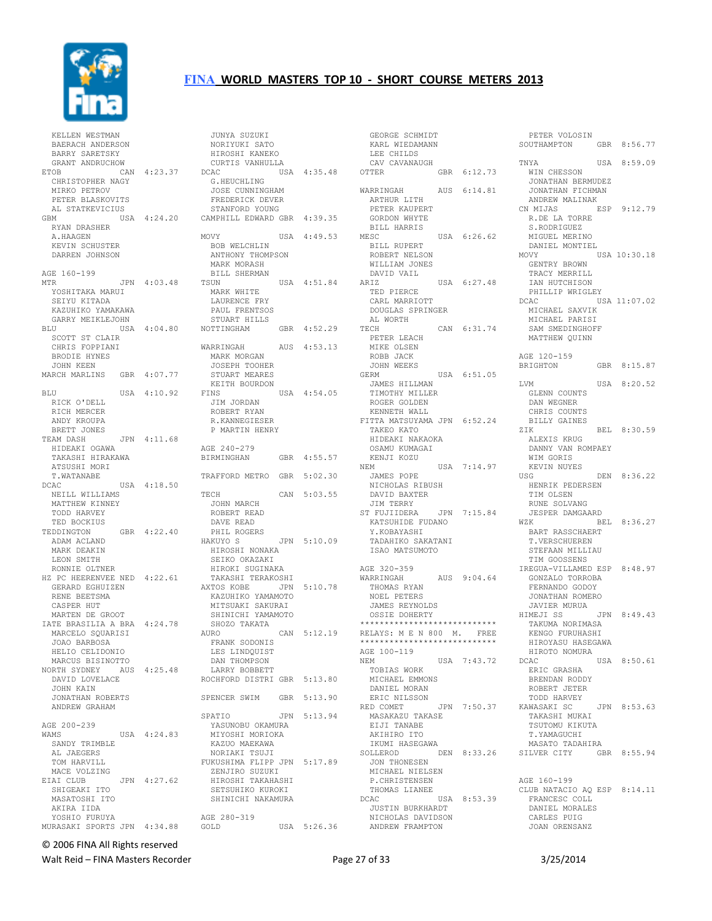

| KELLEN WESTMAN<br>BAERACH ANDERSON<br>BARRY SARETSKY                                                   |             |
|--------------------------------------------------------------------------------------------------------|-------------|
| GRANT ANDRUCHOW<br>ETOB<br>CHRISTOPHER NAGY<br>MIRKO PETROV<br>PETER BLASKOVITS<br>AL STATKEVICIUS     | CAN 4:23.37 |
| GBM<br>RYAN DRASHER<br>A.HAAGEN<br>KEVIN SCHUSTER<br>DARREN JOHNSON                                    | USA 4:24.20 |
| AGE 160-199<br>MTR<br>YOSHITAKA MARUI<br>SEIYU KITADA<br>KAZUHIKO YAMAKAWA                             | JPN 4:03.48 |
| GARRY MEIKLEJOHN<br>BLU<br>SCOTT ST CLAIR<br>CHRIS FOPPIANI<br><b>BRODIE HYNES</b>                     | USA 4:04.80 |
| JOHN KEEN<br>MARCH MARLINS GBR 4:07.77                                                                 |             |
| USA<br>BLU<br>RICK O'DELL                                                                              | 4:10.92     |
| RICH MERCER<br>ANDY KROUPA<br>BRETT JONES                                                              |             |
| TEAM DASH<br>HIDEAKI OGAWA<br>TAKASHI<br>HIRAKAWA<br>ATSUSHI MORI<br>T.WATANABE                        | JPN 4:11.68 |
| DCAC<br>NEILL WILLIAMS<br>MATTHEW KINNEY<br>TODD HARVEY<br>TED BOCKIUS                                 | USA 4:18.50 |
| TEDDINGTON<br>ADAM ACLAND<br>MARK DEAKIN<br>LEON SMITH<br>RONNIE OLTNER                                | GBR 4:22.40 |
| HZ PC HEERENVEE NED 4:22.61<br>GERARD EGHUIZEN<br>RENE BEETSMA<br>CASPER HUT<br>MARTEN DE GROOT        |             |
| IATE BRASILIA A BRA 4:24.78<br>MARCELO SQUARISI<br>JOAO BARBOSA<br>HELIO CELIDONIO<br>MARCUS BISINOTTO |             |
| NORTH SYDNEY AUS 4:25.48<br>DAVID LOVELACE<br>JOHN KAIN                                                |             |
| JONATHAN ROBERTS<br>ANDREW GRAHAM                                                                      |             |
| AGE 200-239<br><b>WAMS</b><br>SANDY TRIMBLE<br>AL JAEGERS<br>TOM HARVILL                               | USA 4:24.83 |
| MACE VOLZING<br>EIAI CLUB<br>SHIGEAKI ITO<br>MASATOSHI ITO<br>AKIRA IIDA<br>YOSHIO FURUYA              | JPN 4:27.62 |

| JUNYA SUZUKI                                     |     |              |
|--------------------------------------------------|-----|--------------|
| NORIYUKI SATO                                    |     |              |
| HIROSHI KANEKO                                   |     |              |
| CURTIS VANHULLA                                  |     |              |
| <b>DCAC</b><br>G.HEUCHLING                       |     | USA 4:35.48  |
|                                                  |     |              |
| JOSE CUNNINGHAM                                  |     |              |
| FREDERICK DEVER<br>STANFORD YOUNG                |     |              |
|                                                  |     |              |
| CAMPHILL EDWARD GBR 4:39.35                      |     |              |
| MOVY                                             |     | USA 4:49.53  |
| <b>BOB WELCHLIN</b>                              |     |              |
| ANTHONY THOMPSON                                 |     |              |
| MARK MORASH                                      |     |              |
| BILL SHERMAN                                     |     |              |
| TSUN                                             |     | USA 4:51.84  |
| MARK WHITE                                       |     |              |
| LAURENCE FRY                                     |     |              |
| PAUL FRENTSOS                                    |     |              |
| STUART HILLS                                     |     |              |
| NOTTINGHAM                                       |     | GBR 4:52.29  |
|                                                  |     |              |
| WARRINGAH                                        |     | AUS  4:53.13 |
| MARK MORGAN                                      |     |              |
| JOSEPH TOOHER                                    |     |              |
| STUART MEARES                                    |     |              |
| KEITH BOURDON                                    |     |              |
| FINS                                             |     | USA 4:54.05  |
| JIM JORDAN                                       |     |              |
| ROBERT RYAN                                      |     |              |
| R.KANNEGIESER                                    |     |              |
| P MARTIN HENRY                                   |     |              |
|                                                  |     |              |
| AGE 240-279<br>BIRMINGHAN                        | GBR | 4:55.57      |
|                                                  |     |              |
| TRAFFORD METRO GBR 5:02.30                       |     |              |
|                                                  |     |              |
| TECH                                             | CAN | 5:03.55      |
| JOHN MARCH                                       |     |              |
| ROBERT READ                                      |     |              |
| DAVE READ                                        |     |              |
| PHIL ROGERS                                      |     |              |
| HAKUYO S                                         |     | JPN 5:10.09  |
| HIROSHI NONAKA                                   |     |              |
| SEIKO OKAZAKI                                    |     |              |
| HIROKI SUGINAKA                                  |     |              |
| TAKASHI TERAKOSHI                                |     |              |
| AXTOS KOBE                                       |     | JPN 5:10.78  |
| KAZUHIKO YAMAMOTO                                |     |              |
| MITSUAKI SAKURAI                                 |     |              |
| SHINICHI YAMAMOTO                                |     |              |
| SHOZO TAKATA                                     |     |              |
| AURO                                             | CAN | 5:12.19      |
| FRANK SODONIS                                    |     |              |
| LES LINDOUIST                                    |     |              |
| DAN THOMPSON                                     |     |              |
| LARRY BOBBETT                                    |     |              |
| ROCHFORD DISTRI GBR 5:13.80                      |     |              |
|                                                  |     |              |
| SPENCER SWIM GBR 5:13.90                         |     |              |
| SPATIO                                           | JPN | 5:13.94      |
| YASUNOBU OKAMURA                                 |     |              |
| MIYOSHI MORIOKA                                  |     |              |
|                                                  |     |              |
|                                                  |     |              |
| KAZUO MAEKAWA                                    |     |              |
| NORIAKI TSUJI                                    |     |              |
|                                                  |     |              |
| ZENJIRO SUZUKI                                   |     |              |
| FUKUSHIMA FLIPP JPN 5:17.89<br>HIROSHI TAKAHASHI |     |              |
| SETSUHIKO KUROKI<br>SHINICHI NAKAMURA            |     |              |
|                                                  |     |              |
| AGE 280-319                                      |     |              |

| GEORGE SCHMIDT               |             |             |
|------------------------------|-------------|-------------|
|                              |             |             |
| KARL WIEDAMANN               |             |             |
| LEE CHILDS                   |             |             |
| CAV CAVANAUGH                |             |             |
| OTTER                        | GBR 6:12.73 |             |
|                              |             |             |
| WARRINGAH                    | AUS 6:14.81 |             |
|                              |             |             |
| ARTHUR LITH                  |             |             |
| PETER KAUPERT                |             |             |
| GORDON WHYTE                 |             |             |
| BILL HARRIS                  |             |             |
| MESC                         | USA 6:26.62 |             |
|                              |             |             |
| BILL RUPERT                  |             |             |
| ROBERT NELSON                |             |             |
| WILLIAM JONES                |             |             |
| DAVID VAIL                   |             |             |
| ARIZ                         |             |             |
|                              | USA 6:27.48 |             |
| TED PIERCE                   |             |             |
| CARL MARRIOTT                |             |             |
| DOUGLAS SPRINGER             |             |             |
| AL WORTH                     |             |             |
|                              |             |             |
| TECH                         |             | CAN 6:31.74 |
| PETER LEACH                  |             |             |
| MIKE OLSEN                   |             |             |
| ROBB JACK                    |             |             |
|                              |             |             |
| JOHN WEEKS                   |             |             |
| GERM                         | USA 6:51.05 |             |
| JAMES HILLMAN                |             |             |
| TIMOTHY MILLER               |             |             |
| ROGER GOLDEN                 |             |             |
|                              |             |             |
| KENNETH WALL                 |             |             |
| FITTA MATSUYAMA JPN 6:52.24  |             |             |
| TAKEO KATO                   |             |             |
| HIDEAKI NAKAOKA              |             |             |
| OSAMU KUMAGAI                |             |             |
|                              |             |             |
| KENJI KOZU                   |             |             |
| NEM                          |             | USA 7:14.97 |
| JAMES POPE                   |             |             |
| NICHOLAS RIBUSH              |             |             |
| DAVID BAXTER                 |             |             |
|                              |             |             |
| JIM TERRY                    |             |             |
| ST FUJIIDERA                 | JPN         | 7:15.84     |
| KATSUHIDE FUDANO             |             |             |
| Y.KOBAYASHI                  |             |             |
|                              |             |             |
| TADAHIKO SAKATANI            |             |             |
| ISAO MATSUMOTO               |             |             |
|                              |             |             |
| AGE 320-359                  |             |             |
| WARRINGAH                    |             | AUS 9:04.64 |
| THOMAS RYAN                  |             |             |
|                              |             |             |
| <b>NOEL PETERS</b>           |             |             |
| JAMES REYNOLDS               |             |             |
| OSSIE<br>DOHERTY             |             |             |
| **************************** |             |             |
|                              |             |             |
| RELAYS: M E N 800 M. FREE    |             |             |
| **************************** |             |             |
| AGE 100-119                  |             |             |
| NEM                          | USA 7:43.72 |             |
| TOBIAS WORK                  |             |             |
|                              |             |             |
| MICHAEL EMMONS               |             |             |
| DANIEL MORAN                 |             |             |
| ERIC NILSSON                 |             |             |
| RED COMET                    | JPN 7:50.37 |             |
| MASAKAZU TAKASE              |             |             |
|                              |             |             |
| EIJI TANABE                  |             |             |
| AKIHIRO ITO                  |             |             |
| IKUMI HASEGAWA               |             |             |
| SOLLEROD                     |             | DEN 8:33.26 |
|                              |             |             |
| JON THONESEN                 |             |             |
| MICHAEL NIELSEN              |             |             |
| P. CHRISTENSEN               |             |             |
| THOMAS LIANEE                |             |             |
| DCAC                         | USA 8:53.39 |             |
|                              |             |             |
| <b>JUSTIN BURKHARDT</b>      |             |             |
| NICHOLAS DAVIDSON            |             |             |
| ANDREW FRAMPTON              |             |             |

 PETER VOLOSIN SOUTHAMPTON GBR 8:56.77 TNYA USA 8:59.09 WIN CHESSON JONATHAN BERMUDEZ JONATHAN FICHMAN ANDREW MALINAK<br>CN MIJAS E ESP 9:12.79 R.DE LA TORRE S.RODRIGUEZ MIGUEL MERINO DANIEL MONTIEL<br>MOVY USA 10:30.18 GENTRY BROWN TRACY MERRILL IAN HUTCHISON PHILLIP WRIGLEY<br>DCAC US USA 11:07.02 MICHAEL SAXVIK MICHAEL PARISI SAM SMEDINGHOFF MATTHEW QUINN AGE 120-159<br>BRIGHTON GBR 8:15.87 LVM USA 8:20.52 GLENN COUNTS DAN WEGNER CHRIS COUNTS BILLY GAINES<br>ZIK BEL 8:30.59 ALEXIS KRUG DANNY VAN ROMPAEY WIM GORIS KEVIN NUYES USG DEN 8:36.22 HENRIK PEDERSEN TIM OLSEN RUNE SOLVANG JESPER DAMGAARD WZK BEL 8:36.27 BART RASSCHAERT T.VERSCHUEREN STEFAAN MILLIAU TIM GOOSSENS IREGUA-VILLAMED ESP 8:48.97 GONZALO TORROBA FERNANDO GODOY JONATHAN ROMERO JAVIER MURUA<br>HIMEJI SS JPN 8:49.43 TAKUMA NORIMASA KENGO FURUHASHI HIROYASU HASEGAWA HIROTO NOMURA USA 8:50.61 ERIC GRASHA BRENDAN RODDY ROBERT JETER TODD HARVEY<br>KAWASAKI SC JPN 8:53.63 TAKASHI MUKAI TSUTOMU KIKUTA T.YAMAGUCHI MASATO TADAHIRA SILVER CITY GBR 8:55.94 AGE 160-199 CLUB NATACIO AQ ESP 8:14.11 FRANCESC COLL DANIEL MORALES CARLES PUIG

# © 2006 FINA All Rights reserved

Walt Reid – FINA Masters Recorder The Contract Contract Page 27 of 33 3/25/2014

JOAN ORENSANZ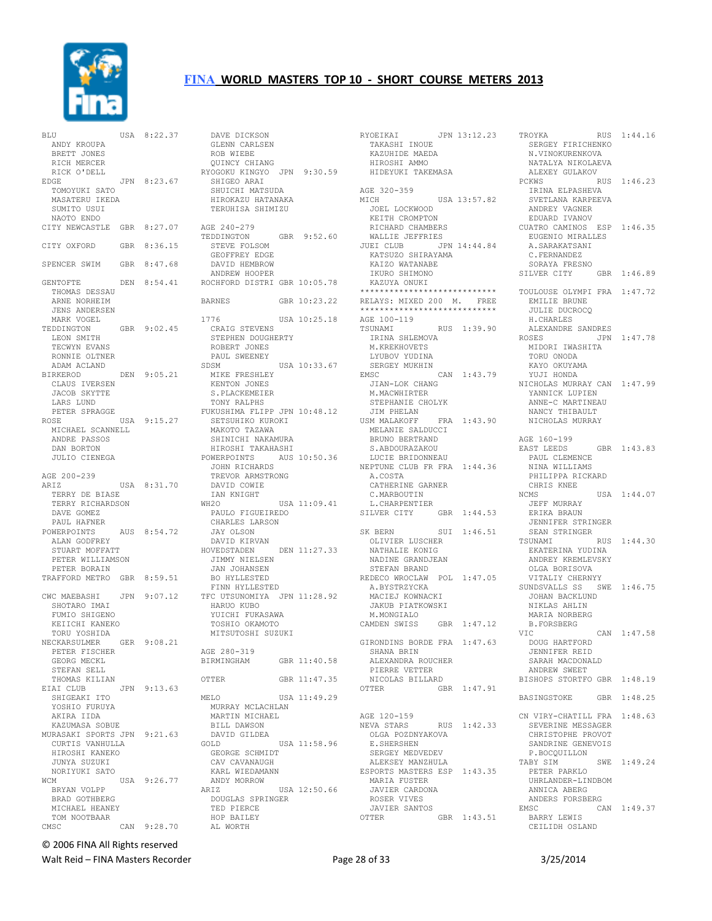

| BLU                                 | USA 8:22.37 |
|-------------------------------------|-------------|
| ANDY KROUPA                         |             |
| BRETT JONES                         |             |
| RICH MERCER                         |             |
| RICK O'DELL                         |             |
| EDGE                                | JPN 8:23.67 |
| TOMOYUKI SATO                       |             |
| MASATERU IKEDA<br>SUMITO USUI       |             |
| NAOTO ENDO                          |             |
| CITY NEWCASTLE GBR 8:27.07          |             |
|                                     |             |
| CITY OXFORD                         | GBR 8:36.15 |
|                                     |             |
| SPENCER SWIM GBR 8:47.68            |             |
|                                     |             |
| GENTOFTE<br>THOMAS DESSAU           | DEN 8:54.41 |
| ARNE NORHEIM                        |             |
| JENS ANDERSEN                       |             |
| MARK VOGEL                          |             |
| TEDDINGTON                          | GBR 9:02.45 |
| LEON SMITH                          |             |
| TECWYN EVANS                        |             |
| RONNIE OLTNER                       |             |
| ADAM ACLAND                         |             |
| <b>BIRKEROD</b>                     | DEN 9:05.21 |
| CLAUS IVERSEN<br>JACOB SKYTTE       |             |
| LARS LUND                           |             |
| PETER SPRAGGE                       |             |
| ROSE                                | USA 9:15.27 |
| MICHAEL SCANNELL                    |             |
| ANDRE PASSOS                        |             |
| DAN BORTON                          |             |
| JULIO CIENEGA                       |             |
|                                     |             |
| AGE 200-239                         |             |
| ARIZ                                | USA 8:31.70 |
|                                     |             |
| TERRY DE BIASE                      |             |
| TERRY RICHARDSON                    |             |
| DAVE GOMEZ                          |             |
| PAUL HAFNER<br>POWERPOINTS          | AUS 8:54.72 |
|                                     |             |
| ALAN GODFREY<br>STUART MOFFATT      |             |
| PETER WILLIAMSON                    |             |
| PETER BORAIN                        |             |
| TRAFFORD METRO GBR 8:59.51          |             |
|                                     |             |
| CWC MAEBASHI                        | JPN 9:07.12 |
| SHOTARO IMAI<br>FUMIO SHIGENO       |             |
| KEIICHI KANEKO                      |             |
| TORU YOSHIDA                        |             |
| NECKARSULMER                        | GER 9:08.21 |
| PETER FISCHER                       |             |
| GEORG MECKL                         |             |
| STEFAN SELL                         |             |
| THOMAS KILIAN                       |             |
| EIAI CLUB                           | JPN 9:13.63 |
| SHIGEAKI ITO                        |             |
| YOSHIO FURUYA<br>AKIRA IIDA         |             |
| KAZUMASA SOBUE                      |             |
| MURASAKI SPORTS JPN 9:21.63         |             |
| CURTIS VANHULLA                     |             |
| HIROSHI KANEKO                      |             |
| JUNYA SUZUKI                        |             |
| NORIYUKI SATO                       |             |
| WCM                                 | USA 9:26.77 |
| BRYAN VOLPP<br><b>BRAD GOTHBERG</b> |             |
| MICHAEL HEANEY                      |             |
| TOM NOOTBAAR                        | CAN 9:28.70 |

| GLENN CARLSEN<br>ROB WIEBE<br>QUINCY CHIANG                                                       |              |
|---------------------------------------------------------------------------------------------------|--------------|
| RYOGOKU KINGYO JPN 9:30.59<br>SHIGEO ARAI<br>SHUICHI MATSUDA                                      |              |
| HIROKAZU HATANAKA<br>TERUHISA SHIMIZU                                                             |              |
| AGE 240-279<br>TEDDINGTON<br>STEVE FOLSOM<br>GEOFFREY EDGE<br>DAVID HEMBROW                       | GBR 9:52.60  |
| ANDREW HOOPER<br>ROCHFORD DISTRI GBR 10:05.78                                                     |              |
| <b>BARNES</b>                                                                                     | GBR 10:23.22 |
| 1776<br>CRAIG STEVENS                                                                             | USA 10:25.18 |
| STEPHEN DOUGHERTY<br>ROBERT JONES<br>PAUL SWEENEY<br>SDSM                                         | USA 10:33.67 |
| MIKE FRESHLEY<br>KENTON JONES<br>S.PLACKEMEIER<br>TONY RALPHS                                     |              |
| FUKUSHIMA FLIPP JPN 10:48.12<br>SETSUHIKO KUROKI<br>MAKOTO TAZAWA<br>SHINICHI NAKAMURA            |              |
| HIROSHI TAKAHASHI<br>POWERPOINTS AUS 10:50.36<br>JOHN RICHARDS<br>TREVOR ARMSTRONG<br>DAVID COWIE |              |
| IAN KNIGHT<br>WH <sub>20</sub><br>PAULO FIGUEIREDO<br>CHARLES LARSON<br>JAY OLSON                 | USA 11:09.41 |
| DAVID KIRVAN<br>HOVEDSTADEN<br>JIMMY NIELSEN<br>JAN JOHANSEN<br>BO HYLLESTED                      | DEN 11:27.33 |
| FINN HYLLESTED<br>TFC UTSUNOMIYA JPN 11:28.92<br>HARUO KUBO<br>YUICHI FUKASAWA<br>TOSHIO OKAMOTO  |              |
| MITSUTOSHI SUZUKI                                                                                 |              |
| AGE 280-319<br>BIRMINGHAM                                                                         | GBR 11:40.58 |
| OTTER                                                                                             | GBR 11:47.35 |
| MELO<br>MURRAY MCLACHLAN<br>MARTIN MICHAEL<br>BILL DAWSON<br>DAVID GILDEA                         | USA 11:49.29 |
| GOLD<br>GEORGE SCHMIDT<br>CAV CAVANAUGH<br>KARL WIEDAMANN<br>ANDY MORROW                          | USA 11:58.96 |
| ARIZ<br>DOUGLAS SPRINGER<br>TED PIERCE<br>HOP BAILEY<br>AL WORTH                                  | USA 12:50.66 |

DAVE DICKSON

RYOEIKAI JPN 13:12.23 TROYKA TAKASHI INOUE KAZUHIDE MAEDA HIROSHI AMMO HIDEYUKI TAKEMASA AGE 320-359 MICH USA 13:57.82<br>
JOEL LOCKWOOD<br>
KEITH CROMPTON<br>
RICHARD CHAMBERS<br>
WALLIE JEFFRIES<br>
JUEI CLUB JPN 14:44.84 KATSUZO SHIRAYAMA KAIZO WATANABE IKURO SHIMONO KAZUYA ONUKI \*\*\*\*\*\*\*\*\*\*\*\*\*\*\*\*\*\*\*\*\*\*\*\*\*\*\*\* RELAYS: MIXED 200 M. FREE \*\*\*\*\*\*\*\*\*\*\*\*\*\*\*\*\*\*\*\*\*\*\*\*\*\*\*\* AGE 100-119 TSUNAMI RUS 1:39.90 IRINA SHLEMOVA M.KREKHOVETS LYUBOV YUDINA SERGEY MUKHIN EMSC CAN 1:43.79 JIAN-LOK CHANG M.MACWHIRTER STEPHANIE CHOLYK JIM PHELAN USM MALAKOFF FRA 1:43.90 MELANIE SALDUCCI BRUNO BERTRAND S.ABDOURAZAKOU LUCIE BRIDONNEAU NEPTUNE CLUB FR FRA 1:44.36 A.COSTA CATHERINE GARNER C.MARBOUTIN L.CHARPENTIER SILVER CITY GBR 1:44.53 SK BERN SUI 1:46.51<br>OLIVIER LUSCHER NATHALIE KONIG NADINE GRANDJEAN STEFAN BRAND REDECO WROCLAW POL 1:47.05<br>A.BYSTRZYCKA A.BYSTRZYCKA MACIEJ KOWNACKI JAKUB PIATKOWSKI M.MONGIALO<br>CAMDEN SWISS GBR 1:47.12 GIRONDINS BORDE FRA 1:47.63 SHANA BRIN ALEXANDRA ROUCHER PIERRE VETTER NICOLAS BILLARD<br>OTTER GB GBR 1:47.91 AGE 120-159<br>NEVA STARS RUS 1:42.33 OLGA POZDNYAKOVA E.SHERSHEN SERGEY MEDVEDEV ALEKSEY MANZHULA ESPORTS MASTERS ESP 1:43.35 MARIA FUSTER JAVIER CARDONA ROSER VIVES JAVIER SANTOS  $GBR$  1:43.51

RUS 1:44.16 RUS<br>SERGEY FIRICHENKO N.VINOKURENKOVA NATALYA NIKOLAEVA ALEXEY GULAKOV PCKWS RUS 1:46.23 IRINA ELPASHEVA SVETLANA KARPEEVA ANDREY VAGNER EDUARD IVANOV CUATRO CAMINOS ESP 1:46.35 EUGENIO MIRALLES A.SARAKATSANI C.FERNANDEZ SORAYA FRESNO SILVER CITY GBR 1:46.89 TOULOUSE OLYMPI FRA 1:47.72 EMILIE BRUNE JULIE DUCROCQ H.CHARLES ALEXANDRE SANDRES JPN 1:47.78 MIDORI IWASHITA TORU ONODA KAYO OKUYAMA YUJI HONDA NICHOLAS MURRAY CAN 1:47.99 YANNICK LUPIEN ANNE-C MARTINEAU NANCY THIBAULT NICHOLAS MURRAY AGE 160-199 EAST LEEDS GBR 1:43.83 PAUL CLEMENCE NINA WILLIAMS PHILIPPA RICKARD CHRIS KNEE<br>NCMS USA 1:44.07 JEFF MURRAY ERIKA BRAUN JENNIFER STRINGER SEAN STRINGER RUS 1:44.30 EKATERINA YUDINA ANDREY KREMLEVSKY OLGA BORISOVA VITALIY CHERNYY SUNDSVALLS SS SWE 1:46.75 JOHAN BACKLUND NIKLAS AHLIN MARIA NORBERG B.FORSBERG VIC CAN 1:47.58 DOUG HARTFORD JENNIFER REID SARAH MACDONALD ANDREW SWEET BISHOPS STORTFO GBR 1:48.19 BASINGSTOKE GBR 1:48.25 CN VIRY-CHATILL FRA 1:48.63 SEVERINE MESSAGER CHRISTOPHE PROVOT SANDRINE GENEVOIS P.BOCQUILLON TABY SIM SWE 1:49.24 PETER PARKLO UHRLANDER-LINDBOM ANNICA ABERG ANDERS FORSBERG EMSC CAN 1:49.37 BARRY LEWIS CEILIDH OSLAND

© 2006 FINA All Rights reserved

Walt Reid – FINA Masters Recorder The Communication of Page 28 of 33 3/25/2014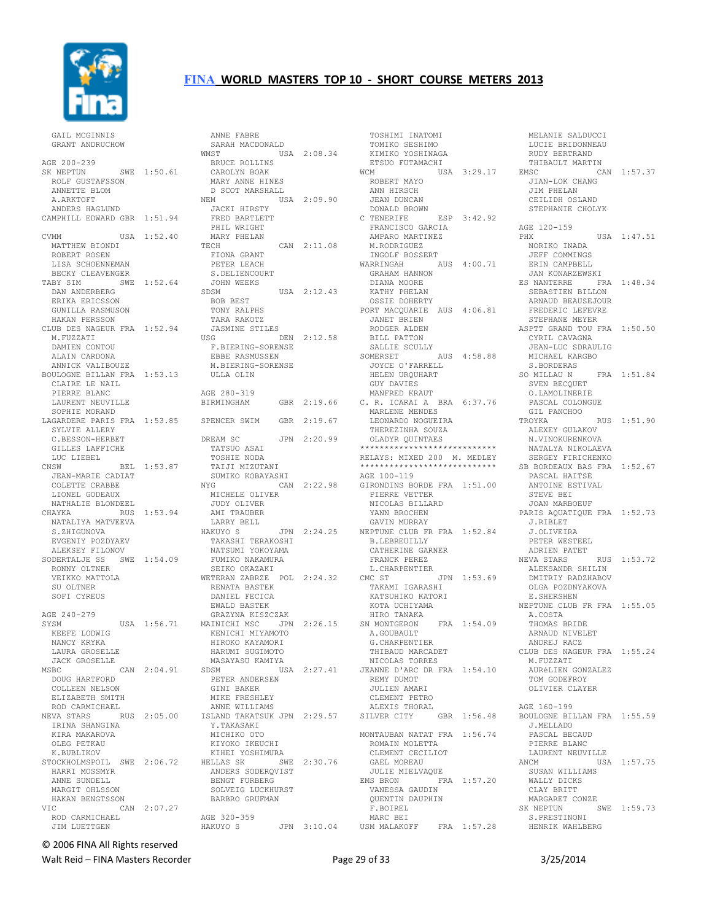

 GAIL MCGINNIS GRANT ANDRUCHOW AGE 200-239 SK NEPTUN SWE 1:50.61 ROLF GUSTAFSSON ANNETTE BLOM A.ARKTOFT ANDERS HAGLUND CAMPHILL EDWARD GBR 1:51.94 USA 1:52.40 MATTHEW BIONDI ROBERT ROSEN LISA SCHOENNEMAN BECKY CLEAVENGER TABY SIM SWE 1:52.64 DAN ANDERBERG ERIKA ERICSSON GUNILLA RASMUSON HAKAN PERSSON CLUB DES NAGEUR FRA 1:52.94 M.FUZZATI DAMIEN CONTOU ALAIN CARDONA ANNICK VALIBOUZE BOULOGNE BILLAN FRA 1:53.13 CLAIRE LE NAIL PIERRE BLANC LAURENT NEUVILLE SOPHIE MORAND SYLVIE ALLERY C.BESSON-HERBET GILLES LAFFICHE LUC LIEBEL<br>CNSW CNSW BEL 1:53.87 JEAN-MARIE CADIAT COLETTE CRABBE LIONEL GODEAUX NATHALIE BLONDEEL<br>CHAYKA RUS CHAYKA RUS 1:53.94 NATALIYA MATVEEVA S.ZHIGUNOVA EVGENIY POZDYAEV ALEKSEY FILONOV SODERTALJE SS SWE 1:54.09 RONNY OLTNER VEIKKO MATTOLA SU OLTNER SOFT CYREUS AGE 240-279 KEEFE LODWIG NANCY KRYKA LAURA GROSELLE JACK GROSELLE  $CAN 2:04.91$  DOUG HARTFORD COLLEEN NELSON ELIZABETH SMITH ROD CARMICHAEL IRINA SHANGINA KIRA MAKAROVA OLEG PETKAU K.BUBLIKOV HARRI MOSSMYR ANNE SUNDELL MARGIT OHLSSON HAKAN BENGTSSON VIC CAN 2:07.27 ROD CARMICHAEL JIM LUETTGEN

LAGARDERE PARIS FRA 1:53.85 SPENCER SWIM GBR 2:19.67 SYSM USA 1:56.71 MAINICHI MSC JPN 2:26.15 SN MONTGERON FRA 1:54.09 NEVA STARS RUS 2:05.00 ISLAND TAKATSUK JPN 2:29.57 SILVER CITY GBR 1:56.48 BOULOGNE BILLAN FRA 1:55.59 STOCKHOLMSPOIL SWE 2:06.72 HELLAS SK SWE 2:30.76 ANNE FABRE SARAH MACDONALD WMST USA 2:08.34 BRUCE ROLLINS CAROLYN BOAK MARY ANNE HINES D SCOT MARSHALL NEM USA 2:09.90 JACKI HIRSTY FRED BARTLETT PHIL WRIGHT MARY PHELAN TECH CAN 2:11.08 FIONA GRANT PETER LEACH S.DELIENCOURT JOHN WEEKS SDSM USA 2:12.43 BOB BEST TONY RALPHS TARA RAKOTZ JASMINE STILES USG DEN 2:12.58 F.BIERING-SORENSE EBBE RASMUSSEN M.BIERING-SORENSE ULLA OLIN AGE 280-319 BIRMINGHAM GBR 2:19.66 DREAM SC JPN 2:20.99 TATSUO ASAI TOSHIE NODA TAIJI MIZUTANI SUMIKO KOBAYASHI NYG CAN 2:22.98 MICHELE OLIVER JUDY OLIVER AMI TRAUBER LARRY BELL HAKUYO S JPN 2:24.25 TAKASHI TERAKOSHI NATSUMI YOKOYAMA FUMIKO NAKAMURA SEIKO OKAZAKI WETERAN ZABRZE POL 2:24.32 WETERAN ARANGER<br>RENATA BASTEK DANIEL FECICA EWALD BASTEK GRAZYNA KISZCZAK KENICHI MIYAMOTO HIROKO KAYAMORI HARUMI SUGIMOTO MASAYASU KAMIYA SDSM USA 2:27.41 PETER ANDERSEN GINI BAKER MIKE FRESHLEY ANNE WILLIAMS Y.TAKASAKI MICHIKO OTO KIYOKO IKEUCHI KIHEI YOSHIMURA ------- ---<br>ANDERS SODERQVIST<br>RENCE FURDERC BENGT FURBERG SOLVEIG LUCKHURST BARBRO GRUFMAN AGE 320-359 HAKUYO S JPN 3:10.04

 TOSHIMI INATOMI TOMIKO SESHIMO KIMIKO YOSHINAGA ETSUO FUTAMACHI WCM USA 3:29.17 ROBERT MAYO ANN HIRSCH JEAN DUNCAN DONALD BROWN C TENERIFE ESP 3:42.92 FRANCISCO GARCIA AMPARO MARTINEZ M.RODRIGUEZ INGOLF BOSSERT WARRINGAH AUS 4:00.71<br>GRAHAM HANNON DIANA MOORE KATHY PHELAN OSSIE DOHERTY PORT MACQUARIE AUS 4:06.81 JANET BRIEN RODGER ALDEN BILL PATTON SALLIE SCULLY SOMERSET AUS 4:58.88<br>JOYCE O'FARRELL<br>HELEN URQUHART<br>GUY DAVIES MANFRED KRAUT C. R. ICARAI A BRA 6:37.76 MARLENE MENDES LEONARDO NOGUEIRA THEREZINHA SOUZA OLADYR QUINTAES \*\*\*\*\*\*\*\*\*\*\*\*\*\*\*\*\*\*\*\*\*\*\*\*\*\*\*\* RELAYS: MIXED 200 M. MEDLEY \*\*\*\*\*\*\*\*\*\*\*\*\*\*\*\*\*\*\*\*\*\*\*\*\*\*\*\* AGE 100-119 GIRONDINS BORDE FRA 1:51.00 PIERRE VETTER NICOLAS BILLARD YANN BROCHEN GAVIN MURRAY NEPTUNE CLUB FR FRA 1:52.84 B.LEBREUILLY CATHERINE GARNER FRANCK PEREZ L.CHARPENTIER CMC ST JPN 1:53.69 TAKAMI IGARASHI KATSUHIKO KATORI KOTA UCHIYAMA HIRO TANAKA A.GOUBAULT G.CHARPENTIER THIBAUD MARCADET CLUB DES NAGEUR FRA 1:55.24 NICOLAS TORRES JEANNE D'ARC DR FRA 1:54.10 REMY DUMOT JULIEN AMARI CLEMENT PETRO ALEXIS THORAL MONTAUBAN NATAT FRA 1:56.74 ROMAIN MOLETTA CLEMENT CECILIOT GAEL MOREAU JULIE MIELVAQUE EMS BRON FRA 1:57.20 VANESSA GAUDIN QUENTIN DAUPHIN F.BOIREL MARC BEI USM MALAKOFF FRA 1:57.28

 MELANIE SALDUCCI LUCIE BRIDONNEAU RUDY BERTRAND THIBAULT MARTIN CAN 1:57.37 JIAN-LOK CHANG JIM PHELAN CEILIDH OSLAND STEPHANIE CHOLYK AGE 120-159<br>PHX  $USA 1:47.51$  NORIKO INADA JEFF COMMINGS ERIN CAMPBELL JAN KONARZEWSKI ES NANTERRE FRA 1:48.34 SEBASTIEN BILLON ARNAUD BEAUSEJOUR FREDERIC LEFEVRE STEPHANE MEYER ASPTT GRAND TOU FRA 1:50.50 CYRIL CAVAGNA JEAN-LUC SDRAULIG MICHAEL KARGBO S.BORDERAS SO MILLAU N FRA 1:51.84 SVEN BECQUET O.LAMOLINERIE PASCAL COLONGUE GIL PANCHOO TROYKA RUS 1:51.90 ALEXEY GULAKOV N.VINOKURENKOVA NATALYA NIKOLAEVA SERGEY FIRICHENKO SB BORDEAUX BAS FRA 1:52.67 PASCAL HAITSE ANTOINE ESTIVAL ANIVING --<br>STEVE BEI JOAN MARBOEUF PARIS AQUATIQUE FRA 1:52.73 J.RIBLET J.OLIVEIRA PETER WESTEEL ADRIEN PATET NEVA STARS RUS 1:53.72 --- JIARS RUS<br>ALEKSANDR SHILIN<br>DMITDIV - DMITRIY RADZHABOV OLGA POZDNYAKOVA E.SHERSHEN NEPTUNE CLUB FR FRA 1:55.05 A.COSTA THOMAS BRIDE ARNAUD NIVELET ANDREJ RACZ M.FUZZATI AURéLIEN GONZALEZ TOM GODEFROY OLIVIER CLAYER AGE 160-199 J.MELLADO PASCAL BECAUD PIERRE BLANC LAURENT NEUVILLE ANCM USA 1:57.75 SUSAN WILLIAMS WALLY DICKS CLAY BRITT MARGARET CONZE SK NEPTUN SWE 1:59.73 S.PRESTINONI HENRIK WAHLBERG

© 2006 FINA All Rights reserved

Walt Reid – FINA Masters Recorder The Communication of the Page 29 of 33 3/25/2014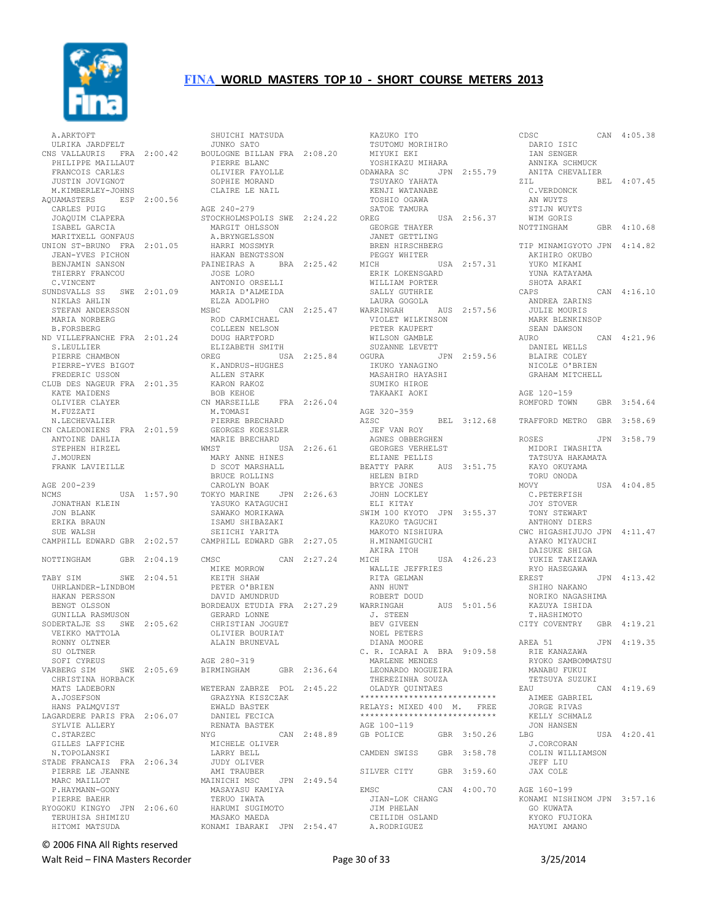

 A.ARKTOFT ULRIKA JARDFELT CNS VALLAURIS FRA 2:00.42 PHILIPPE MAILLAUT FRANCOIS CARLES JUSTIN JOVIGNOT M.KIMBERLEY-JOHNS AQUAMASTERS ESP 2:00.56 CARLES PUIG JOAQUIM CLAPERA ISABEL GARCIA MARITXELL GONFAUS UNION ST-BRUNO FRA 2:01.05 JEAN-YVES PICHON BENJAMIN SANSON THIERRY FRANCOU C.VINCENT SUNDSVALLS SS SWE 2:01.09 NIKLAS AHLIN STEFAN ANDERSSON MARIA NORBERG B.FORSBERG ND VILLEFRANCHE FRA 2:01.24 S.LEULLIER PIERRE CHAMBON PIERRE-YVES BIGOT FREDERIC USSON CLUB DES NAGEUR FRA 2:01.35 KATE MAIDENS OLIVIER CLAYER M.FUZZATI N.LECHEVALIER CN CALEDONIENS FRA 2:01.59 ANTOINE DAHLIA STEPHEN HIRZEL J.MOUREN FRANK LAVIEILLE AGE 200-239<br>NCMS USA 1:57.90 JONATHAN KLEIN JON BLANK ERIKA BRAUN SUE WALSH CAMPHILL EDWARD GBR 2:02.57 NOTTINGHAM GBR 2:04.19 TABY SIM SWE 2:04.51 UHRLANDER-LINDBOM HAKAN PERSSON BENGT OLSSON GUNILLA RASMUSON SODERTALJE SS SWE 2:05.62 VEIKKO MATTOLA RONNY OLTNER SU OLTNER SOFI CYREUS VARBERG SIM SWE 2:05.69 CHRISTINA HORBACK MATS LADEBORN A.JOSEFSON HANS PALMQVIST LAGARDERE PARIS FRA 2:06.07 SYLVIE ALLERY C.STARZEC GILLES LAFFICHE N.TOPOLANSKI STADE FRANCAIS FRA 2:06.34 PIERRE LE JEANNE MARC MAILLOT P.HAYMANN-GONY PIERRE BAEHR RYOGOKU KINGYO JPN 2:06.60 TERUHISA SHIMIZU HITOMI MATSUDA

 SHUICHI MATSUDA JUNKO SATO BOULOGNE BILLAN FRA 2:08.20 PIERRE BLANC LILAKE BLANC<br>OLIVIER FAYOLLE<br>CODITT SOPHIE MORAND CLAIRE LE NAIL AGE 240-279 STOCKHOLMSPOLIS SWE 2:24.22 MARGIT OHLSSON A.BRYNGELSSON HARRI MOSSMYR HAKAN BENGTSSON PAINEIRAS A BRA 2:25.42 LINDIRAS A<br>JOSE LORO<br>AMERI ANTONIO ORSELLI MARIA D'ALMEIDA ELZA ADOLPHO CAN 2:25.47 WARRINGAH ROD CARMICHAEL COLLEEN NELSON DOUG HARTFORD ELIZABETH SMITH OREG USA 2:25.84 K.ANDRUS-HUGHES ALLEN STARK KARON RAKOZ BOB KEHOE CN MARSEILLE FRA 2:26.04 M.TOMASI PIERRE BRECHARD GEORGES KOESSLER MARIE BRECHARD WMST USA 2:26.61 MARY ANNE HINES D SCOT MARSHALL BRUCE ROLLINS CAROLYN BOAK TOKYO MARINE JPN 2:26.63 TUKYU THANIRING USH<br>YASUKO KATAGUCHI SAWAKO MORIKAWA ISAMU SHIBAZAKI SEIICHI YARITA CAMPHILL EDWARD GBR 2:27.05 CMSC CAN 2:27.24 MIKE MORROW KEITH SHAW PETER O'BRIEN DAVID AMUNDRUD BORDEAUX ETUDIA FRA 2:27.29 GERARD LONNE CHRISTIAN JOGUET OLIVIER BOURIAT ALAIN BRUNEVAL AGE 280-319 BIRMINGHAM GBR 2:36.64 WETERAN ZABRZE POL 2:45.22 GRAZYNA KISZCZAK EWALD BASTEK DANIEL FECICA RENATA BASTEK NYG CAN 2:48.89 MICHELE OLIVER LARRY BELL JUDY OLIVER AMI TRAUBER MAINICHI MSC JPN 2:49.54 MASAYASU KAMIYA TERUO IWATA HARUMI SUGIMOTO MASAKO MAEDA KONAMI IBARAKI JPN 2:54.47

 KAZUKO ITO TSUTOMU MORIHIRO MIYUKI EKI YOSHIKAZU MIHARA ODAWARA SC JPN 2:55.79 TSUYAKO YAHATA KENJI WATANABE TOSHIO OGAWA SATOE TAMURA OREG USA 2:56.37 GEORGE THAYER JANET GETTLING BREN HIRSCHBERG PEGGY WHITER MICH USA 2:57.31 ERIK LOKENSGARD WILLIAM PORTER SALLY GUTHRIE LAURA GOGOLA AUS 2:57.56 VIOLET WILKINSON PETER KAUPERT WILSON GAMBLE SUZANNE LEVETT OGURA JPN 2:59.56 IKUKO YANAGINO MASAHIRO HAYASHI SUMIKO HIROE TAKAAKI AOKI AGE 320-359<br>AZSC AZSC BEL 3:12.68 JEF VAN ROY AGNES OBBERGHEN GEORGES VERHELST ELIANE PELLIS BEATTY PARK AUS 3:51.75 HELEN BIRD BRYCE JONES JOHN LOCKLEY ELI KITAY SWIM 100 KYOTO JPN 3:55.37 KAZUKO TAGUCHI MAKOTO NISHIURA H.MINAMIGUCHI AKIRA ITOH<br>MICH USA 4:26.23 WALLIE JEFFRIES RITA GELMAN ANN HUNT ROBERT DOUD WARRINGAH AUS 5:01.56 J. STEEN BEV GIVEEN NOEL PETERS DIANA MOORE C. R. ICARAI A BRA 9:09.58 MARLENE MENDES LEONARDO NOGUEIRA THEREZINHA SOUZA OLADYR QUINTAES \*\*\*\*\*\*\*\*\*\*\*\*\*\*\*\*\*\*\*\*\*\*\*\*\*\*\*\* RELAYS: MIXED 400 M. FREE \*\*\*\*\*\*\*\*\*\*\*\*\*\*\*\*\*\*\*\*\*\*\*\*\*\*\*\* AGE 100-119<br>GB POLICE GBR 3:50.26 CAMDEN SWISS GBR 3:58.78 SILVER CITY GBR 3:59.60 EMSC CAN 4:00.70 JIAN-LOK CHANG JIM PHELAN CEILIDH OSLAND A.RODRIGUEZ

CDSC CAN 4:05.38 DARIO ISIC<br>IAN SENGER IAN SENGER ANNIKA SCHMUCK ANITA CHEVALIER BEL 4:07.45 C.VERDONCK AN WUYTS STIJN WUYTS WIM GORIS NOTTINGHAM GBR 4:10.68 TIP MINAMIGYOTO JPN 4:14.82 AKIHIRO OKUBO YUKO MIKAMI YUNA KATAYAMA SHOTA ARAKI<br>CAPS CAN 4:16.10 ANDREA ZARINS JULIE MOURIS MARK BLENKINSOP SEAN DAWSON<br>AURO CAN 4:21.96 DANIEL WELLS BLAIRE COLEY NICOLE O'BRIEN GRAHAM MITCHELL AGE 120-159 ROMFORD TOWN GBR 3:54.64 TRAFFORD METRO GBR 3:58.69 ROSES JPN 3:58.79 MIDORI IWASHITA TATSUYA HAKAMATA KAYO OKUYAMA TORU ONODA MOVY USA 4:04.85 C.PETERFISH JOY STOVER TONY STEWART ANTHONY DIERS CWC HIGASHIJUJO JPN 4:11.47 AYAKO MIYAUCHI DAISUKE SHIGA YUKIE TAKIZAWA RYO HASEGAWA<br>EREST EREST JPN 4:13.42 SHIHO NAKANO NORIKO NAGASHIMA KAZUYA ISHIDA T.HASHIMOTO CITY COVENTRY GBR 4:19.21 AREA 51 JPN 4:19.35 RIE KANAZAWA RYOKO SAMBOMMATSU MANABU FUKUI TETSUYA SUZUKI<br>EAU CAN 4:19.69 AIMEE GABRIEL JORGE RIVAS KELLY SCHMALZ JON HANSEN LBG USA 4:20.41 J.CORCORAN COLIN WILLIAMSON JEFF LIU JAX COLE AGE 160-199 KONAMI NISHINOM JPN 3:57.16 GO KUWATA KYOKO FUJIOKA MAYUMI AMANO

© 2006 FINA All Rights reserved

Walt Reid – FINA Masters Recorder and the Seconder Page 30 of 33 3/25/2014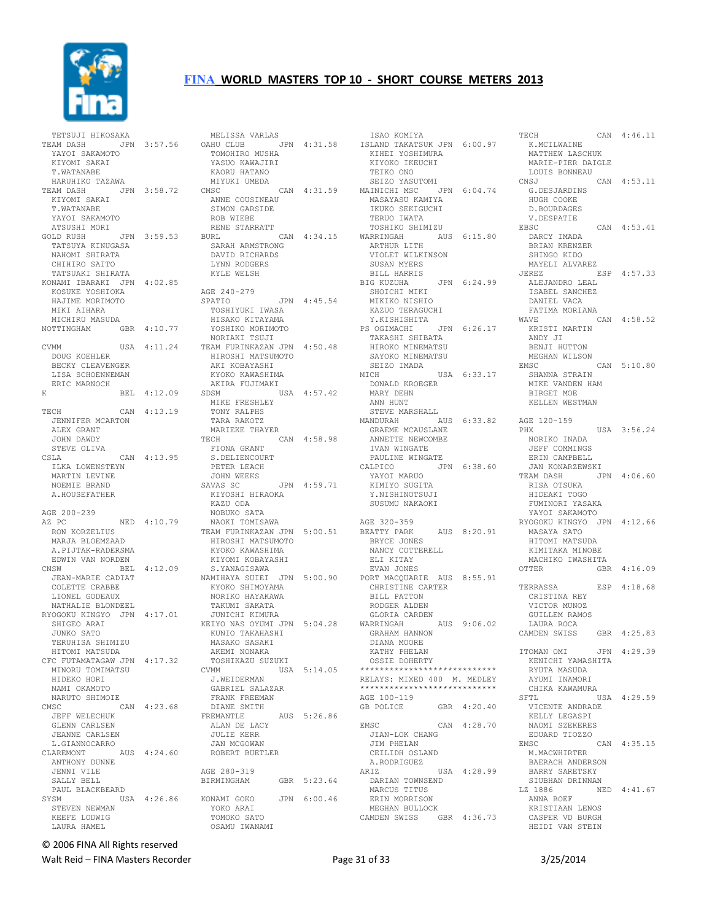

| TETSUJI HIKOSAKA<br>TEAM DASH<br>YAYOI SAKAMOTO<br>KIYOMI SAKAI<br>T.WATANABE                                        | JPN 3:57.56  |
|----------------------------------------------------------------------------------------------------------------------|--------------|
| HARUHIKO TAZAWA<br>TEAM DASH<br>KIYOMI SAKAI<br>T. WATANABE<br>YAYOI SAKAMOTO                                        | JPN 3:58.72  |
| ATSUSHI MORI<br>GOLD RUSH<br>TATSUYA KINUGASA<br>NAHOMI SHIRATA<br>CHIHIRO SAITO                                     | JPN 3:59.53  |
| TATSUAKI SHIRATA<br>KONAMI IBARAKI JPN 4:02.85<br>KOSUKE YOSHIOKA<br>HAJIME MORIMOTO<br>MIKI AIHARA                  |              |
| MICHIRU MASUDA<br>NOTTINGHAM                                                                                         | GBR 4:10.77  |
| CVMM<br>DOUG KOEHLER<br>BECKY CLEAVENGER<br>LISA SCHOENNEMAN<br>ERIC MARNOCH                                         | USA 4:11.24  |
| Κ                                                                                                                    | BEL 4:12.09  |
| CAN<br>TECH<br>JENNIFER MCARTON<br>ALEX GRANT<br>JOHN DAWDY                                                          | 4:13.19      |
| STEVE OLIVA<br><b>CSTA</b><br>ILKA LOWENSTEYN<br>MARTIN LEVINE<br>NOEMIE BRAND<br>A. HOUSEFATHER                     | CAN 4:13.95  |
| AGE 200-239                                                                                                          | NED 4:10.79  |
| AZ PC<br>RON KORZELIUS<br>MARJA BLOEMZAAD<br>A.PIJTAK-RADERSMA<br>EDWIN VAN NORDEN                                   |              |
| CNSW<br>JEAN-MARIE CADIAT<br>COLETTE CRABBE<br>LIONEL GODEAUX                                                        | BEL 4:12.09  |
| NATHALIE BLONDEEL<br>RYOGOKU KINGYO JPN 4:17.01<br>SHIGEO ARAI<br>JUNKO SATO                                         |              |
| TERUHISA SHIMIZU<br>HITOMI MATSUDA<br>CFC FUTAMATAGAW JPN 4:17.32<br>MINORU TOMIMATSU<br>HIDEKO HORI<br>NAMI OKAMOTO |              |
| NARUTO SHIMOIE<br>CMSC<br>JEFF WELECHUK<br>GLENN CARLSEN<br>JEANNE CARLSEN                                           | CAN 4:23.68  |
| L.GIANNOCARRO<br>CLAREMONT<br>ANTHONY DUNNE<br>JENNI VILE                                                            | AUS  4:24.60 |
| SALLY BELL<br>PAUL BLACKBEARD<br>SYSM<br>STEVEN NEWMAN<br>KEEFE LODWIG<br>LAURA HAMEL                                | USA 4:26.86  |

 MELISSA VARLAS OAHU CLUB JPN 4:31.58 ISAO KOMIYA ISLAND TAKATSUK JPN 6:00.97 TECH CAN 4:46.11 K.MCILWAINE TOMOHIRO MUSHA YASUO KAWAJIRI KAORU HATANO MIYUKI UMEDA CMSC CAN 4:31.59 MAINICHI MSC JPN 6:04.74 MASAYASU KAMIYA ANNE COUSINEAU SIMON GARSIDE ROB WIEBE RENE STARRATT<br>BURL CAN 4:34.15 WARRINGAH SARAH ARMSTRONG DAVID RICHARDS LYNN RODGERS KYLE WELSH AGE 240-279 SPATIO JPN 4:45.54 TOSHIYUKI IWASA HISAKO KITAYAMA YOSHIKO MORIMOTO NORIAKI TSUJI TEAM FURINKAZAN JPN 4:50.48 TAKASHI SHIBATA HIROKO MINEMATSU HIROSHI MATSUMOTO AKI KOBAYASHI KYOKO KAWASHIMA AKIRA FUJIMAKI SDSM USA 4:57.42 DONALD KROEGER MARY DEHN ANN HUNT STEVE MARSHALL MIKE FRESHLEY TONY RALPHS TARA RAKOTZ MARIEKE THAYER TECH CAN 4:58.98 FIONA GRANT S.DELIENCOURT<br>PETER LEACH PETER LEACH JOHN WEEKS SAVAS SC JPN 4:59.71 AVAS SUNATIONALISTIKIYOSHI HIRAOKANAN AMARALISTIKIYOSHI HIRAOKANAN AMARALISTIKIYOSHI ALARALISTIKIYOSHI ALARALI<br>Ayyukoon ka maralistikiyo ka maralistikiyoshi hiraokanan ka maralistikiyoshi alaralistikiyoshi alaralistikiyo KAZU ODA NOBUKO SATA NAOKI TOMISAWA TEAM FURINKAZAN JPN 5:00.51 BEATTY PARK HIROSHI MATSUMOTO KYOKO KAWASHIMA KIYOMI KOBAYASHI S.YANAGISAWA NAMIHAYA SUIEI JPN 5:00.90 PORT MACQUARIE AUS 8:55.91 KYOKO SHIMOYAMA NORIKO HAYAKAWA TAKUMI SAKATA JUNICHI KIMURA KEIYO NAS OYUMI JPN 5:04.28 WARRINGAH AUS 9:06.02 KUNIO TAKAHASHI MASAKO SASAKI GRAHAM HANNON DIANA MOORE AKEMI NONAKA TOSHIKAZU SUZUKI USA 5:14.05 J.WEIDERMAN GABRIEL SALAZAR FRANK FREEMAN FRANN ...<br>DIANE SMITH<br>FREMANTLE AUS 5:26.86 ALAN DE LACY JULIE KERR JAN MCGOWAN ROBERT BUETLER AGE 280-319 BIRMINGHAM GBR 5:23.64 KONAMI GOKO JPN 6:00.46 YOKO ARAI TOMOKO SATO OSAMU IWANAMI

 KIHEI YOSHIMURA KIYOKO IKEUCHI TEIKO ONO SEIZO YASUTOMI MASAYASU KAMIYA<br>IKUKO SEKIGUCHI TERUO IWATA TOSHIKO SHIMIZU WARRINGAH AUS 6:15.80 ARTHUR LITH VIOLET WILKINSON ...<br>SUSAN MYERS BILL HARRIS BIG KUZUHA JPN 6:24.99 SHOICHI MIKI MIKIKO NISHIO KAZUO TERAGUCHI Y.KISHISHITA PS OGIMACHI JPN 6:26.17 SAYOKO MINEMATSU SEIZO IMADA MICH USA 6:33.17 MANDURAH AUS 6:33.82 GRAEME MCAUSLANE ANNETTE NEWCOMBE IVAN WINGATE IVAN WINGATE<br>PAULINE WINGATE<br>CALPICO JPN CALPICO JPN 6:38.60 YAYOI MARUO KIMIYO SUGITA Y.NISHINOTSUJI SUSUMU NAKAOKI AGE 320-359 BEATTY PARK AUS 8:20.91 BRYCE JONES NANCY COTTERELL ELI KITAY EVAN JONES CHRISTINE CARTER BILL PATTON RODGER ALDEN GLORIA CARDEN KATHY PHELAN OSSIE DOHERTY \*\*\*\*\*\*\*\*\*\*\*\*\*\*\*\*\*\*\*\*\*\*\*\*\*\*\*\* RELAYS: MIXED 400 M. MEDLEY \*\*\*\*\*\*\*\*\*\*\*\*\*\*\*\*\*\*\*\*\*\*\*\*\*\*\*\* AGE 100-119 GB POLICE GBR 4:20.40 EMSC CAN 4:28.70 JIAN-LOK CHANG JIM PHELAN CEILIDH OSLAND A.RODRIGUEZ ARIZ USA 4:28.99 DARIAN TOWNSEND MARCUS TITUS ERIN MORRISON<br>MECHANISON MEGHAN BULLOCK CAMDEN SWISS GBR 4:36.73

 MATTHEW LASCHUK MARIE-PIER DAIGLE LOUIS BONNEAU CNSJ CAN 4:53.11 G.DESJARDINS HUGH COOKE D.BOURDAGES<br>V.DESPATIE V.DESPATIE EBSC CAN 4:53.41 DARCY IMADA BRIAN KRENZER SHINGO KIDO MAYELI ALVAREZ ESP 4:57.33 ALEJANDRO LEAL ISABEL SANCHEZ DANIEL VACA FATIMA MORIANA  $CAN 4:58.52$  KRISTI MARTIN ANDY JI BENJI HUTTON MEGHAN WILSON<br>EMSC  $CAN 5:10.80$  SHANNA STRAIN MIKE VANDEN HAM BIRGET MOE KELLEN WESTMAN AGE 120-159 PHX USA 3:56.24 NORIKO INADA JEFF COMMINGS ERIN CAMPBELL JAN KONARZEWSKI<br>TEAM DASH JI JPN 4:06.60 RISA OTSUKA HIDEAKI TOGO FUMINORI YASAKA YAYOI SAKAMOTO RYOGOKU KINGYO JPN 4:12.66 MASAYA SATO HITOMI MATSUDA KIMITAKA MINOBE MACHIKO IWASHITA GBR 4:16.09 TERRASSA ESP 4:18.68 CRISTINA REY VICTOR MUNOZ GUILLEM RAMOS LAURA ROCA CAMDEN SWISS GBR 4:25.83 ITOMAN OMI JPN 4:29.39 KENICHI YAMASHITA RYUTA MASUDA AYUMI INAMORI CHIKA KAWAMURA SFTL USA 4:29.59 VICENTE ANDRADE KELLY LEGASPI NAOMI SZEKERES EDUARD TIOZZO<br>EMSC EMSC CAN 4:35.15 M.MACWHIRTER BAERACH ANDERSON BARRY SARETSKY SIUBHAN DRINNAN<br>LZ 1886 NI  $NED \t4:41.67$  ANNA BOEF KRISTIAAN LENOS CASPER VD BURGH HEIDI VAN STEIN

© 2006 FINA All Rights reserved

Walt Reid – FINA Masters Recorder and the Seconder Page 31 of 33 3/25/2014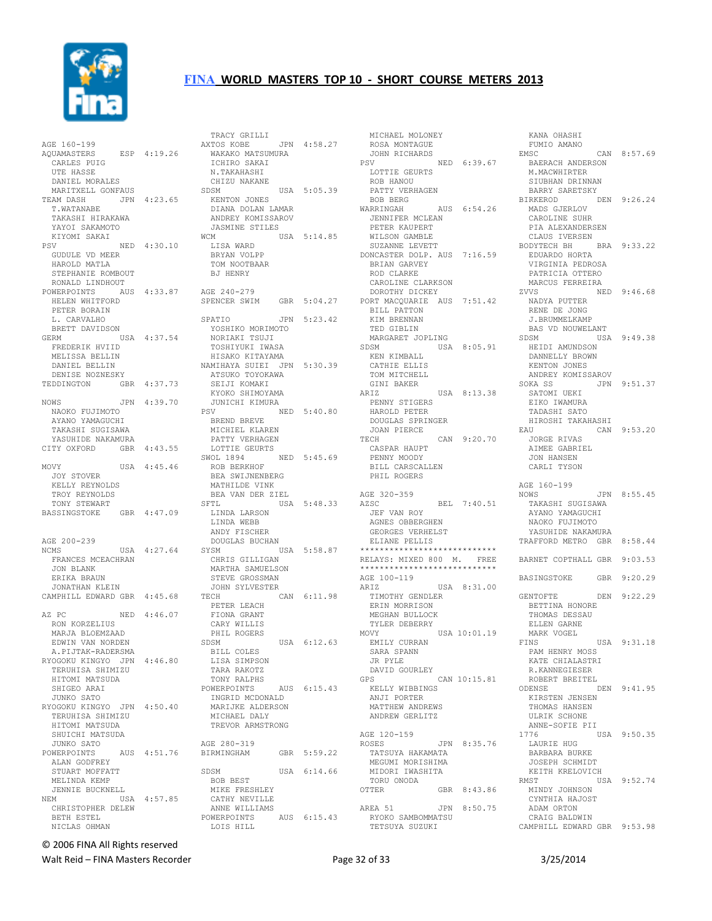

| AGE 160-199                 |              |
|-----------------------------|--------------|
| AOUAMASTERS                 | ESP 4:19.26  |
| UAMASTERS<br>CARLES PUIG    |              |
| UTE HASSE                   |              |
| DANIEL MORALES              |              |
| MARITXELL GONFAUS           |              |
| TEAM DASH                   | JPN 4:23.65  |
| T.WATANABE                  |              |
| TAKASHI HIRAKAWA            |              |
| YAYOI SAKAMOTO              |              |
| KIYOMI SAKAI                |              |
| PSV                         | NED 4:30.10  |
| GUDULE VD MEER              |              |
| HAROLD MATLA                |              |
| STEPHANIE ROMBOUT           |              |
| RONALD LINDHOUT             |              |
| POWERPOINTS                 | AUS  4:33.87 |
| HELEN WHITFORD              |              |
| PETER BORAIN                |              |
| L. CARVALHO                 |              |
| BRETT DAVIDSON              |              |
| GERM                        | USA 4:37.54  |
| FREDERIK HVIID              |              |
| MELISSA BELLIN              |              |
| DANIEL BELLIN               |              |
| DENISE NOZNESKY             |              |
| TEDDINGTON                  | GBR 4:37.73  |
|                             |              |
| NOWS                        | JPN 4:39.70  |
| NAOKO FUJIMOTO              |              |
| AYANO YAMAGUCHI             |              |
| TAKASHI SUGISAWA            |              |
| YASUHIDE NAKAMURA           |              |
| CITY OXFORD                 | GBR 4:43.55  |
|                             |              |
| MOVY                        | USA 4:45.46  |
| JOY STOVER                  |              |
|                             |              |
| KELLY REYNOLDS              |              |
| TROY REYNOLDS               |              |
| TONY STEWART                |              |
| BASSINGSTOKE                | GBR 4:47.09  |
|                             |              |
|                             |              |
| AGE 200-239                 |              |
| NCMS                        | USA 4:27.64  |
| FRANCES MCEACHRAN           |              |
| <b>JON BLANK</b>            |              |
| ERIKA BRAUN                 |              |
| JONATHAN KLEIN              |              |
| CAMPHILL EDWARD GBR 4:45.68 |              |
|                             |              |
| AZ PC                       | NED 4:46.07  |
| RON KORZELIUS               |              |
| MARJA BLOEMZAAD             |              |
| EDWIN VAN NORDEN            |              |
| A. PIJTAK-RADERSMA          |              |
| RYOGOKU KINGYO JPN          | 4:46.80      |
| TERUHISA SHIMIZU            |              |
| HITOMI MATSUDA              |              |
| SHIGEO ARAI                 |              |
| JUNKO SATO                  |              |
| RYOGOKU KINGYO JPN 4:50.40  |              |
| TERUHISA SHIMIZU            |              |
| HITOMI MATSUDA              |              |
| SHUICHI MATSUDA             |              |
| JUNKO SATO                  |              |
| POWERPOINTS                 | AUS  4:51.76 |
| ALAN GODFREY                |              |
| STUART MOFFATT              |              |
| MELINDA KEMP                |              |
| JENNIE BUCKNELL             |              |
| NEM                         | USA 4:57.85  |
| CHRISTOPHER DELEW           |              |
| BETH ESTEL<br>NICLAS OHMAN  |              |

| TRACY GRILLI               |     |             |
|----------------------------|-----|-------------|
| AXTOS KOBE                 |     | JPN 4:58.27 |
| WAKAKO MATSUMURA           |     |             |
| ICHIRO SAKAI               |     |             |
| N.TAKAHASHI                |     |             |
| CHIZU NAKANE               |     |             |
| SDSM                       |     | USA 5:05.39 |
| KENTON JONES               |     |             |
| DIANA DOLAN LAMAR          |     |             |
| ANDREY KOMISSAROV          |     |             |
| JASMINE STILES             |     |             |
| WCM                        |     | USA 5:14.85 |
| LISA WARD<br>BRYAN VOLPP   |     |             |
|                            |     |             |
| TOM NOOTBAAR               |     |             |
| <b>BJ HENRY</b>            |     |             |
| AGE 240-279                |     |             |
| SPENCER SWIM               |     | GBR 5:04.27 |
|                            |     |             |
| SPATIO                     | JPN | 5:23.42     |
| YOSHIKO MORIMOTO           |     |             |
| NORIAKI TSUJI              |     |             |
| TOSHIYUKI IWASA            |     |             |
| HISAKO KITAYAMA            |     |             |
| NAMIHAYA SUIEI JPN 5:30.39 |     |             |
| ATSUKO TOYOKAWA            |     |             |
| SEIJI KOMAKI               |     |             |
| KYOKO SHIMOYAMA            |     |             |
| JUNICHI KIMURA             |     |             |
| PSV                        |     | NED 5:40.80 |
| BREND BREVE                |     |             |
| MICHIEL KLAREN             |     |             |
| PATTY VERHAGEN             |     |             |
| LOTTIE GEURTS              |     |             |
| SWOL 1894                  | NED | 5:45.69     |
| ROB BERKHOF                |     |             |
| BEA SWIJNENBERG            |     |             |
| MATHILDE VINK              |     |             |
| BEA VAN DER ZIEL           |     |             |
| SFTL                       |     | USA 5:48.33 |
| LINDA LARSON               |     |             |
| LINDA WEBB                 |     |             |
| ANDY FISCHER               |     |             |
| DOUGLAS BUCHAN             |     |             |
| SYSM                       |     | USA 5:58.87 |
| CHRIS GILLIGAN             |     |             |
| MARTHA SAMUELSON           |     |             |
| STEVE GROSSMAN             |     |             |
| JOHN SYLVESTER<br>TECH     |     | CAN 6:11.98 |
| PETER LEACH                |     |             |
| FIONA GRANT                |     |             |
| CARY WILLIS                |     |             |
| PHIL ROGERS                |     |             |
| SDSM                       |     | USA 6:12.63 |
| BILL COLES                 |     |             |
| LISA SIMPSON               |     |             |
| TARA RAKOTZ                |     |             |
| TONY RALPHS                |     |             |
| POWERPOINTS                |     | AUS 6:15.43 |
| INGRID MCDONALD            |     |             |
| MARIJKE ALDERSON           |     |             |
| MICHAEL DALY               |     |             |
| TREVOR ARMSTRONG           |     |             |
|                            |     |             |
| AGE 280-319                |     |             |
| BIRMINGHAM                 |     | GBR 5:59.22 |
|                            |     |             |
| SDSM                       |     | USA 6:14.66 |
| BOB BEST                   |     |             |
| MIKE FRESHLEY              |     |             |
| CATHY NEVILLE              |     |             |
| ANNE WILLIAMS              |     |             |
| POWERPOINTS<br>LOIS HILL   |     | AUS 6:15.43 |
|                            |     |             |
|                            |     |             |

 MICHAEL MOLONEY ROSA MONTAGUE JOHN RICHARDS<br>PSV NED 6:39.67 LOTTIE GEURTS ROB HANOU PATTY VERHAGEN BOB BERG WARRINGAH AUS 6:54.26 JENNIFER MCLEAN PETER KAUPERT WILSON GAMBLE SUZANNE LEVETT DONCASTER DOLP. AUS 7:16.59 BRIAN GARVEY ROD CLARKE CAROLINE CLARKSON DOROTHY DICKEY PORT MACQUARIE AUS 7:51.42 BILL PATTON KIM BRENNAN TED GIBLIN MARGARET JOPLING SDSM USA 8:05.91 KEN KIMBALL CATHIE ELLIS TOM MITCHELL GINI BAKER ARIZ USA 8:13.38 PENNY STIGERS HAROLD PETER DOUGLAS SPRINGER JOAN PIERCE CAN 9:20.70 CASPAR HAUPT PENNY MOODY BILL CARSCALLEN PHIL ROGERS AGE 320-359<br>AZSC BEL 7:40.51 JEF VAN ROY AGNES OBBERGHEN GEORGES VERHELST ELIANE PELLIS \*\*\*\*\*\*\*\*\*\*\*\*\*\*\*\*\*\*\*\*\*\*\*\*\*\*\*\* RELAYS: MIXED 800 M. FREE \*\*\*\*\*\*\*\*\*\*\*\*\*\*\*\*\*\*\*\*\*\*\*\*\*\*\*\* AGE 100-119<br>ARIZ USA 8:31.00 TIMOTHY GENDLER ERIN MORRISON MEGHAN BULLOCK TYLER DEBERRY<br>MOVY USA 10:01.19 EMILY CURRAN SARA SPANN JR PYLE DAVID GOURLEY GPS CAN 10:15.81 KELLY WIBBINGS ANJI PORTER MATTHEW ANDREWS ANDREW GERLITZ AGE 120-159 ROSES JPN 8:35.76 TATSUYA HAKAMATA MEGUMI MORISHIMA MIDORI IWASHITA TORU ONODA<br>OTTER GBR 8:43.86 AREA 51 JPN 8:50.75 RYOKO SAMBOMMATSU TETSUYA SUZUKI

 FUMIO AMANO CAN 8:57.69 CAN<br>BAERACH ANDERSON<br>MAIRSCO M.MACWHIRTER SIUBHAN DRINNAN<br>BARRY SARETSKY BARRY SARETSKY BIRKEROD DEN 9:26.24 MADS GJERLOV CAROLINE SUHR PIA ALEXANDERSEN CLAUS IVERSEN BODYTECH BH BRA 9:33.22 EDUARDO HORTA VIRGINIA PEDROSA PATRICIA OTTERO MARCUS FERREIRA<br>ZVVS NED 9:46.68 ZVVS NED 9:46.68 NADYA PUTTER RENE DE JONG J.BRUMMELKAMP BAS VD NOUWELANT<br>SDSM USA USA 9:49.38 HEIDI AMUNDSON DANNELLY BROWN KENTON JONES ANDREY KOMISSAROV<br>SOKA SS JPN JPN 9:51.37 SATOMI UEKI EIKO IWAMURA TADASHI SATO HIROSHI TAKAHASHI CAN 9:53.20 JORGE RIVAS AIMEE GABRIEL JON HANSEN CARLI TYSON AGE 160-199 JPN 8:55.45 TAKASHI SUGISAWA AYANO YAMAGUCHI NAOKO FUJIMOTO YASUHIDE NAKAMURA TRAFFORD METRO GBR 8:58.44 BARNET COPTHALL GBR 9:03.53 BASINGSTOKE GBR 9:20.29 GENTOFTE DEN 9:22.29 BETTINA HONORE THOMAS DESSAU ELLEN GARNE MARK VOGEL<br>FINS USA 9:31.18 PAM HENRY MOSS KATE CHIALASTRI R.KANNEGIESER ROBERT BREITEL<br>ODENSE DEN 9:41.95 KIRSTEN JENSEN THOMAS HANSEN ULRIK SCHONE ANNE-SOFIE PII<br>1776 l USA 9:50.35 LAURIE HUG BARBARA BURKE JOSEPH SCHMIDT KEITH KRELOVICH<br>RMST US USA 9:52.74 MINDY JOHNSON CYNTHIA HAJOST ADAM ORTON CRAIG BALDWIN CAMPHILL EDWARD GBR 9:53.98

KANA OHASHI